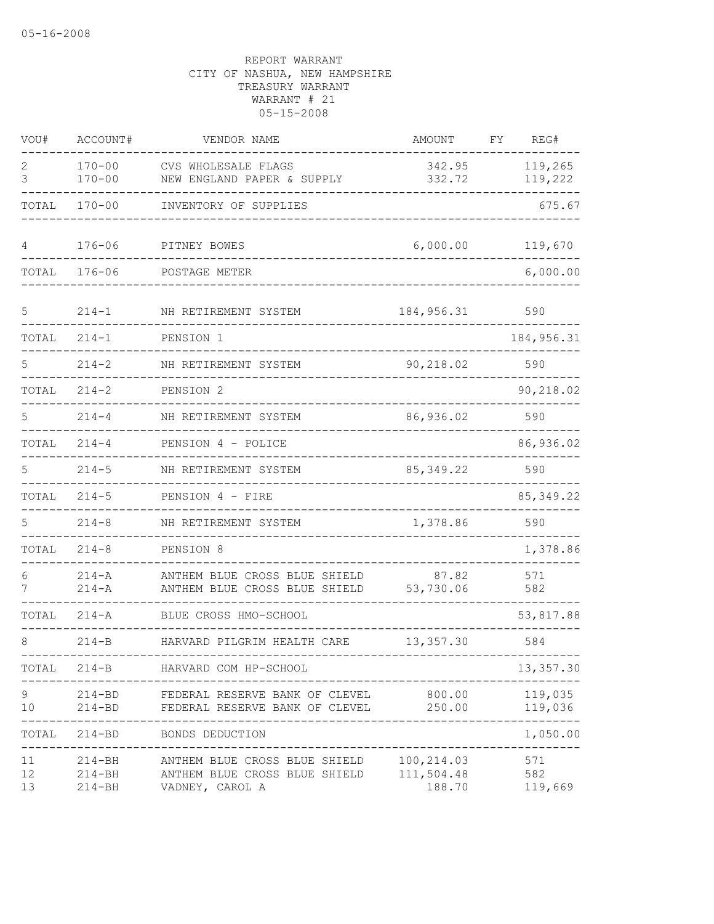| VOU#           | ACCOUNT#                               | VENDOR NAME                                                                       | AMOUNT                             | FY | REG#                  |
|----------------|----------------------------------------|-----------------------------------------------------------------------------------|------------------------------------|----|-----------------------|
| 2<br>3         | $170 - 00$<br>$170 - 00$               | CVS WHOLESALE FLAGS<br>NEW ENGLAND PAPER & SUPPLY                                 | 342.95<br>332.72                   |    | 119,265<br>119,222    |
| TOTAL          | $170 - 00$                             | INVENTORY OF SUPPLIES                                                             |                                    |    | 675.67                |
| 4              | $176 - 06$                             | PITNEY BOWES                                                                      | 6,000.00                           |    | 119,670               |
| TOTAL          | $176 - 06$                             | POSTAGE METER                                                                     |                                    |    | 6,000.00              |
| 5              | $214 - 1$                              | NH RETIREMENT SYSTEM                                                              | 184, 956.31                        |    | 590                   |
| TOTAL          | $214 - 1$                              | PENSION 1                                                                         |                                    |    | 184, 956.31           |
| 5              | $214 - 2$                              | NH RETIREMENT SYSTEM                                                              | 90,218.02                          |    | 590                   |
| TOTAL          | $214 - 2$                              | PENSION <sub>2</sub>                                                              |                                    |    | 90,218.02             |
| 5              | $214 - 4$                              | NH RETIREMENT SYSTEM                                                              | 86,936.02                          |    | 590                   |
| TOTAL          | $214 - 4$                              | PENSION 4 - POLICE                                                                |                                    |    | 86,936.02             |
| 5              | $214 - 5$                              | NH RETIREMENT SYSTEM                                                              | 85, 349.22                         |    | 590                   |
| TOTAL          | $214 - 5$                              | PENSION 4 - FIRE                                                                  |                                    |    | 85, 349.22            |
| 5              | $214 - 8$                              | NH RETIREMENT SYSTEM                                                              | 1,378.86                           |    | 590                   |
| TOTAL          | $214 - 8$                              | PENSION 8                                                                         |                                    |    | 1,378.86              |
| 6<br>7         | $214 - A$<br>$214 - A$                 | ANTHEM BLUE CROSS BLUE SHIELD<br>ANTHEM BLUE CROSS BLUE SHIELD                    | 87.82<br>53,730.06                 |    | 571<br>582            |
| TOTAL          | 214-A                                  | BLUE CROSS HMO-SCHOOL                                                             |                                    |    | 53,817.88             |
| 8              | $214 - B$                              | HARVARD PILGRIM HEALTH CARE                                                       | 13, 357.30                         |    | 584                   |
| TOTAL          | 214-B                                  | HARVARD COM HP-SCHOOL                                                             |                                    |    | 13,357.30             |
| 9<br>10        | $214 - BD$<br>$214 - BD$               | FEDERAL RESERVE BANK OF CLEVEL<br>FEDERAL RESERVE BANK OF CLEVEL                  | 800.00<br>250.00                   |    | 119,035<br>119,036    |
| TOTAL          | $214 - BD$                             | BONDS DEDUCTION                                                                   |                                    |    | -----<br>1,050.00     |
| 11<br>12<br>13 | $214 - BH$<br>$214 - BH$<br>$214 - BH$ | ANTHEM BLUE CROSS BLUE SHIELD<br>ANTHEM BLUE CROSS BLUE SHIELD<br>VADNEY, CAROL A | 100,214.03<br>111,504.48<br>188.70 |    | 571<br>582<br>119,669 |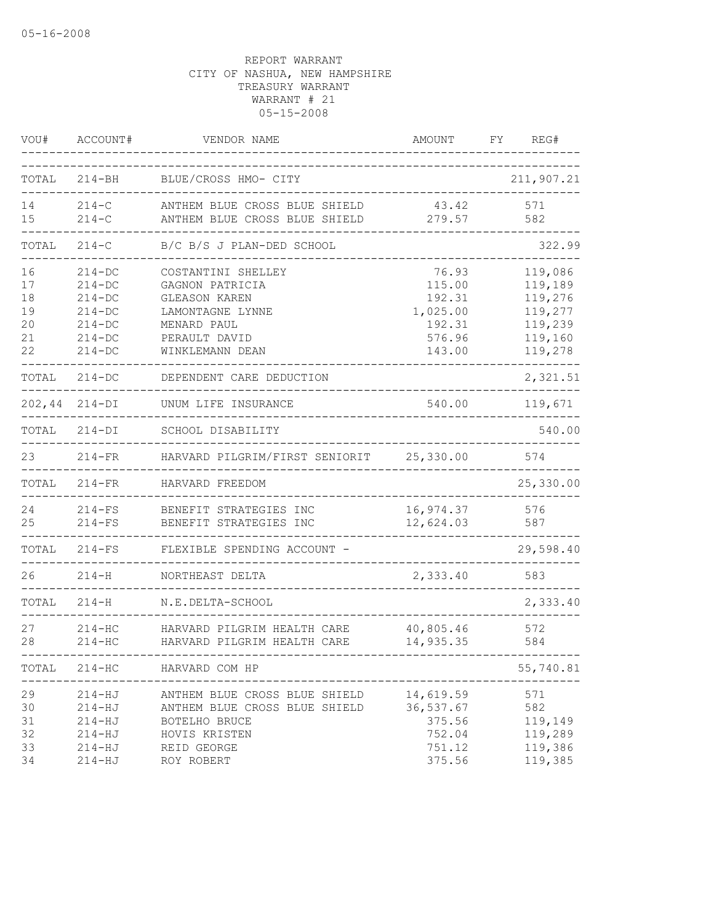| VOU#  | ACCOUNT#      | VENDOR NAME                              | AMOUNT    | FY. | REG#       |
|-------|---------------|------------------------------------------|-----------|-----|------------|
| TOTAL | $214 - BH$    | BLUE/CROSS HMO- CITY                     |           |     | 211,907.21 |
| 14    | $214-C$       | ANTHEM BLUE CROSS BLUE SHIELD            | 43.42     |     | 571        |
| 15    | $214-C$       | ANTHEM BLUE CROSS BLUE SHIELD            | 279.57    |     | 582        |
| TOTAL | $214-C$       | B/C B/S J PLAN-DED SCHOOL                |           |     | 322.99     |
| 16    | $214 - DC$    | COSTANTINI SHELLEY                       | 76.93     |     | 119,086    |
| 17    | $214 - DC$    | GAGNON PATRICIA                          | 115.00    |     | 119,189    |
| 18    | $214-DC$      | <b>GLEASON KAREN</b>                     | 192.31    |     | 119,276    |
| 19    | $214-DC$      | LAMONTAGNE LYNNE                         | 1,025.00  |     | 119,277    |
| 20    | $214-DC$      | MENARD PAUL                              | 192.31    |     | 119,239    |
| 21    | $214 - DC$    | PERAULT DAVID                            | 576.96    |     | 119,160    |
| 22    | $214 - DC$    | WINKLEMANN DEAN                          | 143.00    |     | 119,278    |
| TOTAL | $214-DC$      | DEPENDENT CARE DEDUCTION                 |           |     | 2,321.51   |
|       | 202,44 214-DI | UNUM LIFE INSURANCE                      | 540.00    |     | 119,671    |
| TOTAL | $214-DI$      | SCHOOL DISABILITY                        |           |     | 540.00     |
| 23    | $214-FR$      | HARVARD PILGRIM/FIRST SENIORIT 25,330.00 |           |     | 574        |
| TOTAL | $214-FR$      | HARVARD FREEDOM                          |           |     | 25,330.00  |
| 24    | $214-FS$      | BENEFIT STRATEGIES INC                   | 16,974.37 |     | 576        |
| 25    | $214-FS$      | BENEFIT STRATEGIES INC                   | 12,624.03 |     | 587        |
| TOTAL | $214-FS$      | FLEXIBLE SPENDING ACCOUNT -              |           |     | 29,598.40  |
| 26    | $214 - H$     | NORTHEAST DELTA                          | 2,333.40  |     | 583        |
| TOTAL | $214 - H$     | N.E.DELTA-SCHOOL                         |           |     | 2,333.40   |
| 27    | $214 - HC$    | HARVARD PILGRIM HEALTH CARE              | 40,805.46 |     | 572        |
| 28    | $214 - HC$    | HARVARD PILGRIM HEALTH CARE              | 14,935.35 |     | 584        |
| TOTAL | $214 - HC$    | HARVARD COM HP                           |           |     | 55,740.81  |
| 29    | $214 - HJ$    | ANTHEM BLUE CROSS BLUE SHIELD            | 14,619.59 |     | 571        |
| 30    | $214 - HJ$    | ANTHEM BLUE CROSS BLUE SHIELD            | 36,537.67 |     | 582        |
| 31    | $214 - HJ$    | BOTELHO BRUCE                            | 375.56    |     | 119,149    |
| 32    | $214 - HJ$    | HOVIS KRISTEN                            | 752.04    |     | 119,289    |
| 33    | $214 - HJ$    | REID GEORGE                              | 751.12    |     | 119,386    |
| 34    | $214 - HJ$    | ROY ROBERT                               | 375.56    |     | 119,385    |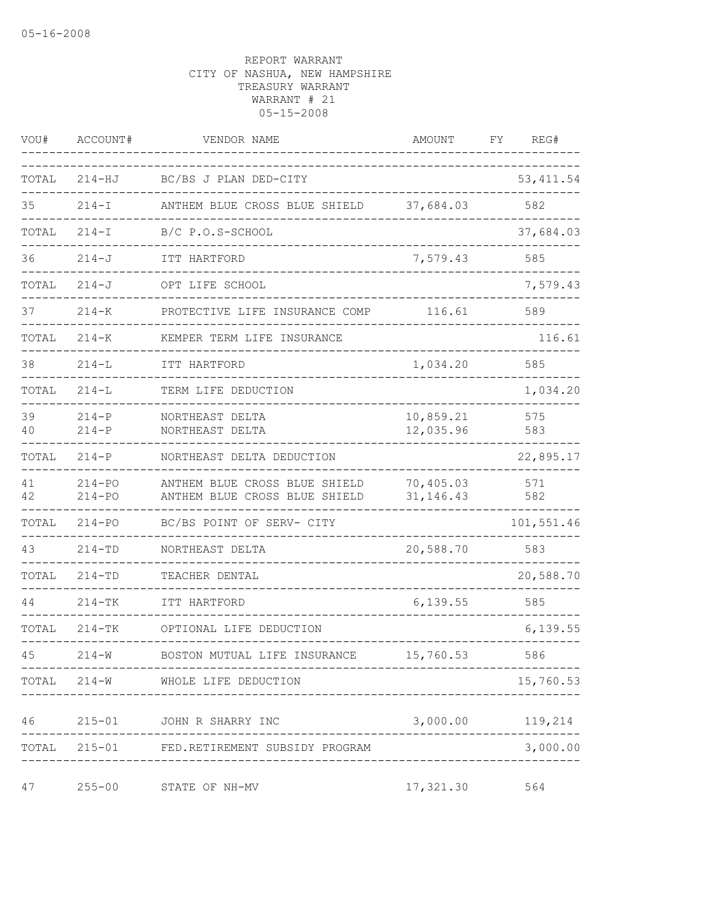| VOU#     | ACCOUNT#                 | VENDOR NAME                                                    | AMOUNT                   | REG#<br>FΥ       |        |
|----------|--------------------------|----------------------------------------------------------------|--------------------------|------------------|--------|
| TOTAL    | $214 - HJ$               | BC/BS J PLAN DED-CITY                                          |                          | 53, 411.54       |        |
| 35       | $214 - I$                | ANTHEM BLUE CROSS BLUE SHIELD                                  | 37,684.03                | 582              |        |
| TOTAL    | $214 - I$                | B/C P.O.S-SCHOOL                                               |                          | 37,684.03        |        |
| 36       | $214 - J$                | ITT HARTFORD                                                   | 7,579.43                 | 585              |        |
| TOTAL    | $214 - J$                | OPT LIFE SCHOOL                                                |                          | 7,579.43         |        |
| 37       | $214 - K$                | PROTECTIVE LIFE INSURANCE COMP                                 | 116.61                   | 589              |        |
| TOTAL    | $214 - K$                | KEMPER TERM LIFE INSURANCE                                     |                          |                  | 116.61 |
| 38       | $214 - L$                | ITT HARTFORD                                                   | 1,034.20                 | 585              |        |
| TOTAL    | $214 - L$                | TERM LIFE DEDUCTION                                            |                          | 1,034.20         |        |
| 39<br>40 | $214 - P$<br>$214-P$     | NORTHEAST DELTA<br>NORTHEAST DELTA                             | 10,859.21<br>12,035.96   | 575<br>583       |        |
| TOTAL    | $214-P$                  | NORTHEAST DELTA DEDUCTION                                      |                          | 22,895.17        |        |
| 41<br>42 | $214 - PQ$<br>$214 - PQ$ | ANTHEM BLUE CROSS BLUE SHIELD<br>ANTHEM BLUE CROSS BLUE SHIELD | 70,405.03<br>31, 146. 43 | 571<br>582       |        |
| TOTAL    | $214 - PQ$               | BC/BS POINT OF SERV- CITY                                      |                          | 101,551.46       |        |
| 43       | $214 - TD$               | NORTHEAST DELTA                                                | 20,588.70                | 583              |        |
| TOTAL    | $214 - TD$               | TEACHER DENTAL                                                 |                          | 20,588.70        |        |
| 44       | $214 - TK$               | ITT HARTFORD                                                   | 6,139.55                 | 585              |        |
| TOTAL    | $214 - TK$               | OPTIONAL LIFE DEDUCTION                                        |                          | 6,139.55         |        |
| 45       | $214 - W$                | BOSTON MUTUAL LIFE INSURANCE                                   | 15,760.53                | 586              |        |
|          |                          | TOTAL 214-W WHOLE LIFE DEDUCTION                               |                          | 15,760.53        |        |
|          |                          | 46 215-01 JOHN R SHARRY INC                                    |                          | 3,000.00 119,214 |        |
|          |                          | TOTAL 215-01 FED.RETIREMENT SUBSIDY PROGRAM                    |                          | 3,000.00         |        |
| 47       | $255 - 00$               | STATE OF NH-MV                                                 | 17,321.30                | 564              |        |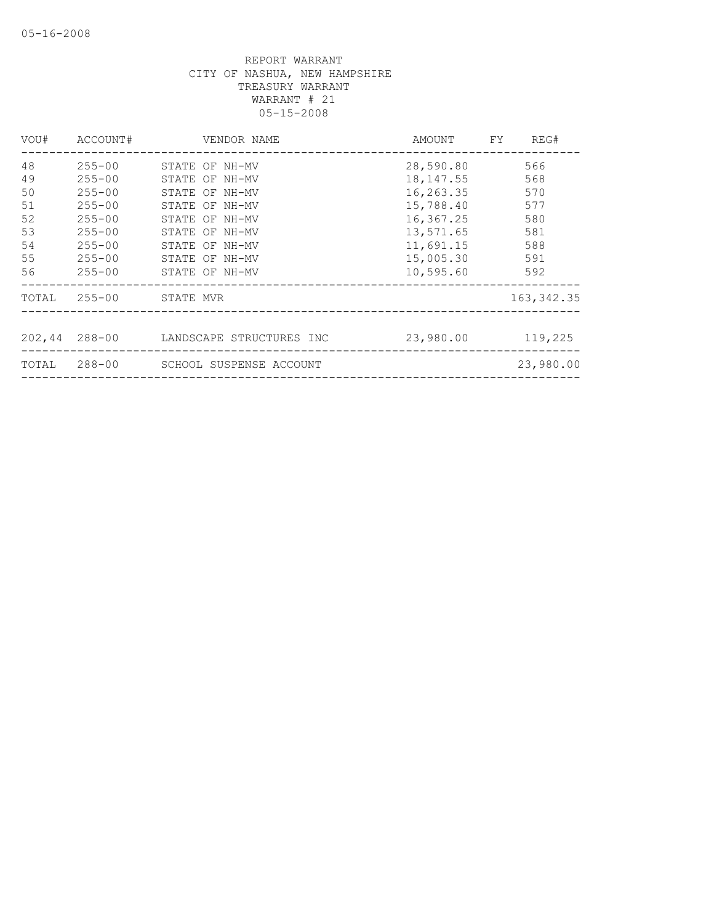| VOU#  | ACCOUNT#      | VENDOR NAME              | AMOUNT     | REG#<br>FY  |
|-------|---------------|--------------------------|------------|-------------|
| 48    | $255 - 00$    | STATE OF NH-MV           | 28,590.80  | 566         |
| 49    | $255 - 00$    | STATE OF NH-MV           | 18, 147.55 | 568         |
| 50    | $255 - 00$    | STATE OF NH-MV           | 16,263.35  | 570         |
| 51    | $255 - 00$    | STATE OF NH-MV           | 15,788.40  | 577         |
| 52    | $255 - 00$    | STATE OF NH-MV           | 16,367.25  | 580         |
| 53    | $255 - 00$    | STATE OF NH-MV           | 13,571.65  | 581         |
| 54    | $255 - 00$    | STATE OF NH-MV           | 11,691.15  | 588         |
| 55    | $255 - 00$    | STATE OF NH-MV           | 15,005.30  | 591         |
| 56    | $255 - 00$    | STATE OF NH-MV           | 10,595.60  | 592         |
| TOTAL | $255 - 00$    | STATE MVR                |            | 163, 342.35 |
|       |               |                          |            |             |
|       | 202,44 288-00 | LANDSCAPE STRUCTURES INC | 23,980.00  | 119,225     |
| TOTAL | 288-00        | SCHOOL SUSPENSE ACCOUNT  |            | 23,980.00   |
|       |               |                          |            |             |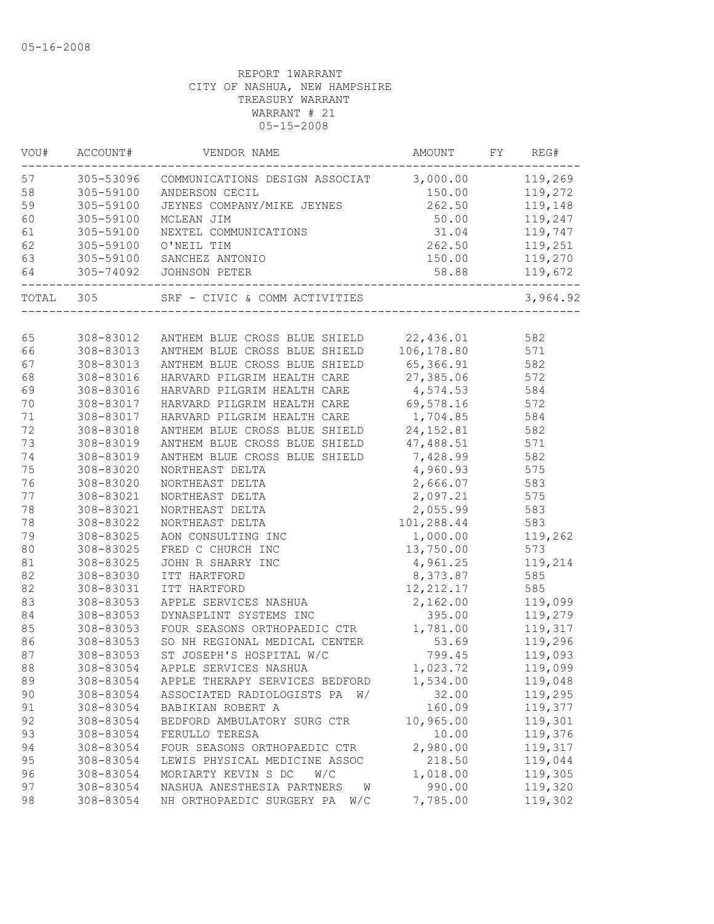| VOU#   | ACCOUNT#  | VENDOR NAME                                               | AMOUNT          | FY REG#  |
|--------|-----------|-----------------------------------------------------------|-----------------|----------|
| 57     |           | 305-53096 COMMUNICATIONS DESIGN ASSOCIAT 3,000.00 119,269 |                 |          |
| 58     | 305-59100 |                                                           | 150.00          | 119,272  |
| 59     | 305-59100 |                                                           |                 | 119,148  |
| 60     | 305-59100 | MCLEAN JIM                                                | 50.00           | 119,247  |
| 61     | 305-59100 | NEXTEL COMMUNICATIONS                                     | 31.04           | 119,747  |
| 62     | 305-59100 | O'NEIL TIM                                                | 262.50          | 119,251  |
| 63     | 305-59100 | SANCHEZ ANTONIO                                           | 150.00          | 119,270  |
| 64     | 305-74092 | JOHNSON PETER                                             | 58.88           | 119,672  |
|        |           | TOTAL 305 SRF - CIVIC & COMM ACTIVITIES                   |                 | 3,964.92 |
|        |           |                                                           |                 |          |
| 65     |           | 308-83012 ANTHEM BLUE CROSS BLUE SHIELD 22,436.01         |                 | 582      |
| 66     |           | 308-83013 ANTHEM BLUE CROSS BLUE SHIELD                   | 106, 178.80 571 |          |
| 67     | 308-83013 | ANTHEM BLUE CROSS BLUE SHIELD                             | 65,366.91       | 582      |
| 68     | 308-83016 | HARVARD PILGRIM HEALTH CARE                               | 27,385.06       | 572      |
| 69     | 308-83016 | HARVARD PILGRIM HEALTH CARE                               | 4,574.53        | 584      |
| 70     | 308-83017 | HARVARD PILGRIM HEALTH CARE                               | 69,578.16       | 572      |
| 71     | 308-83017 | HARVARD PILGRIM HEALTH CARE                               | 1,704.85        | 584      |
| 72     | 308-83018 | ANTHEM BLUE CROSS BLUE SHIELD                             | 24,152.81       | 582      |
| 73     | 308-83019 | ANTHEM BLUE CROSS BLUE SHIELD                             | 47,488.51       | 571      |
| 74     | 308-83019 | ANTHEM BLUE CROSS BLUE SHIELD 7,428.99                    |                 | 582      |
| 75     | 308-83020 | NORTHEAST DELTA                                           | 4,960.93        | 575      |
| 76     | 308-83020 | NORTHEAST DELTA                                           | 2,666.07        | 583      |
| 77     | 308-83021 | NORTHEAST DELTA                                           | 2,097.21        | 575      |
| 78     | 308-83021 | NORTHEAST DELTA                                           | 2,055.99        | 583      |
| 78     | 308-83022 | NORTHEAST DELTA                                           | 101,288.44      | 583      |
| 79     | 308-83025 | AON CONSULTING INC                                        | 1,000.00        | 119,262  |
| 80     | 308-83025 | FRED C CHURCH INC                                         | 13,750.00       | 573      |
| $8\,1$ | 308-83025 | JOHN R SHARRY INC                                         | 4,961.25        | 119,214  |
| 82     | 308-83030 | ITT HARTFORD                                              | 8,373.87        | 585      |
| 82     | 308-83031 | ITT HARTFORD                                              | 12, 212.17      | 585      |
| 83     | 308-83053 | APPLE SERVICES NASHUA                                     | 2,162.00        | 119,099  |
| 84     | 308-83053 | DYNASPLINT SYSTEMS INC                                    | 395.00          | 119,279  |
| 85     | 308-83053 | FOUR SEASONS ORTHOPAEDIC CTR                              | 1,781.00        | 119,317  |
| 86     | 308-83053 | SO NH REGIONAL MEDICAL CENTER                             | 53.69           | 119,296  |
| 87     | 308-83053 | ST JOSEPH'S HOSPITAL W/C                                  | 799.45          | 119,093  |
| 88     | 308-83054 | APPLE SERVICES NASHUA                                     | 1,023.72        | 119,099  |
| 89     | 308-83054 | APPLE THERAPY SERVICES BEDFORD                            | 1,534.00        | 119,048  |
| 90     | 308-83054 | ASSOCIATED RADIOLOGISTS PA W/                             | 32.00           | 119,295  |
| 91     | 308-83054 | BABIKIAN ROBERT A                                         | 160.09          | 119,377  |
| 92     | 308-83054 | BEDFORD AMBULATORY SURG CTR                               | 10,965.00       | 119,301  |
| 93     | 308-83054 | FERULLO TERESA                                            | 10.00           | 119,376  |
| 94     | 308-83054 | FOUR SEASONS ORTHOPAEDIC CTR                              | 2,980.00        | 119,317  |
| 95     | 308-83054 | LEWIS PHYSICAL MEDICINE ASSOC                             | 218.50          | 119,044  |
| 96     | 308-83054 | MORIARTY KEVIN S DC<br>W/C                                | 1,018.00        | 119,305  |
| 97     | 308-83054 | NASHUA ANESTHESIA PARTNERS<br>W                           | 990.00          | 119,320  |
|        |           | NH ORTHOPAEDIC SURGERY PA<br>W/C                          | 7,785.00        | 119,302  |
| 98     | 308-83054 |                                                           |                 |          |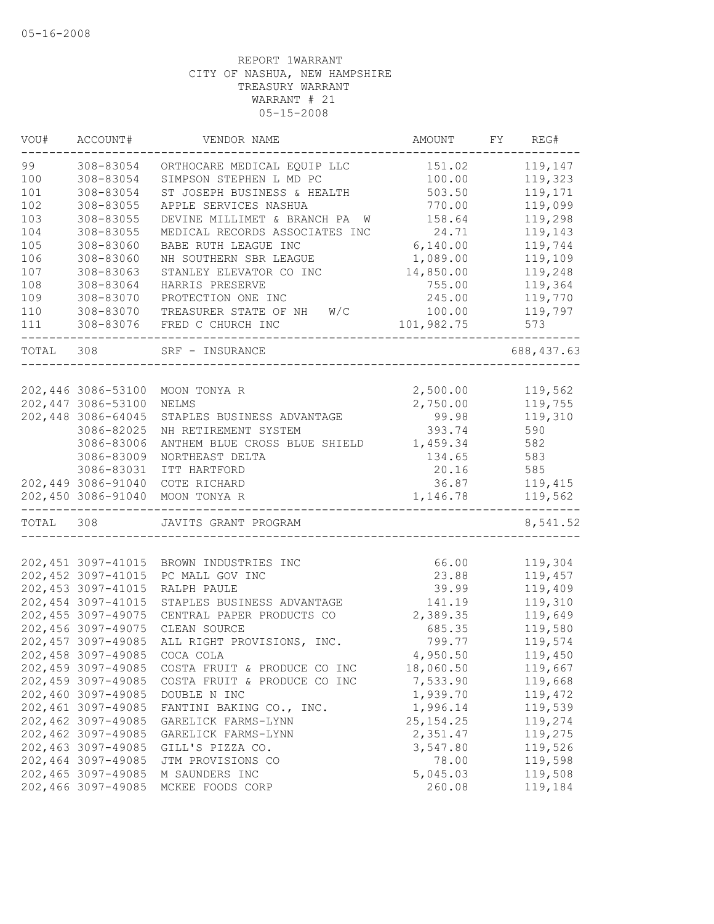| VOU#      | ACCOUNT#                                 | VENDOR NAME                        | AMOUNT            | FY | REG#               |
|-----------|------------------------------------------|------------------------------------|-------------------|----|--------------------|
| 99        | 308-83054                                | ORTHOCARE MEDICAL EQUIP LLC        | 151.02            |    | 119,147            |
| 100       | 308-83054                                | SIMPSON STEPHEN L MD PC            | 100.00            |    | 119,323            |
| 101       | 308-83054                                | ST JOSEPH BUSINESS & HEALTH        | 503.50            |    | 119,171            |
| 102       | 308-83055                                | APPLE SERVICES NASHUA              | 770.00            |    | 119,099            |
| 103       | 308-83055                                | DEVINE MILLIMET & BRANCH PA W      | 158.64            |    | 119,298            |
| 104       | 308-83055                                | MEDICAL RECORDS ASSOCIATES INC     | 24.71             |    | 119,143            |
| 105       | 308-83060                                | BABE RUTH LEAGUE INC               | 6,140.00          |    | 119,744            |
| 106       | 308-83060                                | NH SOUTHERN SBR LEAGUE             | 1,089.00          |    | 119,109            |
| 107       | 308-83063                                | STANLEY ELEVATOR CO INC            | 14,850.00         |    | 119,248            |
| 108       | 308-83064                                | HARRIS PRESERVE                    | 755.00            |    | 119,364            |
| 109       | 308-83070                                | PROTECTION ONE INC                 | 245.00            |    | 119,770            |
| $110$     | 308-83070                                | TREASURER STATE OF NH<br>W/C       | 100.00            |    | 119,797            |
| 111       | 308-83076                                | FRED C CHURCH INC                  | 101,982.75        |    | 573                |
| TOTAL     | 308                                      | SRF - INSURANCE                    |                   |    | 688,437.63         |
|           |                                          |                                    |                   |    |                    |
|           | 202,446 3086-53100                       | MOON TONYA R                       | 2,500.00          |    | 119,562            |
|           | 202,447 3086-53100                       | NELMS                              | 2,750.00          |    | 119,755            |
|           | 202,448 3086-64045                       | STAPLES BUSINESS ADVANTAGE         | 99.98             |    | 119,310            |
|           | 3086-82025                               | NH RETIREMENT SYSTEM               | 393.74            |    | 590                |
|           | 3086-83006                               | ANTHEM BLUE CROSS BLUE SHIELD      | 1,459.34          |    | 582                |
|           | 3086-83009                               | NORTHEAST DELTA                    | 134.65            |    | 583                |
|           | 3086-83031                               | ITT HARTFORD                       | 20.16             |    | 585                |
|           | 202,449 3086-91040                       | COTE RICHARD                       | 36.87             |    | 119,415            |
|           | 202,450 3086-91040                       | MOON TONYA R                       | 1,146.78          |    | 119,562            |
| TOTAL 308 |                                          | JAVITS GRANT PROGRAM               |                   |    | 8,541.52           |
|           |                                          |                                    |                   |    |                    |
|           | 202, 451 3097-41015                      | BROWN INDUSTRIES INC               | 66.00             |    | 119,304            |
|           | 202, 452 3097-41015                      | PC MALL GOV INC                    | 23.88             |    | 119,457            |
|           | 202, 453 3097-41015                      | RALPH PAULE                        | 39.99             |    | 119,409            |
|           | 202, 454 3097-41015                      | STAPLES BUSINESS ADVANTAGE         | 141.19            |    | 119,310            |
|           | 202, 455 3097-49075                      | CENTRAL PAPER PRODUCTS CO          | 2,389.35          |    | 119,649            |
|           | 202,456 3097-49075                       | CLEAN SOURCE                       | 685.35            |    | 119,580            |
|           | 202, 457 3097-49085                      | ALL RIGHT PROVISIONS, INC.         | 799.77            |    | 119,574            |
|           | 202,458 3097-49085                       | COCA COLA                          | 4,950.50          |    | 119,450            |
|           | 202,459 3097-49085                       | COSTA FRUIT & PRODUCE CO INC       | 18,060.50         |    | 119,667            |
|           | 202,459 3097-49085                       | COSTA FRUIT & PRODUCE CO INC       | 7,533.90          |    | 119,668            |
|           | 202,460 3097-49085                       | DOUBLE N INC                       | 1,939.70          |    | 119,472            |
|           | 202,461 3097-49085                       | FANTINI BAKING CO., INC.           | 1,996.14          |    | 119,539            |
|           | 202,462 3097-49085                       | GARELICK FARMS-LYNN                | 25, 154. 25       |    | 119,274            |
|           | 202,462 3097-49085<br>202,463 3097-49085 | GARELICK FARMS-LYNN                | 2,351.47          |    | 119,275            |
|           |                                          | GILL'S PIZZA CO.                   | 3,547.80          |    | 119,526            |
|           | 202,464 3097-49085<br>202,465 3097-49085 | JTM PROVISIONS CO                  | 78.00<br>5,045.03 |    | 119,598<br>119,508 |
|           | 202,466 3097-49085                       | M SAUNDERS INC<br>MCKEE FOODS CORP | 260.08            |    | 119,184            |
|           |                                          |                                    |                   |    |                    |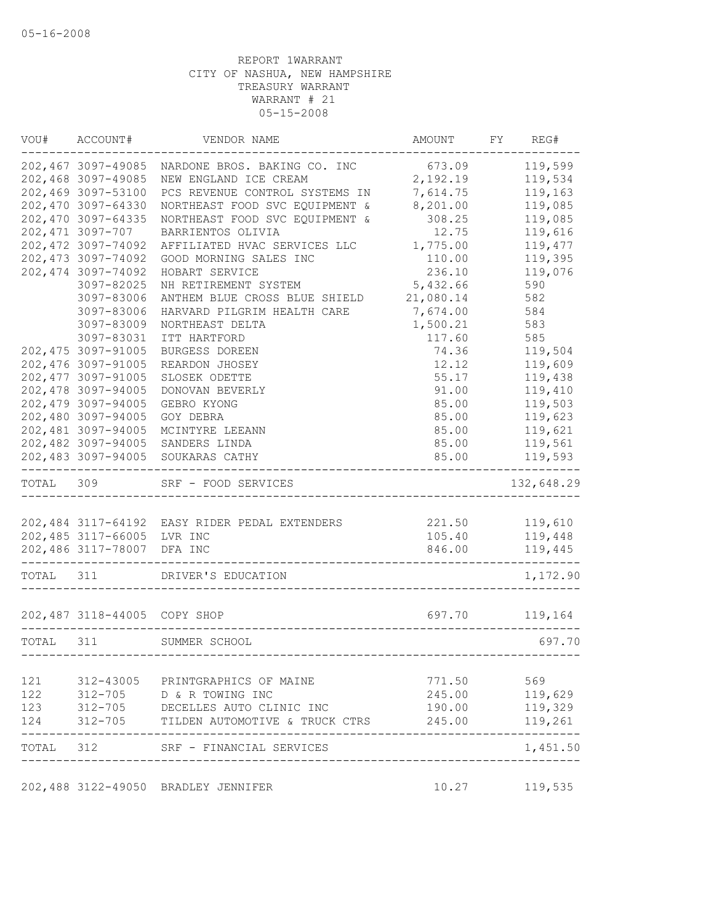| VOU#      | ACCOUNT#                      | VENDOR NAME                                   | AMOUNT                       | FY | REG#           |
|-----------|-------------------------------|-----------------------------------------------|------------------------------|----|----------------|
|           | 202,467 3097-49085            | NARDONE BROS. BAKING CO. INC 673.09           |                              |    | 119,599        |
|           | 202,468 3097-49085            | NEW ENGLAND ICE CREAM                         | 2,192.19                     |    | 119,534        |
|           | 202,469 3097-53100            | PCS REVENUE CONTROL SYSTEMS IN                | 7,614.75                     |    | 119,163        |
|           | 202,470 3097-64330            | NORTHEAST FOOD SVC EQUIPMENT &                | 8,201.00                     |    | 119,085        |
|           | 202,470 3097-64335            | NORTHEAST FOOD SVC EQUIPMENT &                | 308.25                       |    | 119,085        |
|           | 202,471 3097-707              | BARRIENTOS OLIVIA                             | 12.75                        |    | 119,616        |
|           | 202, 472 3097-74092           | AFFILIATED HVAC SERVICES LLC                  | 1,775.00                     |    | 119,477        |
|           | 202, 473 3097-74092           | GOOD MORNING SALES INC                        | 110.00                       |    | 119,395        |
|           | 202, 474 3097-74092           | HOBART SERVICE                                | 236.10                       |    | 119,076        |
|           | 3097-82025                    | NH RETIREMENT SYSTEM                          | 5,432.66                     |    | 590            |
|           | 3097-83006                    | ANTHEM BLUE CROSS BLUE SHIELD                 | 21,080.14                    |    | 582            |
|           | 3097-83006                    | HARVARD PILGRIM HEALTH CARE                   | 7,674.00                     |    | 584            |
|           | 3097-83009                    | NORTHEAST DELTA                               | 1,500.21                     |    | 583            |
|           | 3097-83031                    | ITT HARTFORD                                  | 117.60                       |    | 585            |
|           | 202, 475 3097-91005           | BURGESS DOREEN                                | 74.36                        |    | 119,504        |
|           | 202,476 3097-91005            | REARDON JHOSEY                                | 12.12                        |    | 119,609        |
|           | 202, 477 3097-91005           | SLOSEK ODETTE                                 | 55.17                        |    | 119,438        |
|           | 202,478 3097-94005            | DONOVAN BEVERLY                               | 91.00                        |    | 119,410        |
|           | 202,479 3097-94005            | GEBRO KYONG                                   | 85.00                        |    | 119,503        |
|           | 202,480 3097-94005            | GOY DEBRA                                     | 85.00                        |    | 119,623        |
|           | 202,481 3097-94005            | MCINTYRE LEEANN                               | 85.00                        |    | 119,621        |
|           | 202,482 3097-94005            | SANDERS LINDA                                 | 85.00                        |    | 119,561        |
|           | 202,483 3097-94005            | SOUKARAS CATHY                                | 85.00                        |    | 119,593        |
| TOTAL 309 |                               | SRF - FOOD SERVICES                           |                              |    | 132,648.29     |
|           |                               |                                               |                              |    |                |
|           |                               | 202,484 3117-64192 EASY RIDER PEDAL EXTENDERS |                              |    | 221.50 119,610 |
|           | 202,485 3117-66005 LVR INC    |                                               | 105.40                       |    | 119,448        |
|           | 202,486 3117-78007            | DFA INC                                       | 846.00                       |    | 119,445        |
| TOTAL     | 311                           | DRIVER'S EDUCATION                            |                              |    | 1,172.90       |
|           |                               | 202,487 3118-44005 COPY SHOP                  | 697.70                       |    | 119,164        |
| TOTAL 311 |                               | SUMMER SCHOOL                                 |                              |    | 697.70         |
|           |                               |                                               |                              |    |                |
|           |                               | 121 312-43005 PRINTGRAPHICS OF MAINE          | 771.50                       |    | 569            |
| 122       |                               | $312 - 705$ D & R TOWING INC                  | 245.00                       |    | 119,629        |
| 123       | 312-705<br>312-705<br>312-705 | DECELLES AUTO CLINIC INC                      | 190.00                       |    | 119,329        |
| 124       |                               | TILDEN AUTOMOTIVE & TRUCK CTRS                | 245.00                       |    | 119,261        |
|           |                               | TOTAL 312 SRF - FINANCIAL SERVICES            | ---------------------------- |    | 1,451.50       |
|           |                               | 202,488 3122-49050 BRADLEY JENNIFER           |                              |    | 10.27 119,535  |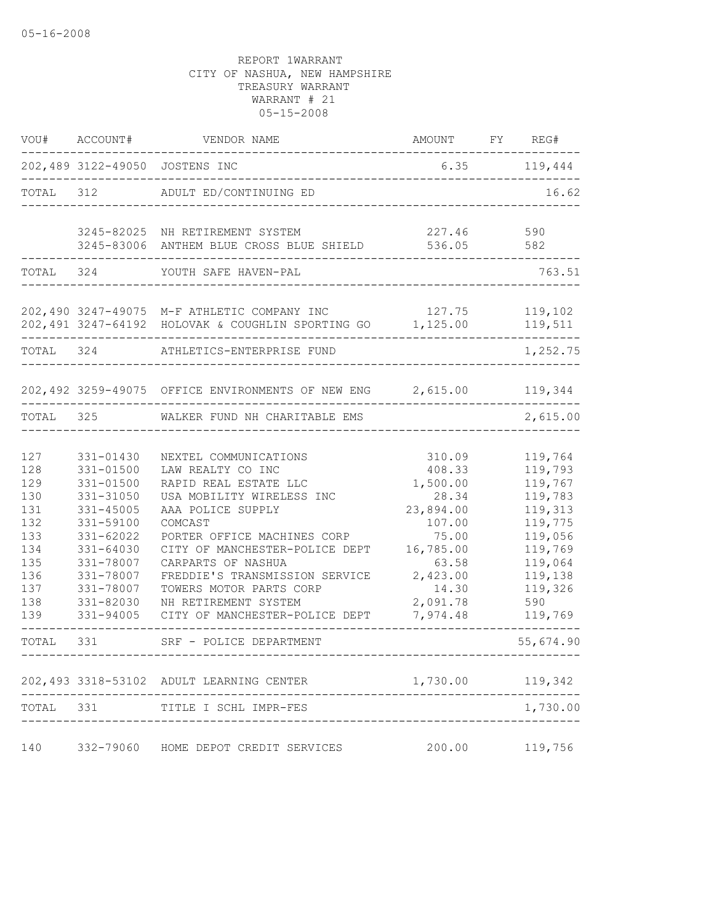| VOU#                                                                                    | ACCOUNT#                                                                                                                                                                  | VENDOR NAME                                                                                                                                                                                                                                                                                                                                    | AMOUNT FY REG#                                                                                                                           |                                                                                                                                         |
|-----------------------------------------------------------------------------------------|---------------------------------------------------------------------------------------------------------------------------------------------------------------------------|------------------------------------------------------------------------------------------------------------------------------------------------------------------------------------------------------------------------------------------------------------------------------------------------------------------------------------------------|------------------------------------------------------------------------------------------------------------------------------------------|-----------------------------------------------------------------------------------------------------------------------------------------|
|                                                                                         |                                                                                                                                                                           | 202,489 3122-49050 JOSTENS INC                                                                                                                                                                                                                                                                                                                 |                                                                                                                                          | $6.35$ $119,444$                                                                                                                        |
| TOTAL 312                                                                               |                                                                                                                                                                           | ADULT ED/CONTINUING ED                                                                                                                                                                                                                                                                                                                         |                                                                                                                                          | 16.62                                                                                                                                   |
|                                                                                         |                                                                                                                                                                           | 3245-82025 NH RETIREMENT SYSTEM<br>3245-83006 ANTHEM BLUE CROSS BLUE SHIELD                                                                                                                                                                                                                                                                    | 227.46<br>536.05                                                                                                                         | 590<br>582                                                                                                                              |
| TOTAL 324                                                                               |                                                                                                                                                                           | YOUTH SAFE HAVEN-PAL                                                                                                                                                                                                                                                                                                                           |                                                                                                                                          | 763.51                                                                                                                                  |
|                                                                                         |                                                                                                                                                                           | 202,490 3247-49075 M-F ATHLETIC COMPANY INC<br>202,491 3247-64192 HOLOVAK & COUGHLIN SPORTING GO 1,125.00                                                                                                                                                                                                                                      | 127.75                                                                                                                                   | 119,102<br>119,511                                                                                                                      |
| TOTAL 324                                                                               |                                                                                                                                                                           | ATHLETICS-ENTERPRISE FUND                                                                                                                                                                                                                                                                                                                      |                                                                                                                                          | 1,252.75                                                                                                                                |
|                                                                                         |                                                                                                                                                                           | 202,492 3259-49075 OFFICE ENVIRONMENTS OF NEW ENG 2,615.00 119,344                                                                                                                                                                                                                                                                             |                                                                                                                                          |                                                                                                                                         |
| TOTAL 325                                                                               |                                                                                                                                                                           | WALKER FUND NH CHARITABLE EMS                                                                                                                                                                                                                                                                                                                  |                                                                                                                                          | 2,615.00                                                                                                                                |
| 127<br>128<br>129<br>130<br>131<br>132<br>133<br>134<br>135<br>136<br>137<br>138<br>139 | 331-01430<br>$331 - 01500$<br>331-01500<br>331-31050<br>331-45005<br>331-59100<br>331-62022<br>331-64030<br>331-78007<br>331-78007<br>331-78007<br>331-82030<br>331-94005 | NEXTEL COMMUNICATIONS<br>LAW REALTY CO INC<br>RAPID REAL ESTATE LLC<br>USA MOBILITY WIRELESS INC<br>AAA POLICE SUPPLY<br>COMCAST<br>PORTER OFFICE MACHINES CORP<br>CITY OF MANCHESTER-POLICE DEPT<br>CARPARTS OF NASHUA<br>FREDDIE'S TRANSMISSION SERVICE<br>TOWERS MOTOR PARTS CORP<br>NH RETIREMENT SYSTEM<br>CITY OF MANCHESTER-POLICE DEPT | 310.09<br>408.33<br>1,500.00<br>28.34<br>23,894.00<br>107.00<br>75.00<br>16,785.00<br>63.58<br>2,423.00<br>14.30<br>2,091.78<br>7,974.48 | 119,764<br>119,793<br>119,767<br>119,783<br>119,313<br>119,775<br>119,056<br>119,769<br>119,064<br>119,138<br>119,326<br>590<br>119,769 |
| TOTAL                                                                                   | 331                                                                                                                                                                       | SRF - POLICE DEPARTMENT                                                                                                                                                                                                                                                                                                                        |                                                                                                                                          | 55,674.90                                                                                                                               |
|                                                                                         |                                                                                                                                                                           | 202,493 3318-53102 ADULT LEARNING CENTER                                                                                                                                                                                                                                                                                                       | 1,730.00                                                                                                                                 | 119,342                                                                                                                                 |
| TOTAL                                                                                   | 331                                                                                                                                                                       | TITLE I SCHL IMPR-FES                                                                                                                                                                                                                                                                                                                          |                                                                                                                                          | 1,730.00                                                                                                                                |
| 140                                                                                     |                                                                                                                                                                           | 332-79060 HOME DEPOT CREDIT SERVICES                                                                                                                                                                                                                                                                                                           | 200.00                                                                                                                                   | 119,756                                                                                                                                 |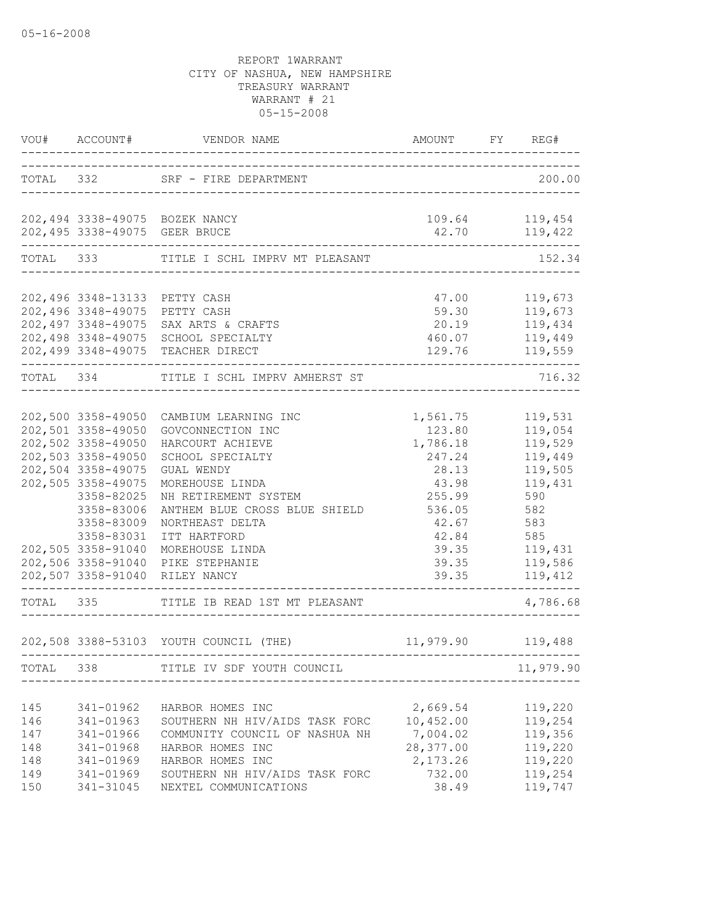| VOU#                                          | ACCOUNT#                                                                                                                                                                                                                                                   | VENDOR NAME                                                                                                                                                                                                                                                        | AMOUNT                                                                                                                      | FY | REG#                                                                                                                        |
|-----------------------------------------------|------------------------------------------------------------------------------------------------------------------------------------------------------------------------------------------------------------------------------------------------------------|--------------------------------------------------------------------------------------------------------------------------------------------------------------------------------------------------------------------------------------------------------------------|-----------------------------------------------------------------------------------------------------------------------------|----|-----------------------------------------------------------------------------------------------------------------------------|
|                                               |                                                                                                                                                                                                                                                            | TOTAL 332 SRF - FIRE DEPARTMENT                                                                                                                                                                                                                                    | ------------------------------------                                                                                        |    | 200.00                                                                                                                      |
|                                               | 202,495 3338-49075 GEER BRUCE                                                                                                                                                                                                                              | 202,494 3338-49075 BOZEK NANCY                                                                                                                                                                                                                                     | 109.64 119,454<br>42.70                                                                                                     |    | 119,422                                                                                                                     |
| TOTAL                                         | 333                                                                                                                                                                                                                                                        | TITLE I SCHL IMPRV MT PLEASANT                                                                                                                                                                                                                                     |                                                                                                                             |    | 152.34                                                                                                                      |
|                                               | 202,496 3348-13133 PETTY CASH<br>202,496 3348-49075<br>202,497 3348-49075<br>202,498 3348-49075                                                                                                                                                            | PETTY CASH<br>SAX ARTS & CRAFTS<br>SCHOOL SPECIALTY<br>202,499 3348-49075 TEACHER DIRECT                                                                                                                                                                           | 47.00<br>59.30<br>20.19<br>460.07<br>129.76                                                                                 |    | 119,673<br>119,673<br>119,434<br>119,449<br>119,559                                                                         |
| TOTAL                                         | 334                                                                                                                                                                                                                                                        | TITLE I SCHL IMPRV AMHERST ST                                                                                                                                                                                                                                      |                                                                                                                             |    | 716.32                                                                                                                      |
|                                               | 202,500 3358-49050<br>202,501 3358-49050<br>202,502 3358-49050<br>202,503 3358-49050<br>202,504 3358-49075<br>202,505 3358-49075<br>3358-82025<br>3358-83006<br>3358-83009<br>3358-83031<br>202,505 3358-91040<br>202,506 3358-91040<br>202,507 3358-91040 | CAMBIUM LEARNING INC<br>GOVCONNECTION INC<br>HARCOURT ACHIEVE<br>SCHOOL SPECIALTY<br>GUAL WENDY<br>MOREHOUSE LINDA<br>NH RETIREMENT SYSTEM<br>ANTHEM BLUE CROSS BLUE SHIELD<br>NORTHEAST DELTA<br>ITT HARTFORD<br>MOREHOUSE LINDA<br>PIKE STEPHANIE<br>RILEY NANCY | 1,561.75<br>123.80<br>1,786.18<br>247.24<br>28.13<br>43.98<br>255.99<br>536.05<br>42.67<br>42.84<br>39.35<br>39.35<br>39.35 |    | 119,531<br>119,054<br>119,529<br>119,449<br>119,505<br>119,431<br>590<br>582<br>583<br>585<br>119,431<br>119,586<br>119,412 |
| TOTAL 335                                     |                                                                                                                                                                                                                                                            | TITLE IB READ 1ST MT PLEASANT                                                                                                                                                                                                                                      |                                                                                                                             |    | 4,786.68                                                                                                                    |
|                                               |                                                                                                                                                                                                                                                            | 202,508 3388-53103 YOUTH COUNCIL (THE)                                                                                                                                                                                                                             | 11,979.90 119,488                                                                                                           |    |                                                                                                                             |
| TOTAL 338                                     |                                                                                                                                                                                                                                                            | TITLE IV SDF YOUTH COUNCIL                                                                                                                                                                                                                                         |                                                                                                                             |    | 11,979.90                                                                                                                   |
| 145<br>146<br>147<br>148<br>148<br>149<br>150 | 341-01962<br>341-01963<br>341-01966<br>341-01968<br>341-01969<br>341-01969<br>341-31045                                                                                                                                                                    | HARBOR HOMES INC<br>SOUTHERN NH HIV/AIDS TASK FORC<br>COMMUNITY COUNCIL OF NASHUA NH<br>HARBOR HOMES INC<br>HARBOR HOMES INC<br>SOUTHERN NH HIV/AIDS TASK FORC<br>NEXTEL COMMUNICATIONS                                                                            | 2,669.54<br>10,452.00<br>7,004.02<br>28,377.00<br>2,173.26<br>732.00<br>38.49                                               |    | 119,220<br>119,254<br>119,356<br>119,220<br>119,220<br>119,254<br>119,747                                                   |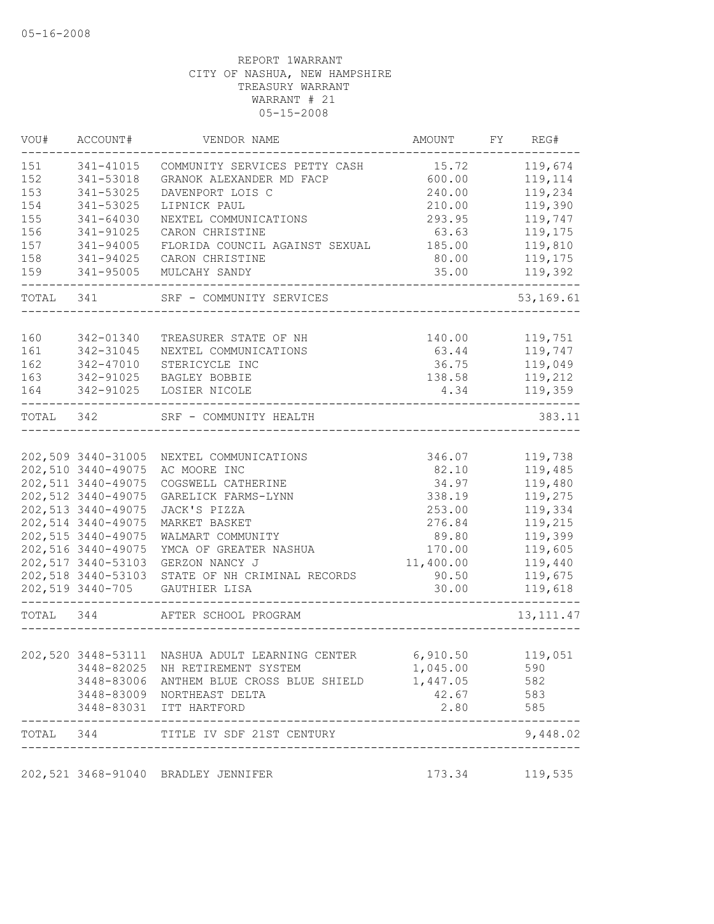| VOU#       | ACCOUNT#            | VENDOR NAME                                     | AMOUNT             | FY | REG#        |
|------------|---------------------|-------------------------------------------------|--------------------|----|-------------|
| 151        | 341-41015           | COMMUNITY SERVICES PETTY CASH                   | 15.72              |    | 119,674     |
| 152        | 341-53018           | GRANOK ALEXANDER MD FACP                        | 600.00             |    | 119,114     |
| 153        | 341-53025           | DAVENPORT LOIS C                                | 240.00             |    | 119,234     |
| 154        | 341-53025           | LIPNICK PAUL                                    | 210.00             |    | 119,390     |
| 155        | 341-64030           | NEXTEL COMMUNICATIONS                           | 293.95             |    | 119,747     |
| 156        | 341-91025           | CARON CHRISTINE                                 | 63.63              |    | 119,175     |
| 157        | 341-94005           | FLORIDA COUNCIL AGAINST SEXUAL                  | 185.00             |    | 119,810     |
| 158        | 341-94025           | CARON CHRISTINE                                 | 80.00              |    | 119,175     |
| 159        | 341-95005           | MULCAHY SANDY                                   | 35.00<br>--------- |    | 119,392     |
|            | TOTAL 341           | SRF - COMMUNITY SERVICES                        |                    |    | 53,169.61   |
|            |                     |                                                 |                    |    |             |
| 160<br>161 | 342-01340           | TREASURER STATE OF NH                           | 140.00             |    | 119,751     |
|            | 342-31045           | NEXTEL COMMUNICATIONS                           | 63.44              |    | 119,747     |
| 162        | 342-47010           | STERICYCLE INC                                  | 36.75              |    | 119,049     |
| 163        | 342-91025           | BAGLEY BOBBIE                                   | 138.58             |    | 119,212     |
| 164        | 342-91025           | LOSIER NICOLE                                   | 4.34               |    | 119,359     |
| TOTAL 342  |                     | SRF - COMMUNITY HEALTH                          |                    |    | 383.11      |
|            |                     |                                                 |                    |    |             |
|            | 202,509 3440-31005  | NEXTEL COMMUNICATIONS                           | 346.07             |    | 119,738     |
|            | 202,510 3440-49075  | AC MOORE INC                                    | 82.10              |    | 119,485     |
|            | 202,511 3440-49075  | COGSWELL CATHERINE                              | 34.97              |    | 119,480     |
|            | 202,512 3440-49075  | GARELICK FARMS-LYNN                             | 338.19             |    | 119,275     |
|            | 202, 513 3440-49075 | JACK'S PIZZA                                    | 253.00             |    | 119,334     |
|            | 202,514 3440-49075  | MARKET BASKET                                   | 276.84             |    | 119,215     |
|            | 202,515 3440-49075  | WALMART COMMUNITY                               | 89.80              |    | 119,399     |
|            | 202,516 3440-49075  | YMCA OF GREATER NASHUA                          | 170.00             |    | 119,605     |
|            | 202,517 3440-53103  | GERZON NANCY J                                  | 11,400.00          |    | 119,440     |
|            | 202,518 3440-53103  | STATE OF NH CRIMINAL RECORDS                    | 90.50              |    | 119,675     |
|            | 202,519 3440-705    | GAUTHIER LISA                                   | 30.00              |    | 119,618     |
| TOTAL 344  |                     | AFTER SCHOOL PROGRAM                            |                    |    | 13, 111. 47 |
|            |                     |                                                 |                    |    |             |
|            |                     | 202,520 3448-53111 NASHUA ADULT LEARNING CENTER | 6,910.50           |    | 119,051     |
|            |                     | 3448-82025 NH RETIREMENT SYSTEM                 | 1,045.00           |    | 590         |
|            |                     | 3448-83006 ANTHEM BLUE CROSS BLUE SHIELD        | 1,447.05           |    | 582         |
|            |                     | 3448-83009 NORTHEAST DELTA                      | 42.67              |    | 583         |
|            | --------------      | 3448-83031 ITT HARTFORD                         | 2.80               |    | 585         |
|            |                     | TOTAL 344 TITLE IV SDF 21ST CENTURY             |                    |    | 9,448.02    |
|            |                     | 202,521 3468-91040 BRADLEY JENNIFER             | 173.34             |    | 119,535     |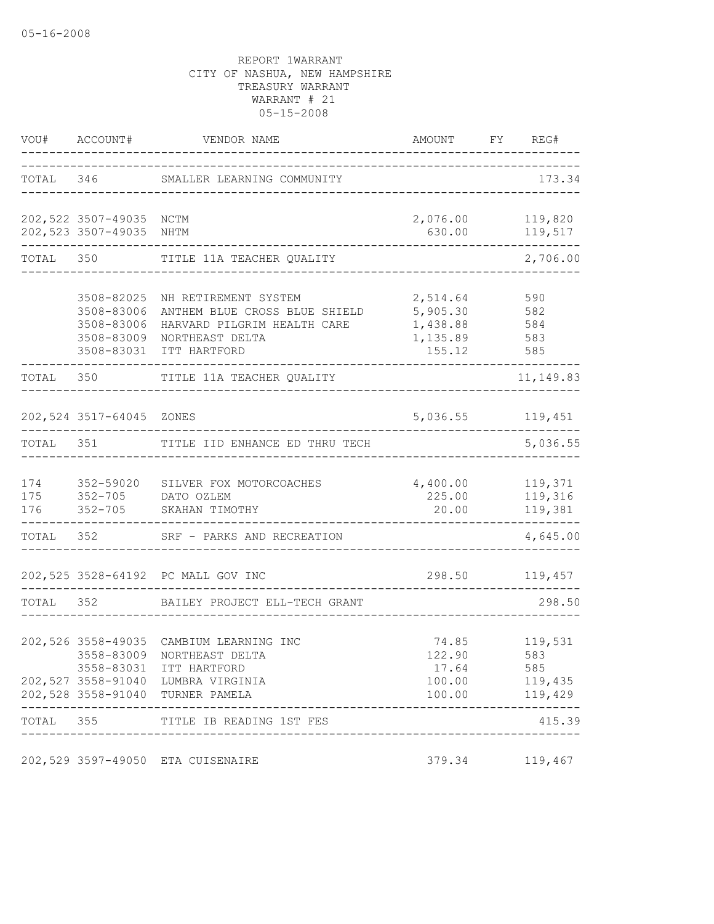|            | VOU# ACCOUNT#                                                      | VENDOR NAME                                                                                                                                                                | AMOUNT FY REG#<br>____________________________                     |                                                    |
|------------|--------------------------------------------------------------------|----------------------------------------------------------------------------------------------------------------------------------------------------------------------------|--------------------------------------------------------------------|----------------------------------------------------|
|            |                                                                    | TOTAL 346 SMALLER LEARNING COMMUNITY                                                                                                                                       |                                                                    | 173.34                                             |
|            | 202,522 3507-49035 NCTM<br>202,523 3507-49035                      | NHTM                                                                                                                                                                       | 2,076.00 119,820<br>630.00                                         | 119,517                                            |
| TOTAL 350  |                                                                    | TITLE 11A TEACHER QUALITY                                                                                                                                                  |                                                                    | ---------<br>2,706.00                              |
|            | 3508-82025<br>3508-83006<br>3508-83006<br>3508-83009<br>3508-83031 | NH RETIREMENT SYSTEM<br>ANTHEM BLUE CROSS BLUE SHIELD<br>HARVARD PILGRIM HEALTH CARE<br>NORTHEAST DELTA<br>ITT HARTFORD                                                    | 2,514.64<br>5,905.30<br>1,438.88 584<br>1,135.89 583<br>155.12 585 | 590<br>582                                         |
| TOTAL 350  |                                                                    | TITLE 11A TEACHER QUALITY                                                                                                                                                  |                                                                    | 11,149.83                                          |
|            | 202,524 3517-64045 ZONES                                           |                                                                                                                                                                            | 5,036.55 119,451                                                   |                                                    |
| TOTAL 351  |                                                                    | TITLE IID ENHANCE ED THRU TECH                                                                                                                                             |                                                                    | 5,036.55                                           |
| 174<br>176 | 175 352-705 DATO OZLEM                                             | 352-59020 SILVER FOX MOTORCOACHES 4,400.00 119,371<br>352-705 SKAHAN TIMOTHY                                                                                               | 225.00<br>20.00                                                    | 119,316<br>119,381                                 |
| TOTAL 352  |                                                                    | SRF - PARKS AND RECREATION                                                                                                                                                 |                                                                    | 4,645.00                                           |
|            |                                                                    | 202,525 3528-64192 PC MALL GOV INC                                                                                                                                         | 298.50                                                             | 119,457                                            |
| TOTAL      | 352                                                                | BAILEY PROJECT ELL-TECH GRANT                                                                                                                                              |                                                                    | 298.50                                             |
|            |                                                                    | 202,526 3558-49035 CAMBIUM LEARNING INC<br>3558-83009 NORTHEAST DELTA<br>3558-83031 ITT HARTFORD<br>202,527 3558-91040 LUMBRA VIRGINIA<br>202,528 3558-91040 TURNER PAMELA | 74.85<br>122.90<br>17.64<br>100.00                                 | 119,531<br>583<br>585<br>119,435<br>100.00 119,429 |
|            | ____________________                                               | TOTAL 355 TITLE IB READING 1ST FES                                                                                                                                         |                                                                    | 415.39                                             |
|            |                                                                    | 202,529 3597-49050 ETA CUISENAIRE                                                                                                                                          |                                                                    | 379.34 119,467                                     |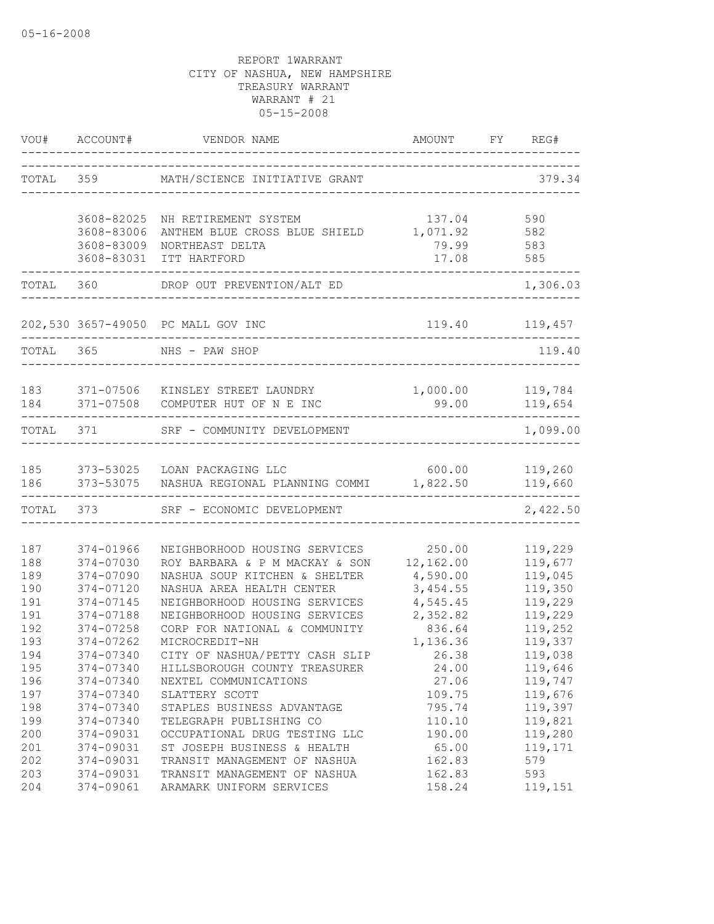|           |                          | VOU# ACCOUNT# VENDOR NAME                                                             | AMOUNT             | FY | REG#                           |
|-----------|--------------------------|---------------------------------------------------------------------------------------|--------------------|----|--------------------------------|
|           |                          | TOTAL 359 MATH/SCIENCE INITIATIVE GRANT                                               |                    |    | 379.34                         |
|           | 3608-82025<br>3608-83006 | NH RETIREMENT SYSTEM<br>ANTHEM BLUE CROSS BLUE SHIELD                                 | 137.04<br>1,071.92 |    | 590<br>582                     |
|           | 3608-83009<br>3608-83031 | NORTHEAST DELTA<br>ITT HARTFORD                                                       | 79.99<br>17.08     |    | 583<br>585                     |
| TOTAL 360 |                          | DROP OUT PREVENTION/ALT ED                                                            |                    |    | 1,306.03                       |
|           |                          | 202,530 3657-49050 PC MALL GOV INC                                                    |                    |    | 119.40 119,457                 |
| TOTAL 365 |                          | NHS - PAW SHOP                                                                        |                    |    | 119.40                         |
| 184       |                          | 183 371-07506 KINSLEY STREET LAUNDRY<br>371-07508 COMPUTER HUT OF N E INC             | 1,000.00<br>99.00  |    | 119,784<br>119,654<br>-------- |
| TOTAL 371 |                          | SRF - COMMUNITY DEVELOPMENT                                                           |                    |    | 1,099.00                       |
| 186       |                          | 185 373-53025 LOAN PACKAGING LLC<br>373-53075 NASHUA REGIONAL PLANNING COMMI 1,822.50 | 600.00             |    | 119,260<br>119,660             |
|           | TOTAL 373                | SRF - ECONOMIC DEVELOPMENT                                                            |                    |    | 2,422.50                       |
| 187       | 374-01966                | NEIGHBORHOOD HOUSING SERVICES                                                         | 250.00             |    | 119,229                        |
| 188       | 374-07030                | ROY BARBARA & P M MACKAY & SON                                                        | 12,162.00          |    | 119,677                        |
| 189       | 374-07090                | NASHUA SOUP KITCHEN & SHELTER                                                         | 4,590.00           |    | 119,045                        |
| 190       | 374-07120                | NASHUA AREA HEALTH CENTER                                                             | 3,454.55           |    | 119,350                        |
| 191       | 374-07145                | NEIGHBORHOOD HOUSING SERVICES                                                         | 4,545.45           |    | 119,229                        |
| 191       | 374-07188                | NEIGHBORHOOD HOUSING SERVICES                                                         | 2,352.82           |    | 119,229                        |
| 192       | 374-07258                | CORP FOR NATIONAL & COMMUNITY                                                         | 836.64             |    | 119,252                        |
| 193       | 374-07262                | MICROCREDIT-NH                                                                        | 1,136.36           |    | 119,337                        |
| 194       | 374-07340                | CITY OF NASHUA/PETTY CASH SLIP                                                        | 26.38              |    | 119,038                        |
| 195       | 374-07340                | HILLSBOROUGH COUNTY TREASURER                                                         | 24.00              |    | 119,646                        |
| 196       | 374-07340                | NEXTEL COMMUNICATIONS                                                                 | 27.06              |    | 119,747                        |
| 197       | 374-07340                | SLATTERY SCOTT                                                                        | 109.75             |    | 119,676                        |
| 198       | 374-07340                | STAPLES BUSINESS ADVANTAGE                                                            | 795.74             |    | 119,397                        |
| 199       | 374-07340                | TELEGRAPH PUBLISHING CO                                                               | 110.10             |    | 119,821                        |
| 200       | 374-09031                | OCCUPATIONAL DRUG TESTING LLC                                                         | 190.00             |    | 119,280                        |
| 201       | 374-09031                | ST JOSEPH BUSINESS & HEALTH                                                           | 65.00              |    | 119,171                        |
| 202       | 374-09031                | TRANSIT MANAGEMENT OF NASHUA                                                          | 162.83             |    | 579                            |
| 203       | 374-09031                | TRANSIT MANAGEMENT OF NASHUA                                                          | 162.83             |    | 593                            |
| 204       | 374-09061                | ARAMARK UNIFORM SERVICES                                                              | 158.24             |    | 119,151                        |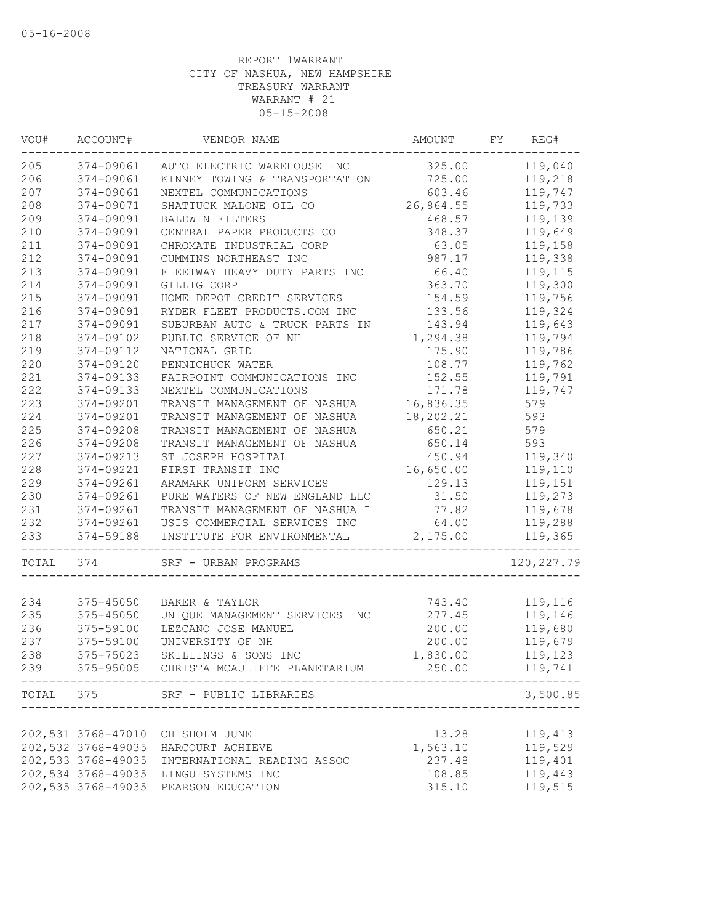| WOU#      | ACCOUNT#           | VENDOR NAME                             | AMOUNT    | FY | REG#        |
|-----------|--------------------|-----------------------------------------|-----------|----|-------------|
| 205       | 374-09061          | AUTO ELECTRIC WAREHOUSE INC             | 325.00    |    | 119,040     |
| 206       | 374-09061          | KINNEY TOWING & TRANSPORTATION          | 725.00    |    | 119,218     |
| 207       | 374-09061          | NEXTEL COMMUNICATIONS                   | 603.46    |    | 119,747     |
| 208       | 374-09071          | SHATTUCK MALONE OIL CO                  | 26,864.55 |    | 119,733     |
| 209       | 374-09091          | BALDWIN FILTERS                         | 468.57    |    | 119,139     |
| 210       | 374-09091          | CENTRAL PAPER PRODUCTS CO               | 348.37    |    | 119,649     |
| 211       | 374-09091          | CHROMATE INDUSTRIAL CORP                | 63.05     |    | 119,158     |
| 212       | 374-09091          | CUMMINS NORTHEAST INC                   | 987.17    |    | 119,338     |
| 213       | 374-09091          | FLEETWAY HEAVY DUTY PARTS INC           | 66.40     |    | 119,115     |
| 214       | 374-09091          | GILLIG CORP                             | 363.70    |    | 119,300     |
| 215       | 374-09091          | HOME DEPOT CREDIT SERVICES              | 154.59    |    | 119,756     |
| 216       | 374-09091          | RYDER FLEET PRODUCTS.COM INC            | 133.56    |    | 119,324     |
| 217       | 374-09091          | SUBURBAN AUTO & TRUCK PARTS IN          | 143.94    |    | 119,643     |
| 218       | 374-09102          | PUBLIC SERVICE OF NH                    | 1,294.38  |    | 119,794     |
| 219       | 374-09112          | NATIONAL GRID                           | 175.90    |    | 119,786     |
| 220       | 374-09120          | PENNICHUCK WATER                        | 108.77    |    | 119,762     |
| 221       | 374-09133          | FAIRPOINT COMMUNICATIONS INC            | 152.55    |    | 119,791     |
| 222       | 374-09133          | NEXTEL COMMUNICATIONS                   | 171.78    |    | 119,747     |
| 223       | 374-09201          | TRANSIT MANAGEMENT OF NASHUA            | 16,836.35 |    | 579         |
| 224       | 374-09201          | TRANSIT MANAGEMENT OF NASHUA            | 18,202.21 |    | 593         |
| 225       | 374-09208          | TRANSIT MANAGEMENT OF NASHUA            | 650.21    |    | 579         |
| 226       | 374-09208          | TRANSIT MANAGEMENT OF NASHUA            | 650.14    |    | 593         |
| 227       | 374-09213          | ST JOSEPH HOSPITAL                      | 450.94    |    | 119,340     |
| 228       | 374-09221          | FIRST TRANSIT INC                       | 16,650.00 |    | 119,110     |
| 229       | 374-09261          | ARAMARK UNIFORM SERVICES                | 129.13    |    | 119,151     |
| 230       | 374-09261          | PURE WATERS OF NEW ENGLAND LLC          | 31.50     |    | 119,273     |
| 231       | 374-09261          | TRANSIT MANAGEMENT OF NASHUA I          | 77.82     |    | 119,678     |
| 232       | 374-09261          | USIS COMMERCIAL SERVICES INC            | 64.00     |    | 119,288     |
| 233       | 374-59188          | INSTITUTE FOR ENVIRONMENTAL             | 2,175.00  |    | 119,365     |
| TOTAL     | 374                | SRF - URBAN PROGRAMS                    |           |    | 120, 227.79 |
|           |                    |                                         |           |    |             |
| 234       | 375-45050          | BAKER & TAYLOR                          | 743.40    |    | 119,116     |
| 235       | 375-45050          | UNIQUE MANAGEMENT SERVICES INC          | 277.45    |    | 119,146     |
| 236       | 375-59100          | LEZCANO JOSE MANUEL                     | 200.00    |    | 119,680     |
| 237       | 375-59100          | UNIVERSITY OF NH                        | 200.00    |    | 119,679     |
| 238       | 375-75023          | SKILLINGS & SONS INC                    | 1,830.00  |    | 119,123     |
| 239       |                    | 375-95005 CHRISTA MCAULIFFE PLANETARIUM | 250.00    |    | 119,741     |
| TOTAL 375 |                    | SRF - PUBLIC LIBRARIES                  |           |    | 3,500.85    |
|           |                    |                                         |           |    |             |
|           | 202,531 3768-47010 | CHISHOLM JUNE                           | 13.28     |    | 119,413     |
|           | 202,532 3768-49035 | HARCOURT ACHIEVE                        | 1,563.10  |    | 119,529     |
|           | 202,533 3768-49035 | INTERNATIONAL READING ASSOC             | 237.48    |    | 119,401     |
|           | 202,534 3768-49035 | LINGUISYSTEMS INC                       | 108.85    |    | 119,443     |
|           | 202,535 3768-49035 | PEARSON EDUCATION                       | 315.10    |    | 119,515     |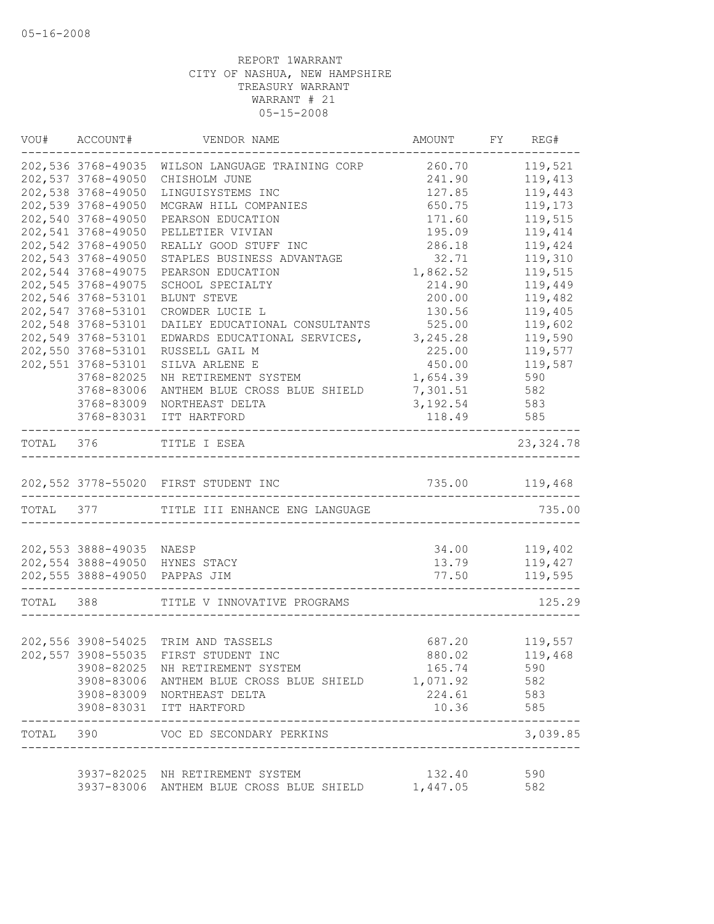|           | VOU# ACCOUNT#                      | VENDOR NAME                                           | AMOUNT FY REG#  |            |
|-----------|------------------------------------|-------------------------------------------------------|-----------------|------------|
|           | 202,536 3768-49035                 | WILSON LANGUAGE TRAINING CORP                         | 260.70          | 119,521    |
|           | 202,537 3768-49050                 | CHISHOLM JUNE                                         | 241.90          | 119,413    |
|           | 202,538 3768-49050                 | LINGUISYSTEMS INC                                     | 127.85          | 119,443    |
|           | 202,539 3768-49050                 | MCGRAW HILL COMPANIES                                 | 650.75          | 119,173    |
|           | 202,540 3768-49050                 | PEARSON EDUCATION                                     | 171.60          | 119,515    |
|           | 202,541 3768-49050                 | PELLETIER VIVIAN                                      | 195.09          | 119,414    |
|           | 202,542 3768-49050                 | REALLY GOOD STUFF INC                                 | 286.18          | 119,424    |
|           | 202,543 3768-49050                 | STAPLES BUSINESS ADVANTAGE                            | 32.71           | 119,310    |
|           | 202,544 3768-49075                 | PEARSON EDUCATION                                     | 1,862.52        | 119,515    |
|           | 202,545 3768-49075                 | SCHOOL SPECIALTY                                      | 214.90          | 119,449    |
|           | 202,546 3768-53101                 | BLUNT STEVE                                           | 200.00          | 119,482    |
|           | 202,547 3768-53101                 | CROWDER LUCIE L                                       | 130.56          | 119,405    |
|           | 202,548 3768-53101                 | DAILEY EDUCATIONAL CONSULTANTS                        | 525.00          | 119,602    |
|           | 202,549 3768-53101                 | EDWARDS EDUCATIONAL SERVICES,                         | 3,245.28        | 119,590    |
|           | 202,550 3768-53101                 | RUSSELL GAIL M                                        | 225.00          | 119,577    |
|           | 202,551 3768-53101                 | SILVA ARLENE E                                        | 450.00          | 119,587    |
|           | 3768-82025                         | NH RETIREMENT SYSTEM                                  | 1,654.39        | 590        |
|           | 3768-83006                         | ANTHEM BLUE CROSS BLUE SHIELD                         | 7,301.51        | 582        |
|           | 3768-83009                         | NORTHEAST DELTA                                       | 3,192.54        | 583        |
|           | 3768-83031<br>-------------------- | ITT HARTFORD                                          | 118.49          | 585        |
| TOTAL 376 |                                    | TITLE I ESEA                                          |                 | 23, 324.78 |
|           |                                    | 202,552 3778-55020 FIRST STUDENT INC                  | 735.00 119,468  |            |
|           |                                    | TOTAL 377 TITLE III ENHANCE ENG LANGUAGE              |                 | 735.00     |
|           |                                    |                                                       |                 |            |
|           | 202,553 3888-49035 NAESP           |                                                       | 34.00           | 119,402    |
|           |                                    | 202,554 3888-49050 HYNES STACY                        | 13.79           | 119,427    |
|           |                                    | 202,555 3888-49050 PAPPAS JIM                         | 77.50           | 119,595    |
|           | TOTAL 388                          | TITLE V INNOVATIVE PROGRAMS                           |                 | 125.29     |
|           |                                    |                                                       |                 |            |
|           |                                    | 202,556 3908-54025 TRIM AND TASSELS                   | 687.20          | 119,557    |
|           |                                    | 202,557 3908-55035 FIRST STUDENT INC                  | 880.02          | 119,468    |
|           |                                    | 3908-82025 NH RETIREMENT SYSTEM                       | 165.74          | 590        |
|           |                                    | 3908-83006 ANTHEM BLUE CROSS BLUE SHIELD 1,071.92     |                 | 582        |
|           |                                    | 3908-83009 NORTHEAST DELTA<br>3908-83031 ITT HARTFORD | 224.61<br>10.36 | 583<br>585 |
|           | ---------------                    | TOTAL 390 VOC ED SECONDARY PERKINS                    |                 | 3,039.85   |
|           |                                    |                                                       |                 |            |
|           |                                    | 3937-82025 NH RETIREMENT SYSTEM                       | 132.40          | 590        |
|           |                                    | 3937-83006 ANTHEM BLUE CROSS BLUE SHIELD 1,447.05     |                 | 582        |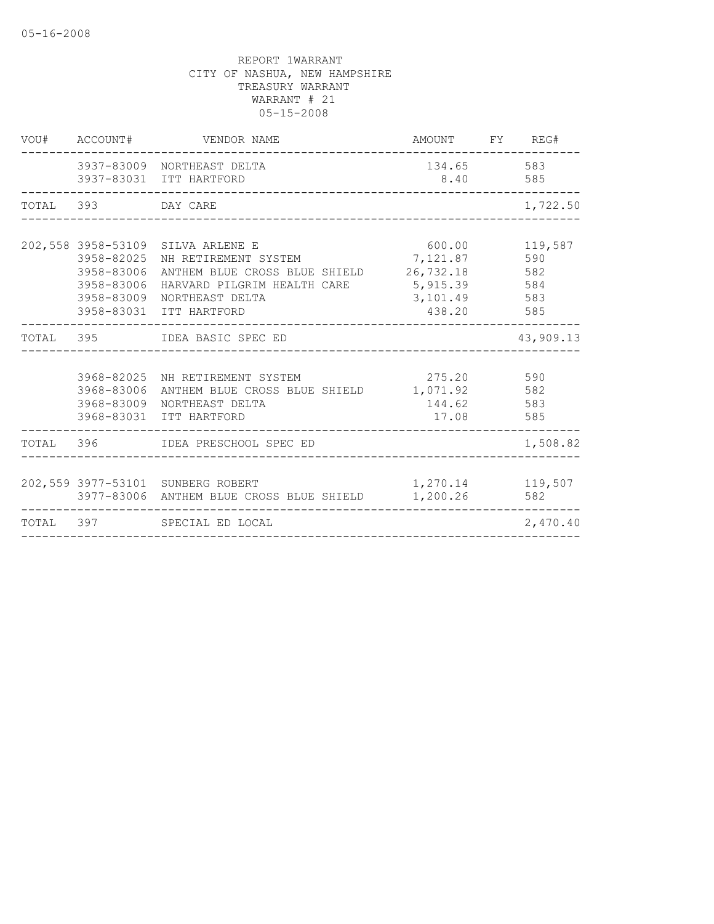| VOU# ACCOUNT#                                        | VENDOR NAME                                                                                                                                                                                             | AMOUNT FY REG#                        |                         |
|------------------------------------------------------|---------------------------------------------------------------------------------------------------------------------------------------------------------------------------------------------------------|---------------------------------------|-------------------------|
|                                                      | 3937-83009 NORTHEAST DELTA<br>3937-83031 ITT HARTFORD                                                                                                                                                   | 134.65 583<br>8.40 585                |                         |
| TOTAL 393 DAY CARE                                   |                                                                                                                                                                                                         |                                       | 1,722.50                |
| 3958-82025<br>3958-83006<br>3958-83006<br>3958-83009 | 202,558 3958-53109 SILVA ARLENE E<br>NH RETIREMENT SYSTEM 7,121.87<br>ANTHEM BLUE CROSS BLUE SHIELD 26,732.18 582<br>HARVARD PILGRIM HEALTH CARE 5,915.39<br>NORTHEAST DELTA<br>3958-83031 ITT HARTFORD | 600.00<br>3, 101.49 583<br>438.20 585 | 119,587<br>590<br>584   |
|                                                      | TOTAL 395 IDEA BASIC SPEC ED                                                                                                                                                                            |                                       | 43,909.13               |
| 3968-83006                                           | 3968-82025 NH RETIREMENT SYSTEM<br>ANTHEM BLUE CROSS BLUE SHIELD 1,071.92 582<br>3968-83009 NORTHEAST DELTA<br>3968-83031 ITT HARTFORD                                                                  | 275.20 590<br>144.62 583<br>17.08 585 |                         |
|                                                      | TOTAL 396 IDEA PRESCHOOL SPEC ED                                                                                                                                                                        |                                       | 1,508.82                |
|                                                      | 202,559 3977-53101 SUNBERG ROBERT<br>3977-83006 ANTHEM BLUE CROSS BLUE SHIELD 1,200.26                                                                                                                  |                                       | 1,270.14 119,507<br>582 |
|                                                      | TOTAL 397 SPECIAL ED LOCAL                                                                                                                                                                              |                                       | 2,470.40                |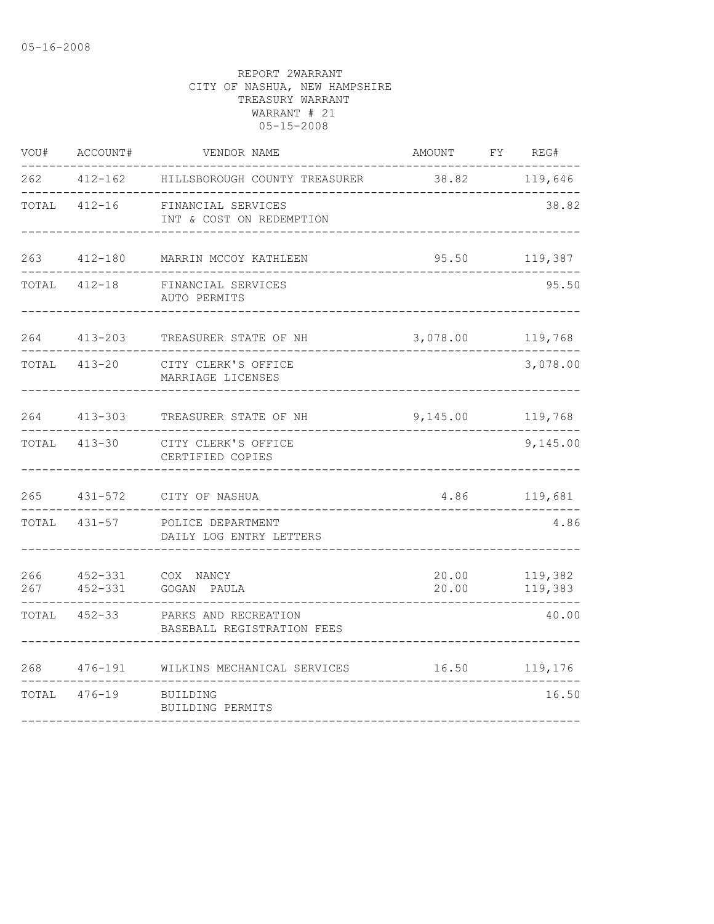| VOU#       | ACCOUNT#                   | VENDOR NAME                                        | AMOUNT         | REG#<br>FY         |
|------------|----------------------------|----------------------------------------------------|----------------|--------------------|
| 262        | $412 - 162$                | HILLSBOROUGH COUNTY TREASURER                      | 38.82          | 119,646            |
| TOTAL      | $412 - 16$                 | FINANCIAL SERVICES<br>INT & COST ON REDEMPTION     |                | 38.82              |
| 263        | $412 - 180$                | MARRIN MCCOY KATHLEEN                              | 95.50          | 119,387            |
| TOTAL      | $412 - 18$                 | FINANCIAL SERVICES<br>AUTO PERMITS                 |                | 95.50              |
| 264        | $413 - 203$                | TREASURER STATE OF NH                              | 3,078.00       | 119,768            |
| TOTAL      | $413 - 20$                 | CITY CLERK'S OFFICE<br>MARRIAGE LICENSES           |                | 3,078.00           |
| 264        | $413 - 303$                | TREASURER STATE OF NH                              | 9,145.00       | 119,768            |
| TOTAL      | 413-30                     | CITY CLERK'S OFFICE<br>CERTIFIED COPIES            |                | 9,145.00           |
| 265        | $431 - 572$                | CITY OF NASHUA                                     | 4.86           | 119,681            |
| TOTAL      | $431 - 57$                 | POLICE DEPARTMENT<br>DAILY LOG ENTRY LETTERS       |                | 4.86               |
| 266<br>267 | $452 - 331$<br>$452 - 331$ | COX NANCY<br>GOGAN PAULA                           | 20.00<br>20.00 | 119,382<br>119,383 |
| TOTAL      | $452 - 33$                 | PARKS AND RECREATION<br>BASEBALL REGISTRATION FEES |                | 40.00              |
| 268        | $476 - 191$                | WILKINS MECHANICAL SERVICES                        | 16.50          | 119,176            |
| TOTAL      | $476 - 19$                 | BUILDING<br>BUILDING PERMITS                       |                | 16.50              |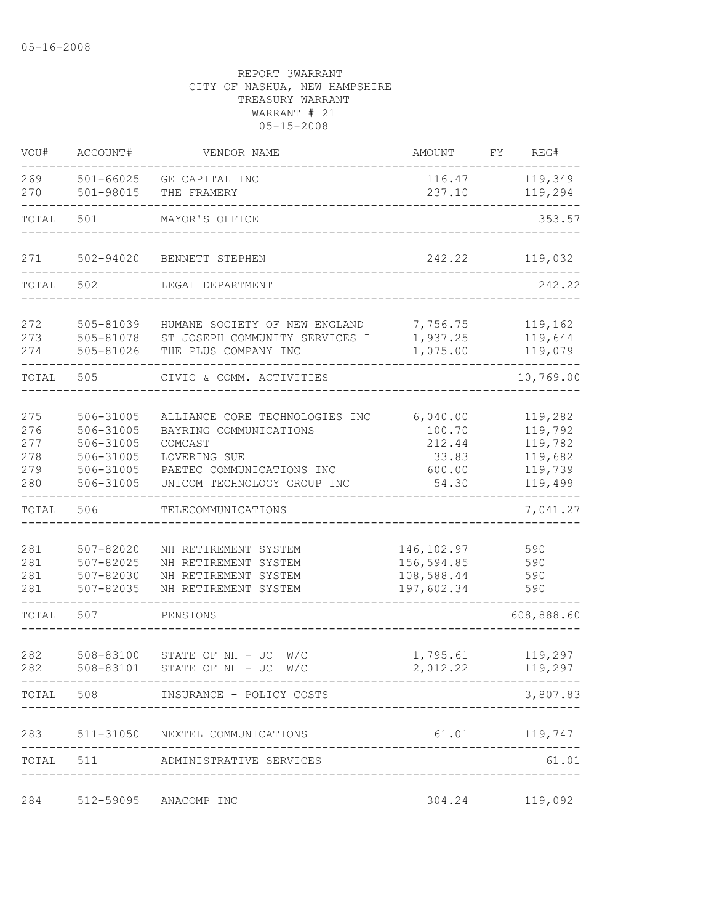| VOU#                                   | ACCOUNT#                                                                   | VENDOR NAME                                                                                                                                     | AMOUNT                                                   | FY | REG#                                                           |
|----------------------------------------|----------------------------------------------------------------------------|-------------------------------------------------------------------------------------------------------------------------------------------------|----------------------------------------------------------|----|----------------------------------------------------------------|
| 269<br>270                             | 501-66025<br>501-98015                                                     | GE CAPITAL INC<br>THE FRAMERY                                                                                                                   | 116.47<br>237.10                                         |    | 119,349<br>119,294                                             |
| TOTAL                                  | 501                                                                        | MAYOR'S OFFICE                                                                                                                                  |                                                          |    | 353.57                                                         |
| 271                                    | 502-94020                                                                  | BENNETT STEPHEN                                                                                                                                 | 242.22                                                   |    | 119,032                                                        |
| TOTAL                                  | 502                                                                        | LEGAL DEPARTMENT                                                                                                                                |                                                          |    | 242.22                                                         |
| 272<br>273<br>274                      | 505-81039<br>505-81078<br>505-81026                                        | HUMANE SOCIETY OF NEW ENGLAND<br>ST JOSEPH COMMUNITY SERVICES I<br>THE PLUS COMPANY INC                                                         | 7,756.75<br>1,937.25<br>1,075.00                         |    | 119,162<br>119,644<br>119,079                                  |
| TOTAL                                  | 505                                                                        | CIVIC & COMM. ACTIVITIES                                                                                                                        |                                                          |    | 10,769.00                                                      |
| 275<br>276<br>277<br>278<br>279<br>280 | 506-31005<br>506-31005<br>506-31005<br>506-31005<br>506-31005<br>506-31005 | ALLIANCE CORE TECHNOLOGIES INC<br>BAYRING COMMUNICATIONS<br>COMCAST<br>LOVERING SUE<br>PAETEC COMMUNICATIONS INC<br>UNICOM TECHNOLOGY GROUP INC | 6,040.00<br>100.70<br>212.44<br>33.83<br>600.00<br>54.30 |    | 119,282<br>119,792<br>119,782<br>119,682<br>119,739<br>119,499 |
| TOTAL                                  | 506                                                                        | TELECOMMUNICATIONS                                                                                                                              |                                                          |    | 7,041.27                                                       |
| 281<br>281<br>281<br>281               | 507-82020<br>507-82025<br>507-82030<br>507-82035                           | NH RETIREMENT SYSTEM<br>NH RETIREMENT SYSTEM<br>NH RETIREMENT SYSTEM<br>NH RETIREMENT SYSTEM                                                    | 146, 102.97<br>156,594.85<br>108,588.44<br>197,602.34    |    | 590<br>590<br>590<br>590                                       |
| TOTAL                                  | 507                                                                        | PENSIONS                                                                                                                                        |                                                          |    | 608,888.60                                                     |
| 282<br>282                             | 508-83100<br>508-83101                                                     | STATE OF NH - UC<br>W/C<br>STATE OF NH - UC $W/C$                                                                                               | 1,795.61<br>2,012.22                                     |    | 119,297<br>119,297                                             |
|                                        |                                                                            | TOTAL 508 INSURANCE - POLICY COSTS                                                                                                              |                                                          |    | 3,807.83                                                       |
|                                        |                                                                            | 283 511-31050 NEXTEL COMMUNICATIONS                                                                                                             |                                                          |    | 61.01 119,747                                                  |
|                                        |                                                                            | TOTAL 511 ADMINISTRATIVE SERVICES                                                                                                               |                                                          |    | 61.01                                                          |
|                                        |                                                                            | 284 512-59095 ANACOMP INC                                                                                                                       |                                                          |    | 304.24 119,092                                                 |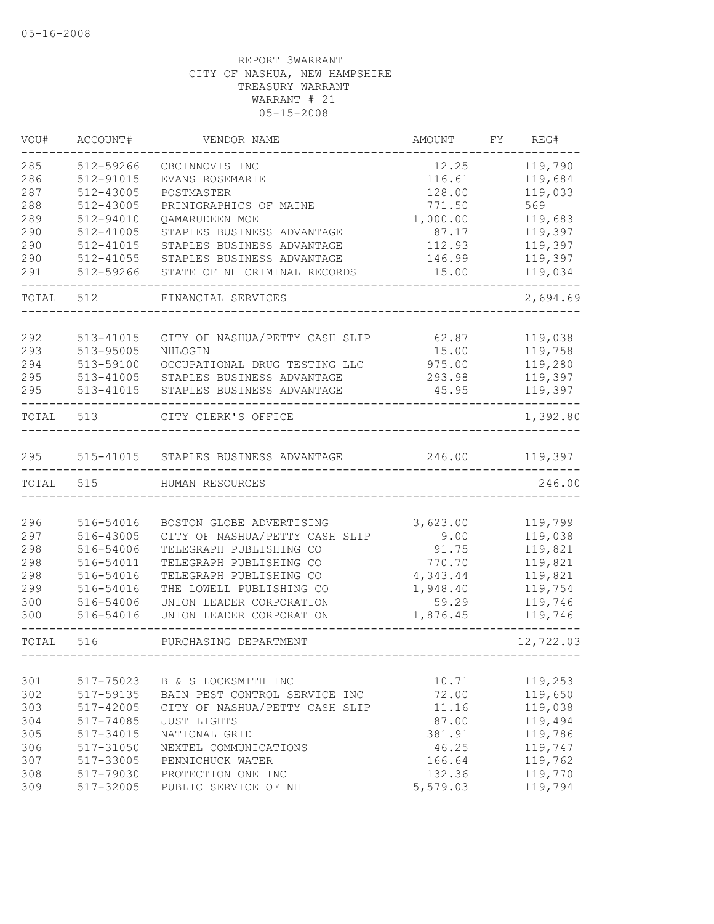| VOU#  | ACCOUNT#      | VENDOR NAME                          | AMOUNT   | FY | REG#      |
|-------|---------------|--------------------------------------|----------|----|-----------|
| 285   | 512-59266     | CBCINNOVIS INC                       | 12.25    |    | 119,790   |
| 286   | $512 - 91015$ | EVANS ROSEMARIE                      | 116.61   |    | 119,684   |
| 287   | 512-43005     | POSTMASTER                           | 128.00   |    | 119,033   |
| 288   | 512-43005     | PRINTGRAPHICS OF MAINE               | 771.50   |    | 569       |
| 289   | 512-94010     | QAMARUDEEN MOE                       | 1,000.00 |    | 119,683   |
| 290   | 512-41005     | STAPLES BUSINESS ADVANTAGE           | 87.17    |    | 119,397   |
| 290   | 512-41015     | STAPLES BUSINESS ADVANTAGE           | 112.93   |    | 119,397   |
| 290   | 512-41055     | STAPLES BUSINESS ADVANTAGE           | 146.99   |    | 119,397   |
| 291   | 512-59266     | STATE OF NH CRIMINAL RECORDS         | 15.00    |    | 119,034   |
| TOTAL | 512           | FINANCIAL SERVICES                   |          |    | 2,694.69  |
| 292   | 513-41015     | CITY OF NASHUA/PETTY CASH SLIP       | 62.87    |    | 119,038   |
| 293   | 513-95005     | NHLOGIN                              | 15.00    |    | 119,758   |
| 294   | 513-59100     | OCCUPATIONAL DRUG TESTING LLC        | 975.00   |    | 119,280   |
| 295   | 513-41005     | STAPLES BUSINESS ADVANTAGE           | 293.98   |    | 119,397   |
| 295   | 513-41015     | STAPLES BUSINESS ADVANTAGE           | 45.95    |    | 119,397   |
| TOTAL | 513           | CITY CLERK'S OFFICE                  |          |    | 1,392.80  |
| 295   |               | 515-41015 STAPLES BUSINESS ADVANTAGE | 246.00   |    | 119,397   |
| TOTAL | 515           | HUMAN RESOURCES                      |          |    | 246.00    |
|       |               |                                      |          |    |           |
| 296   | 516-54016     | BOSTON GLOBE ADVERTISING             | 3,623.00 |    | 119,799   |
| 297   | 516-43005     | CITY OF NASHUA/PETTY CASH SLIP       | 9.00     |    | 119,038   |
| 298   | 516-54006     | TELEGRAPH PUBLISHING CO              | 91.75    |    | 119,821   |
| 298   | 516-54011     | TELEGRAPH PUBLISHING CO              | 770.70   |    | 119,821   |
| 298   | 516-54016     | TELEGRAPH PUBLISHING CO              | 4,343.44 |    | 119,821   |
| 299   | 516-54016     | THE LOWELL PUBLISHING CO             | 1,948.40 |    | 119,754   |
| 300   | 516-54006     | UNION LEADER CORPORATION             | 59.29    |    | 119,746   |
| 300   | 516-54016     | UNION LEADER CORPORATION             | 1,876.45 |    | 119,746   |
| TOTAL | 516           | PURCHASING DEPARTMENT                |          |    | 12,722.03 |
|       |               |                                      |          |    |           |
| 301   | 517-75023     | B & S LOCKSMITH INC                  | 10.71    |    | 119,253   |
| 302   | 517-59135     | BAIN PEST CONTROL SERVICE INC        | 72.00    |    | 119,650   |
| 303   | 517-42005     | CITY OF NASHUA/PETTY CASH SLIP       | 11.16    |    | 119,038   |
| 304   | 517-74085     | JUST LIGHTS                          | 87.00    |    | 119,494   |
| 305   | 517-34015     | NATIONAL GRID                        | 381.91   |    | 119,786   |
| 306   | 517-31050     | NEXTEL COMMUNICATIONS                | 46.25    |    | 119,747   |
| 307   | 517-33005     | PENNICHUCK WATER                     | 166.64   |    | 119,762   |
| 308   | 517-79030     | PROTECTION ONE INC                   | 132.36   |    | 119,770   |
| 309   | 517-32005     | PUBLIC SERVICE OF NH                 | 5,579.03 |    | 119,794   |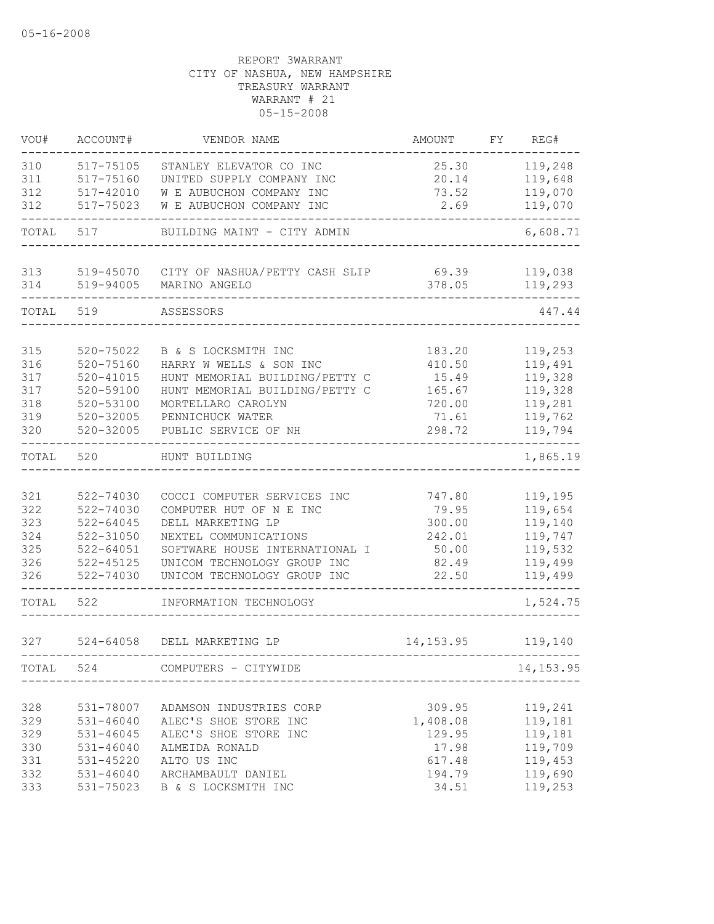| VOU#       | ACCOUNT#                   | VENDOR NAME                                  | AMOUNT           | FY | REG#               |
|------------|----------------------------|----------------------------------------------|------------------|----|--------------------|
| 310        | 517-75105                  | STANLEY ELEVATOR CO INC                      | 25.30            |    | 119,248            |
| 311        | 517-75160                  | UNITED SUPPLY COMPANY INC                    | 20.14            |    | 119,648            |
| 312        | 517-42010                  | W E AUBUCHON COMPANY INC                     | 73.52            |    | 119,070            |
| 312        | 517-75023                  | W E AUBUCHON COMPANY INC                     | 2.69             |    | 119,070            |
| TOTAL      | 517                        | BUILDING MAINT - CITY ADMIN                  |                  |    | 6,608.71           |
| 313        |                            | 519-45070 CITY OF NASHUA/PETTY CASH SLIP     | 69.39            |    | 119,038            |
| 314        | 519-94005                  | MARINO ANGELO                                | 378.05           |    | 119,293            |
| TOTAL      | 519                        | ASSESSORS                                    |                  |    | 447.44             |
| 315        | 520-75022                  | B & S LOCKSMITH INC                          | 183.20           |    | 119,253            |
| 316        | $520 - 75160$              | HARRY W WELLS & SON INC                      | 410.50           |    | 119,491            |
| 317        | $520 - 41015$              | HUNT MEMORIAL BUILDING/PETTY C               | 15.49            |    | 119,328            |
| 317        | 520-59100                  | HUNT MEMORIAL BUILDING/PETTY C               | 165.67           |    | 119,328            |
| 318        | 520-53100                  | MORTELLARO CAROLYN                           | 720.00           |    | 119,281            |
| 319        | 520-32005                  | PENNICHUCK WATER                             | 71.61            |    | 119,762            |
| 320        | $520 - 32005$              | PUBLIC SERVICE OF NH                         | 298.72           |    | 119,794            |
| TOTAL      | 520                        | HUNT BUILDING                                |                  |    | 1,865.19           |
|            |                            |                                              |                  |    |                    |
| 321        | 522-74030                  | COCCI COMPUTER SERVICES INC                  | 747.80           |    | 119,195            |
| 322<br>323 | 522-74030<br>$522 - 64045$ | COMPUTER HUT OF N E INC<br>DELL MARKETING LP | 79.95<br>300.00  |    | 119,654            |
| 324        | 522-31050                  | NEXTEL COMMUNICATIONS                        | 242.01           |    | 119,140<br>119,747 |
| 325        | $522 - 64051$              | SOFTWARE HOUSE INTERNATIONAL I               | 50.00            |    | 119,532            |
| 326        | 522-45125                  | UNICOM TECHNOLOGY GROUP INC                  | 82.49            |    | 119,499            |
| 326        | 522-74030                  | UNICOM TECHNOLOGY GROUP INC                  | 22.50            |    | 119,499            |
| TOTAL      | 522                        | INFORMATION TECHNOLOGY                       |                  |    | 1,524.75           |
| 327        | $524 - 64058$              | DELL MARKETING LP                            | 14, 153.95       |    | 119,140            |
| TOTAL      | 524                        | COMPUTERS - CITYWIDE                         |                  |    | 14, 153.95         |
|            |                            |                                              |                  |    |                    |
| 328        | 531-78007                  | ADAMSON INDUSTRIES CORP                      | 309.95           |    | 119,241            |
| 329        | $531 - 46040$              | ALEC'S SHOE STORE INC                        | 1,408.08         |    | 119,181            |
| 329        | 531-46045                  | ALEC'S SHOE STORE INC                        | 129.95           |    | 119,181            |
| 330        | 531-46040                  | ALMEIDA RONALD                               | 17.98            |    | 119,709            |
| 331<br>332 | 531-45220<br>531-46040     | ALTO US INC<br>ARCHAMBAULT DANIEL            | 617.48<br>194.79 |    | 119,453<br>119,690 |
| 333        | 531-75023                  | B & S LOCKSMITH INC                          | 34.51            |    | 119,253            |
|            |                            |                                              |                  |    |                    |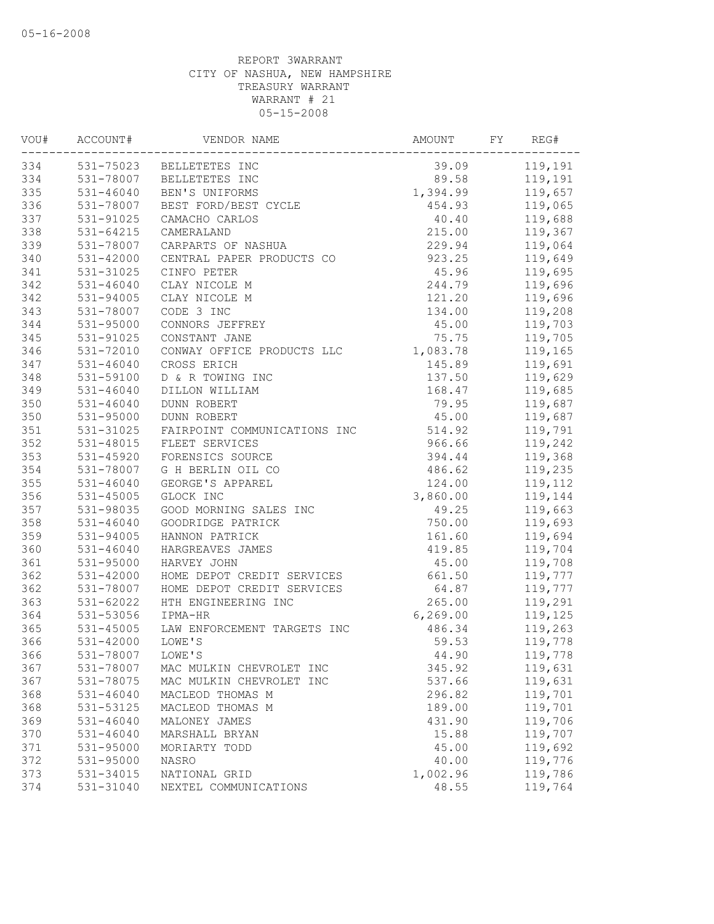| VOU# | ACCOUNT#      | VENDOR NAME                  | AMOUNT    | FY | REG#    |
|------|---------------|------------------------------|-----------|----|---------|
| 334  |               | 531-75023 BELLETETES INC     | 39.09     |    | 119,191 |
| 334  | 531-78007     | BELLETETES INC               | 89.58     |    | 119,191 |
| 335  | $531 - 46040$ | BEN'S UNIFORMS               | 1,394.99  |    | 119,657 |
| 336  | 531-78007     | BEST FORD/BEST CYCLE         | 454.93    |    | 119,065 |
| 337  | 531-91025     | CAMACHO CARLOS               | 40.40     |    | 119,688 |
| 338  | $531 - 64215$ | CAMERALAND                   | 215.00    |    | 119,367 |
| 339  | 531-78007     | CARPARTS OF NASHUA           | 229.94    |    | 119,064 |
| 340  | 531-42000     | CENTRAL PAPER PRODUCTS CO    | 923.25    |    | 119,649 |
| 341  | 531-31025     | CINFO PETER                  | 45.96     |    | 119,695 |
| 342  | 531-46040     | CLAY NICOLE M                | 244.79    |    | 119,696 |
| 342  | $531 - 94005$ | CLAY NICOLE M                | 121.20    |    | 119,696 |
| 343  | 531-78007     | CODE 3 INC                   | 134.00    |    | 119,208 |
| 344  | 531-95000     | CONNORS JEFFREY              | 45.00     |    | 119,703 |
| 345  | 531-91025     | CONSTANT JANE                | 75.75     |    | 119,705 |
| 346  | 531-72010     | CONWAY OFFICE PRODUCTS LLC   | 1,083.78  |    | 119,165 |
| 347  | $531 - 46040$ | CROSS ERICH                  | 145.89    |    | 119,691 |
| 348  | 531-59100     | D & R TOWING INC             | 137.50    |    | 119,629 |
| 349  | 531-46040     | DILLON WILLIAM               | 168.47    |    | 119,685 |
| 350  | $531 - 46040$ | <b>DUNN ROBERT</b>           | 79.95     |    | 119,687 |
| 350  | 531-95000     | DUNN ROBERT                  | 45.00     |    | 119,687 |
| 351  | 531-31025     | FAIRPOINT COMMUNICATIONS INC | 514.92    |    | 119,791 |
| 352  | 531-48015     | FLEET SERVICES               | 966.66    |    | 119,242 |
| 353  | $531 - 45920$ | FORENSICS SOURCE             | 394.44    |    | 119,368 |
| 354  | 531-78007     | G H BERLIN OIL CO            | 486.62    |    | 119,235 |
| 355  | $531 - 46040$ | GEORGE'S APPAREL             | 124.00    |    | 119,112 |
| 356  | 531-45005     | GLOCK INC                    | 3,860.00  |    | 119,144 |
| 357  | 531-98035     | GOOD MORNING SALES INC       | 49.25     |    | 119,663 |
| 358  | $531 - 46040$ | GOODRIDGE PATRICK            | 750.00    |    | 119,693 |
| 359  | $531 - 94005$ | HANNON PATRICK               | 161.60    |    | 119,694 |
| 360  | $531 - 46040$ | HARGREAVES JAMES             | 419.85    |    | 119,704 |
| 361  | 531-95000     | HARVEY JOHN                  | 45.00     |    | 119,708 |
| 362  | 531-42000     | HOME DEPOT CREDIT SERVICES   | 661.50    |    | 119,777 |
| 362  | 531-78007     | HOME DEPOT CREDIT SERVICES   | 64.87     |    | 119,777 |
| 363  | $531 - 62022$ | HTH ENGINEERING INC          | 265.00    |    | 119,291 |
| 364  | 531-53056     | IPMA-HR                      | 6, 269.00 |    | 119,125 |
| 365  | 531-45005     | LAW ENFORCEMENT TARGETS INC  | 486.34    |    | 119,263 |
| 366  | 531-42000     | LOWE'S                       | 59.53     |    | 119,778 |
| 366  | 531-78007     | LOWE'S                       | 44.90     |    | 119,778 |
| 367  | 531-78007     | MAC MULKIN CHEVROLET INC     | 345.92    |    | 119,631 |
| 367  | 531-78075     | MAC MULKIN CHEVROLET INC     | 537.66    |    | 119,631 |
| 368  | $531 - 46040$ | MACLEOD THOMAS M             | 296.82    |    | 119,701 |
| 368  | 531-53125     | MACLEOD THOMAS M             | 189.00    |    | 119,701 |
| 369  | 531-46040     | MALONEY JAMES                | 431.90    |    | 119,706 |
| 370  | 531-46040     | MARSHALL BRYAN               | 15.88     |    | 119,707 |
| 371  | 531-95000     | MORIARTY TODD                | 45.00     |    | 119,692 |
| 372  | 531-95000     | NASRO                        | 40.00     |    | 119,776 |
| 373  | 531-34015     | NATIONAL GRID                | 1,002.96  |    | 119,786 |
| 374  | 531-31040     | NEXTEL COMMUNICATIONS        | 48.55     |    | 119,764 |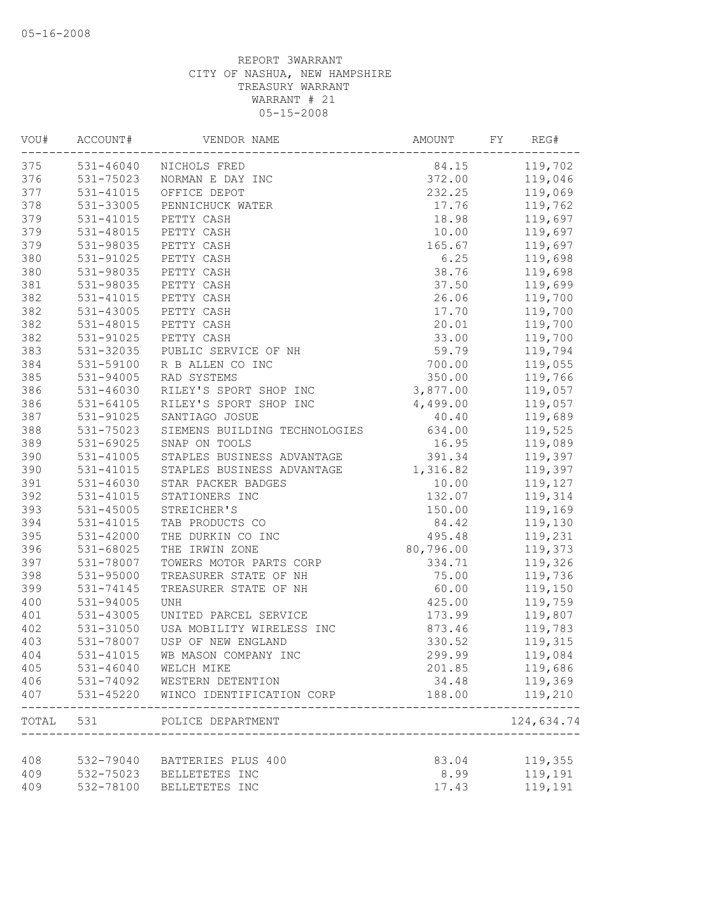| VOU#  | ACCOUNT#      | VENDOR NAME                              | AMOUNT    | FY | REG#               |
|-------|---------------|------------------------------------------|-----------|----|--------------------|
| 375   |               | 531-46040 NICHOLS FRED                   | 84.15     |    | 119,702            |
| 376   | 531-75023     | NORMAN E DAY INC                         | 372.00    |    | 119,046            |
| 377   | 531-41015     | OFFICE DEPOT                             | 232.25    |    | 119,069            |
| 378   | 531-33005     | PENNICHUCK WATER                         | 17.76     |    | 119,762            |
| 379   | 531-41015     | PETTY CASH                               | 18.98     |    | 119,697            |
| 379   | 531-48015     | PETTY CASH                               | 10.00     |    | 119,697            |
| 379   | 531-98035     | PETTY CASH                               | 165.67    |    | 119,697            |
| 380   | 531-91025     | PETTY CASH                               | 6.25      |    | 119,698            |
| 380   | 531-98035     | PETTY CASH                               | 38.76     |    | 119,698            |
| 381   | 531-98035     | PETTY CASH                               | 37.50     |    | 119,699            |
| 382   | $531 - 41015$ | PETTY CASH                               | 26.06     |    | 119,700            |
| 382   | 531-43005     | PETTY CASH                               | 17.70     |    | 119,700            |
| 382   | 531-48015     | PETTY CASH                               | 20.01     |    | 119,700            |
| 382   | 531-91025     | PETTY CASH                               | 33.00     |    | 119,700            |
| 383   | 531-32035     | PUBLIC SERVICE OF NH                     | 59.79     |    | 119,794            |
| 384   | 531-59100     | R B ALLEN CO INC                         | 700.00    |    | 119,055            |
| 385   | 531-94005     | RAD SYSTEMS                              | 350.00    |    | 119,766            |
| 386   | 531-46030     | RILEY'S SPORT SHOP INC                   | 3,877.00  |    | 119,057            |
| 386   | $531 - 64105$ | RILEY'S SPORT SHOP INC                   | 4,499.00  |    | 119,057            |
| 387   | 531-91025     | SANTIAGO JOSUE                           | 40.40     |    | 119,689            |
| 388   | 531-75023     | SIEMENS BUILDING TECHNOLOGIES            | 634.00    |    | 119,525            |
| 389   | 531-69025     | SNAP ON TOOLS                            | 16.95     |    | 119,089            |
| 390   | 531-41005     | STAPLES BUSINESS ADVANTAGE               | 391.34    |    | 119,397            |
| 390   | 531-41015     | STAPLES BUSINESS ADVANTAGE               | 1,316.82  |    | 119,397            |
| 391   | $531 - 46030$ | STAR PACKER BADGES                       | 10.00     |    | 119,127            |
|       |               |                                          |           |    |                    |
| 392   | 531-41015     | STATIONERS INC                           | 132.07    |    | 119,314            |
| 393   | 531-45005     | STREICHER'S                              | 150.00    |    | 119,169            |
| 394   | $531 - 41015$ | TAB PRODUCTS CO                          | 84.42     |    | 119,130            |
| 395   | 531-42000     | THE DURKIN CO INC                        | 495.48    |    | 119,231            |
| 396   | 531-68025     | THE IRWIN ZONE                           | 80,796.00 |    | 119,373            |
| 397   | 531-78007     | TOWERS MOTOR PARTS CORP                  | 334.71    |    | 119,326            |
| 398   | 531-95000     | TREASURER STATE OF NH                    | 75.00     |    | 119,736            |
| 399   | 531-74145     | TREASURER STATE OF NH                    | 60.00     |    | 119,150            |
| 400   | 531-94005     | <b>UNH</b>                               | 425.00    |    | 119,759            |
| 401   | 531-43005     | UNITED PARCEL SERVICE                    | 173.99    |    | 119,807            |
| 402   | 531-31050     | USA MOBILITY WIRELESS INC                | 873.46    |    | 119,783            |
| 403   | 531-78007     | USP OF NEW ENGLAND                       | 330.52    |    | 119,315            |
| 404   | 531-41015     | WB MASON COMPANY INC                     | 299.99    |    | 119,084            |
| 405   | $531 - 46040$ | WELCH MIKE                               | 201.85    |    | 119,686            |
| 406   | 531-74092     | WESTERN DETENTION                        | 34.48     |    | 119,369            |
| 407   | 531-45220     | WINCO IDENTIFICATION CORP                | 188.00    |    | 119,210<br>------- |
| TOTAL | 531           | POLICE DEPARTMENT<br>___________________ |           |    | 124,634.74         |
| 408   | 532-79040     |                                          |           |    |                    |
|       |               | BATTERIES PLUS 400<br>BELLETETES INC     | 83.04     |    | 119,355            |
| 409   | 532-75023     |                                          | 8.99      |    | 119,191            |
| 409   | 532-78100     | BELLETETES INC                           | 17.43     |    | 119,191            |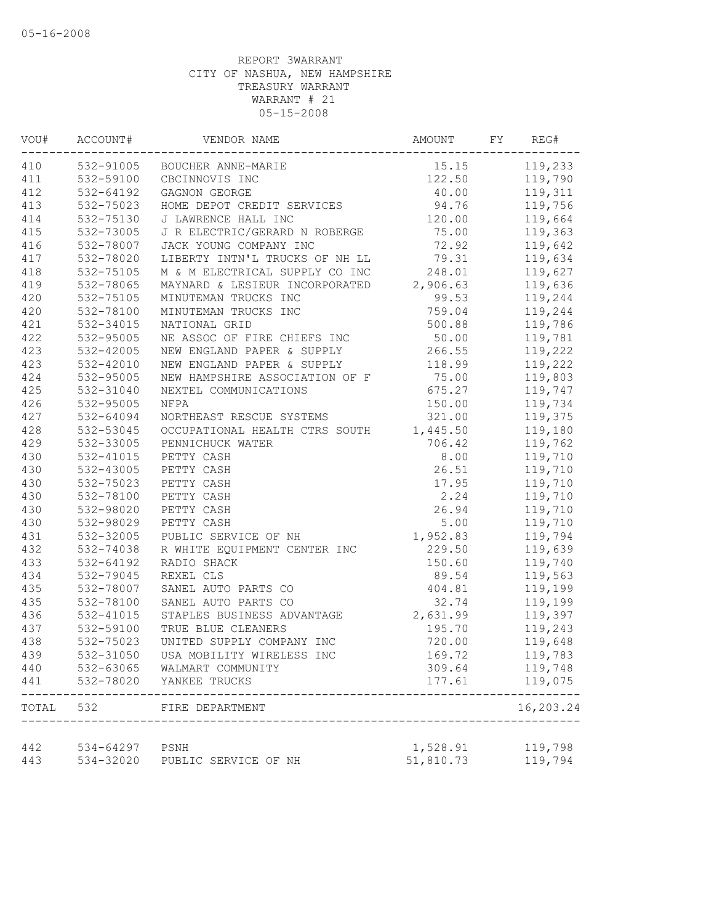| VOU#  | ACCOUNT#               | VENDOR NAME                    | AMOUNT    | FY | REG#               |
|-------|------------------------|--------------------------------|-----------|----|--------------------|
| 410   |                        | 532-91005 BOUCHER ANNE-MARIE   | 15.15     |    | 119,233            |
| 411   | 532-59100              | CBCINNOVIS INC                 | 122.50    |    | 119,790            |
| 412   | 532-64192              | GAGNON GEORGE                  | 40.00     |    | 119,311            |
| 413   | 532-75023              | HOME DEPOT CREDIT SERVICES     | 94.76     |    | 119,756            |
| 414   | 532-75130              | J LAWRENCE HALL INC            | 120.00    |    | 119,664            |
| 415   | 532-73005              | J R ELECTRIC/GERARD N ROBERGE  | 75.00     |    | 119,363            |
| 416   | 532-78007              | JACK YOUNG COMPANY INC         | 72.92     |    | 119,642            |
| 417   | 532-78020              | LIBERTY INTN'L TRUCKS OF NH LL | 79.31     |    | 119,634            |
| 418   | 532-75105              | M & M ELECTRICAL SUPPLY CO INC | 248.01    |    | 119,627            |
| 419   | 532-78065              | MAYNARD & LESIEUR INCORPORATED | 2,906.63  |    | 119,636            |
| 420   | 532-75105              | MINUTEMAN TRUCKS INC           | 99.53     |    | 119,244            |
| 420   | 532-78100              | MINUTEMAN TRUCKS INC           | 759.04    |    | 119,244            |
| 421   | 532-34015              | NATIONAL GRID                  | 500.88    |    | 119,786            |
| 422   | 532-95005              | NE ASSOC OF FIRE CHIEFS INC    | 50.00     |    | 119,781            |
| 423   | 532-42005              | NEW ENGLAND PAPER & SUPPLY     | 266.55    |    | 119,222            |
| 423   | 532-42010              | NEW ENGLAND PAPER & SUPPLY     | 118.99    |    | 119,222            |
| 424   | 532-95005              | NEW HAMPSHIRE ASSOCIATION OF F | 75.00     |    | 119,803            |
| 425   | 532-31040              | NEXTEL COMMUNICATIONS          | 675.27    |    | 119,747            |
| 426   | 532-95005              | <b>NFPA</b>                    | 150.00    |    | 119,734            |
| 427   | 532-64094              | NORTHEAST RESCUE SYSTEMS       | 321.00    |    | 119,375            |
| 428   | 532-53045              | OCCUPATIONAL HEALTH CTRS SOUTH | 1,445.50  |    | 119,180            |
| 429   | 532-33005              | PENNICHUCK WATER               | 706.42    |    | 119,762            |
| 430   | 532-41015              | PETTY CASH                     | 8.00      |    | 119,710            |
| 430   | 532-43005              | PETTY CASH                     | 26.51     |    | 119,710            |
| 430   | 532-75023              | PETTY CASH                     | 17.95     |    | 119,710            |
| 430   | 532-78100              | PETTY CASH                     | 2.24      |    | 119,710            |
| 430   | 532-98020              | PETTY CASH                     | 26.94     |    | 119,710            |
| 430   | 532-98029              | PETTY CASH                     | 5.00      |    | 119,710            |
| 431   | 532-32005              | PUBLIC SERVICE OF NH           | 1,952.83  |    | 119,794            |
| 432   | 532-74038              | R WHITE EQUIPMENT CENTER INC   | 229.50    |    | 119,639            |
| 433   | 532-64192              | RADIO SHACK                    | 150.60    |    | 119,740            |
| 434   | 532-79045              | REXEL CLS                      | 89.54     |    | 119,563            |
| 435   | 532-78007              | SANEL AUTO PARTS CO            | 404.81    |    | 119,199            |
| 435   | 532-78100              | SANEL AUTO PARTS CO            | 32.74     |    | 119,199            |
| 436   | 532-41015              | STAPLES BUSINESS ADVANTAGE     | 2,631.99  |    | 119,397            |
| 437   | 532-59100              | TRUE BLUE CLEANERS             | 195.70    |    | 119,243            |
| 438   | 532-75023              | UNITED SUPPLY COMPANY INC      | 720.00    |    | 119,648            |
| 439   | 532-31050              | USA MOBILITY WIRELESS INC      | 169.72    |    | 119,783            |
| 440   | 532-63065              | WALMART COMMUNITY              | 309.64    |    | 119,748            |
| 441   | 532-78020              | YANKEE TRUCKS                  | 177.61    |    | 119,075            |
| TOTAL | 532                    | FIRE DEPARTMENT                |           |    | -----<br>16,203.24 |
|       |                        |                                |           |    |                    |
| 442   | 534-64297<br>534-32020 | PSNH                           | 1,528.91  |    | 119,798            |
| 443   |                        | PUBLIC SERVICE OF NH           | 51,810.73 |    | 119,794            |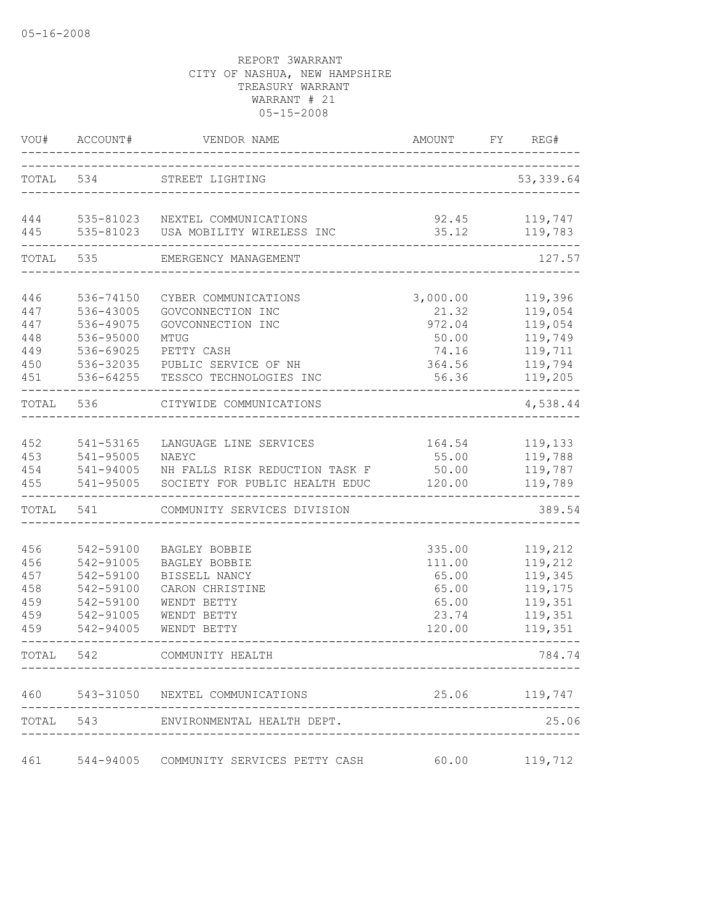| VOU#                                          | ACCOUNT#                                                                                | VENDOR NAME                                                                                                                             | AMOUNT                                                           | FY | REG#                                                                      |
|-----------------------------------------------|-----------------------------------------------------------------------------------------|-----------------------------------------------------------------------------------------------------------------------------------------|------------------------------------------------------------------|----|---------------------------------------------------------------------------|
|                                               | TOTAL 534                                                                               | STREET LIGHTING                                                                                                                         |                                                                  |    | 53, 339.64                                                                |
| 444<br>445                                    | 535-81023<br>535-81023                                                                  | NEXTEL COMMUNICATIONS<br>USA MOBILITY WIRELESS INC                                                                                      | 35.12                                                            |    | 92.45 119,747<br>119,783                                                  |
| TOTAL                                         | 535                                                                                     | EMERGENCY MANAGEMENT                                                                                                                    |                                                                  |    | 127.57                                                                    |
| 446<br>447<br>447<br>448<br>449<br>450<br>451 | 536-74150<br>536-43005<br>536-49075<br>536-95000<br>536-69025<br>536-32035<br>536-64255 | CYBER COMMUNICATIONS<br>GOVCONNECTION INC<br>GOVCONNECTION INC<br>MTUG<br>PETTY CASH<br>PUBLIC SERVICE OF NH<br>TESSCO TECHNOLOGIES INC | 3,000.00<br>21.32<br>972.04<br>50.00<br>74.16<br>364.56<br>56.36 |    | 119,396<br>119,054<br>119,054<br>119,749<br>119,711<br>119,794<br>119,205 |
| TOTAL                                         | 536                                                                                     | CITYWIDE COMMUNICATIONS                                                                                                                 |                                                                  |    | 4,538.44                                                                  |
| 452<br>453<br>454<br>455                      | 541-53165<br>541-95005<br>541-94005<br>541-95005                                        | LANGUAGE LINE SERVICES<br>NAEYC<br>NH FALLS RISK REDUCTION TASK F<br>SOCIETY FOR PUBLIC HEALTH EDUC                                     | 164.54<br>55.00<br>50.00<br>120.00                               |    | 119,133<br>119,788<br>119,787<br>119,789                                  |
| TOTAL                                         | 541                                                                                     | COMMUNITY SERVICES DIVISION                                                                                                             |                                                                  |    | 389.54                                                                    |
| 456<br>456<br>457<br>458<br>459<br>459<br>459 | 542-59100<br>542-91005<br>542-59100<br>542-59100<br>542-59100<br>542-91005<br>542-94005 | BAGLEY BOBBIE<br><b>BAGLEY BOBBIE</b><br>BISSELL NANCY<br>CARON CHRISTINE<br>WENDT BETTY<br>WENDT BETTY<br>WENDT BETTY                  | 335.00<br>111.00<br>65.00<br>65.00<br>65.00<br>23.74<br>120.00   |    | 119,212<br>119,212<br>119,345<br>119,175<br>119,351<br>119,351<br>119,351 |
| TOTAL 542                                     |                                                                                         | COMMUNITY HEALTH                                                                                                                        |                                                                  |    | 784.74                                                                    |
|                                               |                                                                                         | 460 543-31050 NEXTEL COMMUNICATIONS                                                                                                     |                                                                  |    | 25.06 119,747                                                             |
|                                               |                                                                                         | TOTAL 543 ENVIRONMENTAL HEALTH DEPT.                                                                                                    |                                                                  |    | 25.06                                                                     |
| 461                                           |                                                                                         | 544-94005 COMMUNITY SERVICES PETTY CASH                                                                                                 | 60.00                                                            |    | 119,712                                                                   |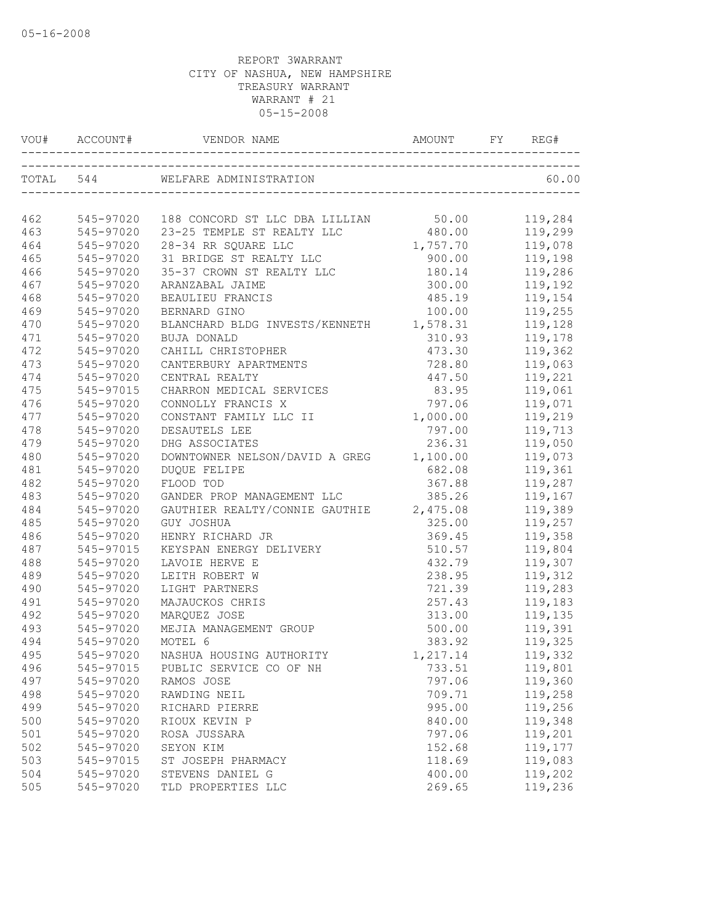| VOU# |               |                                                |          | REG#    |
|------|---------------|------------------------------------------------|----------|---------|
|      |               | TOTAL 544 WELFARE ADMINISTRATION               |          | 60.00   |
| 462  |               | 545-97020 188 CONCORD ST LLC DBA LILLIAN 50.00 |          | 119,284 |
| 463  | 545-97020     | 23-25 TEMPLE ST REALTY LLC                     | 480.00   | 119,299 |
| 464  | 545-97020     | 28-34 RR SQUARE LLC                            | 1,757.70 | 119,078 |
| 465  | 545-97020     | 31 BRIDGE ST REALTY LLC                        | 900.00   | 119,198 |
| 466  | 545-97020     | 35-37 CROWN ST REALTY LLC                      | 180.14   | 119,286 |
| 467  | 545-97020     | ARANZABAL JAIME                                | 300.00   | 119,192 |
| 468  | 545-97020     | BEAULIEU FRANCIS                               | 485.19   | 119,154 |
| 469  | 545-97020     | BERNARD GINO                                   | 100.00   | 119,255 |
| 470  | 545-97020     | BLANCHARD BLDG INVESTS/KENNETH 1,578.31        |          | 119,128 |
| 471  | 545-97020     | BUJA DONALD                                    | 310.93   | 119,178 |
| 472  | 545-97020     | CAHILL CHRISTOPHER                             | 473.30   | 119,362 |
| 473  | 545-97020     | CANTERBURY APARTMENTS                          | 728.80   | 119,063 |
| 474  | 545-97020     | CENTRAL REALTY                                 | 447.50   | 119,221 |
| 475  | 545-97015     | CHARRON MEDICAL SERVICES                       | 83.95    | 119,061 |
| 476  | 545-97020     | CONNOLLY FRANCIS X                             | 797.06   | 119,071 |
| 477  | 545-97020     | CONSTANT FAMILY LLC II                         | 1,000.00 | 119,219 |
| 478  | $545 - 97020$ | DESAUTELS LEE                                  | 797.00   | 119,713 |
| 479  | 545-97020     | DHG ASSOCIATES                                 | 236.31   | 119,050 |
| 480  | 545-97020     | DOWNTOWNER NELSON/DAVID A GREG                 | 1,100.00 | 119,073 |
| 481  | 545-97020     | <b>DUOUE FELIPE</b>                            | 682.08   | 119,361 |
| 482  | 545-97020     | FLOOD TOD                                      | 367.88   | 119,287 |
| 483  | 545-97020     | GANDER PROP MANAGEMENT LLC                     | 385.26   | 119,167 |
| 484  | 545-97020     | GAUTHIER REALTY/CONNIE GAUTHIE 2,475.08        |          | 119,389 |
| 485  | 545-97020     | GUY JOSHUA                                     | 325.00   | 119,257 |
| 486  | 545-97020     | HENRY RICHARD JR                               | 369.45   | 119,358 |
| 487  | 545-97015     | KEYSPAN ENERGY DELIVERY                        | 510.57   | 119,804 |
| 488  | 545-97020     | LAVOIE HERVE E                                 | 432.79   | 119,307 |
| 489  | 545-97020     | LEITH ROBERT W                                 | 238.95   | 119,312 |
| 490  | 545-97020     | LIGHT PARTNERS                                 | 721.39   | 119,283 |
| 491  | 545-97020     | MAJAUCKOS CHRIS                                | 257.43   | 119,183 |
| 492  | 545-97020     | MARQUEZ JOSE                                   | 313.00   | 119,135 |
| 493  | 545-97020     | MEJIA MANAGEMENT GROUP                         | 500.00   | 119,391 |
| 494  | 545-97020     | MOTEL 6                                        | 383.92   | 119,325 |
| 495  |               | 545-97020 NASHUA HOUSING AUTHORITY             | 1,217.14 | 119,332 |
| 496  | 545-97015     | PUBLIC SERVICE CO OF NH                        | 733.51   | 119,801 |
| 497  | 545-97020     | RAMOS JOSE                                     | 797.06   | 119,360 |
| 498  | 545-97020     | RAWDING NEIL                                   | 709.71   | 119,258 |
| 499  | 545-97020     | RICHARD PIERRE                                 | 995.00   | 119,256 |
| 500  | 545-97020     | RIOUX KEVIN P                                  | 840.00   | 119,348 |
| 501  | 545-97020     | ROSA JUSSARA                                   | 797.06   | 119,201 |
| 502  | 545-97020     | SEYON KIM                                      | 152.68   | 119,177 |
| 503  | 545-97015     | ST JOSEPH PHARMACY                             | 118.69   | 119,083 |
| 504  | 545-97020     | STEVENS DANIEL G                               | 400.00   | 119,202 |
| 505  | 545-97020     | TLD PROPERTIES LLC                             | 269.65   | 119,236 |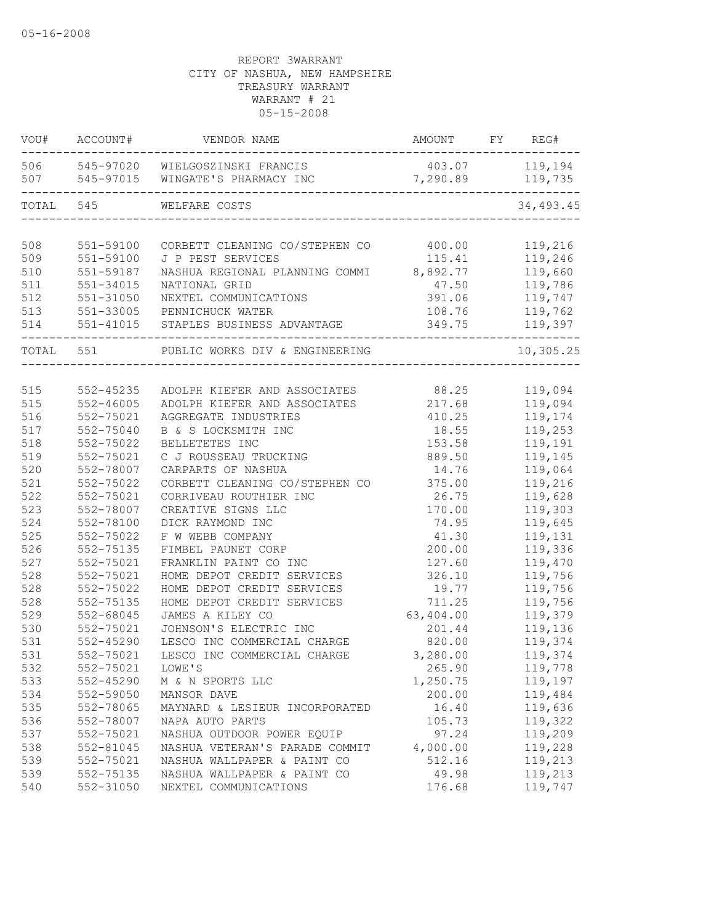| WOU#      | ACCOUNT#      | VENDOR NAME                                        | AMOUNT           | FY | REG#       |
|-----------|---------------|----------------------------------------------------|------------------|----|------------|
|           |               | 506 545-97020 WIELGOSZINSKI FRANCIS                | 403.07 119,194   |    |            |
| 507       | 545-97015     | WINGATE'S PHARMACY INC                             | 7,290.89 119,735 |    |            |
| TOTAL 545 |               | WELFARE COSTS<br>_________________________________ |                  |    | 34,493.45  |
|           |               |                                                    |                  |    |            |
| 508       | 551-59100     | CORBETT CLEANING CO/STEPHEN CO                     | 400.00           |    | 119,216    |
| 509       | 551-59100     | J P PEST SERVICES                                  | 115.41           |    | 119,246    |
| 510       | 551-59187     | NASHUA REGIONAL PLANNING COMMI 8,892.77            |                  |    | 119,660    |
| 511       | 551-34015     | NATIONAL GRID                                      | 47.50            |    | 119,786    |
| 512       | 551-31050     | NEXTEL COMMUNICATIONS                              | 391.06           |    | 119,747    |
| 513       | 551-33005     | PENNICHUCK WATER                                   | 108.76           |    | 119,762    |
| 514       | 551-41015     | STAPLES BUSINESS ADVANTAGE                         | 349.75           |    | 119,397    |
| TOTAL 551 |               | PUBLIC WORKS DIV & ENGINEERING                     |                  |    | 10, 305.25 |
|           |               |                                                    |                  |    |            |
| 515       | 552-45235     | ADOLPH KIEFER AND ASSOCIATES 88.25                 |                  |    | 119,094    |
| 515       | $552 - 46005$ | ADOLPH KIEFER AND ASSOCIATES                       | 217.68           |    | 119,094    |
| 516       | 552-75021     | AGGREGATE INDUSTRIES                               | 410.25           |    | 119,174    |
| 517       | 552-75040     | B & S LOCKSMITH INC                                | 18.55            |    | 119,253    |
| 518       | 552-75022     | BELLETETES INC                                     | 153.58           |    | 119,191    |
| 519       | 552-75021     | C J ROUSSEAU TRUCKING                              | 889.50           |    | 119,145    |
| 520       | 552-78007     | CARPARTS OF NASHUA                                 | 14.76            |    | 119,064    |
| 521       | 552-75022     | CORBETT CLEANING CO/STEPHEN CO                     | 375.00           |    | 119,216    |
| 522       | 552-75021     | CORRIVEAU ROUTHIER INC                             | 26.75            |    | 119,628    |
| 523       | 552-78007     | CREATIVE SIGNS LLC                                 | 170.00           |    | 119,303    |
| 524       | 552-78100     | DICK RAYMOND INC                                   | 74.95            |    | 119,645    |
| 525       | 552-75022     | F W WEBB COMPANY                                   | 41.30            |    | 119,131    |
| 526       | 552-75135     | FIMBEL PAUNET CORP                                 | 200.00           |    | 119,336    |
| 527       | 552-75021     | FRANKLIN PAINT CO INC                              | 127.60           |    | 119,470    |
| 528       | 552-75021     | HOME DEPOT CREDIT SERVICES                         | 326.10           |    | 119,756    |
| 528       | 552-75022     | HOME DEPOT CREDIT SERVICES                         | 19.77            |    | 119,756    |
| 528       | 552-75135     | HOME DEPOT CREDIT SERVICES                         | 711.25           |    | 119,756    |
| 529       | 552-68045     | JAMES A KILEY CO                                   | 63,404.00        |    | 119,379    |
| 530       | 552-75021     | JOHNSON'S ELECTRIC INC                             | 201.44           |    | 119,136    |
| 531       | 552-45290     | LESCO INC COMMERCIAL CHARGE                        | 820.00           |    | 119,374    |
| 531       | 552-75021     | LESCO INC COMMERCIAL CHARGE                        | 3,280.00         |    | 119,374    |
| 532       | 552-75021     | LOWE'S                                             | 265.90           |    | 119,778    |
| 533       | 552-45290     | M & N SPORTS LLC                                   | 1,250.75         |    | 119,197    |
| 534       | 552-59050     | MANSOR DAVE                                        | 200.00           |    | 119,484    |
| 535       | 552-78065     | MAYNARD & LESIEUR INCORPORATED                     | 16.40            |    | 119,636    |
| 536       | 552-78007     | NAPA AUTO PARTS                                    | 105.73           |    | 119,322    |
| 537       | 552-75021     | NASHUA OUTDOOR POWER EQUIP                         | 97.24            |    | 119,209    |
| 538       | 552-81045     | NASHUA VETERAN'S PARADE COMMIT                     | 4,000.00         |    | 119,228    |
| 539       | 552-75021     | NASHUA WALLPAPER & PAINT CO                        | 512.16           |    | 119,213    |
| 539       | 552-75135     | NASHUA WALLPAPER & PAINT CO                        | 49.98            |    | 119,213    |
| 540       | 552-31050     | NEXTEL COMMUNICATIONS                              | 176.68           |    | 119,747    |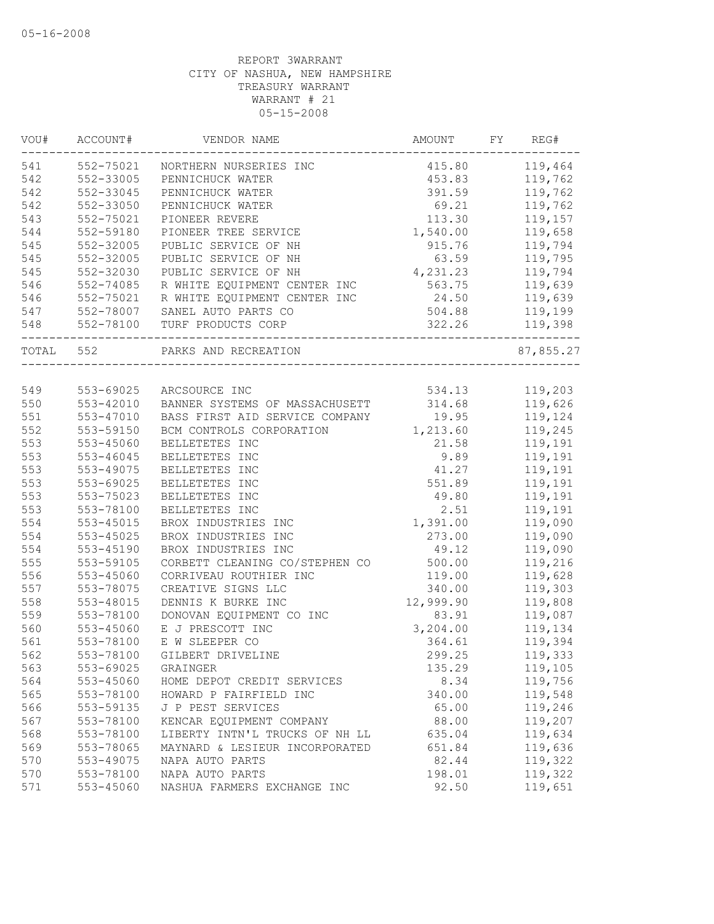| WOU#      | ACCOUNT#  | VENDOR NAME                    | AMOUNT    | FY | REG#      |
|-----------|-----------|--------------------------------|-----------|----|-----------|
| 541       | 552-75021 | NORTHERN NURSERIES INC         | 415.80    |    | 119,464   |
| 542       | 552-33005 | PENNICHUCK WATER               | 453.83    |    | 119,762   |
| 542       | 552-33045 | PENNICHUCK WATER               | 391.59    |    | 119,762   |
| 542       | 552-33050 | PENNICHUCK WATER               | 69.21     |    | 119,762   |
| 543       | 552-75021 | PIONEER REVERE                 | 113.30    |    | 119,157   |
| 544       | 552-59180 | PIONEER TREE SERVICE           | 1,540.00  |    | 119,658   |
| 545       | 552-32005 | PUBLIC SERVICE OF NH           | 915.76    |    | 119,794   |
| 545       | 552-32005 | PUBLIC SERVICE OF NH           | 63.59     |    | 119,795   |
| 545       | 552-32030 | PUBLIC SERVICE OF NH           | 4,231.23  |    | 119,794   |
| 546       | 552-74085 | R WHITE EQUIPMENT CENTER INC   | 563.75    |    | 119,639   |
| 546       | 552-75021 | R WHITE EQUIPMENT CENTER INC   | 24.50     |    | 119,639   |
| 547       | 552-78007 | SANEL AUTO PARTS CO            | 504.88    |    | 119,199   |
| 548       | 552-78100 | TURF PRODUCTS CORP             | 322.26    |    | 119,398   |
| TOTAL 552 |           | PARKS AND RECREATION           |           |    | 87,855.27 |
|           |           |                                |           |    |           |
| 549       |           | 553-69025 ARCSOURCE INC        | 534.13    |    | 119,203   |
| 550       | 553-42010 | BANNER SYSTEMS OF MASSACHUSETT | 314.68    |    | 119,626   |
| 551       | 553-47010 | BASS FIRST AID SERVICE COMPANY | 19.95     |    | 119,124   |
| 552       | 553-59150 | BCM CONTROLS CORPORATION       | 1,213.60  |    | 119,245   |
| 553       | 553-45060 | BELLETETES INC                 | 21.58     |    | 119,191   |
| 553       | 553-46045 | BELLETETES INC                 | 9.89      |    | 119,191   |
| 553       | 553-49075 | BELLETETES INC                 | 41.27     |    | 119,191   |
| 553       | 553-69025 | BELLETETES INC                 | 551.89    |    | 119,191   |
| 553       | 553-75023 | BELLETETES INC                 | 49.80     |    | 119,191   |
| 553       | 553-78100 | BELLETETES INC                 | 2.51      |    | 119,191   |
| 554       | 553-45015 | BROX INDUSTRIES INC            | 1,391.00  |    | 119,090   |
| 554       | 553-45025 | BROX INDUSTRIES INC            | 273.00    |    | 119,090   |
| 554       | 553-45190 | BROX INDUSTRIES INC            | 49.12     |    | 119,090   |
| 555       | 553-59105 | CORBETT CLEANING CO/STEPHEN CO | 500.00    |    | 119,216   |
| 556       | 553-45060 | CORRIVEAU ROUTHIER INC         | 119.00    |    | 119,628   |
| 557       | 553-78075 | CREATIVE SIGNS LLC             | 340.00    |    | 119,303   |
| 558       | 553-48015 | DENNIS K BURKE INC             | 12,999.90 |    | 119,808   |
| 559       | 553-78100 | DONOVAN EQUIPMENT CO INC       | 83.91     |    | 119,087   |
| 560       | 553-45060 | E J PRESCOTT INC               | 3,204.00  |    | 119,134   |
| 561       | 553-78100 | E W SLEEPER CO                 | 364.61    |    | 119,394   |
| 562       | 553-78100 | GILBERT DRIVELINE              | 299.25    |    | 119,333   |
| 563       | 553-69025 | GRAINGER                       | 135.29    |    | 119,105   |
| 564       | 553-45060 | HOME DEPOT CREDIT SERVICES     | 8.34      |    | 119,756   |
| 565       | 553-78100 | HOWARD P FAIRFIELD INC         | 340.00    |    | 119,548   |
| 566       | 553-59135 | J P PEST SERVICES              | 65.00     |    | 119,246   |
| 567       | 553-78100 | KENCAR EQUIPMENT COMPANY       | 88.00     |    | 119,207   |
| 568       | 553-78100 | LIBERTY INTN'L TRUCKS OF NH LL | 635.04    |    | 119,634   |
| 569       | 553-78065 | MAYNARD & LESIEUR INCORPORATED | 651.84    |    | 119,636   |
| 570       | 553-49075 | NAPA AUTO PARTS                | 82.44     |    | 119,322   |
| 570       | 553-78100 | NAPA AUTO PARTS                | 198.01    |    | 119,322   |
| 571       | 553-45060 | NASHUA FARMERS EXCHANGE INC    | 92.50     |    | 119,651   |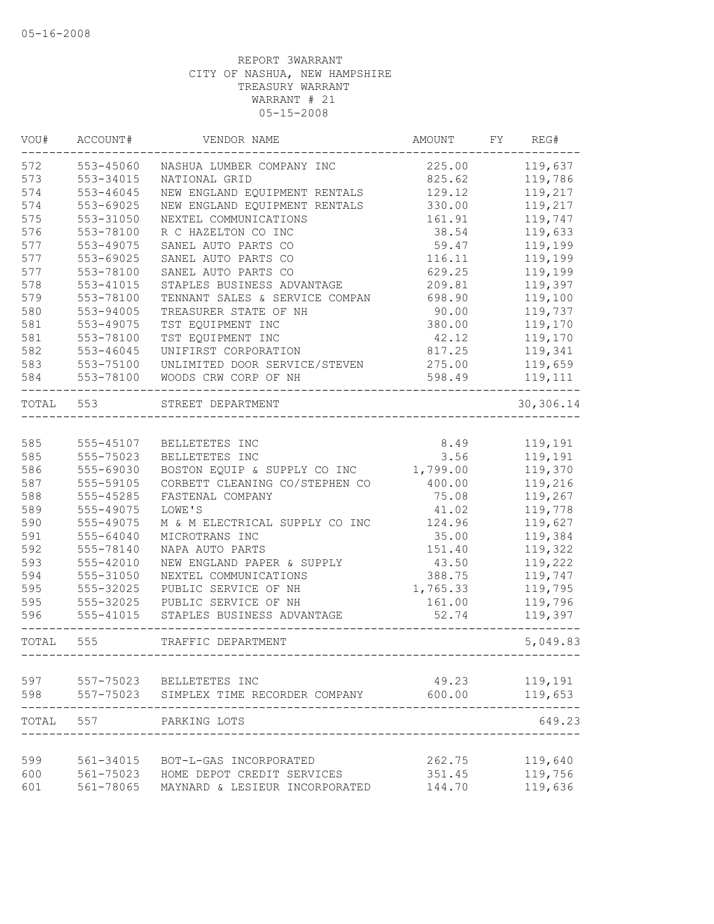| VOU#  | ACCOUNT#      | VENDOR NAME                                          | AMOUNT   | FY | REG#               |
|-------|---------------|------------------------------------------------------|----------|----|--------------------|
| 572   | 553-45060     | NASHUA LUMBER COMPANY INC                            | 225.00   |    | 119,637            |
| 573   | 553-34015     | NATIONAL GRID                                        | 825.62   |    | 119,786            |
| 574   | 553-46045     | NEW ENGLAND EQUIPMENT RENTALS                        | 129.12   |    | 119,217            |
| 574   | 553-69025     | NEW ENGLAND EQUIPMENT RENTALS                        | 330.00   |    | 119,217            |
| 575   | 553-31050     | NEXTEL COMMUNICATIONS                                | 161.91   |    | 119,747            |
| 576   | 553-78100     | R C HAZELTON CO INC                                  | 38.54    |    | 119,633            |
| 577   | 553-49075     | SANEL AUTO PARTS CO                                  | 59.47    |    | 119,199            |
| 577   | 553-69025     | SANEL AUTO PARTS CO                                  | 116.11   |    | 119,199            |
| 577   | 553-78100     | SANEL AUTO PARTS CO                                  | 629.25   |    | 119,199            |
| 578   | 553-41015     | STAPLES BUSINESS ADVANTAGE                           | 209.81   |    | 119,397            |
| 579   | 553-78100     | TENNANT SALES & SERVICE COMPAN                       | 698.90   |    | 119,100            |
| 580   | 553-94005     | TREASURER STATE OF NH                                | 90.00    |    | 119,737            |
| 581   | 553-49075     | TST EQUIPMENT INC                                    | 380.00   |    | 119,170            |
| 581   | 553-78100     | TST EQUIPMENT INC                                    | 42.12    |    | 119,170            |
| 582   | $553 - 46045$ | UNIFIRST CORPORATION                                 | 817.25   |    | 119,341            |
| 583   | 553-75100     | UNLIMITED DOOR SERVICE/STEVEN                        | 275.00   |    | 119,659            |
| 584   | 553-78100     | WOODS CRW CORP OF NH                                 | 598.49   |    | 119,111            |
| TOTAL | 553           | STREET DEPARTMENT                                    |          |    | 30,306.14          |
|       |               |                                                      |          |    |                    |
| 585   | 555-45107     | BELLETETES INC                                       | 8.49     |    | 119,191            |
| 585   | 555-75023     | BELLETETES INC                                       | 3.56     |    | 119,191            |
| 586   | 555-69030     | BOSTON EQUIP & SUPPLY CO INC                         | 1,799.00 |    | 119,370            |
| 587   | 555-59105     | CORBETT CLEANING CO/STEPHEN CO                       | 400.00   |    | 119,216            |
| 588   | 555-45285     | FASTENAL COMPANY                                     | 75.08    |    | 119,267            |
| 589   | 555-49075     | LOWE'S                                               | 41.02    |    | 119,778            |
| 590   | 555-49075     | M & M ELECTRICAL SUPPLY CO INC                       | 124.96   |    | 119,627            |
| 591   | 555-64040     | MICROTRANS INC                                       | 35.00    |    | 119,384            |
| 592   | 555-78140     | NAPA AUTO PARTS                                      | 151.40   |    | 119,322            |
| 593   | 555-42010     | NEW ENGLAND PAPER & SUPPLY                           | 43.50    |    | 119,222            |
| 594   | 555-31050     | NEXTEL COMMUNICATIONS                                | 388.75   |    | 119,747            |
| 595   | 555-32025     | PUBLIC SERVICE OF NH                                 | 1,765.33 |    | 119,795            |
| 595   | 555-32025     | PUBLIC SERVICE OF NH                                 | 161.00   |    | 119,796            |
| 596   | 555-41015     | STAPLES BUSINESS ADVANTAGE                           | 52.74    |    | 119,397            |
| TOTAL | 555           | TRAFFIC DEPARTMENT                                   |          |    | 5,049.83           |
| 597   |               | 557-75023 BELLETETES INC                             | 49.23    |    | 119,191            |
| 598   | 557-75023     | SIMPLEX TIME RECORDER COMPANY                        | 600.00   |    | 119,653            |
| TOTAL | 557           | PARKING LOTS                                         |          |    | 649.23             |
| 599   | 561-34015     |                                                      | 262.75   |    | 119,640            |
| 600   | 561-75023     | BOT-L-GAS INCORPORATED<br>HOME DEPOT CREDIT SERVICES | 351.45   |    |                    |
| 601   | 561-78065     | MAYNARD & LESIEUR INCORPORATED                       | 144.70   |    | 119,756<br>119,636 |
|       |               |                                                      |          |    |                    |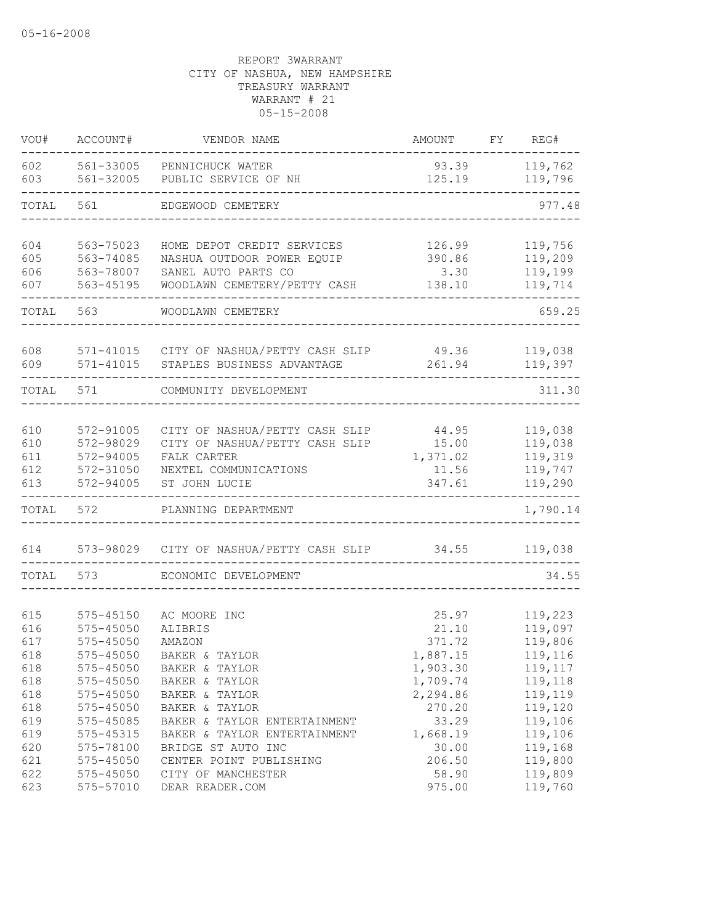| VOU#       | ACCOUNT#      | VENDOR NAME                                        | AMOUNT          | FY | REG#               |
|------------|---------------|----------------------------------------------------|-----------------|----|--------------------|
| 602<br>603 | 561-32005     | 561-33005 PENNICHUCK WATER<br>PUBLIC SERVICE OF NH | 93.39<br>125.19 |    | 119,762<br>119,796 |
| TOTAL      | 561           | EDGEWOOD CEMETERY                                  |                 |    | 977.48             |
|            |               |                                                    |                 |    |                    |
| 604        | 563-75023     | HOME DEPOT CREDIT SERVICES                         | 126.99          |    | 119,756            |
| 605        | 563-74085     | NASHUA OUTDOOR POWER EQUIP                         | 390.86          |    | 119,209            |
| 606        | 563-78007     | SANEL AUTO PARTS CO                                | 3.30            |    | 119,199            |
| 607        | 563-45195     | WOODLAWN CEMETERY/PETTY CASH                       | 138.10          |    | 119,714            |
| TOTAL      | 563           | WOODLAWN CEMETERY                                  |                 |    | 659.25             |
| 608        |               | 571-41015 CITY OF NASHUA/PETTY CASH SLIP           | 49.36           |    | 119,038            |
| 609        | $571 - 41015$ | STAPLES BUSINESS ADVANTAGE                         | 261.94          |    | 119,397            |
| TOTAL      | 571           | COMMUNITY DEVELOPMENT                              |                 |    | 311.30             |
|            |               |                                                    |                 |    |                    |
| 610        | 572-91005     | CITY OF NASHUA/PETTY CASH SLIP                     | 44.95           |    | 119,038            |
| 610        | 572-98029     | CITY OF NASHUA/PETTY CASH SLIP                     | 15.00           |    | 119,038            |
| 611        | 572-94005     | FALK CARTER                                        | 1,371.02        |    | 119,319            |
| 612        | 572-31050     | NEXTEL COMMUNICATIONS                              | 11.56           |    | 119,747            |
| 613        | 572-94005     | ST JOHN LUCIE                                      | 347.61          |    | 119,290            |
| TOTAL      | 572           | PLANNING DEPARTMENT                                |                 |    | 1,790.14           |
| 614        | 573-98029     | CITY OF NASHUA/PETTY CASH SLIP                     | 34.55           |    | 119,038            |
| TOTAL      | 573           | ECONOMIC DEVELOPMENT                               |                 |    | 34.55              |
|            |               |                                                    |                 |    |                    |
| 615        | 575-45150     | AC MOORE INC                                       | 25.97           |    | 119,223            |
| 616        | 575-45050     | ALIBRIS                                            | 21.10           |    | 119,097            |
| 617        | $575 - 45050$ | AMAZON                                             | 371.72          |    | 119,806            |
| 618        | 575-45050     | BAKER & TAYLOR                                     | 1,887.15        |    | 119,116            |
| 618        | 575-45050     | BAKER & TAYLOR                                     | 1,903.30        |    | 119,117            |
| 618        | $575 - 45050$ | BAKER & TAYLOR                                     | 1,709.74        |    | 119,118            |
| 618        | 575-45050     | BAKER & TAYLOR                                     | 2,294.86        |    | 119,119            |
| 618        | 575-45050     | BAKER & TAYLOR                                     | 270.20          |    | 119,120            |
| 619        | 575-45085     | BAKER & TAYLOR ENTERTAINMENT                       | 33.29           |    | 119,106            |
| 619        | 575-45315     | BAKER & TAYLOR ENTERTAINMENT                       | 1,668.19        |    | 119,106            |
| 620        | 575-78100     | BRIDGE ST AUTO INC                                 | 30.00           |    | 119,168            |
| 621        | 575-45050     | CENTER POINT PUBLISHING                            | 206.50          |    | 119,800            |
| 622        | 575-45050     | CITY OF MANCHESTER                                 | 58.90           |    | 119,809            |
| 623        | 575-57010     | DEAR READER.COM                                    | 975.00          |    | 119,760            |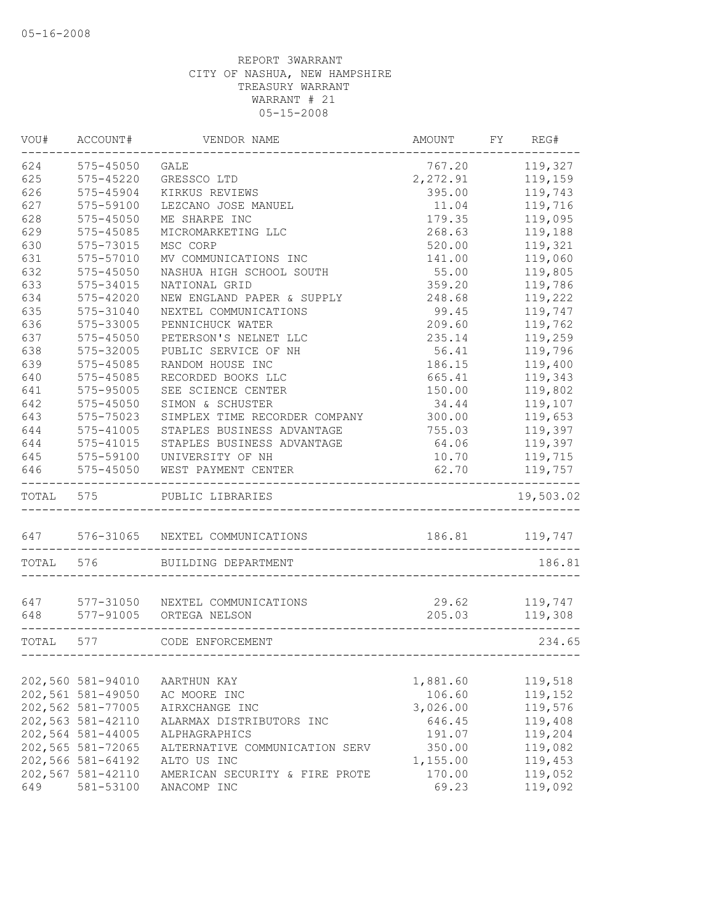| VOU#      | ACCOUNT#                               | VENDOR NAME                                                | AMOUNT             | FY REG#            |
|-----------|----------------------------------------|------------------------------------------------------------|--------------------|--------------------|
| 624       | 575-45050                              | <b>GALE</b>                                                | 767.20             | 119,327            |
| 625       | 575-45220                              | GRESSCO LTD                                                | 2,272.91           | 119,159            |
| 626       | 575-45904                              | KIRKUS REVIEWS                                             | 395.00             | 119,743            |
| 627       | 575-59100                              | LEZCANO JOSE MANUEL                                        | 11.04              | 119,716            |
| 628       | 575-45050                              | ME SHARPE INC                                              | 179.35             | 119,095            |
| 629       | 575-45085                              | MICROMARKETING LLC                                         | 268.63             | 119,188            |
| 630       | 575-73015                              | MSC CORP                                                   | 520.00             | 119,321            |
| 631       | 575-57010                              | MV COMMUNICATIONS INC                                      | 141.00             | 119,060            |
| 632       | $575 - 45050$                          | NASHUA HIGH SCHOOL SOUTH                                   | 55.00              | 119,805            |
| 633       | 575-34015                              | NATIONAL GRID                                              | 359.20             | 119,786            |
| 634       | 575-42020                              | NEW ENGLAND PAPER & SUPPLY                                 | 248.68             | 119,222            |
| 635       | 575-31040                              | NEXTEL COMMUNICATIONS                                      | 99.45              | 119,747            |
| 636       | 575-33005                              | PENNICHUCK WATER                                           | 209.60             | 119,762            |
| 637       | 575-45050                              | PETERSON'S NELNET LLC                                      | 235.14             | 119,259            |
| 638       | 575-32005                              | PUBLIC SERVICE OF NH                                       | 56.41              | 119,796            |
| 639       | 575-45085                              | RANDOM HOUSE INC                                           | 186.15             | 119,400            |
| 640       | 575-45085                              | RECORDED BOOKS LLC                                         | 665.41             | 119,343            |
| 641       | 575-95005                              | SEE SCIENCE CENTER                                         | 150.00             | 119,802            |
| 642       | 575-45050                              | SIMON & SCHUSTER                                           | 34.44              | 119,107            |
| 643       | 575-75023                              | SIMPLEX TIME RECORDER COMPANY                              | 300.00             | 119,653            |
| 644       | 575-41005                              | STAPLES BUSINESS ADVANTAGE                                 | 755.03             | 119,397            |
| 644       | 575-41015                              | STAPLES BUSINESS ADVANTAGE                                 | 64.06              | 119,397            |
| 645       | 575-59100                              | UNIVERSITY OF NH                                           | 10.70              | 119,715            |
| 646       | $575 - 45050$                          | WEST PAYMENT CENTER                                        | 62.70              | 119,757            |
| TOTAL     | 575                                    | PUBLIC LIBRARIES                                           |                    | 19,503.02          |
|           |                                        | 647 576-31065 NEXTEL COMMUNICATIONS                        |                    | 186.81 119,747     |
| TOTAL     | 576                                    | BUILDING DEPARTMENT                                        |                    | 186.81             |
|           |                                        |                                                            |                    |                    |
| 647       |                                        | 577-31050 NEXTEL COMMUNICATIONS<br>577-91005 ORTEGA NELSON | 29.62              | 119,747            |
| 648       |                                        |                                                            | 205.03             | 119,308            |
| TOTAL 577 |                                        | CODE ENFORCEMENT                                           |                    | 234.65             |
|           |                                        | AARTHUN KAY                                                |                    |                    |
|           | 202,560 581-94010                      |                                                            | 1,881.60<br>106.60 | 119,518            |
|           | 202,561 581-49050                      | AC MOORE INC                                               |                    | 119,152            |
|           | 202,562 581-77005                      | AIRXCHANGE INC                                             | 3,026.00<br>646.45 | 119,576            |
|           | 202,563 581-42110<br>202,564 581-44005 | ALARMAX DISTRIBUTORS INC                                   |                    | 119,408            |
|           | 202,565 581-72065                      | ALPHAGRAPHICS                                              | 191.07             | 119,204<br>119,082 |
|           | 202,566 581-64192                      | ALTERNATIVE COMMUNICATION SERV<br>ALTO US INC              | 350.00             | 119,453            |
|           | 202,567 581-42110                      | AMERICAN SECURITY & FIRE PROTE                             | 1,155.00<br>170.00 | 119,052            |
| 649       | 581-53100                              | ANACOMP INC                                                | 69.23              | 119,092            |
|           |                                        |                                                            |                    |                    |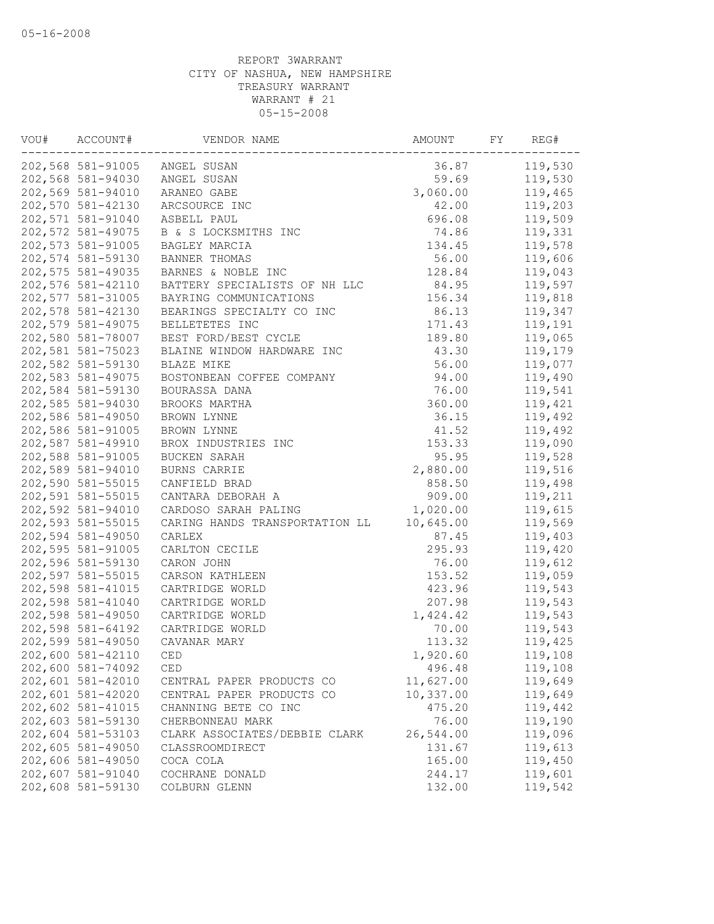| VOU# | ACCOUNT#          | VENDOR NAME                    | AMOUNT    | FY | REG#    |
|------|-------------------|--------------------------------|-----------|----|---------|
|      |                   | 202,568 581-91005 ANGEL SUSAN  | 36.87     |    | 119,530 |
|      | 202,568 581-94030 | ANGEL SUSAN                    | 59.69     |    | 119,530 |
|      | 202,569 581-94010 | ARANEO GABE                    | 3,060.00  |    | 119,465 |
|      | 202,570 581-42130 | ARCSOURCE INC                  | 42.00     |    | 119,203 |
|      | 202,571 581-91040 | ASBELL PAUL                    | 696.08    |    | 119,509 |
|      | 202,572 581-49075 | B & S LOCKSMITHS INC           | 74.86     |    | 119,331 |
|      | 202,573 581-91005 | BAGLEY MARCIA                  | 134.45    |    | 119,578 |
|      | 202,574 581-59130 | BANNER THOMAS                  | 56.00     |    | 119,606 |
|      | 202,575 581-49035 | BARNES & NOBLE INC             | 128.84    |    | 119,043 |
|      | 202,576 581-42110 | BATTERY SPECIALISTS OF NH LLC  | 84.95     |    | 119,597 |
|      | 202,577 581-31005 | BAYRING COMMUNICATIONS         | 156.34    |    | 119,818 |
|      | 202,578 581-42130 | BEARINGS SPECIALTY CO INC      | 86.13     |    | 119,347 |
|      | 202,579 581-49075 | BELLETETES INC                 | 171.43    |    | 119,191 |
|      | 202,580 581-78007 | BEST FORD/BEST CYCLE           | 189.80    |    | 119,065 |
|      | 202,581 581-75023 | BLAINE WINDOW HARDWARE INC     | 43.30     |    | 119,179 |
|      | 202,582 581-59130 | BLAZE MIKE                     | 56.00     |    | 119,077 |
|      | 202,583 581-49075 | BOSTONBEAN COFFEE COMPANY      | 94.00     |    | 119,490 |
|      | 202,584 581-59130 | BOURASSA DANA                  | 76.00     |    | 119,541 |
|      | 202,585 581-94030 | BROOKS MARTHA                  | 360.00    |    | 119,421 |
|      | 202,586 581-49050 | BROWN LYNNE                    | 36.15     |    | 119,492 |
|      | 202,586 581-91005 | BROWN LYNNE                    | 41.52     |    | 119,492 |
|      | 202,587 581-49910 | BROX INDUSTRIES INC            | 153.33    |    | 119,090 |
|      | 202,588 581-91005 | BUCKEN SARAH                   | 95.95     |    | 119,528 |
|      | 202,589 581-94010 | BURNS CARRIE                   | 2,880.00  |    | 119,516 |
|      | 202,590 581-55015 | CANFIELD BRAD                  | 858.50    |    | 119,498 |
|      | 202,591 581-55015 | CANTARA DEBORAH A              | 909.00    |    | 119,211 |
|      | 202,592 581-94010 | CARDOSO SARAH PALING           | 1,020.00  |    | 119,615 |
|      | 202,593 581-55015 | CARING HANDS TRANSPORTATION LL | 10,645.00 |    | 119,569 |
|      | 202,594 581-49050 | CARLEX                         | 87.45     |    | 119,403 |
|      | 202,595 581-91005 | CARLTON CECILE                 | 295.93    |    | 119,420 |
|      | 202,596 581-59130 | CARON JOHN                     | 76.00     |    | 119,612 |
|      | 202,597 581-55015 | CARSON KATHLEEN                | 153.52    |    | 119,059 |
|      | 202,598 581-41015 | CARTRIDGE WORLD                | 423.96    |    | 119,543 |
|      | 202,598 581-41040 | CARTRIDGE WORLD                | 207.98    |    | 119,543 |
|      | 202,598 581-49050 | CARTRIDGE WORLD                | 1,424.42  |    | 119,543 |
|      | 202,598 581-64192 | CARTRIDGE WORLD                | 70.00     |    | 119,543 |
|      | 202,599 581-49050 | CAVANAR MARY                   | 113.32    |    | 119,425 |
|      | 202,600 581-42110 | CED                            | 1,920.60  |    | 119,108 |
|      | 202,600 581-74092 | CED                            | 496.48    |    | 119,108 |
|      | 202,601 581-42010 | CENTRAL PAPER PRODUCTS CO      | 11,627.00 |    | 119,649 |
|      | 202,601 581-42020 | CENTRAL PAPER PRODUCTS CO      | 10,337.00 |    | 119,649 |
|      | 202,602 581-41015 | CHANNING BETE CO INC           | 475.20    |    | 119,442 |
|      | 202,603 581-59130 | CHERBONNEAU MARK               | 76.00     |    | 119,190 |
|      | 202,604 581-53103 | CLARK ASSOCIATES/DEBBIE CLARK  | 26,544.00 |    | 119,096 |
|      | 202,605 581-49050 | CLASSROOMDIRECT                | 131.67    |    | 119,613 |
|      | 202,606 581-49050 | COCA COLA                      | 165.00    |    | 119,450 |
|      | 202,607 581-91040 | COCHRANE DONALD                | 244.17    |    | 119,601 |
|      | 202,608 581-59130 | COLBURN GLENN                  | 132.00    |    | 119,542 |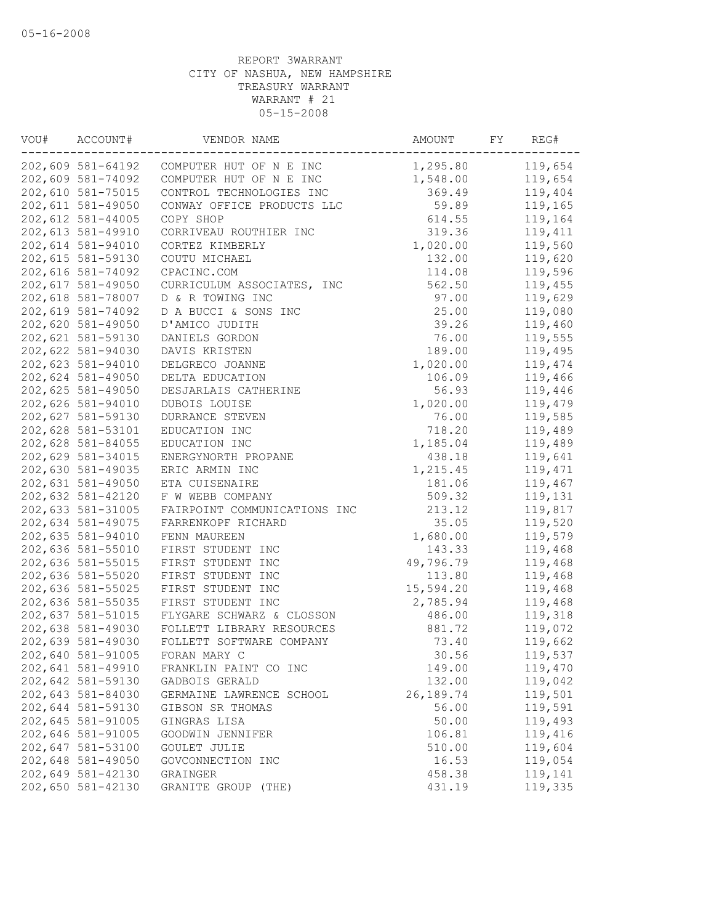| VOU# | ACCOUNT#          | VENDOR NAME                  | AMOUNT    | FY | REG#    |
|------|-------------------|------------------------------|-----------|----|---------|
|      | 202,609 581-64192 | COMPUTER HUT OF N E INC      | 1,295.80  |    | 119,654 |
|      | 202,609 581-74092 | COMPUTER HUT OF N E INC      | 1,548.00  |    | 119,654 |
|      | 202,610 581-75015 | CONTROL TECHNOLOGIES INC     | 369.49    |    | 119,404 |
|      | 202,611 581-49050 | CONWAY OFFICE PRODUCTS LLC   | 59.89     |    | 119,165 |
|      | 202,612 581-44005 | COPY SHOP                    | 614.55    |    | 119,164 |
|      | 202,613 581-49910 | CORRIVEAU ROUTHIER INC       | 319.36    |    | 119,411 |
|      | 202,614 581-94010 | CORTEZ KIMBERLY              | 1,020.00  |    | 119,560 |
|      | 202,615 581-59130 | COUTU MICHAEL                | 132.00    |    | 119,620 |
|      | 202,616 581-74092 | CPACINC.COM                  | 114.08    |    | 119,596 |
|      | 202,617 581-49050 | CURRICULUM ASSOCIATES, INC   | 562.50    |    | 119,455 |
|      | 202,618 581-78007 | D & R TOWING INC             | 97.00     |    | 119,629 |
|      | 202,619 581-74092 | D A BUCCI & SONS INC         | 25.00     |    | 119,080 |
|      | 202,620 581-49050 | D'AMICO JUDITH               | 39.26     |    | 119,460 |
|      | 202,621 581-59130 | DANIELS GORDON               | 76.00     |    | 119,555 |
|      | 202,622 581-94030 | DAVIS KRISTEN                | 189.00    |    | 119,495 |
|      | 202,623 581-94010 | DELGRECO JOANNE              | 1,020.00  |    | 119,474 |
|      | 202,624 581-49050 | DELTA EDUCATION              | 106.09    |    | 119,466 |
|      | 202,625 581-49050 | DESJARLAIS CATHERINE         | 56.93     |    | 119,446 |
|      | 202,626 581-94010 | DUBOIS LOUISE                | 1,020.00  |    | 119,479 |
|      | 202,627 581-59130 | DURRANCE STEVEN              | 76.00     |    | 119,585 |
|      | 202,628 581-53101 | EDUCATION INC                | 718.20    |    | 119,489 |
|      | 202,628 581-84055 | EDUCATION INC                | 1,185.04  |    | 119,489 |
|      | 202,629 581-34015 | ENERGYNORTH PROPANE          | 438.18    |    | 119,641 |
|      | 202,630 581-49035 | ERIC ARMIN INC               | 1,215.45  |    | 119,471 |
|      | 202,631 581-49050 | ETA CUISENAIRE               | 181.06    |    | 119,467 |
|      | 202,632 581-42120 | F W WEBB COMPANY             | 509.32    |    | 119,131 |
|      | 202,633 581-31005 | FAIRPOINT COMMUNICATIONS INC | 213.12    |    | 119,817 |
|      | 202,634 581-49075 | FARRENKOPF RICHARD           | 35.05     |    | 119,520 |
|      | 202,635 581-94010 |                              |           |    |         |
|      | 202,636 581-55010 | FENN MAUREEN                 | 1,680.00  |    | 119,579 |
|      |                   | FIRST STUDENT INC            | 143.33    |    | 119,468 |
|      | 202,636 581-55015 | FIRST STUDENT INC            | 49,796.79 |    | 119,468 |
|      | 202,636 581-55020 | FIRST STUDENT INC            | 113.80    |    | 119,468 |
|      | 202,636 581-55025 | FIRST STUDENT INC            | 15,594.20 |    | 119,468 |
|      | 202,636 581-55035 | FIRST STUDENT INC            | 2,785.94  |    | 119,468 |
|      | 202,637 581-51015 | FLYGARE SCHWARZ & CLOSSON    | 486.00    |    | 119,318 |
|      | 202,638 581-49030 | FOLLETT LIBRARY RESOURCES    | 881.72    |    | 119,072 |
|      | 202,639 581-49030 | FOLLETT SOFTWARE COMPANY     | 73.40     |    | 119,662 |
|      | 202,640 581-91005 | FORAN MARY C                 | 30.56     |    | 119,537 |
|      | 202,641 581-49910 | FRANKLIN PAINT CO INC        | 149.00    |    | 119,470 |
|      | 202,642 581-59130 | GADBOIS GERALD               | 132.00    |    | 119,042 |
|      | 202,643 581-84030 | GERMAINE LAWRENCE SCHOOL     | 26,189.74 |    | 119,501 |
|      | 202,644 581-59130 | GIBSON SR THOMAS             | 56.00     |    | 119,591 |
|      | 202,645 581-91005 | GINGRAS LISA                 | 50.00     |    | 119,493 |
|      | 202,646 581-91005 | GOODWIN JENNIFER             | 106.81    |    | 119,416 |
|      | 202,647 581-53100 | GOULET JULIE                 | 510.00    |    | 119,604 |
|      | 202,648 581-49050 | GOVCONNECTION INC            | 16.53     |    | 119,054 |
|      | 202,649 581-42130 | GRAINGER                     | 458.38    |    | 119,141 |
|      | 202,650 581-42130 | GRANITE GROUP (THE)          | 431.19    |    | 119,335 |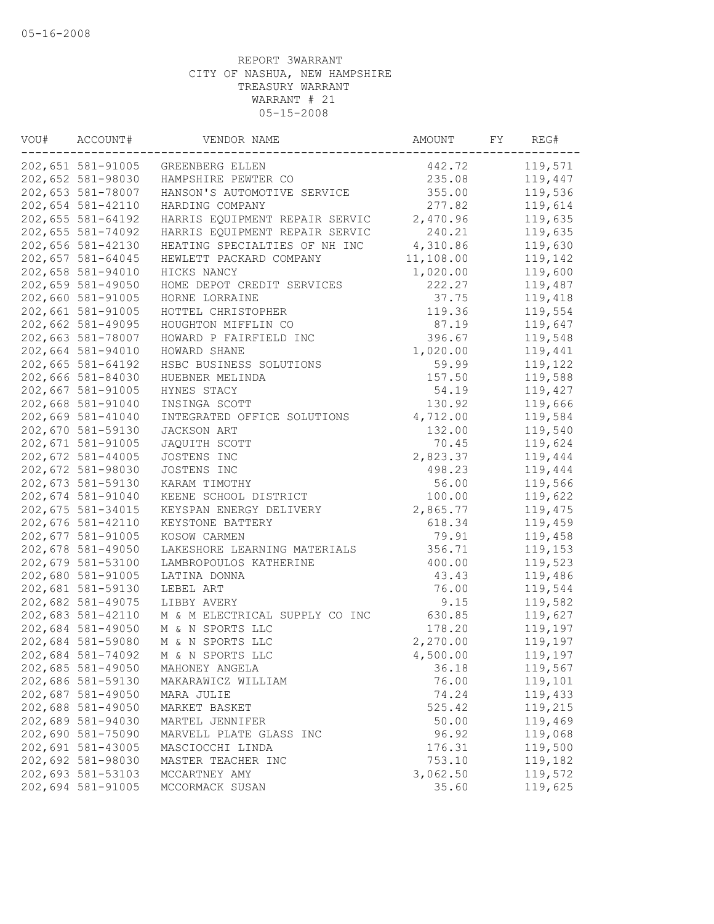| VOU# | ACCOUNT#                               | VENDOR NAME                    | AMOUNT    | FY | REG#    |
|------|----------------------------------------|--------------------------------|-----------|----|---------|
|      | 202,651 581-91005                      | GREENBERG ELLEN                | 442.72    |    | 119,571 |
|      | 202,652 581-98030                      | HAMPSHIRE PEWTER CO            | 235.08    |    | 119,447 |
|      | 202,653 581-78007                      | HANSON'S AUTOMOTIVE SERVICE    | 355.00    |    | 119,536 |
|      | 202,654 581-42110                      | HARDING COMPANY                | 277.82    |    | 119,614 |
|      | 202,655 581-64192                      | HARRIS EQUIPMENT REPAIR SERVIC | 2,470.96  |    | 119,635 |
|      | 202,655 581-74092                      | HARRIS EQUIPMENT REPAIR SERVIC | 240.21    |    | 119,635 |
|      | 202,656 581-42130                      | HEATING SPECIALTIES OF NH INC  | 4,310.86  |    | 119,630 |
|      | 202,657 581-64045                      | HEWLETT PACKARD COMPANY        | 11,108.00 |    | 119,142 |
|      | 202,658 581-94010                      | HICKS NANCY                    | 1,020.00  |    | 119,600 |
|      | 202,659 581-49050                      | HOME DEPOT CREDIT SERVICES     | 222.27    |    | 119,487 |
|      | 202,660 581-91005                      | HORNE LORRAINE                 | 37.75     |    | 119,418 |
|      | 202,661 581-91005                      | HOTTEL CHRISTOPHER             | 119.36    |    | 119,554 |
|      | 202,662 581-49095                      | HOUGHTON MIFFLIN CO            | 87.19     |    | 119,647 |
|      | 202,663 581-78007                      | HOWARD P FAIRFIELD INC         | 396.67    |    | 119,548 |
|      | 202,664 581-94010                      | HOWARD SHANE                   | 1,020.00  |    | 119,441 |
|      | 202,665 581-64192                      | HSBC BUSINESS SOLUTIONS        | 59.99     |    | 119,122 |
|      | 202,666 581-84030                      | HUEBNER MELINDA                | 157.50    |    | 119,588 |
|      | 202,667 581-91005                      | HYNES STACY                    | 54.19     |    | 119,427 |
|      | 202,668 581-91040                      | INSINGA SCOTT                  | 130.92    |    | 119,666 |
|      | 202,669 581-41040                      | INTEGRATED OFFICE SOLUTIONS    | 4,712.00  |    | 119,584 |
|      | 202,670 581-59130                      | JACKSON ART                    | 132.00    |    | 119,540 |
|      | 202,671 581-91005                      | JAQUITH SCOTT                  | 70.45     |    | 119,624 |
|      | 202,672 581-44005                      | JOSTENS INC                    | 2,823.37  |    | 119,444 |
|      | 202,672 581-98030                      | JOSTENS INC                    | 498.23    |    | 119,444 |
|      | 202,673 581-59130                      | KARAM TIMOTHY                  | 56.00     |    | 119,566 |
|      | 202,674 581-91040                      | KEENE SCHOOL DISTRICT          | 100.00    |    | 119,622 |
|      | 202,675 581-34015                      | KEYSPAN ENERGY DELIVERY        | 2,865.77  |    | 119,475 |
|      | 202,676 581-42110                      | KEYSTONE BATTERY               | 618.34    |    | 119,459 |
|      | 202,677 581-91005                      | KOSOW CARMEN                   | 79.91     |    | 119,458 |
|      | 202,678 581-49050                      | LAKESHORE LEARNING MATERIALS   | 356.71    |    | 119,153 |
|      | 202,679 581-53100                      | LAMBROPOULOS KATHERINE         | 400.00    |    | 119,523 |
|      | 202,680 581-91005                      | LATINA DONNA                   | 43.43     |    | 119,486 |
|      | 202,681 581-59130                      | LEBEL ART                      | 76.00     |    | 119,544 |
|      | 202,682 581-49075                      | LIBBY AVERY                    | 9.15      |    | 119,582 |
|      | 202,683 581-42110                      | M & M ELECTRICAL SUPPLY CO INC | 630.85    |    | 119,627 |
|      | 202,684 581-49050                      | M & N SPORTS LLC               | 178.20    |    | 119,197 |
|      | 202,684 581-59080                      | M & N SPORTS LLC               | 2,270.00  |    | 119,197 |
|      | 202,684 581-74092                      | M & N SPORTS LLC               | 4,500.00  |    | 119,197 |
|      | 202,685 581-49050                      | MAHONEY ANGELA                 | 36.18     |    | 119,567 |
|      | 202,686 581-59130                      | MAKARAWICZ WILLIAM             | 76.00     |    | 119,101 |
|      | 202,687 581-49050                      | MARA JULIE                     | 74.24     |    | 119,433 |
|      | 202,688 581-49050                      | MARKET BASKET                  | 525.42    |    | 119,215 |
|      | 202,689 581-94030                      | MARTEL JENNIFER                | 50.00     |    | 119,469 |
|      |                                        |                                |           |    |         |
|      | 202,690 581-75090<br>202,691 581-43005 | MARVELL PLATE GLASS INC        | 96.92     |    | 119,068 |
|      | 202,692 581-98030                      | MASCIOCCHI LINDA               | 176.31    |    | 119,500 |
|      |                                        | MASTER TEACHER INC             | 753.10    |    | 119,182 |
|      | 202,693 581-53103                      | MCCARTNEY AMY                  | 3,062.50  |    | 119,572 |
|      | 202,694 581-91005                      | MCCORMACK SUSAN                | 35.60     |    | 119,625 |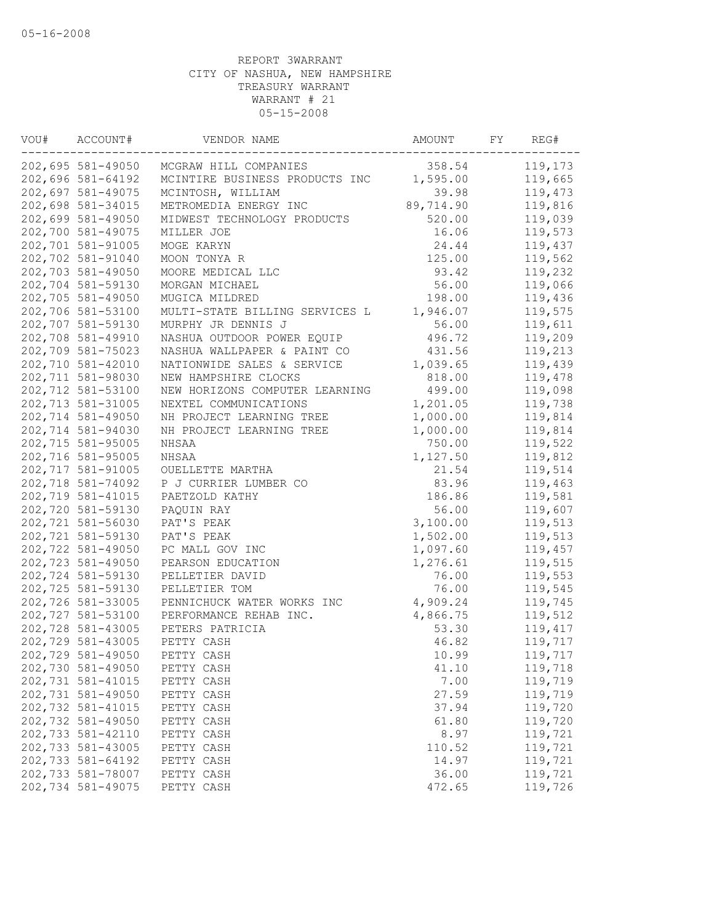| VOU# | ACCOUNT#          | VENDOR NAME                    | AMOUNT    | FY | REG#    |
|------|-------------------|--------------------------------|-----------|----|---------|
|      | 202,695 581-49050 | MCGRAW HILL COMPANIES          | 358.54    |    | 119,173 |
|      | 202,696 581-64192 | MCINTIRE BUSINESS PRODUCTS INC | 1,595.00  |    | 119,665 |
|      | 202,697 581-49075 | MCINTOSH, WILLIAM              | 39.98     |    | 119,473 |
|      | 202,698 581-34015 | METROMEDIA ENERGY INC          | 89,714.90 |    | 119,816 |
|      | 202,699 581-49050 | MIDWEST TECHNOLOGY PRODUCTS    | 520.00    |    | 119,039 |
|      | 202,700 581-49075 | MILLER JOE                     | 16.06     |    | 119,573 |
|      | 202,701 581-91005 | MOGE KARYN                     | 24.44     |    | 119,437 |
|      | 202,702 581-91040 | MOON TONYA R                   | 125.00    |    | 119,562 |
|      | 202,703 581-49050 | MOORE MEDICAL LLC              | 93.42     |    | 119,232 |
|      | 202,704 581-59130 | MORGAN MICHAEL                 | 56.00     |    | 119,066 |
|      | 202,705 581-49050 | MUGICA MILDRED                 | 198.00    |    | 119,436 |
|      | 202,706 581-53100 | MULTI-STATE BILLING SERVICES L | 1,946.07  |    | 119,575 |
|      | 202,707 581-59130 | MURPHY JR DENNIS J             | 56.00     |    | 119,611 |
|      | 202,708 581-49910 | NASHUA OUTDOOR POWER EQUIP     | 496.72    |    | 119,209 |
|      | 202,709 581-75023 | NASHUA WALLPAPER & PAINT CO    | 431.56    |    | 119,213 |
|      | 202,710 581-42010 | NATIONWIDE SALES & SERVICE     | 1,039.65  |    | 119,439 |
|      | 202,711 581-98030 | NEW HAMPSHIRE CLOCKS           | 818.00    |    | 119,478 |
|      | 202,712 581-53100 | NEW HORIZONS COMPUTER LEARNING | 499.00    |    | 119,098 |
|      | 202,713 581-31005 | NEXTEL COMMUNICATIONS          | 1,201.05  |    | 119,738 |
|      | 202,714 581-49050 | NH PROJECT LEARNING TREE       | 1,000.00  |    | 119,814 |
|      | 202,714 581-94030 | NH PROJECT LEARNING TREE       | 1,000.00  |    | 119,814 |
|      | 202,715 581-95005 | NHSAA                          | 750.00    |    | 119,522 |
|      | 202,716 581-95005 | NHSAA                          | 1,127.50  |    | 119,812 |
|      | 202,717 581-91005 | OUELLETTE MARTHA               | 21.54     |    | 119,514 |
|      | 202,718 581-74092 | P J CURRIER LUMBER CO          | 83.96     |    | 119,463 |
|      | 202,719 581-41015 | PAETZOLD KATHY                 | 186.86    |    | 119,581 |
|      | 202,720 581-59130 | PAQUIN RAY                     | 56.00     |    | 119,607 |
|      | 202,721 581-56030 | PAT'S PEAK                     | 3,100.00  |    | 119,513 |
|      | 202,721 581-59130 | PAT'S PEAK                     | 1,502.00  |    | 119,513 |
|      | 202,722 581-49050 | PC MALL GOV INC                | 1,097.60  |    | 119,457 |
|      | 202,723 581-49050 | PEARSON EDUCATION              | 1,276.61  |    | 119,515 |
|      | 202,724 581-59130 | PELLETIER DAVID                | 76.00     |    | 119,553 |
|      | 202,725 581-59130 | PELLETIER TOM                  | 76.00     |    | 119,545 |
|      | 202,726 581-33005 | PENNICHUCK WATER WORKS INC     | 4,909.24  |    | 119,745 |
|      | 202,727 581-53100 | PERFORMANCE REHAB INC.         | 4,866.75  |    | 119,512 |
|      | 202,728 581-43005 | PETERS PATRICIA                | 53.30     |    | 119,417 |
|      | 202,729 581-43005 | PETTY CASH                     | 46.82     |    | 119,717 |
|      | 202,729 581-49050 | PETTY CASH                     | 10.99     |    | 119,717 |
|      | 202,730 581-49050 | PETTY CASH                     | 41.10     |    | 119,718 |
|      | 202,731 581-41015 | PETTY CASH                     | 7.00      |    | 119,719 |
|      | 202,731 581-49050 | PETTY CASH                     | 27.59     |    | 119,719 |
|      | 202,732 581-41015 | PETTY CASH                     | 37.94     |    | 119,720 |
|      | 202,732 581-49050 | PETTY CASH                     | 61.80     |    | 119,720 |
|      | 202,733 581-42110 | PETTY CASH                     | 8.97      |    | 119,721 |
|      | 202,733 581-43005 | PETTY CASH                     | 110.52    |    | 119,721 |
|      | 202,733 581-64192 | PETTY CASH                     | 14.97     |    | 119,721 |
|      | 202,733 581-78007 | PETTY CASH                     | 36.00     |    | 119,721 |
|      | 202,734 581-49075 | PETTY CASH                     | 472.65    |    | 119,726 |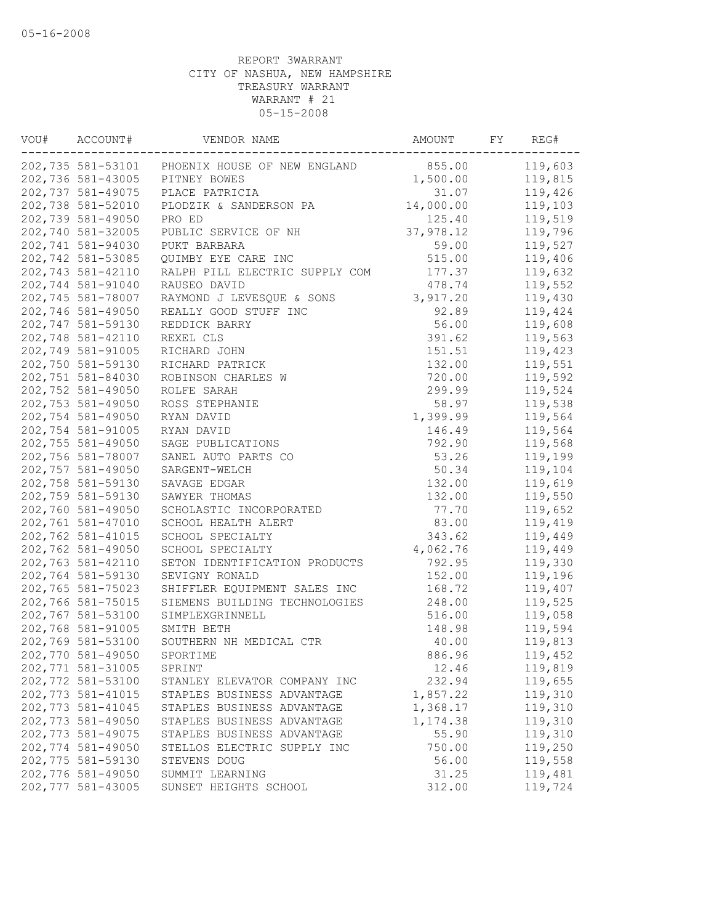| WOU# | ACCOUNT#          | VENDOR NAME                                           | AMOUNT    | FY | REG#    |
|------|-------------------|-------------------------------------------------------|-----------|----|---------|
|      |                   | 202,735 581-53101 PHOENIX HOUSE OF NEW ENGLAND 855.00 |           |    | 119,603 |
|      | 202,736 581-43005 | PITNEY BOWES                                          | 1,500.00  |    | 119,815 |
|      | 202,737 581-49075 | PLACE PATRICIA                                        | 31.07     |    | 119,426 |
|      | 202,738 581-52010 | PLODZIK & SANDERSON PA                                | 14,000.00 |    | 119,103 |
|      | 202,739 581-49050 | PRO ED                                                | 125.40    |    | 119,519 |
|      | 202,740 581-32005 | PUBLIC SERVICE OF NH                                  | 37,978.12 |    | 119,796 |
|      | 202,741 581-94030 | PUKT BARBARA                                          | 59.00     |    | 119,527 |
|      | 202,742 581-53085 | QUIMBY EYE CARE INC                                   | 515.00    |    | 119,406 |
|      | 202,743 581-42110 | RALPH PILL ELECTRIC SUPPLY COM                        | 177.37    |    | 119,632 |
|      | 202,744 581-91040 | RAUSEO DAVID                                          | 478.74    |    | 119,552 |
|      | 202,745 581-78007 | RAYMOND J LEVESQUE & SONS                             | 3,917.20  |    | 119,430 |
|      | 202,746 581-49050 | REALLY GOOD STUFF INC                                 | 92.89     |    | 119,424 |
|      | 202,747 581-59130 | REDDICK BARRY                                         | 56.00     |    | 119,608 |
|      | 202,748 581-42110 | REXEL CLS                                             | 391.62    |    | 119,563 |
|      | 202,749 581-91005 | RICHARD JOHN                                          | 151.51    |    | 119,423 |
|      | 202,750 581-59130 | RICHARD PATRICK                                       | 132.00    |    | 119,551 |
|      | 202,751 581-84030 | ROBINSON CHARLES W                                    | 720.00    |    | 119,592 |
|      | 202,752 581-49050 | ROLFE SARAH                                           | 299.99    |    | 119,524 |
|      | 202,753 581-49050 | ROSS STEPHANIE                                        | 58.97     |    | 119,538 |
|      | 202,754 581-49050 | RYAN DAVID                                            | 1,399.99  |    | 119,564 |
|      | 202,754 581-91005 | RYAN DAVID                                            | 146.49    |    | 119,564 |
|      | 202,755 581-49050 | SAGE PUBLICATIONS                                     | 792.90    |    | 119,568 |
|      | 202,756 581-78007 | SANEL AUTO PARTS CO                                   | 53.26     |    | 119,199 |
|      | 202,757 581-49050 | SARGENT-WELCH                                         | 50.34     |    | 119,104 |
|      | 202,758 581-59130 | SAVAGE EDGAR                                          | 132.00    |    | 119,619 |
|      | 202,759 581-59130 | SAWYER THOMAS                                         | 132.00    |    | 119,550 |
|      | 202,760 581-49050 | SCHOLASTIC INCORPORATED                               | 77.70     |    | 119,652 |
|      | 202,761 581-47010 | SCHOOL HEALTH ALERT                                   | 83.00     |    | 119,419 |
|      | 202,762 581-41015 | SCHOOL SPECIALTY                                      | 343.62    |    | 119,449 |
|      | 202,762 581-49050 | SCHOOL SPECIALTY                                      | 4,062.76  |    | 119,449 |
|      | 202,763 581-42110 | SETON IDENTIFICATION PRODUCTS                         | 792.95    |    | 119,330 |
|      | 202,764 581-59130 | SEVIGNY RONALD                                        | 152.00    |    | 119,196 |
|      | 202,765 581-75023 | SHIFFLER EQUIPMENT SALES INC                          | 168.72    |    | 119,407 |
|      | 202,766 581-75015 | SIEMENS BUILDING TECHNOLOGIES                         | 248.00    |    | 119,525 |
|      | 202,767 581-53100 | SIMPLEXGRINNELL                                       | 516.00    |    | 119,058 |
|      | 202,768 581-91005 | SMITH BETH                                            | 148.98    |    | 119,594 |
|      | 202,769 581-53100 | SOUTHERN NH MEDICAL CTR                               | 40.00     |    | 119,813 |
|      | 202,770 581-49050 | SPORTIME                                              | 886.96    |    | 119,452 |
|      | 202,771 581-31005 | SPRINT                                                | 12.46     |    | 119,819 |
|      | 202,772 581-53100 | STANLEY ELEVATOR COMPANY INC                          | 232.94    |    | 119,655 |
|      | 202,773 581-41015 | STAPLES BUSINESS ADVANTAGE                            | 1,857.22  |    | 119,310 |
|      | 202,773 581-41045 | STAPLES BUSINESS ADVANTAGE                            | 1,368.17  |    | 119,310 |
|      | 202,773 581-49050 | STAPLES BUSINESS ADVANTAGE                            | 1,174.38  |    | 119,310 |
|      | 202,773 581-49075 | STAPLES BUSINESS ADVANTAGE                            | 55.90     |    | 119,310 |
|      | 202,774 581-49050 | STELLOS ELECTRIC SUPPLY INC                           | 750.00    |    | 119,250 |
|      | 202,775 581-59130 | STEVENS DOUG                                          | 56.00     |    | 119,558 |
|      | 202,776 581-49050 | SUMMIT LEARNING                                       | 31.25     |    | 119,481 |
|      | 202,777 581-43005 | SUNSET HEIGHTS SCHOOL                                 | 312.00    |    | 119,724 |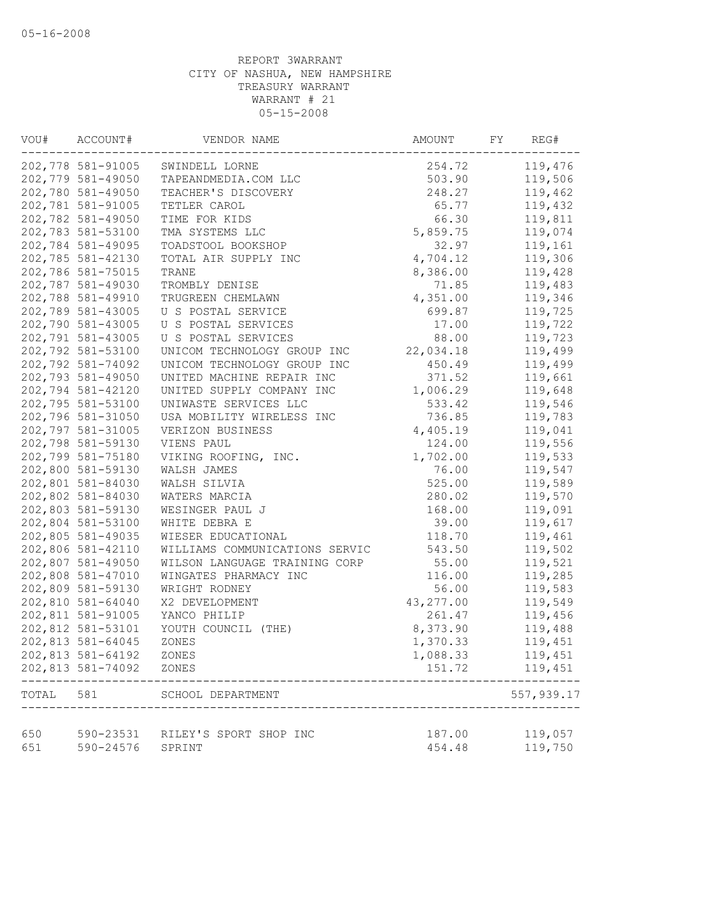| VOU#  | ACCOUNT#          | VENDOR NAME                    | AMOUNT    | FY<br>REG# |
|-------|-------------------|--------------------------------|-----------|------------|
|       | 202,778 581-91005 | SWINDELL LORNE                 | 254.72    | 119,476    |
|       | 202,779 581-49050 | TAPEANDMEDIA.COM LLC           | 503.90    | 119,506    |
|       | 202,780 581-49050 | TEACHER'S DISCOVERY            | 248.27    | 119,462    |
|       | 202,781 581-91005 | TETLER CAROL                   | 65.77     | 119,432    |
|       | 202,782 581-49050 | TIME FOR KIDS                  | 66.30     | 119,811    |
|       | 202,783 581-53100 | TMA SYSTEMS LLC                | 5,859.75  | 119,074    |
|       | 202,784 581-49095 | TOADSTOOL BOOKSHOP             | 32.97     | 119,161    |
|       | 202,785 581-42130 | TOTAL AIR SUPPLY INC           | 4,704.12  | 119,306    |
|       | 202,786 581-75015 | TRANE                          | 8,386.00  | 119,428    |
|       | 202,787 581-49030 | TROMBLY DENISE                 | 71.85     | 119,483    |
|       | 202,788 581-49910 | TRUGREEN CHEMLAWN              | 4,351.00  | 119,346    |
|       | 202,789 581-43005 | U S POSTAL SERVICE             | 699.87    | 119,725    |
|       | 202,790 581-43005 | U S POSTAL SERVICES            | 17.00     | 119,722    |
|       | 202,791 581-43005 | U S POSTAL SERVICES            | 88.00     | 119,723    |
|       | 202,792 581-53100 | UNICOM TECHNOLOGY GROUP INC    | 22,034.18 | 119,499    |
|       | 202,792 581-74092 | UNICOM TECHNOLOGY GROUP INC    | 450.49    | 119,499    |
|       | 202,793 581-49050 | UNITED MACHINE REPAIR INC      | 371.52    | 119,661    |
|       | 202,794 581-42120 | UNITED SUPPLY COMPANY INC      | 1,006.29  | 119,648    |
|       | 202,795 581-53100 | UNIWASTE SERVICES LLC          | 533.42    | 119,546    |
|       | 202,796 581-31050 | USA MOBILITY WIRELESS INC      | 736.85    | 119,783    |
|       | 202,797 581-31005 | VERIZON BUSINESS               | 4,405.19  | 119,041    |
|       | 202,798 581-59130 | VIENS PAUL                     | 124.00    | 119,556    |
|       | 202,799 581-75180 | VIKING ROOFING, INC.           | 1,702.00  | 119,533    |
|       | 202,800 581-59130 | WALSH JAMES                    | 76.00     | 119,547    |
|       | 202,801 581-84030 | WALSH SILVIA                   | 525.00    | 119,589    |
|       | 202,802 581-84030 | WATERS MARCIA                  | 280.02    | 119,570    |
|       | 202,803 581-59130 | WESINGER PAUL J                | 168.00    | 119,091    |
|       | 202,804 581-53100 | WHITE DEBRA E                  | 39.00     | 119,617    |
|       | 202,805 581-49035 | WIESER EDUCATIONAL             | 118.70    | 119,461    |
|       | 202,806 581-42110 | WILLIAMS COMMUNICATIONS SERVIC | 543.50    | 119,502    |
|       | 202,807 581-49050 | WILSON LANGUAGE TRAINING CORP  | 55.00     | 119,521    |
|       | 202,808 581-47010 | WINGATES PHARMACY INC          | 116.00    | 119,285    |
|       | 202,809 581-59130 | WRIGHT RODNEY                  | 56.00     | 119,583    |
|       | 202,810 581-64040 | X2 DEVELOPMENT                 | 43,277.00 | 119,549    |
|       | 202,811 581-91005 | YANCO PHILIP                   | 261.47    | 119,456    |
|       | 202,812 581-53101 | YOUTH COUNCIL (THE)            | 8,373.90  | 119,488    |
|       | 202,813 581-64045 | ZONES                          | 1,370.33  | 119,451    |
|       | 202,813 581-64192 | ZONES                          | 1,088.33  | 119,451    |
|       | 202,813 581-74092 | ZONES                          | 151.72    | 119,451    |
| TOTAL | 581               | SCHOOL DEPARTMENT              |           | 557,939.17 |
|       |                   |                                |           |            |
| 650   | 590-23531         | RILEY'S SPORT SHOP INC         | 187.00    | 119,057    |
| 651   | 590-24576         | SPRINT                         | 454.48    | 119,750    |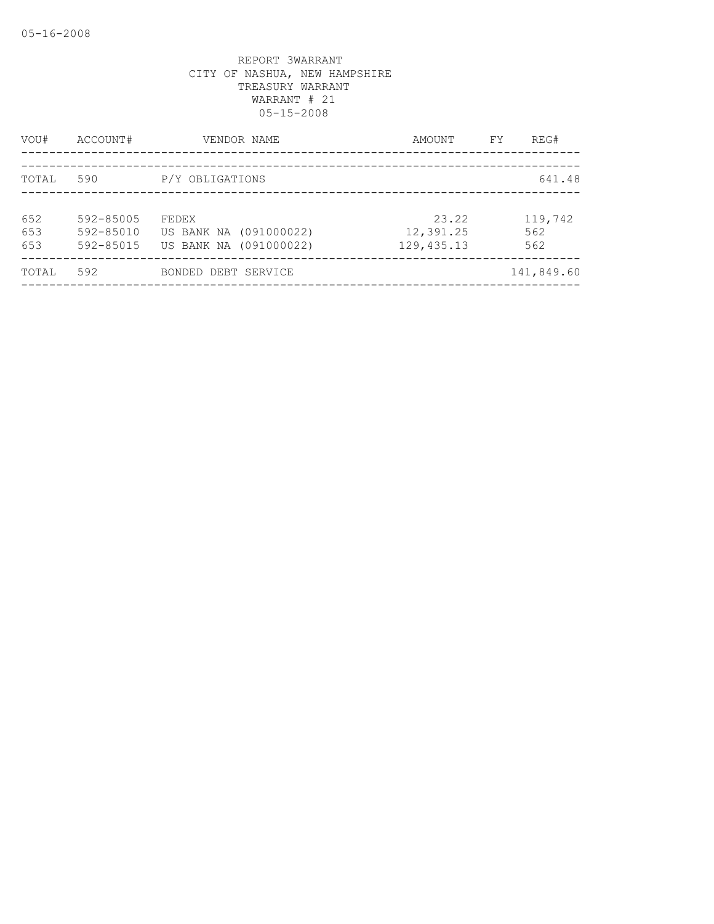| VOU#              | ACCOUNT#                            | VENDOR NAME                                               | AMOUNT                            | FY | REG#                  |
|-------------------|-------------------------------------|-----------------------------------------------------------|-----------------------------------|----|-----------------------|
| TOTAL             | 590                                 | P/Y OBLIGATIONS                                           |                                   |    | 641.48                |
| 652<br>653<br>653 | 592-85005<br>592-85010<br>592-85015 | FEDEX<br>US BANK NA (091000022)<br>US BANK NA (091000022) | 23.22<br>12,391.25<br>129, 435.13 |    | 119,742<br>562<br>562 |
| TOTAL             | 592                                 | BONDED DEBT SERVICE                                       |                                   |    | 141,849.60            |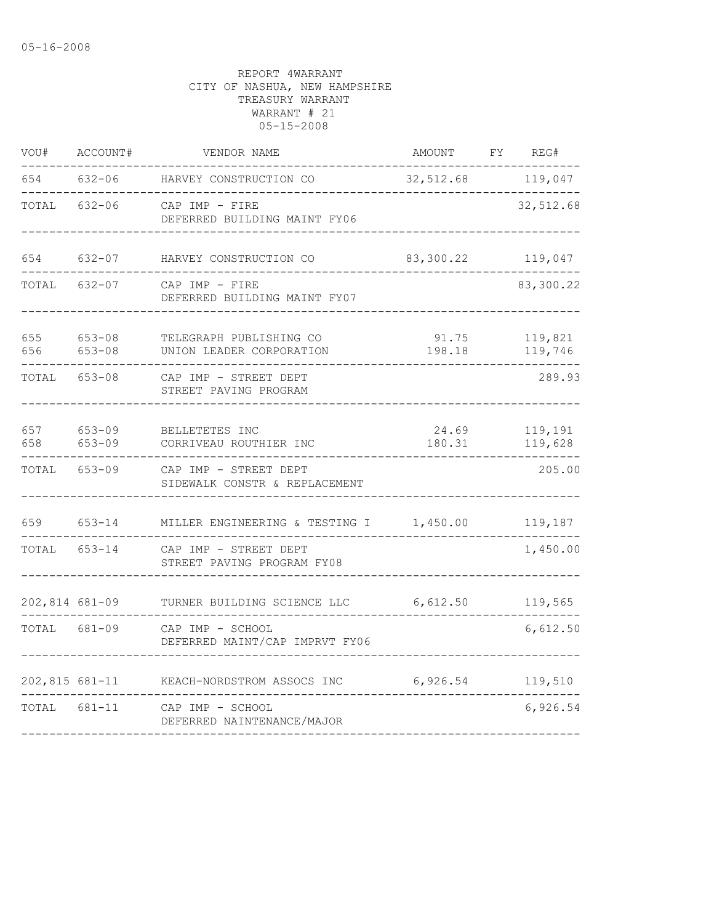| VOU#           | ACCOUNT#                 | VENDOR NAME                                            | AMOUNT          | FΥ | REG#               |
|----------------|--------------------------|--------------------------------------------------------|-----------------|----|--------------------|
| 654            | $632 - 06$               | HARVEY CONSTRUCTION CO                                 | 32,512.68       |    | 119,047            |
| TOTAL          | $632 - 06$               | CAP IMP - FIRE<br>DEFERRED BUILDING MAINT FY06         |                 |    | 32,512.68          |
| 654            | $632 - 07$               | HARVEY CONSTRUCTION CO                                 | 83,300.22       |    | 119,047            |
| TOTAL          | $632 - 07$               | CAP IMP - FIRE<br>DEFERRED BUILDING MAINT FY07         |                 |    | 83,300.22          |
| 655<br>656     | $653 - 08$<br>$653 - 08$ | TELEGRAPH PUBLISHING CO<br>UNION LEADER CORPORATION    | 91.75<br>198.18 |    | 119,821<br>119,746 |
| TOTAL          | $653 - 08$               | CAP IMP - STREET DEPT<br>STREET PAVING PROGRAM         |                 |    | 289.93             |
| 657<br>658     | $653 - 09$<br>$653 - 09$ | BELLETETES INC<br>CORRIVEAU ROUTHIER INC               | 24.69<br>180.31 |    | 119,191<br>119,628 |
| TOTAL          | $653 - 09$               | CAP IMP - STREET DEPT<br>SIDEWALK CONSTR & REPLACEMENT |                 |    | 205.00             |
| 659            | $653 - 14$               | MILLER ENGINEERING & TESTING I                         | 1,450.00        |    | 119,187            |
| TOTAL          | 653-14                   | CAP IMP - STREET DEPT<br>STREET PAVING PROGRAM FY08    |                 |    | 1,450.00           |
| 202,814 681-09 |                          | TURNER BUILDING SCIENCE LLC                            | 6,612.50        |    | 119,565            |
| TOTAL          | 681-09                   | CAP IMP - SCHOOL<br>DEFERRED MAINT/CAP IMPRVT FY06     |                 |    | 6,612.50           |
| 202,815 681-11 |                          | KEACH-NORDSTROM ASSOCS INC                             | 6,926.54        |    | 119,510            |
| TOTAL          | 681-11                   | CAP IMP - SCHOOL<br>DEFERRED NAINTENANCE/MAJOR         |                 |    | 6,926.54           |
|                |                          |                                                        |                 |    |                    |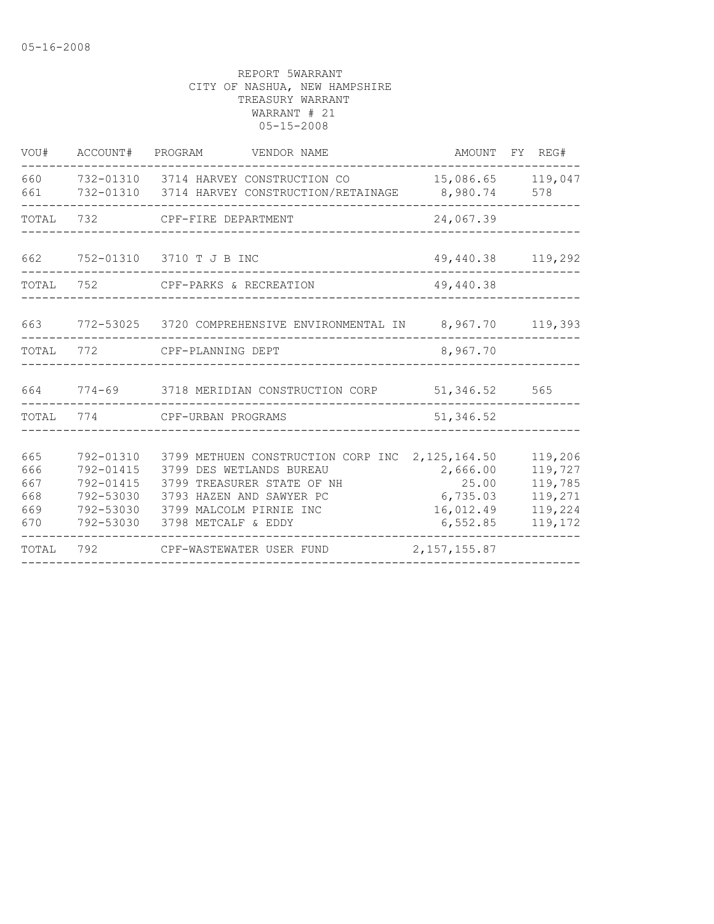| VOU#                                   | ACCOUNT# PROGRAM                                                           | VENDOR NAME                                                                                                                                                                |                                                                           | AMOUNT FY REG#                                                 |
|----------------------------------------|----------------------------------------------------------------------------|----------------------------------------------------------------------------------------------------------------------------------------------------------------------------|---------------------------------------------------------------------------|----------------------------------------------------------------|
| 660<br>661                             |                                                                            | 732-01310 3714 HARVEY CONSTRUCTION CO<br>732-01310 3714 HARVEY CONSTRUCTION/RETAINAGE                                                                                      | 8,980.74                                                                  | 15,086.65 119,047<br>578                                       |
| TOTAL                                  | 732                                                                        | CPF-FIRE DEPARTMENT                                                                                                                                                        | 24,067.39                                                                 |                                                                |
| 662                                    |                                                                            | 752-01310 3710 T J B INC                                                                                                                                                   |                                                                           | 49,440.38 119,292                                              |
| TOTAL                                  | 752                                                                        | CPF-PARKS & RECREATION                                                                                                                                                     | 49,440.38                                                                 |                                                                |
| 663                                    |                                                                            | 772-53025 3720 COMPREHENSIVE ENVIRONMENTAL IN 8,967.70                                                                                                                     |                                                                           | 119,393                                                        |
| TOTAL                                  | 772                                                                        | CPF-PLANNING DEPT                                                                                                                                                          | 8,967.70                                                                  |                                                                |
|                                        |                                                                            | 664 774-69 3718 MERIDIAN CONSTRUCTION CORP                                                                                                                                 | 51,346.52                                                                 | 565                                                            |
| TOTAL                                  | 774                                                                        | CPF-URBAN PROGRAMS                                                                                                                                                         | 51, 346.52                                                                |                                                                |
| 665<br>666<br>667<br>668<br>669<br>670 | 792-01310<br>792-01415<br>792-01415<br>792-53030<br>792-53030<br>792-53030 | 3799 METHUEN CONSTRUCTION CORP INC<br>3799 DES WETLANDS BUREAU<br>3799 TREASURER STATE OF NH<br>3793 HAZEN AND SAWYER PC<br>3799 MALCOLM PIRNIE INC<br>3798 METCALF & EDDY | 2, 125, 164.50<br>2,666.00<br>25.00<br>6,735.03<br>16,012.49<br>6, 552.85 | 119,206<br>119,727<br>119,785<br>119,271<br>119,224<br>119,172 |
| TOTAL                                  | 792                                                                        | CPF-WASTEWATER USER FUND                                                                                                                                                   | 2, 157, 155.87                                                            |                                                                |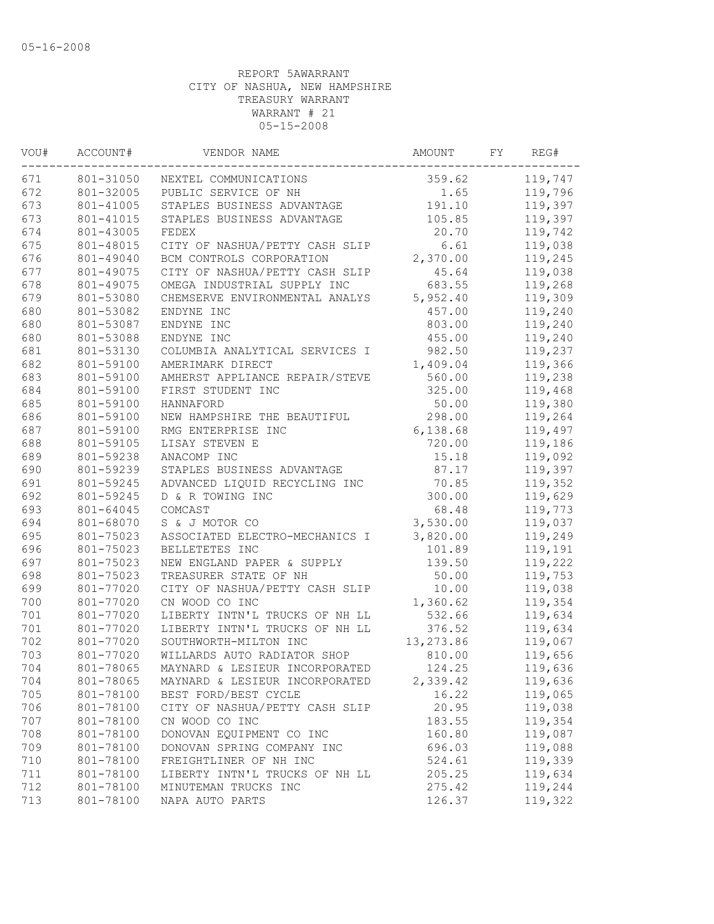| WOU# | ACCOUNT#  | VENDOR NAME                    | AMOUNT    | FY | REG#    |
|------|-----------|--------------------------------|-----------|----|---------|
| 671  | 801-31050 | NEXTEL COMMUNICATIONS          | 359.62    |    | 119,747 |
| 672  | 801-32005 | PUBLIC SERVICE OF NH           | 1.65      |    | 119,796 |
| 673  | 801-41005 | STAPLES BUSINESS ADVANTAGE     | 191.10    |    | 119,397 |
| 673  | 801-41015 | STAPLES BUSINESS ADVANTAGE     | 105.85    |    | 119,397 |
| 674  | 801-43005 | FEDEX                          | 20.70     |    | 119,742 |
| 675  | 801-48015 | CITY OF NASHUA/PETTY CASH SLIP | 6.61      |    | 119,038 |
| 676  | 801-49040 | BCM CONTROLS CORPORATION       | 2,370.00  |    | 119,245 |
| 677  | 801-49075 | CITY OF NASHUA/PETTY CASH SLIP | 45.64     |    | 119,038 |
| 678  | 801-49075 | OMEGA INDUSTRIAL SUPPLY INC    | 683.55    |    | 119,268 |
| 679  | 801-53080 | CHEMSERVE ENVIRONMENTAL ANALYS | 5,952.40  |    | 119,309 |
| 680  | 801-53082 | ENDYNE INC                     | 457.00    |    | 119,240 |
| 680  | 801-53087 | ENDYNE INC                     | 803.00    |    | 119,240 |
| 680  | 801-53088 | ENDYNE INC                     | 455.00    |    | 119,240 |
| 681  | 801-53130 | COLUMBIA ANALYTICAL SERVICES I | 982.50    |    | 119,237 |
| 682  | 801-59100 | AMERIMARK DIRECT               | 1,409.04  |    | 119,366 |
| 683  | 801-59100 | AMHERST APPLIANCE REPAIR/STEVE | 560.00    |    | 119,238 |
| 684  | 801-59100 | FIRST STUDENT INC              | 325.00    |    | 119,468 |
| 685  | 801-59100 | HANNAFORD                      | 50.00     |    | 119,380 |
| 686  | 801-59100 | NEW HAMPSHIRE THE BEAUTIFUL    | 298.00    |    | 119,264 |
| 687  | 801-59100 | RMG ENTERPRISE INC             | 6,138.68  |    | 119,497 |
| 688  | 801-59105 | LISAY STEVEN E                 | 720.00    |    | 119,186 |
| 689  | 801-59238 | ANACOMP INC                    | 15.18     |    | 119,092 |
| 690  | 801-59239 | STAPLES BUSINESS ADVANTAGE     | 87.17     |    | 119,397 |
| 691  | 801-59245 | ADVANCED LIQUID RECYCLING INC  | 70.85     |    | 119,352 |
| 692  | 801-59245 | D & R TOWING INC               | 300.00    |    | 119,629 |
| 693  | 801-64045 | COMCAST                        | 68.48     |    | 119,773 |
| 694  | 801-68070 | S & J MOTOR CO                 | 3,530.00  |    | 119,037 |
| 695  | 801-75023 | ASSOCIATED ELECTRO-MECHANICS I | 3,820.00  |    | 119,249 |
| 696  | 801-75023 | BELLETETES INC                 | 101.89    |    | 119,191 |
| 697  | 801-75023 | NEW ENGLAND PAPER & SUPPLY     | 139.50    |    | 119,222 |
| 698  | 801-75023 | TREASURER STATE OF NH          | 50.00     |    | 119,753 |
| 699  | 801-77020 | CITY OF NASHUA/PETTY CASH SLIP | 10.00     |    | 119,038 |
| 700  | 801-77020 | CN WOOD CO INC                 | 1,360.62  |    | 119,354 |
| 701  | 801-77020 | LIBERTY INTN'L TRUCKS OF NH LL | 532.66    |    | 119,634 |
| 701  | 801-77020 | LIBERTY INTN'L TRUCKS OF NH LL | 376.52    |    | 119,634 |
| 702  | 801-77020 | SOUTHWORTH-MILTON INC          | 13,273.86 |    | 119,067 |
| 703  | 801-77020 | WILLARDS AUTO RADIATOR SHOP    | 810.00    |    | 119,656 |
|      |           |                                |           |    |         |
| 704  | 801-78065 | MAYNARD & LESIEUR INCORPORATED | 124.25    |    | 119,636 |
| 704  | 801-78065 | MAYNARD & LESIEUR INCORPORATED | 2,339.42  |    | 119,636 |
| 705  | 801-78100 | BEST FORD/BEST CYCLE           | 16.22     |    | 119,065 |
| 706  | 801-78100 | CITY OF NASHUA/PETTY CASH SLIP | 20.95     |    | 119,038 |
| 707  | 801-78100 | CN WOOD CO INC                 | 183.55    |    | 119,354 |
| 708  | 801-78100 | DONOVAN EQUIPMENT CO INC       | 160.80    |    | 119,087 |
| 709  | 801-78100 | DONOVAN SPRING COMPANY INC     | 696.03    |    | 119,088 |
| 710  | 801-78100 | FREIGHTLINER OF NH INC         | 524.61    |    | 119,339 |
| 711  | 801-78100 | LIBERTY INTN'L TRUCKS OF NH LL | 205.25    |    | 119,634 |
| 712  | 801-78100 | MINUTEMAN TRUCKS INC           | 275.42    |    | 119,244 |
| 713  | 801-78100 | NAPA AUTO PARTS                | 126.37    |    | 119,322 |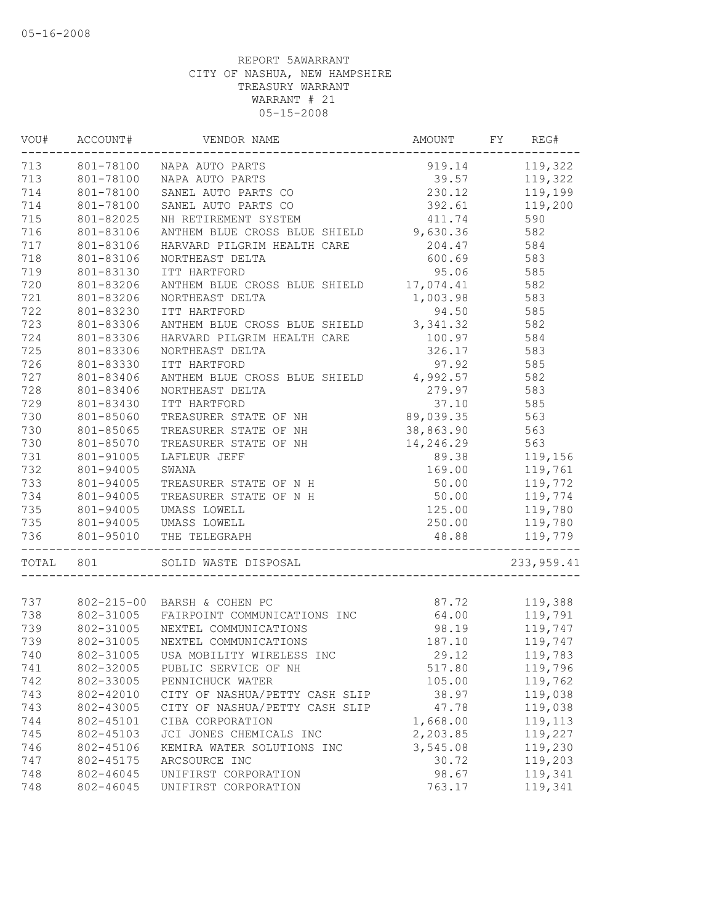| -----------<br>713 801-78100 NAPA AUTO PARTS<br>919.14 119,322<br>801-78100 NAPA AUTO PARTS<br>801-78100<br>SANEL AUTO PARTS CO<br>801-78100<br>SANEL AUTO PARTS CO<br>801-82025<br>NH RETIREMENT SYSTEM<br>411.74<br>590<br>NH RETIREMENT SYSTEM<br>ANTHEM BLUE CROSS BLUE SHIELD 9,630.36<br>582<br>801-83106<br>HARVARD PILGRIM HEALTH CARE<br>801-83106<br>204.47<br>584<br>600.69 583<br>801-83106<br>NORTHEAST DELTA<br>95.06 585<br>801-83130<br>ITT HARTFORD<br>ANTHEM BLUE CROSS BLUE SHIELD 17,074.41 582<br>801-83206<br>721<br>1,003.98 583<br>801-83206<br>NORTHEAST DELTA<br>722<br>801-83230<br>ITT HARTFORD<br>94.50 585<br>ANTHEM BLUE CROSS BLUE SHIELD 3,341.32<br>723<br>801-83306<br>582<br>724<br>HARVARD PILGRIM HEALTH CARE<br>801-83306<br>100.97<br>584<br>725<br>801-83306<br>326.17<br>583<br>NORTHEAST DELTA<br>726<br>97.92<br>585<br>801-83330<br>ITT HARTFORD<br>ANTHEM BLUE CROSS BLUE SHIELD 4,992.57<br>727<br>582<br>801-83406<br>279.97<br>728<br>583<br>801-83406<br>NORTHEAST DELTA<br>729<br>ITT HARTFORD<br>37.10 585<br>801-83430<br>TREASURER STATE OF NH 89,039.35 563<br>730<br>801-85060<br>730<br>801-85065<br>TREASURER STATE OF NH 38,863.90<br>563<br>730<br>TREASURER STATE OF NH 14,246.29 189.38 189.38 SWANA 169 00<br>563<br>801-85070<br>731<br>801-91005<br>119,156<br>732<br>169.00<br>119,761<br>119,772<br>801-94005<br>SWANA<br>$50.00$<br>$50.00$<br>$125.00$<br>733<br>801-94005<br>TREASURER STATE OF N H<br>119,774<br>801-94005<br>734<br>TREASURER STATE OF N H<br>119,780<br>801-94005<br>735<br>UMASS LOWELL<br>801-94005 UMASS LOWELL<br>735<br>250.00<br>119,780<br>801-95010 THE TELEGRAPH<br>736<br>48.88 119,779<br>----------------------------<br>TOTAL 801<br>233,959.41<br>SOLID WASTE DISPOSAL<br>802-215-00 BARSH & COHEN PC<br>802-31005 FAIRPOINT COMMUNICATIONS INC 64.00 119,791<br>802-31005 NEXTEL COMMUNICATIONS 98.19 119,747<br>737 802-215-00 BARSH & COHEN PC<br>738<br>739<br>802-31005 NEXTEL COMMUNICATIONS<br>739<br>187.10 119,747<br>802-31005 USA MOBILITY WIRELESS INC<br>29.12<br>119,783<br>802-32005<br>PUBLIC SERVICE OF NH<br>517.80<br>119,796<br>802-33005<br>PENNICHUCK WATER<br>105.00<br>119,762<br>119,038<br>802-42010<br>CITY OF NASHUA/PETTY CASH SLIP<br>38.97<br>119,038<br>802-43005<br>CITY OF NASHUA/PETTY CASH SLIP<br>47.78<br>802-45101<br>1,668.00<br>119,113<br>CIBA CORPORATION<br>2,203.85<br>119,227<br>802-45103<br>JCI JONES CHEMICALS INC<br>3,545.08<br>802-45106<br>KEMIRA WATER SOLUTIONS INC<br>119,230<br>119,203<br>802-45175<br>ARCSOURCE INC<br>30.72<br>802-46045<br>UNIFIRST CORPORATION<br>98.67<br>119,341<br>802-46045<br>UNIFIRST CORPORATION<br>763.17<br>119,341 | VOU# | ACCOUNT# | VENDOR NAME | AMOUNT | FY | REG# |
|-------------------------------------------------------------------------------------------------------------------------------------------------------------------------------------------------------------------------------------------------------------------------------------------------------------------------------------------------------------------------------------------------------------------------------------------------------------------------------------------------------------------------------------------------------------------------------------------------------------------------------------------------------------------------------------------------------------------------------------------------------------------------------------------------------------------------------------------------------------------------------------------------------------------------------------------------------------------------------------------------------------------------------------------------------------------------------------------------------------------------------------------------------------------------------------------------------------------------------------------------------------------------------------------------------------------------------------------------------------------------------------------------------------------------------------------------------------------------------------------------------------------------------------------------------------------------------------------------------------------------------------------------------------------------------------------------------------------------------------------------------------------------------------------------------------------------------------------------------------------------------------------------------------------------------------------------------------------------------------------------------------------------------------------------------------------------------------------------------------------------------------------------------------------------------------------------------------------------------------------------------------------------------------------------------------------------------------------------------------------------------------------------------------------------------------------------------------------------------------------------------------------------------------------------------------------------------------------------------------------------------------------------------------------------------------------------------------------|------|----------|-------------|--------|----|------|
|                                                                                                                                                                                                                                                                                                                                                                                                                                                                                                                                                                                                                                                                                                                                                                                                                                                                                                                                                                                                                                                                                                                                                                                                                                                                                                                                                                                                                                                                                                                                                                                                                                                                                                                                                                                                                                                                                                                                                                                                                                                                                                                                                                                                                                                                                                                                                                                                                                                                                                                                                                                                                                                                                                                   |      |          |             |        |    |      |
|                                                                                                                                                                                                                                                                                                                                                                                                                                                                                                                                                                                                                                                                                                                                                                                                                                                                                                                                                                                                                                                                                                                                                                                                                                                                                                                                                                                                                                                                                                                                                                                                                                                                                                                                                                                                                                                                                                                                                                                                                                                                                                                                                                                                                                                                                                                                                                                                                                                                                                                                                                                                                                                                                                                   | 713  |          |             |        |    |      |
|                                                                                                                                                                                                                                                                                                                                                                                                                                                                                                                                                                                                                                                                                                                                                                                                                                                                                                                                                                                                                                                                                                                                                                                                                                                                                                                                                                                                                                                                                                                                                                                                                                                                                                                                                                                                                                                                                                                                                                                                                                                                                                                                                                                                                                                                                                                                                                                                                                                                                                                                                                                                                                                                                                                   | 714  |          |             |        |    |      |
|                                                                                                                                                                                                                                                                                                                                                                                                                                                                                                                                                                                                                                                                                                                                                                                                                                                                                                                                                                                                                                                                                                                                                                                                                                                                                                                                                                                                                                                                                                                                                                                                                                                                                                                                                                                                                                                                                                                                                                                                                                                                                                                                                                                                                                                                                                                                                                                                                                                                                                                                                                                                                                                                                                                   | 714  |          |             |        |    |      |
|                                                                                                                                                                                                                                                                                                                                                                                                                                                                                                                                                                                                                                                                                                                                                                                                                                                                                                                                                                                                                                                                                                                                                                                                                                                                                                                                                                                                                                                                                                                                                                                                                                                                                                                                                                                                                                                                                                                                                                                                                                                                                                                                                                                                                                                                                                                                                                                                                                                                                                                                                                                                                                                                                                                   | 715  |          |             |        |    |      |
|                                                                                                                                                                                                                                                                                                                                                                                                                                                                                                                                                                                                                                                                                                                                                                                                                                                                                                                                                                                                                                                                                                                                                                                                                                                                                                                                                                                                                                                                                                                                                                                                                                                                                                                                                                                                                                                                                                                                                                                                                                                                                                                                                                                                                                                                                                                                                                                                                                                                                                                                                                                                                                                                                                                   | 716  |          |             |        |    |      |
|                                                                                                                                                                                                                                                                                                                                                                                                                                                                                                                                                                                                                                                                                                                                                                                                                                                                                                                                                                                                                                                                                                                                                                                                                                                                                                                                                                                                                                                                                                                                                                                                                                                                                                                                                                                                                                                                                                                                                                                                                                                                                                                                                                                                                                                                                                                                                                                                                                                                                                                                                                                                                                                                                                                   | 717  |          |             |        |    |      |
|                                                                                                                                                                                                                                                                                                                                                                                                                                                                                                                                                                                                                                                                                                                                                                                                                                                                                                                                                                                                                                                                                                                                                                                                                                                                                                                                                                                                                                                                                                                                                                                                                                                                                                                                                                                                                                                                                                                                                                                                                                                                                                                                                                                                                                                                                                                                                                                                                                                                                                                                                                                                                                                                                                                   | 718  |          |             |        |    |      |
|                                                                                                                                                                                                                                                                                                                                                                                                                                                                                                                                                                                                                                                                                                                                                                                                                                                                                                                                                                                                                                                                                                                                                                                                                                                                                                                                                                                                                                                                                                                                                                                                                                                                                                                                                                                                                                                                                                                                                                                                                                                                                                                                                                                                                                                                                                                                                                                                                                                                                                                                                                                                                                                                                                                   | 719  |          |             |        |    |      |
|                                                                                                                                                                                                                                                                                                                                                                                                                                                                                                                                                                                                                                                                                                                                                                                                                                                                                                                                                                                                                                                                                                                                                                                                                                                                                                                                                                                                                                                                                                                                                                                                                                                                                                                                                                                                                                                                                                                                                                                                                                                                                                                                                                                                                                                                                                                                                                                                                                                                                                                                                                                                                                                                                                                   | 720  |          |             |        |    |      |
|                                                                                                                                                                                                                                                                                                                                                                                                                                                                                                                                                                                                                                                                                                                                                                                                                                                                                                                                                                                                                                                                                                                                                                                                                                                                                                                                                                                                                                                                                                                                                                                                                                                                                                                                                                                                                                                                                                                                                                                                                                                                                                                                                                                                                                                                                                                                                                                                                                                                                                                                                                                                                                                                                                                   |      |          |             |        |    |      |
|                                                                                                                                                                                                                                                                                                                                                                                                                                                                                                                                                                                                                                                                                                                                                                                                                                                                                                                                                                                                                                                                                                                                                                                                                                                                                                                                                                                                                                                                                                                                                                                                                                                                                                                                                                                                                                                                                                                                                                                                                                                                                                                                                                                                                                                                                                                                                                                                                                                                                                                                                                                                                                                                                                                   |      |          |             |        |    |      |
|                                                                                                                                                                                                                                                                                                                                                                                                                                                                                                                                                                                                                                                                                                                                                                                                                                                                                                                                                                                                                                                                                                                                                                                                                                                                                                                                                                                                                                                                                                                                                                                                                                                                                                                                                                                                                                                                                                                                                                                                                                                                                                                                                                                                                                                                                                                                                                                                                                                                                                                                                                                                                                                                                                                   |      |          |             |        |    |      |
|                                                                                                                                                                                                                                                                                                                                                                                                                                                                                                                                                                                                                                                                                                                                                                                                                                                                                                                                                                                                                                                                                                                                                                                                                                                                                                                                                                                                                                                                                                                                                                                                                                                                                                                                                                                                                                                                                                                                                                                                                                                                                                                                                                                                                                                                                                                                                                                                                                                                                                                                                                                                                                                                                                                   |      |          |             |        |    |      |
|                                                                                                                                                                                                                                                                                                                                                                                                                                                                                                                                                                                                                                                                                                                                                                                                                                                                                                                                                                                                                                                                                                                                                                                                                                                                                                                                                                                                                                                                                                                                                                                                                                                                                                                                                                                                                                                                                                                                                                                                                                                                                                                                                                                                                                                                                                                                                                                                                                                                                                                                                                                                                                                                                                                   |      |          |             |        |    |      |
|                                                                                                                                                                                                                                                                                                                                                                                                                                                                                                                                                                                                                                                                                                                                                                                                                                                                                                                                                                                                                                                                                                                                                                                                                                                                                                                                                                                                                                                                                                                                                                                                                                                                                                                                                                                                                                                                                                                                                                                                                                                                                                                                                                                                                                                                                                                                                                                                                                                                                                                                                                                                                                                                                                                   |      |          |             |        |    |      |
|                                                                                                                                                                                                                                                                                                                                                                                                                                                                                                                                                                                                                                                                                                                                                                                                                                                                                                                                                                                                                                                                                                                                                                                                                                                                                                                                                                                                                                                                                                                                                                                                                                                                                                                                                                                                                                                                                                                                                                                                                                                                                                                                                                                                                                                                                                                                                                                                                                                                                                                                                                                                                                                                                                                   |      |          |             |        |    |      |
|                                                                                                                                                                                                                                                                                                                                                                                                                                                                                                                                                                                                                                                                                                                                                                                                                                                                                                                                                                                                                                                                                                                                                                                                                                                                                                                                                                                                                                                                                                                                                                                                                                                                                                                                                                                                                                                                                                                                                                                                                                                                                                                                                                                                                                                                                                                                                                                                                                                                                                                                                                                                                                                                                                                   |      |          |             |        |    |      |
|                                                                                                                                                                                                                                                                                                                                                                                                                                                                                                                                                                                                                                                                                                                                                                                                                                                                                                                                                                                                                                                                                                                                                                                                                                                                                                                                                                                                                                                                                                                                                                                                                                                                                                                                                                                                                                                                                                                                                                                                                                                                                                                                                                                                                                                                                                                                                                                                                                                                                                                                                                                                                                                                                                                   |      |          |             |        |    |      |
|                                                                                                                                                                                                                                                                                                                                                                                                                                                                                                                                                                                                                                                                                                                                                                                                                                                                                                                                                                                                                                                                                                                                                                                                                                                                                                                                                                                                                                                                                                                                                                                                                                                                                                                                                                                                                                                                                                                                                                                                                                                                                                                                                                                                                                                                                                                                                                                                                                                                                                                                                                                                                                                                                                                   |      |          |             |        |    |      |
|                                                                                                                                                                                                                                                                                                                                                                                                                                                                                                                                                                                                                                                                                                                                                                                                                                                                                                                                                                                                                                                                                                                                                                                                                                                                                                                                                                                                                                                                                                                                                                                                                                                                                                                                                                                                                                                                                                                                                                                                                                                                                                                                                                                                                                                                                                                                                                                                                                                                                                                                                                                                                                                                                                                   |      |          |             |        |    |      |
|                                                                                                                                                                                                                                                                                                                                                                                                                                                                                                                                                                                                                                                                                                                                                                                                                                                                                                                                                                                                                                                                                                                                                                                                                                                                                                                                                                                                                                                                                                                                                                                                                                                                                                                                                                                                                                                                                                                                                                                                                                                                                                                                                                                                                                                                                                                                                                                                                                                                                                                                                                                                                                                                                                                   |      |          |             |        |    |      |
|                                                                                                                                                                                                                                                                                                                                                                                                                                                                                                                                                                                                                                                                                                                                                                                                                                                                                                                                                                                                                                                                                                                                                                                                                                                                                                                                                                                                                                                                                                                                                                                                                                                                                                                                                                                                                                                                                                                                                                                                                                                                                                                                                                                                                                                                                                                                                                                                                                                                                                                                                                                                                                                                                                                   |      |          |             |        |    |      |
|                                                                                                                                                                                                                                                                                                                                                                                                                                                                                                                                                                                                                                                                                                                                                                                                                                                                                                                                                                                                                                                                                                                                                                                                                                                                                                                                                                                                                                                                                                                                                                                                                                                                                                                                                                                                                                                                                                                                                                                                                                                                                                                                                                                                                                                                                                                                                                                                                                                                                                                                                                                                                                                                                                                   |      |          |             |        |    |      |
|                                                                                                                                                                                                                                                                                                                                                                                                                                                                                                                                                                                                                                                                                                                                                                                                                                                                                                                                                                                                                                                                                                                                                                                                                                                                                                                                                                                                                                                                                                                                                                                                                                                                                                                                                                                                                                                                                                                                                                                                                                                                                                                                                                                                                                                                                                                                                                                                                                                                                                                                                                                                                                                                                                                   |      |          |             |        |    |      |
|                                                                                                                                                                                                                                                                                                                                                                                                                                                                                                                                                                                                                                                                                                                                                                                                                                                                                                                                                                                                                                                                                                                                                                                                                                                                                                                                                                                                                                                                                                                                                                                                                                                                                                                                                                                                                                                                                                                                                                                                                                                                                                                                                                                                                                                                                                                                                                                                                                                                                                                                                                                                                                                                                                                   |      |          |             |        |    |      |
|                                                                                                                                                                                                                                                                                                                                                                                                                                                                                                                                                                                                                                                                                                                                                                                                                                                                                                                                                                                                                                                                                                                                                                                                                                                                                                                                                                                                                                                                                                                                                                                                                                                                                                                                                                                                                                                                                                                                                                                                                                                                                                                                                                                                                                                                                                                                                                                                                                                                                                                                                                                                                                                                                                                   |      |          |             |        |    |      |
|                                                                                                                                                                                                                                                                                                                                                                                                                                                                                                                                                                                                                                                                                                                                                                                                                                                                                                                                                                                                                                                                                                                                                                                                                                                                                                                                                                                                                                                                                                                                                                                                                                                                                                                                                                                                                                                                                                                                                                                                                                                                                                                                                                                                                                                                                                                                                                                                                                                                                                                                                                                                                                                                                                                   |      |          |             |        |    |      |
|                                                                                                                                                                                                                                                                                                                                                                                                                                                                                                                                                                                                                                                                                                                                                                                                                                                                                                                                                                                                                                                                                                                                                                                                                                                                                                                                                                                                                                                                                                                                                                                                                                                                                                                                                                                                                                                                                                                                                                                                                                                                                                                                                                                                                                                                                                                                                                                                                                                                                                                                                                                                                                                                                                                   |      |          |             |        |    |      |
|                                                                                                                                                                                                                                                                                                                                                                                                                                                                                                                                                                                                                                                                                                                                                                                                                                                                                                                                                                                                                                                                                                                                                                                                                                                                                                                                                                                                                                                                                                                                                                                                                                                                                                                                                                                                                                                                                                                                                                                                                                                                                                                                                                                                                                                                                                                                                                                                                                                                                                                                                                                                                                                                                                                   |      |          |             |        |    |      |
|                                                                                                                                                                                                                                                                                                                                                                                                                                                                                                                                                                                                                                                                                                                                                                                                                                                                                                                                                                                                                                                                                                                                                                                                                                                                                                                                                                                                                                                                                                                                                                                                                                                                                                                                                                                                                                                                                                                                                                                                                                                                                                                                                                                                                                                                                                                                                                                                                                                                                                                                                                                                                                                                                                                   |      |          |             |        |    |      |
|                                                                                                                                                                                                                                                                                                                                                                                                                                                                                                                                                                                                                                                                                                                                                                                                                                                                                                                                                                                                                                                                                                                                                                                                                                                                                                                                                                                                                                                                                                                                                                                                                                                                                                                                                                                                                                                                                                                                                                                                                                                                                                                                                                                                                                                                                                                                                                                                                                                                                                                                                                                                                                                                                                                   |      |          |             |        |    |      |
|                                                                                                                                                                                                                                                                                                                                                                                                                                                                                                                                                                                                                                                                                                                                                                                                                                                                                                                                                                                                                                                                                                                                                                                                                                                                                                                                                                                                                                                                                                                                                                                                                                                                                                                                                                                                                                                                                                                                                                                                                                                                                                                                                                                                                                                                                                                                                                                                                                                                                                                                                                                                                                                                                                                   |      |          |             |        |    |      |
|                                                                                                                                                                                                                                                                                                                                                                                                                                                                                                                                                                                                                                                                                                                                                                                                                                                                                                                                                                                                                                                                                                                                                                                                                                                                                                                                                                                                                                                                                                                                                                                                                                                                                                                                                                                                                                                                                                                                                                                                                                                                                                                                                                                                                                                                                                                                                                                                                                                                                                                                                                                                                                                                                                                   |      |          |             |        |    |      |
|                                                                                                                                                                                                                                                                                                                                                                                                                                                                                                                                                                                                                                                                                                                                                                                                                                                                                                                                                                                                                                                                                                                                                                                                                                                                                                                                                                                                                                                                                                                                                                                                                                                                                                                                                                                                                                                                                                                                                                                                                                                                                                                                                                                                                                                                                                                                                                                                                                                                                                                                                                                                                                                                                                                   |      |          |             |        |    |      |
|                                                                                                                                                                                                                                                                                                                                                                                                                                                                                                                                                                                                                                                                                                                                                                                                                                                                                                                                                                                                                                                                                                                                                                                                                                                                                                                                                                                                                                                                                                                                                                                                                                                                                                                                                                                                                                                                                                                                                                                                                                                                                                                                                                                                                                                                                                                                                                                                                                                                                                                                                                                                                                                                                                                   |      |          |             |        |    |      |
|                                                                                                                                                                                                                                                                                                                                                                                                                                                                                                                                                                                                                                                                                                                                                                                                                                                                                                                                                                                                                                                                                                                                                                                                                                                                                                                                                                                                                                                                                                                                                                                                                                                                                                                                                                                                                                                                                                                                                                                                                                                                                                                                                                                                                                                                                                                                                                                                                                                                                                                                                                                                                                                                                                                   | 740  |          |             |        |    |      |
|                                                                                                                                                                                                                                                                                                                                                                                                                                                                                                                                                                                                                                                                                                                                                                                                                                                                                                                                                                                                                                                                                                                                                                                                                                                                                                                                                                                                                                                                                                                                                                                                                                                                                                                                                                                                                                                                                                                                                                                                                                                                                                                                                                                                                                                                                                                                                                                                                                                                                                                                                                                                                                                                                                                   | 741  |          |             |        |    |      |
|                                                                                                                                                                                                                                                                                                                                                                                                                                                                                                                                                                                                                                                                                                                                                                                                                                                                                                                                                                                                                                                                                                                                                                                                                                                                                                                                                                                                                                                                                                                                                                                                                                                                                                                                                                                                                                                                                                                                                                                                                                                                                                                                                                                                                                                                                                                                                                                                                                                                                                                                                                                                                                                                                                                   | 742  |          |             |        |    |      |
|                                                                                                                                                                                                                                                                                                                                                                                                                                                                                                                                                                                                                                                                                                                                                                                                                                                                                                                                                                                                                                                                                                                                                                                                                                                                                                                                                                                                                                                                                                                                                                                                                                                                                                                                                                                                                                                                                                                                                                                                                                                                                                                                                                                                                                                                                                                                                                                                                                                                                                                                                                                                                                                                                                                   | 743  |          |             |        |    |      |
|                                                                                                                                                                                                                                                                                                                                                                                                                                                                                                                                                                                                                                                                                                                                                                                                                                                                                                                                                                                                                                                                                                                                                                                                                                                                                                                                                                                                                                                                                                                                                                                                                                                                                                                                                                                                                                                                                                                                                                                                                                                                                                                                                                                                                                                                                                                                                                                                                                                                                                                                                                                                                                                                                                                   | 743  |          |             |        |    |      |
|                                                                                                                                                                                                                                                                                                                                                                                                                                                                                                                                                                                                                                                                                                                                                                                                                                                                                                                                                                                                                                                                                                                                                                                                                                                                                                                                                                                                                                                                                                                                                                                                                                                                                                                                                                                                                                                                                                                                                                                                                                                                                                                                                                                                                                                                                                                                                                                                                                                                                                                                                                                                                                                                                                                   | 744  |          |             |        |    |      |
|                                                                                                                                                                                                                                                                                                                                                                                                                                                                                                                                                                                                                                                                                                                                                                                                                                                                                                                                                                                                                                                                                                                                                                                                                                                                                                                                                                                                                                                                                                                                                                                                                                                                                                                                                                                                                                                                                                                                                                                                                                                                                                                                                                                                                                                                                                                                                                                                                                                                                                                                                                                                                                                                                                                   | 745  |          |             |        |    |      |
|                                                                                                                                                                                                                                                                                                                                                                                                                                                                                                                                                                                                                                                                                                                                                                                                                                                                                                                                                                                                                                                                                                                                                                                                                                                                                                                                                                                                                                                                                                                                                                                                                                                                                                                                                                                                                                                                                                                                                                                                                                                                                                                                                                                                                                                                                                                                                                                                                                                                                                                                                                                                                                                                                                                   | 746  |          |             |        |    |      |
|                                                                                                                                                                                                                                                                                                                                                                                                                                                                                                                                                                                                                                                                                                                                                                                                                                                                                                                                                                                                                                                                                                                                                                                                                                                                                                                                                                                                                                                                                                                                                                                                                                                                                                                                                                                                                                                                                                                                                                                                                                                                                                                                                                                                                                                                                                                                                                                                                                                                                                                                                                                                                                                                                                                   | 747  |          |             |        |    |      |
|                                                                                                                                                                                                                                                                                                                                                                                                                                                                                                                                                                                                                                                                                                                                                                                                                                                                                                                                                                                                                                                                                                                                                                                                                                                                                                                                                                                                                                                                                                                                                                                                                                                                                                                                                                                                                                                                                                                                                                                                                                                                                                                                                                                                                                                                                                                                                                                                                                                                                                                                                                                                                                                                                                                   | 748  |          |             |        |    |      |
|                                                                                                                                                                                                                                                                                                                                                                                                                                                                                                                                                                                                                                                                                                                                                                                                                                                                                                                                                                                                                                                                                                                                                                                                                                                                                                                                                                                                                                                                                                                                                                                                                                                                                                                                                                                                                                                                                                                                                                                                                                                                                                                                                                                                                                                                                                                                                                                                                                                                                                                                                                                                                                                                                                                   | 748  |          |             |        |    |      |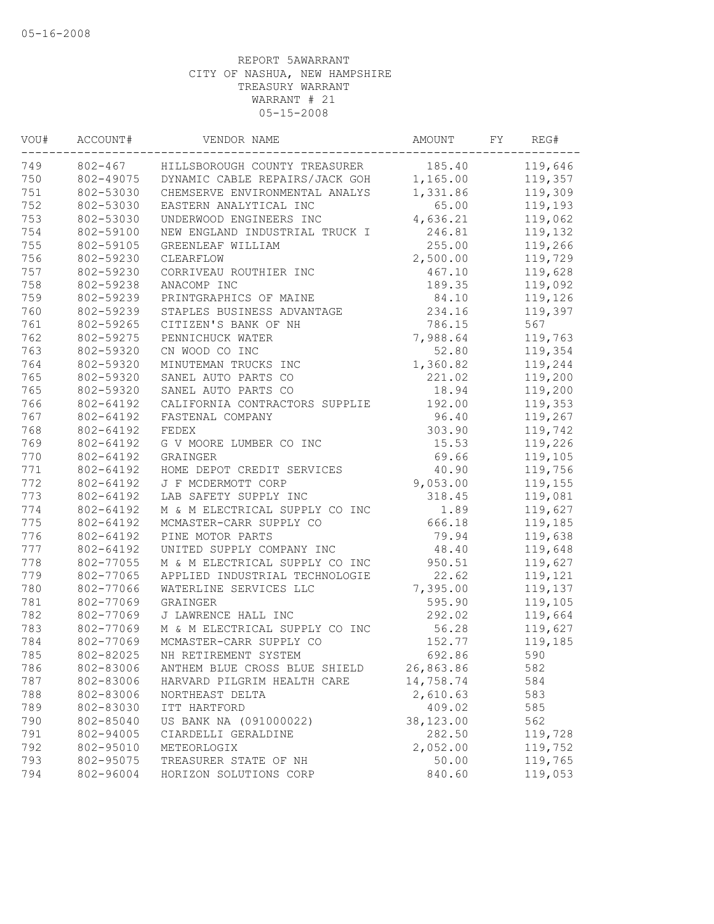| 802-467<br>185.40<br>HILLSBOROUGH COUNTY TREASURER<br>750<br>DYNAMIC CABLE REPAIRS/JACK GOH<br>802-49075<br>1,165.00<br>751<br>802-53030<br>CHEMSERVE ENVIRONMENTAL ANALYS<br>1,331.86<br>752<br>802-53030<br>EASTERN ANALYTICAL INC<br>65.00<br>753<br>802-53030<br>4,636.21<br>UNDERWOOD ENGINEERS INC<br>754<br>802-59100<br>246.81<br>NEW ENGLAND INDUSTRIAL TRUCK I<br>755<br>255.00<br>802-59105<br>GREENLEAF WILLIAM<br>756<br>2,500.00<br>802-59230<br>119,729<br>CLEARFLOW<br>757<br>802-59230<br>467.10<br>119,628<br>CORRIVEAU ROUTHIER INC<br>758<br>119,092<br>802-59238<br>ANACOMP INC<br>189.35<br>759<br>802-59239<br>84.10<br>119,126<br>PRINTGRAPHICS OF MAINE<br>760<br>802-59239<br>STAPLES BUSINESS ADVANTAGE<br>234.16<br>119,397<br>761<br>802-59265<br>CITIZEN'S BANK OF NH<br>567<br>786.15<br>762<br>802-59275<br>PENNICHUCK WATER<br>7,988.64<br>119,763<br>763<br>802-59320<br>CN WOOD CO INC<br>52.80<br>119,354<br>764<br>1,360.82<br>119,244<br>802-59320<br>MINUTEMAN TRUCKS INC<br>765<br>221.02<br>119,200<br>802-59320<br>SANEL AUTO PARTS CO<br>765<br>802-59320<br>SANEL AUTO PARTS CO<br>18.94<br>119,200<br>766<br>192.00<br>802-64192<br>CALIFORNIA CONTRACTORS SUPPLIE<br>767<br>802-64192<br>FASTENAL COMPANY<br>96.40<br>768<br>802-64192<br>FEDEX<br>303.90<br>769<br>802-64192<br>15.53<br>G V MOORE LUMBER CO INC<br>770<br>802-64192<br>69.66<br>GRAINGER<br>771<br>802-64192<br>40.90<br>HOME DEPOT CREDIT SERVICES<br>9,053.00<br>802-64192<br>J F MCDERMOTT CORP<br>802-64192<br>LAB SAFETY SUPPLY INC<br>318.45<br>802-64192<br>M & M ELECTRICAL SUPPLY CO INC<br>1.89<br>775<br>MCMASTER-CARR SUPPLY CO<br>666.18<br>802-64192<br>802-64192<br>PINE MOTOR PARTS<br>79.94<br>802-64192<br>UNITED SUPPLY COMPANY INC<br>48.40<br>802-77055<br>M & M ELECTRICAL SUPPLY CO INC<br>950.51<br>802-77065<br>22.62<br>APPLIED INDUSTRIAL TECHNOLOGIE<br>802-77066<br>7,395.00<br>WATERLINE SERVICES LLC<br>802-77069<br>595.90<br>GRAINGER<br>782<br>802-77069<br>J LAWRENCE HALL INC<br>292.02<br>783<br>802-77069<br>M & M ELECTRICAL SUPPLY CO INC<br>56.28<br>784<br>802-77069<br>MCMASTER-CARR SUPPLY CO<br>152.77<br>785<br>802-82025<br>692.86<br>590<br>NH RETIREMENT SYSTEM<br>786<br>802-83006<br>26,863.86<br>ANTHEM BLUE CROSS BLUE SHIELD<br>582<br>787<br>802-83006<br>14,758.74<br>HARVARD PILGRIM HEALTH CARE<br>584<br>2,610.63<br>802-83006<br>583<br>NORTHEAST DELTA<br>409.02<br>789<br>802-83030<br>585<br>ITT HARTFORD<br>790<br>802-85040<br>US BANK NA (091000022)<br>38,123.00<br>562<br>282.50<br>791<br>802-94005<br>CIARDELLI GERALDINE<br>2,052.00<br>802-95010<br>METEORLOGIX<br>802-95075<br>TREASURER STATE OF NH<br>50.00<br>840.60<br>802-96004<br>HORIZON SOLUTIONS CORP | VOU# | ACCOUNT# | VENDOR NAME | AMOUNT | FY | REG#    |
|---------------------------------------------------------------------------------------------------------------------------------------------------------------------------------------------------------------------------------------------------------------------------------------------------------------------------------------------------------------------------------------------------------------------------------------------------------------------------------------------------------------------------------------------------------------------------------------------------------------------------------------------------------------------------------------------------------------------------------------------------------------------------------------------------------------------------------------------------------------------------------------------------------------------------------------------------------------------------------------------------------------------------------------------------------------------------------------------------------------------------------------------------------------------------------------------------------------------------------------------------------------------------------------------------------------------------------------------------------------------------------------------------------------------------------------------------------------------------------------------------------------------------------------------------------------------------------------------------------------------------------------------------------------------------------------------------------------------------------------------------------------------------------------------------------------------------------------------------------------------------------------------------------------------------------------------------------------------------------------------------------------------------------------------------------------------------------------------------------------------------------------------------------------------------------------------------------------------------------------------------------------------------------------------------------------------------------------------------------------------------------------------------------------------------------------------------------------------------------------------------------------------------------------------------------------------------------------------------------------------------------------------------------------------------------------------------------------------------------------------------------|------|----------|-------------|--------|----|---------|
|                                                                                                                                                                                                                                                                                                                                                                                                                                                                                                                                                                                                                                                                                                                                                                                                                                                                                                                                                                                                                                                                                                                                                                                                                                                                                                                                                                                                                                                                                                                                                                                                                                                                                                                                                                                                                                                                                                                                                                                                                                                                                                                                                                                                                                                                                                                                                                                                                                                                                                                                                                                                                                                                                                                                                         | 749  |          |             |        |    | 119,646 |
|                                                                                                                                                                                                                                                                                                                                                                                                                                                                                                                                                                                                                                                                                                                                                                                                                                                                                                                                                                                                                                                                                                                                                                                                                                                                                                                                                                                                                                                                                                                                                                                                                                                                                                                                                                                                                                                                                                                                                                                                                                                                                                                                                                                                                                                                                                                                                                                                                                                                                                                                                                                                                                                                                                                                                         |      |          |             |        |    | 119,357 |
|                                                                                                                                                                                                                                                                                                                                                                                                                                                                                                                                                                                                                                                                                                                                                                                                                                                                                                                                                                                                                                                                                                                                                                                                                                                                                                                                                                                                                                                                                                                                                                                                                                                                                                                                                                                                                                                                                                                                                                                                                                                                                                                                                                                                                                                                                                                                                                                                                                                                                                                                                                                                                                                                                                                                                         |      |          |             |        |    | 119,309 |
|                                                                                                                                                                                                                                                                                                                                                                                                                                                                                                                                                                                                                                                                                                                                                                                                                                                                                                                                                                                                                                                                                                                                                                                                                                                                                                                                                                                                                                                                                                                                                                                                                                                                                                                                                                                                                                                                                                                                                                                                                                                                                                                                                                                                                                                                                                                                                                                                                                                                                                                                                                                                                                                                                                                                                         |      |          |             |        |    | 119,193 |
|                                                                                                                                                                                                                                                                                                                                                                                                                                                                                                                                                                                                                                                                                                                                                                                                                                                                                                                                                                                                                                                                                                                                                                                                                                                                                                                                                                                                                                                                                                                                                                                                                                                                                                                                                                                                                                                                                                                                                                                                                                                                                                                                                                                                                                                                                                                                                                                                                                                                                                                                                                                                                                                                                                                                                         |      |          |             |        |    | 119,062 |
|                                                                                                                                                                                                                                                                                                                                                                                                                                                                                                                                                                                                                                                                                                                                                                                                                                                                                                                                                                                                                                                                                                                                                                                                                                                                                                                                                                                                                                                                                                                                                                                                                                                                                                                                                                                                                                                                                                                                                                                                                                                                                                                                                                                                                                                                                                                                                                                                                                                                                                                                                                                                                                                                                                                                                         |      |          |             |        |    | 119,132 |
|                                                                                                                                                                                                                                                                                                                                                                                                                                                                                                                                                                                                                                                                                                                                                                                                                                                                                                                                                                                                                                                                                                                                                                                                                                                                                                                                                                                                                                                                                                                                                                                                                                                                                                                                                                                                                                                                                                                                                                                                                                                                                                                                                                                                                                                                                                                                                                                                                                                                                                                                                                                                                                                                                                                                                         |      |          |             |        |    | 119,266 |
|                                                                                                                                                                                                                                                                                                                                                                                                                                                                                                                                                                                                                                                                                                                                                                                                                                                                                                                                                                                                                                                                                                                                                                                                                                                                                                                                                                                                                                                                                                                                                                                                                                                                                                                                                                                                                                                                                                                                                                                                                                                                                                                                                                                                                                                                                                                                                                                                                                                                                                                                                                                                                                                                                                                                                         |      |          |             |        |    |         |
|                                                                                                                                                                                                                                                                                                                                                                                                                                                                                                                                                                                                                                                                                                                                                                                                                                                                                                                                                                                                                                                                                                                                                                                                                                                                                                                                                                                                                                                                                                                                                                                                                                                                                                                                                                                                                                                                                                                                                                                                                                                                                                                                                                                                                                                                                                                                                                                                                                                                                                                                                                                                                                                                                                                                                         |      |          |             |        |    |         |
|                                                                                                                                                                                                                                                                                                                                                                                                                                                                                                                                                                                                                                                                                                                                                                                                                                                                                                                                                                                                                                                                                                                                                                                                                                                                                                                                                                                                                                                                                                                                                                                                                                                                                                                                                                                                                                                                                                                                                                                                                                                                                                                                                                                                                                                                                                                                                                                                                                                                                                                                                                                                                                                                                                                                                         |      |          |             |        |    |         |
|                                                                                                                                                                                                                                                                                                                                                                                                                                                                                                                                                                                                                                                                                                                                                                                                                                                                                                                                                                                                                                                                                                                                                                                                                                                                                                                                                                                                                                                                                                                                                                                                                                                                                                                                                                                                                                                                                                                                                                                                                                                                                                                                                                                                                                                                                                                                                                                                                                                                                                                                                                                                                                                                                                                                                         |      |          |             |        |    |         |
|                                                                                                                                                                                                                                                                                                                                                                                                                                                                                                                                                                                                                                                                                                                                                                                                                                                                                                                                                                                                                                                                                                                                                                                                                                                                                                                                                                                                                                                                                                                                                                                                                                                                                                                                                                                                                                                                                                                                                                                                                                                                                                                                                                                                                                                                                                                                                                                                                                                                                                                                                                                                                                                                                                                                                         |      |          |             |        |    |         |
|                                                                                                                                                                                                                                                                                                                                                                                                                                                                                                                                                                                                                                                                                                                                                                                                                                                                                                                                                                                                                                                                                                                                                                                                                                                                                                                                                                                                                                                                                                                                                                                                                                                                                                                                                                                                                                                                                                                                                                                                                                                                                                                                                                                                                                                                                                                                                                                                                                                                                                                                                                                                                                                                                                                                                         |      |          |             |        |    |         |
|                                                                                                                                                                                                                                                                                                                                                                                                                                                                                                                                                                                                                                                                                                                                                                                                                                                                                                                                                                                                                                                                                                                                                                                                                                                                                                                                                                                                                                                                                                                                                                                                                                                                                                                                                                                                                                                                                                                                                                                                                                                                                                                                                                                                                                                                                                                                                                                                                                                                                                                                                                                                                                                                                                                                                         |      |          |             |        |    |         |
|                                                                                                                                                                                                                                                                                                                                                                                                                                                                                                                                                                                                                                                                                                                                                                                                                                                                                                                                                                                                                                                                                                                                                                                                                                                                                                                                                                                                                                                                                                                                                                                                                                                                                                                                                                                                                                                                                                                                                                                                                                                                                                                                                                                                                                                                                                                                                                                                                                                                                                                                                                                                                                                                                                                                                         |      |          |             |        |    |         |
|                                                                                                                                                                                                                                                                                                                                                                                                                                                                                                                                                                                                                                                                                                                                                                                                                                                                                                                                                                                                                                                                                                                                                                                                                                                                                                                                                                                                                                                                                                                                                                                                                                                                                                                                                                                                                                                                                                                                                                                                                                                                                                                                                                                                                                                                                                                                                                                                                                                                                                                                                                                                                                                                                                                                                         |      |          |             |        |    |         |
|                                                                                                                                                                                                                                                                                                                                                                                                                                                                                                                                                                                                                                                                                                                                                                                                                                                                                                                                                                                                                                                                                                                                                                                                                                                                                                                                                                                                                                                                                                                                                                                                                                                                                                                                                                                                                                                                                                                                                                                                                                                                                                                                                                                                                                                                                                                                                                                                                                                                                                                                                                                                                                                                                                                                                         |      |          |             |        |    |         |
|                                                                                                                                                                                                                                                                                                                                                                                                                                                                                                                                                                                                                                                                                                                                                                                                                                                                                                                                                                                                                                                                                                                                                                                                                                                                                                                                                                                                                                                                                                                                                                                                                                                                                                                                                                                                                                                                                                                                                                                                                                                                                                                                                                                                                                                                                                                                                                                                                                                                                                                                                                                                                                                                                                                                                         |      |          |             |        |    |         |
|                                                                                                                                                                                                                                                                                                                                                                                                                                                                                                                                                                                                                                                                                                                                                                                                                                                                                                                                                                                                                                                                                                                                                                                                                                                                                                                                                                                                                                                                                                                                                                                                                                                                                                                                                                                                                                                                                                                                                                                                                                                                                                                                                                                                                                                                                                                                                                                                                                                                                                                                                                                                                                                                                                                                                         |      |          |             |        |    | 119,353 |
|                                                                                                                                                                                                                                                                                                                                                                                                                                                                                                                                                                                                                                                                                                                                                                                                                                                                                                                                                                                                                                                                                                                                                                                                                                                                                                                                                                                                                                                                                                                                                                                                                                                                                                                                                                                                                                                                                                                                                                                                                                                                                                                                                                                                                                                                                                                                                                                                                                                                                                                                                                                                                                                                                                                                                         |      |          |             |        |    | 119,267 |
|                                                                                                                                                                                                                                                                                                                                                                                                                                                                                                                                                                                                                                                                                                                                                                                                                                                                                                                                                                                                                                                                                                                                                                                                                                                                                                                                                                                                                                                                                                                                                                                                                                                                                                                                                                                                                                                                                                                                                                                                                                                                                                                                                                                                                                                                                                                                                                                                                                                                                                                                                                                                                                                                                                                                                         |      |          |             |        |    | 119,742 |
|                                                                                                                                                                                                                                                                                                                                                                                                                                                                                                                                                                                                                                                                                                                                                                                                                                                                                                                                                                                                                                                                                                                                                                                                                                                                                                                                                                                                                                                                                                                                                                                                                                                                                                                                                                                                                                                                                                                                                                                                                                                                                                                                                                                                                                                                                                                                                                                                                                                                                                                                                                                                                                                                                                                                                         |      |          |             |        |    | 119,226 |
|                                                                                                                                                                                                                                                                                                                                                                                                                                                                                                                                                                                                                                                                                                                                                                                                                                                                                                                                                                                                                                                                                                                                                                                                                                                                                                                                                                                                                                                                                                                                                                                                                                                                                                                                                                                                                                                                                                                                                                                                                                                                                                                                                                                                                                                                                                                                                                                                                                                                                                                                                                                                                                                                                                                                                         |      |          |             |        |    | 119,105 |
|                                                                                                                                                                                                                                                                                                                                                                                                                                                                                                                                                                                                                                                                                                                                                                                                                                                                                                                                                                                                                                                                                                                                                                                                                                                                                                                                                                                                                                                                                                                                                                                                                                                                                                                                                                                                                                                                                                                                                                                                                                                                                                                                                                                                                                                                                                                                                                                                                                                                                                                                                                                                                                                                                                                                                         |      |          |             |        |    | 119,756 |
|                                                                                                                                                                                                                                                                                                                                                                                                                                                                                                                                                                                                                                                                                                                                                                                                                                                                                                                                                                                                                                                                                                                                                                                                                                                                                                                                                                                                                                                                                                                                                                                                                                                                                                                                                                                                                                                                                                                                                                                                                                                                                                                                                                                                                                                                                                                                                                                                                                                                                                                                                                                                                                                                                                                                                         | 772  |          |             |        |    | 119,155 |
|                                                                                                                                                                                                                                                                                                                                                                                                                                                                                                                                                                                                                                                                                                                                                                                                                                                                                                                                                                                                                                                                                                                                                                                                                                                                                                                                                                                                                                                                                                                                                                                                                                                                                                                                                                                                                                                                                                                                                                                                                                                                                                                                                                                                                                                                                                                                                                                                                                                                                                                                                                                                                                                                                                                                                         | 773  |          |             |        |    | 119,081 |
|                                                                                                                                                                                                                                                                                                                                                                                                                                                                                                                                                                                                                                                                                                                                                                                                                                                                                                                                                                                                                                                                                                                                                                                                                                                                                                                                                                                                                                                                                                                                                                                                                                                                                                                                                                                                                                                                                                                                                                                                                                                                                                                                                                                                                                                                                                                                                                                                                                                                                                                                                                                                                                                                                                                                                         | 774  |          |             |        |    | 119,627 |
|                                                                                                                                                                                                                                                                                                                                                                                                                                                                                                                                                                                                                                                                                                                                                                                                                                                                                                                                                                                                                                                                                                                                                                                                                                                                                                                                                                                                                                                                                                                                                                                                                                                                                                                                                                                                                                                                                                                                                                                                                                                                                                                                                                                                                                                                                                                                                                                                                                                                                                                                                                                                                                                                                                                                                         |      |          |             |        |    | 119,185 |
|                                                                                                                                                                                                                                                                                                                                                                                                                                                                                                                                                                                                                                                                                                                                                                                                                                                                                                                                                                                                                                                                                                                                                                                                                                                                                                                                                                                                                                                                                                                                                                                                                                                                                                                                                                                                                                                                                                                                                                                                                                                                                                                                                                                                                                                                                                                                                                                                                                                                                                                                                                                                                                                                                                                                                         | 776  |          |             |        |    | 119,638 |
|                                                                                                                                                                                                                                                                                                                                                                                                                                                                                                                                                                                                                                                                                                                                                                                                                                                                                                                                                                                                                                                                                                                                                                                                                                                                                                                                                                                                                                                                                                                                                                                                                                                                                                                                                                                                                                                                                                                                                                                                                                                                                                                                                                                                                                                                                                                                                                                                                                                                                                                                                                                                                                                                                                                                                         | 777  |          |             |        |    | 119,648 |
|                                                                                                                                                                                                                                                                                                                                                                                                                                                                                                                                                                                                                                                                                                                                                                                                                                                                                                                                                                                                                                                                                                                                                                                                                                                                                                                                                                                                                                                                                                                                                                                                                                                                                                                                                                                                                                                                                                                                                                                                                                                                                                                                                                                                                                                                                                                                                                                                                                                                                                                                                                                                                                                                                                                                                         | 778  |          |             |        |    | 119,627 |
|                                                                                                                                                                                                                                                                                                                                                                                                                                                                                                                                                                                                                                                                                                                                                                                                                                                                                                                                                                                                                                                                                                                                                                                                                                                                                                                                                                                                                                                                                                                                                                                                                                                                                                                                                                                                                                                                                                                                                                                                                                                                                                                                                                                                                                                                                                                                                                                                                                                                                                                                                                                                                                                                                                                                                         | 779  |          |             |        |    | 119,121 |
|                                                                                                                                                                                                                                                                                                                                                                                                                                                                                                                                                                                                                                                                                                                                                                                                                                                                                                                                                                                                                                                                                                                                                                                                                                                                                                                                                                                                                                                                                                                                                                                                                                                                                                                                                                                                                                                                                                                                                                                                                                                                                                                                                                                                                                                                                                                                                                                                                                                                                                                                                                                                                                                                                                                                                         | 780  |          |             |        |    | 119,137 |
|                                                                                                                                                                                                                                                                                                                                                                                                                                                                                                                                                                                                                                                                                                                                                                                                                                                                                                                                                                                                                                                                                                                                                                                                                                                                                                                                                                                                                                                                                                                                                                                                                                                                                                                                                                                                                                                                                                                                                                                                                                                                                                                                                                                                                                                                                                                                                                                                                                                                                                                                                                                                                                                                                                                                                         | 781  |          |             |        |    | 119,105 |
|                                                                                                                                                                                                                                                                                                                                                                                                                                                                                                                                                                                                                                                                                                                                                                                                                                                                                                                                                                                                                                                                                                                                                                                                                                                                                                                                                                                                                                                                                                                                                                                                                                                                                                                                                                                                                                                                                                                                                                                                                                                                                                                                                                                                                                                                                                                                                                                                                                                                                                                                                                                                                                                                                                                                                         |      |          |             |        |    | 119,664 |
|                                                                                                                                                                                                                                                                                                                                                                                                                                                                                                                                                                                                                                                                                                                                                                                                                                                                                                                                                                                                                                                                                                                                                                                                                                                                                                                                                                                                                                                                                                                                                                                                                                                                                                                                                                                                                                                                                                                                                                                                                                                                                                                                                                                                                                                                                                                                                                                                                                                                                                                                                                                                                                                                                                                                                         |      |          |             |        |    | 119,627 |
|                                                                                                                                                                                                                                                                                                                                                                                                                                                                                                                                                                                                                                                                                                                                                                                                                                                                                                                                                                                                                                                                                                                                                                                                                                                                                                                                                                                                                                                                                                                                                                                                                                                                                                                                                                                                                                                                                                                                                                                                                                                                                                                                                                                                                                                                                                                                                                                                                                                                                                                                                                                                                                                                                                                                                         |      |          |             |        |    | 119,185 |
|                                                                                                                                                                                                                                                                                                                                                                                                                                                                                                                                                                                                                                                                                                                                                                                                                                                                                                                                                                                                                                                                                                                                                                                                                                                                                                                                                                                                                                                                                                                                                                                                                                                                                                                                                                                                                                                                                                                                                                                                                                                                                                                                                                                                                                                                                                                                                                                                                                                                                                                                                                                                                                                                                                                                                         |      |          |             |        |    |         |
|                                                                                                                                                                                                                                                                                                                                                                                                                                                                                                                                                                                                                                                                                                                                                                                                                                                                                                                                                                                                                                                                                                                                                                                                                                                                                                                                                                                                                                                                                                                                                                                                                                                                                                                                                                                                                                                                                                                                                                                                                                                                                                                                                                                                                                                                                                                                                                                                                                                                                                                                                                                                                                                                                                                                                         |      |          |             |        |    |         |
|                                                                                                                                                                                                                                                                                                                                                                                                                                                                                                                                                                                                                                                                                                                                                                                                                                                                                                                                                                                                                                                                                                                                                                                                                                                                                                                                                                                                                                                                                                                                                                                                                                                                                                                                                                                                                                                                                                                                                                                                                                                                                                                                                                                                                                                                                                                                                                                                                                                                                                                                                                                                                                                                                                                                                         |      |          |             |        |    |         |
|                                                                                                                                                                                                                                                                                                                                                                                                                                                                                                                                                                                                                                                                                                                                                                                                                                                                                                                                                                                                                                                                                                                                                                                                                                                                                                                                                                                                                                                                                                                                                                                                                                                                                                                                                                                                                                                                                                                                                                                                                                                                                                                                                                                                                                                                                                                                                                                                                                                                                                                                                                                                                                                                                                                                                         | 788  |          |             |        |    |         |
|                                                                                                                                                                                                                                                                                                                                                                                                                                                                                                                                                                                                                                                                                                                                                                                                                                                                                                                                                                                                                                                                                                                                                                                                                                                                                                                                                                                                                                                                                                                                                                                                                                                                                                                                                                                                                                                                                                                                                                                                                                                                                                                                                                                                                                                                                                                                                                                                                                                                                                                                                                                                                                                                                                                                                         |      |          |             |        |    |         |
|                                                                                                                                                                                                                                                                                                                                                                                                                                                                                                                                                                                                                                                                                                                                                                                                                                                                                                                                                                                                                                                                                                                                                                                                                                                                                                                                                                                                                                                                                                                                                                                                                                                                                                                                                                                                                                                                                                                                                                                                                                                                                                                                                                                                                                                                                                                                                                                                                                                                                                                                                                                                                                                                                                                                                         |      |          |             |        |    |         |
|                                                                                                                                                                                                                                                                                                                                                                                                                                                                                                                                                                                                                                                                                                                                                                                                                                                                                                                                                                                                                                                                                                                                                                                                                                                                                                                                                                                                                                                                                                                                                                                                                                                                                                                                                                                                                                                                                                                                                                                                                                                                                                                                                                                                                                                                                                                                                                                                                                                                                                                                                                                                                                                                                                                                                         |      |          |             |        |    | 119,728 |
|                                                                                                                                                                                                                                                                                                                                                                                                                                                                                                                                                                                                                                                                                                                                                                                                                                                                                                                                                                                                                                                                                                                                                                                                                                                                                                                                                                                                                                                                                                                                                                                                                                                                                                                                                                                                                                                                                                                                                                                                                                                                                                                                                                                                                                                                                                                                                                                                                                                                                                                                                                                                                                                                                                                                                         | 792  |          |             |        |    | 119,752 |
|                                                                                                                                                                                                                                                                                                                                                                                                                                                                                                                                                                                                                                                                                                                                                                                                                                                                                                                                                                                                                                                                                                                                                                                                                                                                                                                                                                                                                                                                                                                                                                                                                                                                                                                                                                                                                                                                                                                                                                                                                                                                                                                                                                                                                                                                                                                                                                                                                                                                                                                                                                                                                                                                                                                                                         | 793  |          |             |        |    | 119,765 |
|                                                                                                                                                                                                                                                                                                                                                                                                                                                                                                                                                                                                                                                                                                                                                                                                                                                                                                                                                                                                                                                                                                                                                                                                                                                                                                                                                                                                                                                                                                                                                                                                                                                                                                                                                                                                                                                                                                                                                                                                                                                                                                                                                                                                                                                                                                                                                                                                                                                                                                                                                                                                                                                                                                                                                         | 794  |          |             |        |    | 119,053 |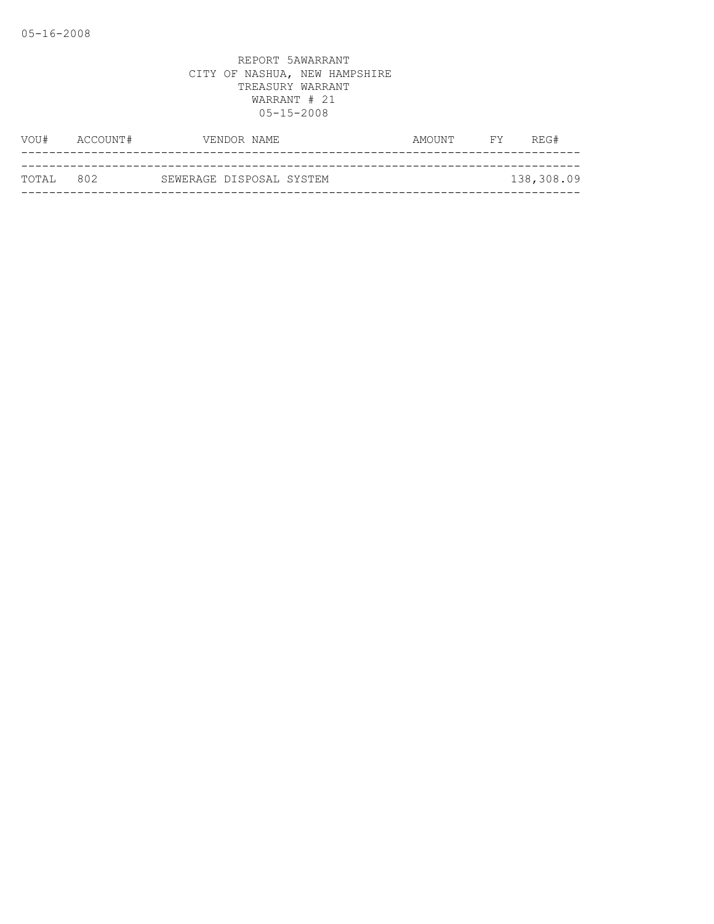| VOU#      | ACCOUNT# |                          | VENDOR NAME | AMOUNT | FY | REG#       |
|-----------|----------|--------------------------|-------------|--------|----|------------|
|           |          |                          |             |        |    |            |
| TOTAL 802 |          | SEWERAGE DISPOSAL SYSTEM |             |        |    | 138,308.09 |
|           |          |                          |             |        |    |            |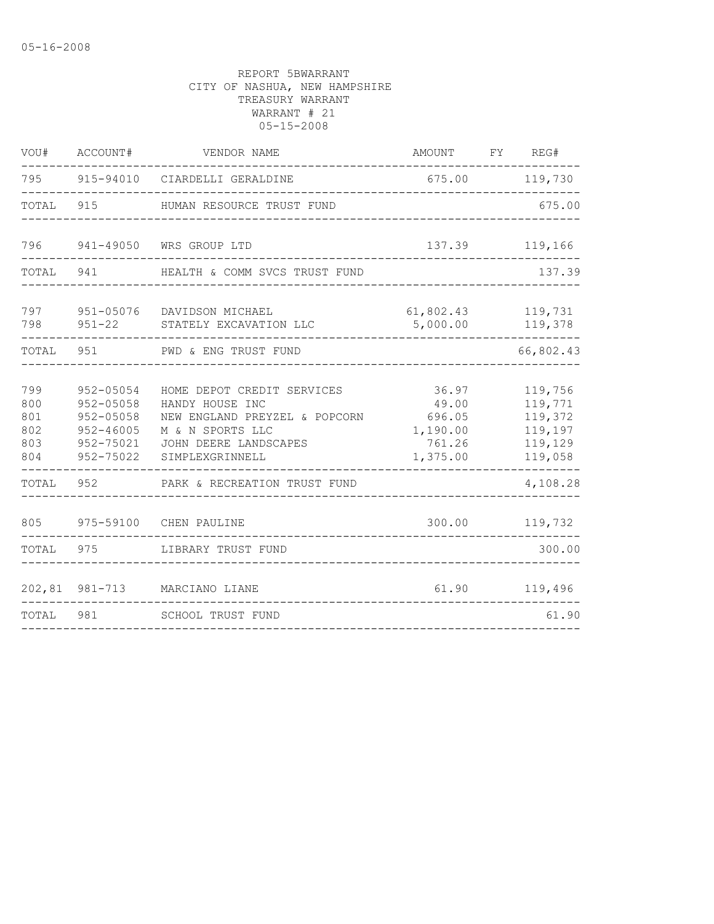| VOU#                                   | ACCOUNT#                                                                               | VENDOR NAME                                                                                                                                    | AMOUNT                                                     | FY | REG#                                                           |
|----------------------------------------|----------------------------------------------------------------------------------------|------------------------------------------------------------------------------------------------------------------------------------------------|------------------------------------------------------------|----|----------------------------------------------------------------|
| 795 —                                  |                                                                                        | 915-94010 CIARDELLI GERALDINE                                                                                                                  | 675.00                                                     |    | 119,730                                                        |
| TOTAL                                  | 915                                                                                    | HUMAN RESOURCE TRUST FUND                                                                                                                      |                                                            |    | 675.00                                                         |
| 796                                    |                                                                                        | 941-49050 WRS GROUP LTD                                                                                                                        | 137.39                                                     |    | 119,166                                                        |
| TOTAL                                  | 941                                                                                    | HEALTH & COMM SVCS TRUST FUND                                                                                                                  |                                                            |    | 137.39                                                         |
| 797<br>798                             | $951 - 22$                                                                             | 951-05076 DAVIDSON MICHAEL<br>STATELY EXCAVATION LLC                                                                                           | 61,802.43<br>5,000.00                                      |    | 119,731<br>119,378                                             |
| TOTAL 951                              |                                                                                        | PWD & ENG TRUST FUND                                                                                                                           |                                                            |    | 66,802.43                                                      |
| 799<br>800<br>801<br>802<br>803<br>804 | 952-05054<br>$952 - 05058$<br>$952 - 05058$<br>$952 - 46005$<br>952-75021<br>952-75022 | HOME DEPOT CREDIT SERVICES<br>HANDY HOUSE INC<br>NEW ENGLAND PREYZEL & POPCORN<br>M & N SPORTS LLC<br>JOHN DEERE LANDSCAPES<br>SIMPLEXGRINNELL | 36.97<br>49.00<br>696.05<br>1,190.00<br>761.26<br>1,375.00 |    | 119,756<br>119,771<br>119,372<br>119,197<br>119,129<br>119,058 |
| TOTAL                                  | 952                                                                                    | PARK & RECREATION TRUST FUND                                                                                                                   |                                                            |    | 4,108.28                                                       |
| 805                                    | 975-59100                                                                              | CHEN PAULINE                                                                                                                                   | 300.00                                                     |    | 119,732                                                        |
| TOTAL                                  | 975                                                                                    | LIBRARY TRUST FUND                                                                                                                             |                                                            |    | 300.00                                                         |
|                                        | 202,81 981-713                                                                         | MARCIANO LIANE                                                                                                                                 | 61.90                                                      |    | 119,496                                                        |
| TOTAL                                  | 981                                                                                    | SCHOOL TRUST FUND                                                                                                                              |                                                            |    | 61.90                                                          |
|                                        |                                                                                        |                                                                                                                                                |                                                            |    |                                                                |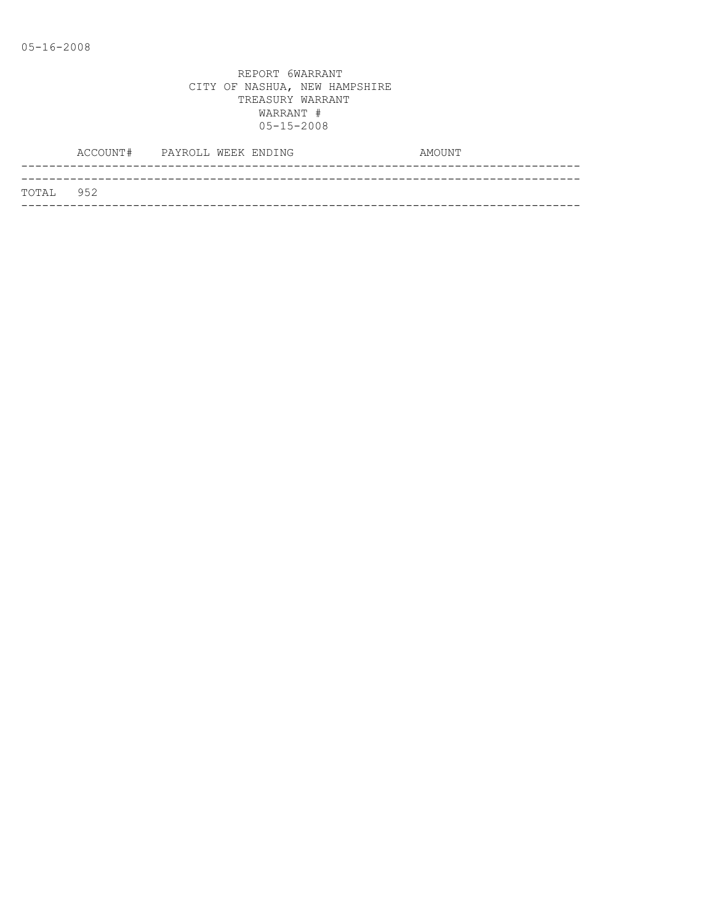|           | ACCOUNT# PAYROLL WEEK ENDING |  | AMOUNT |  |
|-----------|------------------------------|--|--------|--|
|           |                              |  |        |  |
| TOTAL 952 |                              |  |        |  |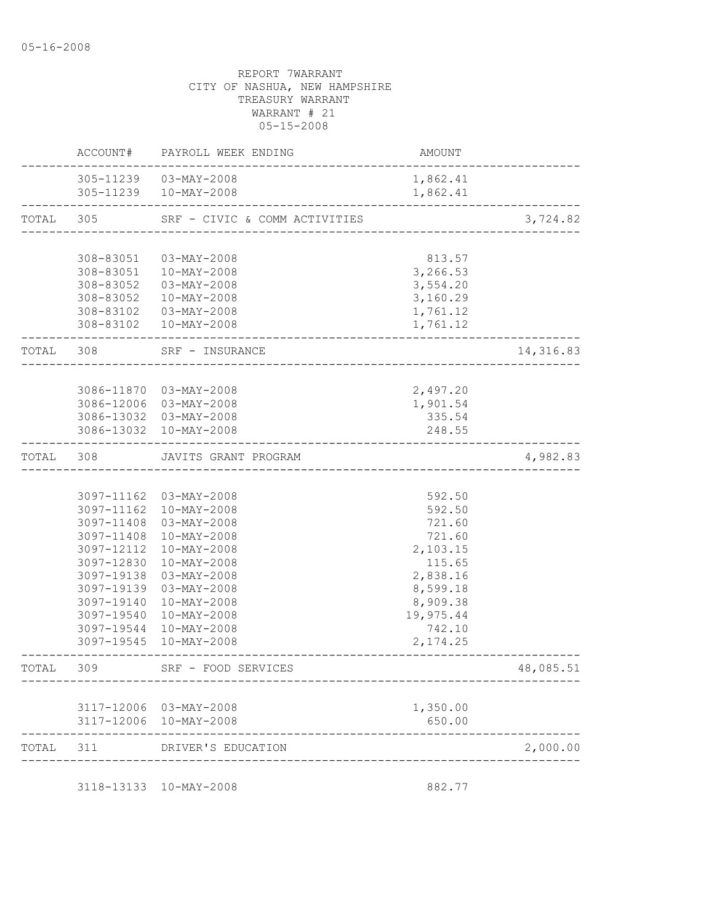|           | ACCOUNT#               | PAYROLL WEEK ENDING                              | AMOUNT                        |           |
|-----------|------------------------|--------------------------------------------------|-------------------------------|-----------|
|           |                        | 305-11239  03-MAY-2008<br>305-11239  10-MAY-2008 | 1,862.41<br>1,862.41          |           |
| TOTAL     | 305                    | SRF - CIVIC & COMM ACTIVITIES                    | _____________________________ | 3,724.82  |
|           |                        |                                                  |                               |           |
|           | 308-83051              | 03-MAY-2008                                      | 813.57                        |           |
|           | 308-83051              | 10-MAY-2008                                      | 3,266.53                      |           |
|           | 308-83052              | 03-MAY-2008                                      | 3,554.20                      |           |
|           | 308-83052<br>308-83102 | 10-MAY-2008<br>03-MAY-2008                       | 3,160.29<br>1,761.12          |           |
|           |                        | 308-83102  10-MAY-2008                           | 1,761.12                      |           |
| TOTAL 308 |                        | SRF - INSURANCE                                  |                               | 14,316.83 |
|           |                        |                                                  |                               |           |
|           |                        | 3086-11870 03-MAY-2008                           | 2,497.20                      |           |
|           |                        | 3086-12006 03-MAY-2008                           | 1,901.54                      |           |
|           |                        | 3086-13032 03-MAY-2008                           | 335.54                        |           |
|           |                        | 3086-13032 10-MAY-2008                           | 248.55                        |           |
| TOTAL     | 308                    | JAVITS GRANT PROGRAM<br>------------------------ |                               | 4,982.83  |
|           |                        |                                                  |                               |           |
|           |                        | 3097-11162 03-MAY-2008                           | 592.50                        |           |
|           |                        | 3097-11162  10-MAY-2008                          | 592.50                        |           |
|           | 3097-11408             | 03-MAY-2008                                      | 721.60                        |           |
|           | 3097-11408             | 10-MAY-2008                                      | 721.60                        |           |
|           | 3097-12112             | $10 - MAX - 2008$                                | 2,103.15                      |           |
|           | 3097-12830             | $10 - MAX - 2008$                                | 115.65                        |           |
|           | 3097-19138             | 03-MAY-2008                                      | 2,838.16                      |           |
|           | 3097-19139             | 03-MAY-2008                                      | 8,599.18                      |           |
|           | 3097-19140             | 10-MAY-2008                                      | 8,909.38                      |           |
|           | 3097-19540             | $10 - MAX - 2008$                                | 19,975.44                     |           |
|           | 3097-19545             | 3097-19544 10-MAY-2008<br>10-MAY-2008            | 742.10<br>2, 174.25           |           |
|           | 309                    | SRF - FOOD SERVICES                              |                               | 48,085.51 |
|           |                        |                                                  |                               |           |
|           |                        | 3117-12006 03-MAY-2008                           | 1,350.00                      |           |
|           |                        | 3117-12006 10-MAY-2008                           | 650.00                        |           |
| TOTAL     | 311                    | DRIVER'S EDUCATION                               |                               | 2,000.00  |
|           |                        | 3118-13133 10-MAY-2008                           | 882.77                        |           |
|           |                        |                                                  |                               |           |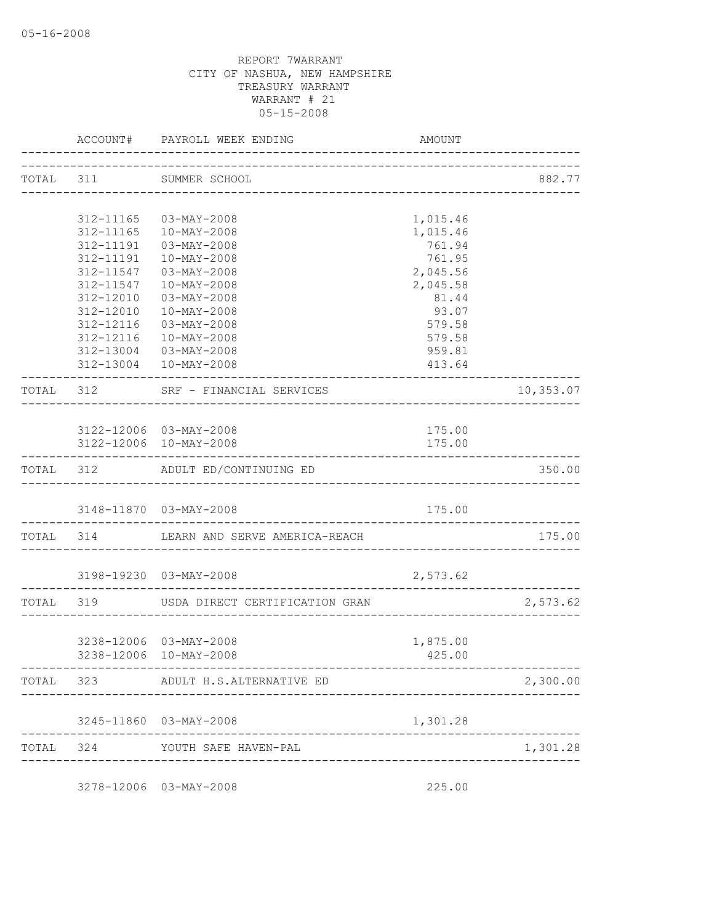|           | ACCOUNT# PAYROLL WEEK ENDING                                        | AMOUNT                         |                        |
|-----------|---------------------------------------------------------------------|--------------------------------|------------------------|
|           | TOTAL 311 SUMMER SCHOOL                                             |                                | 882.77                 |
|           |                                                                     |                                |                        |
|           | 312-11165 03-MAY-2008                                               | 1,015.46                       |                        |
|           | 312-11165  10-MAY-2008                                              | 1,015.46                       |                        |
|           | 312-11191  03-MAY-2008                                              | 761.94                         |                        |
| 312-11191 | $10 - MAX - 2008$                                                   | 761.95                         |                        |
| 312-11547 | $03 - MAX - 2008$                                                   | 2,045.56                       |                        |
| 312-11547 | $10 - MAX - 2008$                                                   | 2,045.58                       |                        |
| 312-12010 | 03-MAY-2008                                                         | 81.44                          |                        |
| 312-12010 | $10 - MAX - 2008$                                                   | 93.07                          |                        |
| 312-12116 | 03-MAY-2008                                                         | 579.58                         |                        |
|           | 312-12116  10-MAY-2008                                              | 579.58                         |                        |
|           | 312-13004 03-MAY-2008                                               | 959.81                         |                        |
|           | 312-13004  10-MAY-2008                                              | 413.64<br>-------------------- |                        |
|           | TOTAL 312 SRF - FINANCIAL SERVICES<br>_____________________________ |                                | 10,353.07              |
|           |                                                                     |                                |                        |
|           | 3122-12006 03-MAY-2008                                              | 175.00                         |                        |
|           | 3122-12006 10-MAY-2008                                              | 175.00                         |                        |
|           | TOTAL 312 ADULT ED/CONTINUING ED                                    |                                | 350.00                 |
|           | 3148-11870 03-MAY-2008                                              | 175.00                         |                        |
|           | TOTAL 314 LEARN AND SERVE AMERICA-REACH                             |                                | 175.00<br>____________ |
|           | 3198-19230 03-MAY-2008                                              | 2,573.62                       |                        |
|           |                                                                     |                                |                        |
|           | TOTAL 319 USDA DIRECT CERTIFICATION GRAN                            |                                | 2,573.62               |
|           | 3238-12006 03-MAY-2008                                              | 1,875.00                       |                        |
|           | 3238-12006 10-MAY-2008                                              | 425.00                         |                        |
|           |                                                                     |                                |                        |
|           | TOTAL 323 ADULT H.S.ALTERNATIVE ED                                  |                                | 2,300.00               |
|           | 3245-11860 03-MAY-2008                                              | 1,301.28                       |                        |
|           | TOTAL 324 YOUTH SAFE HAVEN-PAL                                      |                                | 1,301.28               |
|           |                                                                     |                                |                        |
|           | 3278-12006 03-MAY-2008                                              | 225.00                         |                        |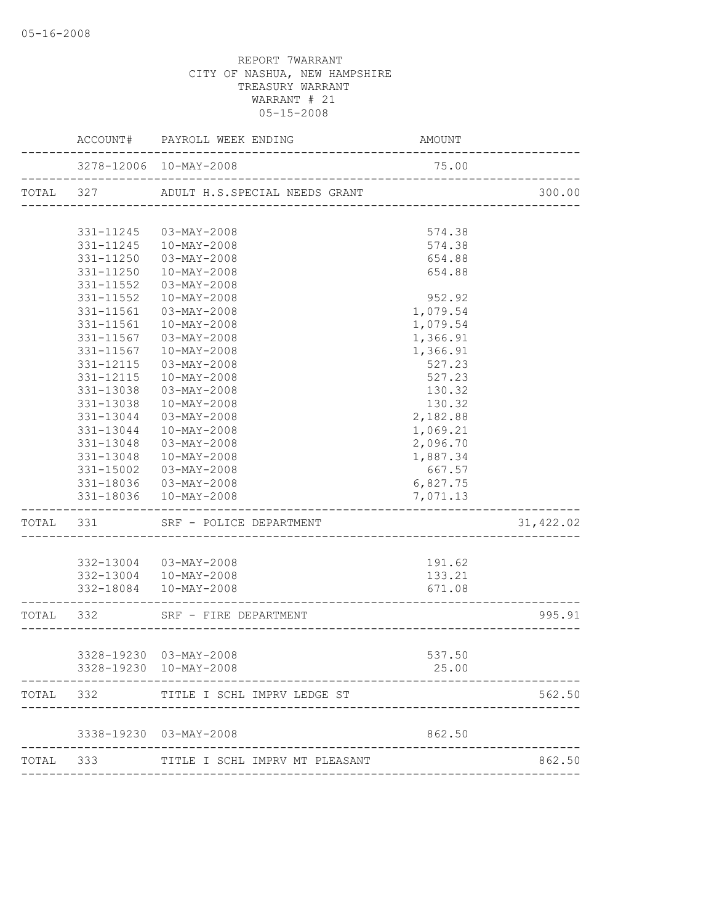|           |                        | ACCOUNT# PAYROLL WEEK ENDING             | AMOUNT                                        |           |
|-----------|------------------------|------------------------------------------|-----------------------------------------------|-----------|
|           |                        | 3278-12006 10-MAY-2008                   | 75.00                                         |           |
|           |                        | TOTAL 327 ADULT H.S.SPECIAL NEEDS GRANT  |                                               | 300.00    |
|           | 331-11245              | 03-MAY-2008                              | 574.38                                        |           |
|           | 331-11245              | 10-MAY-2008                              | 574.38                                        |           |
|           | 331-11250              | 03-MAY-2008                              | 654.88                                        |           |
|           | 331-11250              | 10-MAY-2008                              | 654.88                                        |           |
|           | 331-11552              | 03-MAY-2008                              |                                               |           |
|           | $331 - 11552$          | 10-MAY-2008                              | 952.92                                        |           |
|           | 331-11561              | 03-MAY-2008                              | 1,079.54                                      |           |
|           | 331-11561              | 10-MAY-2008                              | 1,079.54                                      |           |
|           | 331-11567              | 03-MAY-2008                              | 1,366.91                                      |           |
|           | 331-11567              | 10-MAY-2008                              | 1,366.91                                      |           |
|           | 331-12115              | $03 - MAX - 2008$                        | 527.23                                        |           |
|           | 331-12115              | $10 - MAX - 2008$                        | 527.23                                        |           |
|           | 331-13038              | 03-MAY-2008                              | 130.32                                        |           |
|           | 331-13038              | $10 - MAX - 2008$                        | 130.32                                        |           |
|           | $331 - 13044$          | 03-MAY-2008                              | 2,182.88                                      |           |
|           | 331-13044<br>331-13048 | 10-MAY-2008<br>03-MAY-2008               | 1,069.21<br>2,096.70                          |           |
|           |                        | 331-13048  10-MAY-2008                   | 1,887.34                                      |           |
|           | 331-15002              | 03-MAY-2008                              | 667.57                                        |           |
|           |                        | 331-18036 03-MAY-2008                    | 6,827.75                                      |           |
|           |                        | 331-18036  10-MAY-2008                   | 7,071.13                                      |           |
|           |                        | TOTAL 331 SRF - POLICE DEPARTMENT        |                                               | 31,422.02 |
|           |                        | 332-13004 03-MAY-2008                    | 191.62                                        |           |
|           |                        | 332-13004 10-MAY-2008                    | 133.21                                        |           |
|           |                        | 332-18084  10-MAY-2008                   | 671.08<br>----------------------------------- |           |
| TOTAL 332 |                        | SRF - FIRE DEPARTMENT                    |                                               | 995.91    |
|           |                        | 3328-19230 03-MAY-2008                   | 537.50                                        |           |
|           |                        | 3328-19230 10-MAY-2008                   | 25.00                                         |           |
|           | TOTAL 332              | TITLE I SCHL IMPRV LEDGE ST              |                                               | 562.50    |
|           |                        | 3338-19230 03-MAY-2008                   | 862.50                                        |           |
|           |                        |                                          |                                               | 862.50    |
|           |                        | TOTAL 333 TITLE I SCHL IMPRV MT PLEASANT |                                               |           |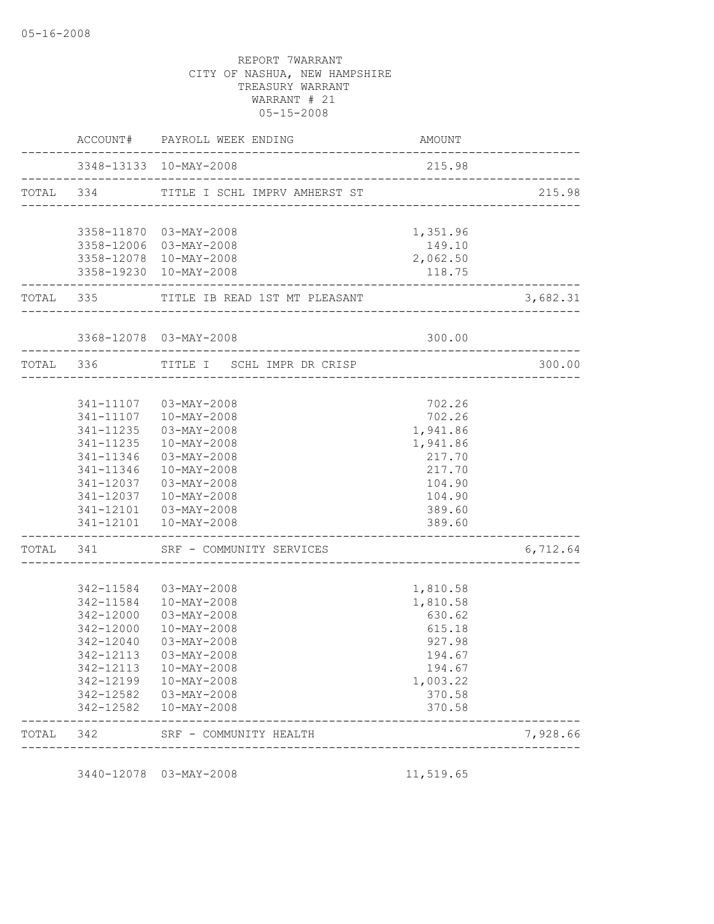|          | <b>AMOUNT</b>                      | ACCOUNT# PAYROLL WEEK ENDING                     |                        |           |
|----------|------------------------------------|--------------------------------------------------|------------------------|-----------|
|          | 215.98                             |                                                  | 3348-13133 10-MAY-2008 |           |
| 215.98   |                                    | TOTAL 334 TITLE I SCHL IMPRV AMHERST ST          |                        |           |
|          | 1,351.96                           | 3358-11870 03-MAY-2008                           |                        |           |
|          | 149.10                             | 3358-12006 03-MAY-2008                           |                        |           |
|          | 2,062.50                           | 3358-12078 10-MAY-2008                           |                        |           |
|          | 118.75<br>________________________ | 3358-19230 10-MAY-2008                           | __________________     |           |
| 3,682.31 |                                    | TOTAL 335 TITLE IB READ 1ST MT PLEASANT          |                        |           |
|          | 300.00                             | 3368-12078 03-MAY-2008                           |                        |           |
| 300.00   |                                    | TITLE I SCHL IMPR DR CRISP                       |                        | TOTAL 336 |
|          |                                    |                                                  |                        |           |
|          | 702.26                             | 341-11107  03-MAY-2008                           |                        |           |
|          | 702.26                             | 341-11107  10-MAY-2008                           |                        |           |
|          | 1,941.86                           | 341-11235  03-MAY-2008                           |                        |           |
|          | 1,941.86                           | 10-MAY-2008                                      | 341-11235              |           |
|          | 217.70                             | 03-MAY-2008                                      | 341-11346              |           |
|          | 217.70                             | 10-MAY-2008                                      | 341-11346              |           |
|          | 104.90                             | $03 - MAX - 2008$                                | 341-12037              |           |
|          | 104.90                             | 10-MAY-2008<br>341-12101  03-MAY-2008            | 341-12037              |           |
|          | 389.60<br>389.60                   | 341-12101  10-MAY-2008                           |                        |           |
| 6,712.64 |                                    | TOTAL 341 SRF - COMMUNITY SERVICES               |                        |           |
|          |                                    |                                                  |                        |           |
|          | 1,810.58                           | 342-11584 03-MAY-2008                            |                        |           |
|          | 1,810.58                           | 342-11584  10-MAY-2008                           |                        |           |
|          | 630.62                             | 03-MAY-2008                                      | 342-12000              |           |
|          | 615.18                             | 10-MAY-2008                                      | 342-12000              |           |
|          | 927.98                             | 03-MAY-2008                                      | 342-12040              |           |
|          | 194.67                             | 342-12113 03-MAY-2008                            |                        |           |
|          | 194.67<br>1,003.22                 | 342-12113  10-MAY-2008<br>342-12199  10-MAY-2008 |                        |           |
|          | 370.58                             | 342-12582  03-MAY-2008                           |                        |           |
|          | 370.58                             | 10-MAY-2008                                      | 342-12582              |           |
| 7,928.66 |                                    | SRF - COMMUNITY HEALTH                           |                        | TOTAL 342 |

3440-12078 03-MAY-2008 11,519.65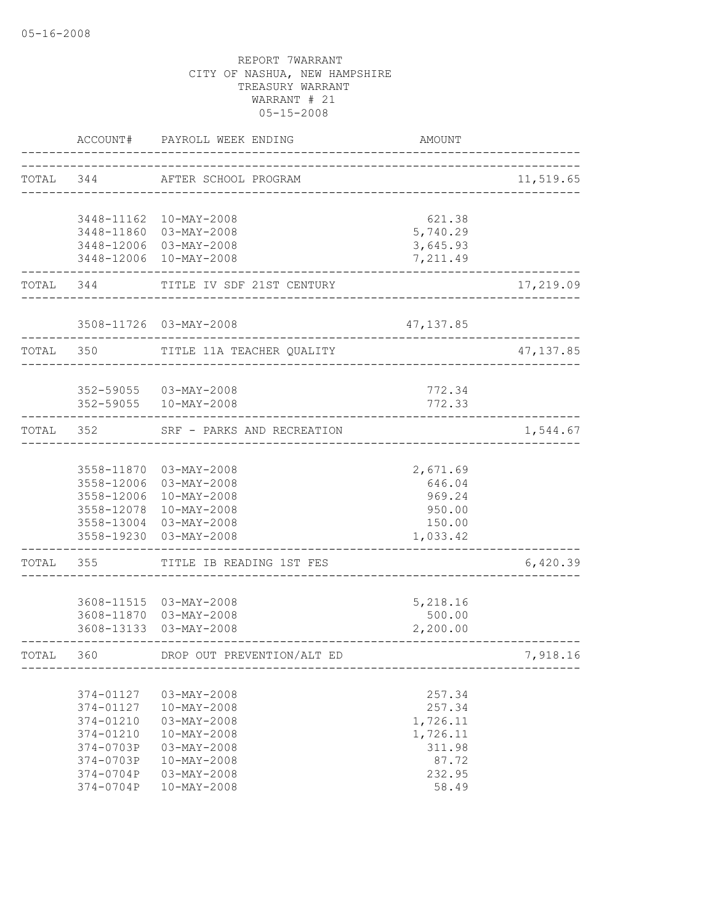|           | ACCOUNT#                                                                                             | PAYROLL WEEK ENDING                                                                                                                                              | AMOUNT                                                                         |                         |
|-----------|------------------------------------------------------------------------------------------------------|------------------------------------------------------------------------------------------------------------------------------------------------------------------|--------------------------------------------------------------------------------|-------------------------|
| TOTAL 344 |                                                                                                      | AFTER SCHOOL PROGRAM                                                                                                                                             | ______________________________________                                         | 11,519.65               |
|           | ----------------                                                                                     | 3448-11162  10-MAY-2008<br>3448-11860 03-MAY-2008<br>3448-12006 03-MAY-2008<br>3448-12006 10-MAY-2008                                                            | 621.38<br>5,740.29<br>3,645.93<br>7,211.49                                     |                         |
|           | TOTAL 344                                                                                            | TITLE IV SDF 21ST CENTURY                                                                                                                                        |                                                                                | 17,219.09<br>__________ |
|           |                                                                                                      | 3508-11726 03-MAY-2008                                                                                                                                           | 47, 137.85                                                                     |                         |
| TOTAL 350 |                                                                                                      | TITLE 11A TEACHER QUALITY                                                                                                                                        |                                                                                | 47,137.85               |
|           |                                                                                                      | 352-59055 03-MAY-2008<br>352-59055  10-MAY-2008                                                                                                                  | 772.34<br>772.33                                                               |                         |
|           |                                                                                                      | TOTAL 352 SRF - PARKS AND RECREATION                                                                                                                             |                                                                                | 1,544.67                |
|           | 3558-12006<br>3558-12006<br>3558-19230                                                               | 3558-11870 03-MAY-2008<br>03-MAY-2008<br>$10 - MAX - 2008$<br>3558-12078 10-MAY-2008<br>3558-13004 03-MAY-2008<br>03-MAY-2008                                    | 2,671.69<br>646.04<br>969.24<br>950.00<br>150.00<br>1,033.42                   |                         |
| TOTAL     | 355                                                                                                  | TITLE IB READING 1ST FES                                                                                                                                         |                                                                                | 6,420.39                |
|           | 3608-13133                                                                                           | 3608-11515  03-MAY-2008<br>3608-11870 03-MAY-2008<br>03-MAY-2008                                                                                                 | 5,218.16<br>500.00<br>2,200.00                                                 |                         |
| TOTAL 360 |                                                                                                      | DROP OUT PREVENTION/ALT ED                                                                                                                                       |                                                                                | 7,918.16                |
|           | 374-01127<br>374-01127<br>374-01210<br>374-01210<br>374-0703P<br>374-0703P<br>374-0704P<br>374-0704P | $03 - MAX - 2008$<br>$10-MAY-2008$<br>$03 - MAX - 2008$<br>$10 - MAX - 2008$<br>$03 - MAX - 2008$<br>$10 - MAX - 2008$<br>$03 - MAX - 2008$<br>$10 - MAX - 2008$ | 257.34<br>257.34<br>1,726.11<br>1,726.11<br>311.98<br>87.72<br>232.95<br>58.49 |                         |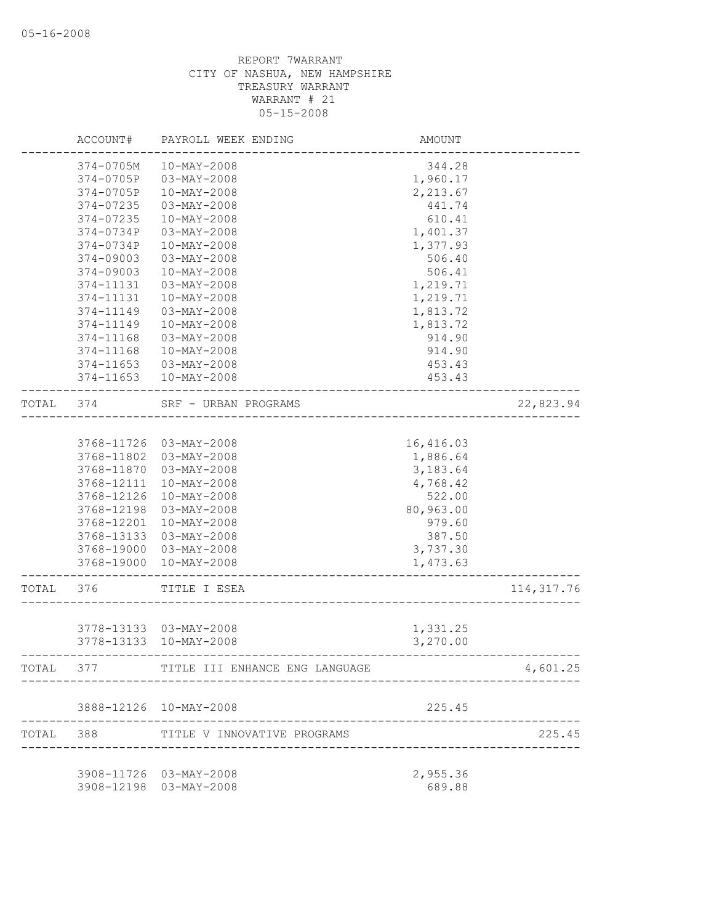|       | ACCOUNT#   | PAYROLL WEEK ENDING                            | AMOUNT    |             |
|-------|------------|------------------------------------------------|-----------|-------------|
|       | 374-0705M  | $10-MAY-2008$                                  | 344.28    |             |
|       | 374-0705P  | $03 - MAX - 2008$                              | 1,960.17  |             |
|       | 374-0705P  | $10-MAY-2008$                                  | 2,213.67  |             |
|       | 374-07235  | 03-MAY-2008                                    | 441.74    |             |
|       | 374-07235  | $10-MAY-2008$                                  | 610.41    |             |
|       | 374-0734P  | $03 - MAY - 2008$                              | 1,401.37  |             |
|       | 374-0734P  | 10-MAY-2008                                    | 1,377.93  |             |
|       | 374-09003  | $03 - MAX - 2008$                              | 506.40    |             |
|       | 374-09003  | $10-MAY-2008$                                  | 506.41    |             |
|       | 374-11131  | 03-MAY-2008                                    | 1,219.71  |             |
|       | 374-11131  | 10-MAY-2008                                    | 1,219.71  |             |
|       | 374-11149  | 03-MAY-2008                                    | 1,813.72  |             |
|       | 374-11149  | $10 - MAX - 2008$                              | 1,813.72  |             |
|       | 374-11168  | 03-MAY-2008                                    | 914.90    |             |
|       | 374-11168  | $10-MAY-2008$                                  | 914.90    |             |
|       | 374-11653  | 03-MAY-2008                                    | 453.43    |             |
|       | 374-11653  | $10-MAY-2008$                                  | 453.43    |             |
| TOTAL | 374        | SRF - URBAN PROGRAMS<br>---------------------- |           | 22,823.94   |
|       |            |                                                |           |             |
|       | 3768-11726 | 03-MAY-2008                                    | 16,416.03 |             |
|       | 3768-11802 | 03-MAY-2008                                    | 1,886.64  |             |
|       | 3768-11870 | 03-MAY-2008                                    | 3,183.64  |             |
|       | 3768-12111 | 10-MAY-2008                                    | 4,768.42  |             |
|       | 3768-12126 | $10 - MAX - 2008$                              | 522.00    |             |
|       | 3768-12198 | $03 - MAX - 2008$                              | 80,963.00 |             |
|       | 3768-12201 | $10 - MAX - 2008$                              | 979.60    |             |
|       | 3768-13133 | 03-MAY-2008                                    | 387.50    |             |
|       | 3768-19000 | 03-MAY-2008                                    | 3,737.30  |             |
|       | 3768-19000 | 10-MAY-2008                                    | 1,473.63  |             |
| TOTAL | 376        | TITLE I ESEA                                   |           | 114, 317.76 |
|       |            |                                                |           |             |
|       |            | 3778-13133 03-MAY-2008                         | 1,331.25  |             |
|       |            | 3778-13133 10-MAY-2008                         | 3,270.00  |             |
| TOTAL | 377        | TITLE III ENHANCE ENG LANGUAGE                 |           | 4,601.25    |
|       |            | 3888-12126 10-MAY-2008                         | 225.45    |             |
| TOTAL | 388        | TITLE V INNOVATIVE PROGRAMS                    |           | 225.45      |
|       |            | 3908-11726 03-MAY-2008                         | 2,955.36  |             |
|       |            | 3908-12198 03-MAY-2008                         | 689.88    |             |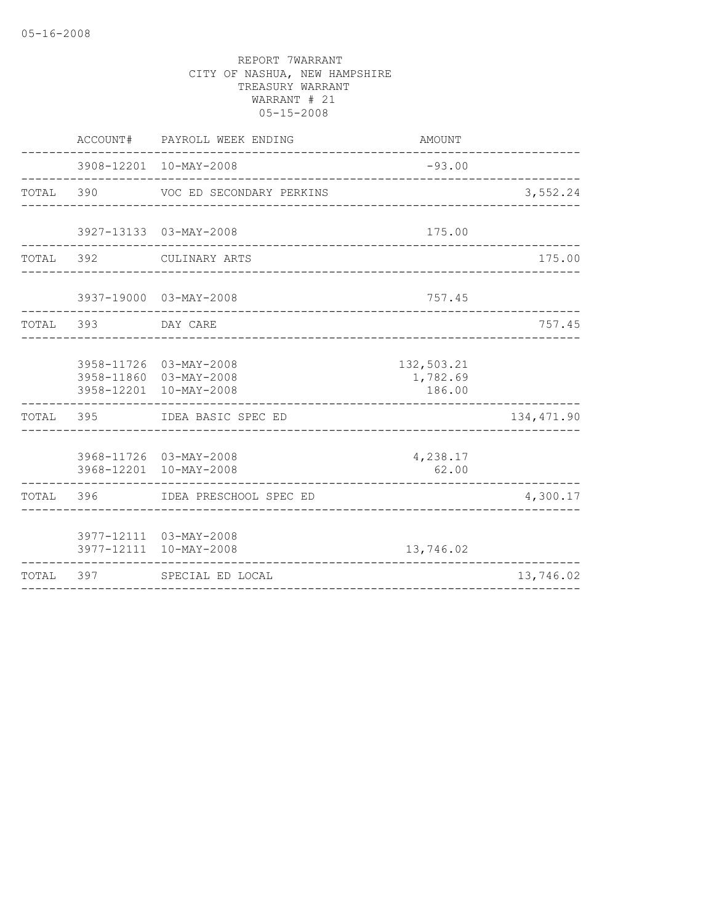|           | ACCOUNT# | PAYROLL WEEK ENDING                                                        | AMOUNT                                |             |
|-----------|----------|----------------------------------------------------------------------------|---------------------------------------|-------------|
|           |          | 3908-12201 10-MAY-2008                                                     | $-93.00$                              |             |
| TOTAL 390 |          | VOC ED SECONDARY PERKINS                                                   |                                       | 3,552.24    |
|           |          | 3927-13133 03-MAY-2008                                                     | 175.00                                |             |
| TOTAL 392 |          | CULINARY ARTS                                                              | ___________________________________   | 175.00      |
|           |          | 3937-19000 03-MAY-2008                                                     | 757.45                                |             |
| TOTAL 393 |          | DAY CARE                                                                   |                                       | 757.45      |
|           |          | 3958-11726 03-MAY-2008<br>3958-11860 03-MAY-2008<br>3958-12201 10-MAY-2008 | 132,503.21<br>1,782.69<br>186.00      |             |
|           |          | TOTAL 395 IDEA BASIC SPEC ED                                               | _____________________________________ | 134, 471.90 |
|           |          | 3968-11726 03-MAY-2008<br>3968-12201 10-MAY-2008                           | 4,238.17<br>62.00                     |             |
| TOTAL 396 |          | IDEA PRESCHOOL SPEC ED                                                     |                                       | 4,300.17    |
|           |          | 3977-12111 03-MAY-2008<br>3977-12111 10-MAY-2008                           | 13,746.02                             |             |
| TOTAL 397 |          | SPECIAL ED LOCAL                                                           |                                       | 13,746.02   |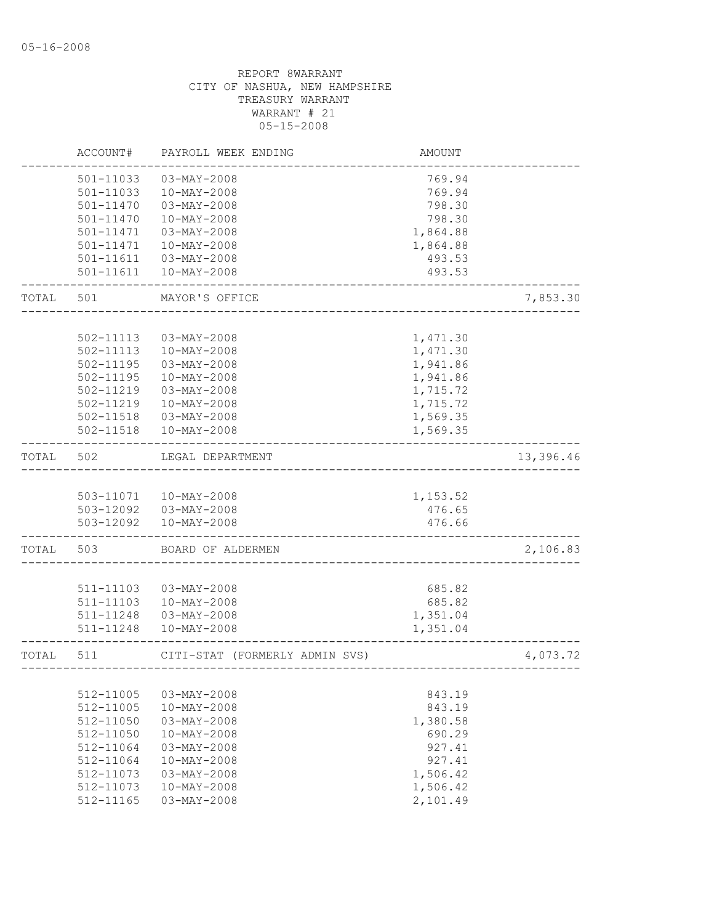|       | ACCOUNT#      | PAYROLL WEEK ENDING            | <b>AMOUNT</b> |           |
|-------|---------------|--------------------------------|---------------|-----------|
|       | 501-11033     | 03-MAY-2008                    | 769.94        |           |
|       | 501-11033     | 10-MAY-2008                    | 769.94        |           |
|       | $501 - 11470$ | 03-MAY-2008                    | 798.30        |           |
|       | $501 - 11470$ | $10 - MAX - 2008$              | 798.30        |           |
|       | 501-11471     | 03-MAY-2008                    | 1,864.88      |           |
|       | 501-11471     | 10-MAY-2008                    | 1,864.88      |           |
|       | 501-11611     | 03-MAY-2008                    | 493.53        |           |
|       |               | 501-11611  10-MAY-2008         | 493.53        |           |
| TOTAL | 501           | MAYOR'S OFFICE                 |               | 7,853.30  |
|       |               |                                |               |           |
|       | 502-11113     | 03-MAY-2008                    | 1,471.30      |           |
|       | 502-11113     | $10 - MAX - 2008$              | 1,471.30      |           |
|       | 502-11195     | 03-MAY-2008                    | 1,941.86      |           |
|       | 502-11195     | 10-MAY-2008                    | 1,941.86      |           |
|       | 502-11219     | $03 - MAX - 2008$              | 1,715.72      |           |
|       | 502-11219     | $10 - MAX - 2008$              | 1,715.72      |           |
|       | 502-11518     | 03-MAY-2008                    | 1,569.35      |           |
|       | 502-11518     | $10 - MAX - 2008$              | 1,569.35      |           |
| TOTAL | 502           | LEGAL DEPARTMENT               |               | 13,396.46 |
|       |               |                                |               |           |
|       |               | 503-11071  10-MAY-2008         | 1,153.52      |           |
|       |               | 503-12092  03-MAY-2008         | 476.65        |           |
|       |               | 503-12092  10-MAY-2008         | 476.66        |           |
| TOTAL | 503           | BOARD OF ALDERMEN              |               | 2,106.83  |
|       |               |                                |               |           |
|       | 511-11103     | $03 - MAX - 2008$              | 685.82        |           |
|       | 511-11103     | 10-MAY-2008                    | 685.82        |           |
|       | 511-11248     | 03-MAY-2008                    | 1,351.04      |           |
|       | 511-11248     | $10 - MAX - 2008$              | 1,351.04      |           |
| TOTAL | 511           | CITI-STAT (FORMERLY ADMIN SVS) |               | 4,073.72  |
|       |               |                                |               |           |
|       | 512-11005     | $03 - MAX - 2008$              | 843.19        |           |
|       | 512-11005     | $10-MAY-2008$                  | 843.19        |           |
|       | $512 - 11050$ | $03 - MAX - 2008$              | 1,380.58      |           |
|       | $512 - 11050$ | $10-MAY-2008$                  | 690.29        |           |
|       | 512-11064     | $03 - MAX - 2008$              | 927.41        |           |
|       | $512 - 11064$ | $10 - MAX - 2008$              | 927.41        |           |
|       | 512-11073     | $03 - \text{MAX} - 2008$       | 1,506.42      |           |
|       | 512-11073     | $10 - MAX - 2008$              | 1,506.42      |           |
|       | 512-11165     | $03 - \text{MAX} - 2008$       | 2,101.49      |           |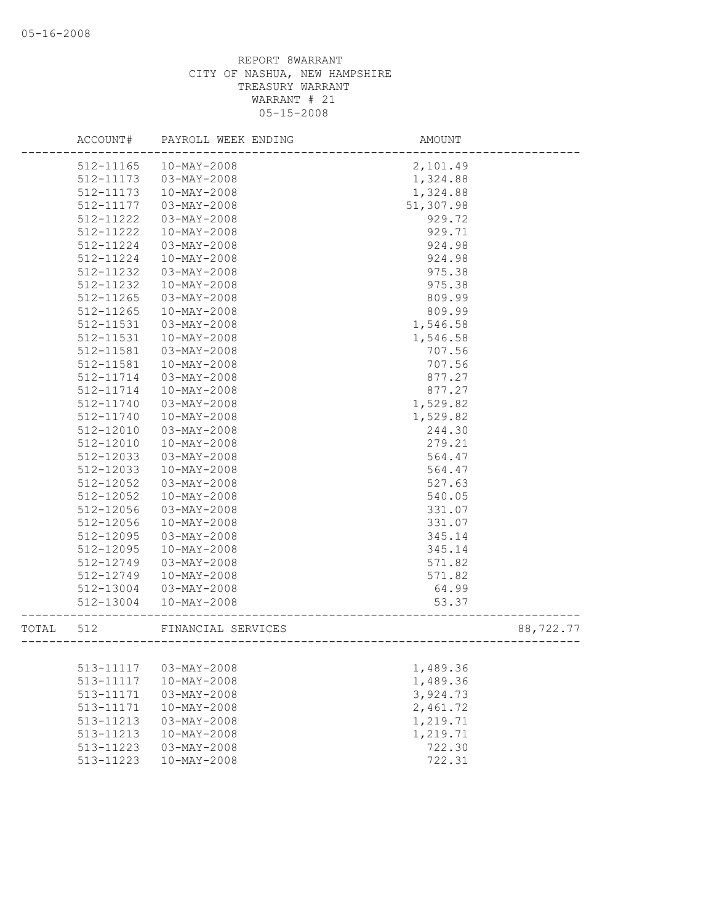| 2,101.49<br>$512 - 11165$<br>$10-MAY-2008$<br>512-11173<br>$03 - MAY - 2008$<br>1,324.88 |           |
|------------------------------------------------------------------------------------------|-----------|
|                                                                                          |           |
|                                                                                          |           |
| 1,324.88<br>512-11173<br>10-MAY-2008                                                     |           |
| 51,307.98<br>512-11177<br>03-MAY-2008                                                    |           |
| 512-11222<br>$03-MAY-2008$<br>929.72                                                     |           |
| 929.71<br>512-11222<br>$10 - MAX - 2008$                                                 |           |
| $03 - MAY - 2008$<br>924.98<br>512-11224                                                 |           |
| 924.98<br>512-11224<br>$10 - MAX - 2008$                                                 |           |
| 512-11232<br>$03 - MAY - 2008$<br>975.38                                                 |           |
| 512-11232<br>975.38<br>10-MAY-2008                                                       |           |
| 512-11265<br>$03 - MAY - 2008$<br>809.99                                                 |           |
| 809.99<br>512-11265<br>10-MAY-2008                                                       |           |
| 1,546.58<br>512-11531<br>03-MAY-2008                                                     |           |
| 512-11531<br>10-MAY-2008<br>1,546.58                                                     |           |
| 512-11581<br>03-MAY-2008<br>707.56                                                       |           |
| 512-11581<br>10-MAY-2008<br>707.56                                                       |           |
| $03 - MAY - 2008$<br>877.27<br>512-11714                                                 |           |
| 10-MAY-2008<br>877.27<br>512-11714                                                       |           |
| 512-11740<br>1,529.82<br>$03 - MAX - 2008$                                               |           |
| 512-11740<br>10-MAY-2008<br>1,529.82                                                     |           |
| 244.30<br>512-12010<br>03-MAY-2008                                                       |           |
| 512-12010<br>279.21<br>$10-MAY-2008$                                                     |           |
| 512-12033<br>$03 - MAX - 2008$<br>564.47                                                 |           |
| 564.47<br>512-12033<br>$10-MAY-2008$                                                     |           |
| 512-12052<br>$03 - MAY - 2008$<br>527.63                                                 |           |
| 512-12052<br>540.05<br>$10 - MAX - 2008$                                                 |           |
| 512-12056<br>331.07<br>$03 - MAX - 2008$                                                 |           |
| 512-12056<br>331.07<br>$10-MAY-2008$                                                     |           |
| 512-12095<br>$03 - MAY - 2008$<br>345.14                                                 |           |
| 512-12095<br>10-MAY-2008<br>345.14                                                       |           |
| 512-12749<br>03-MAY-2008<br>571.82                                                       |           |
| 10-MAY-2008                                                                              |           |
| 512-12749<br>571.82                                                                      |           |
| 64.99<br>512-13004<br>03-MAY-2008                                                        |           |
| 512-13004<br>$10-MAY-2008$<br>53.37                                                      |           |
| FINANCIAL SERVICES<br>TOTAL<br>512<br>___________________                                | 88,722.77 |
|                                                                                          |           |
| 513-11117<br>$03-MAY-2008$<br>1,489.36                                                   |           |
| 513-11117<br>$10 - MAX - 2008$<br>1,489.36                                               |           |
| 3,924.73<br>513-11171<br>$03 - MAX - 2008$                                               |           |
| 2,461.72<br>513-11171<br>$10-MAY-2008$                                                   |           |
| 513-11213<br>$03-MAY-2008$<br>1,219.71                                                   |           |
| 513-11213<br>$10-MAY-2008$<br>1,219.71                                                   |           |
| 722.30<br>513-11223<br>$03 - MAY - 2008$                                                 |           |
| 722.31<br>513-11223<br>$10-MAY-2008$                                                     |           |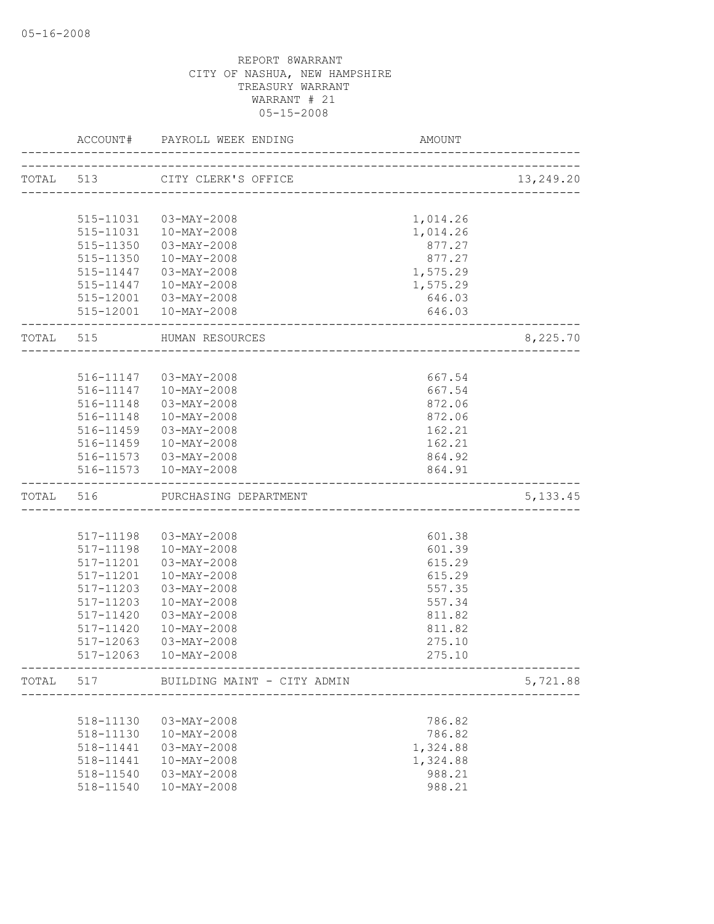|           |           | ACCOUNT# PAYROLL WEEK ENDING                             | AMOUNT   |           |
|-----------|-----------|----------------------------------------------------------|----------|-----------|
|           |           |                                                          |          |           |
|           | TOTAL 513 | CITY CLERK'S OFFICE                                      |          | 13,249.20 |
|           | 515-11031 | 03-MAY-2008                                              | 1,014.26 |           |
|           | 515-11031 | 10-MAY-2008                                              | 1,014.26 |           |
|           | 515-11350 | 03-MAY-2008                                              | 877.27   |           |
|           | 515-11350 | $10 - MAX - 2008$                                        | 877.27   |           |
|           | 515-11447 | 03-MAY-2008                                              | 1,575.29 |           |
|           |           | 515-11447  10-MAY-2008                                   | 1,575.29 |           |
|           |           | 515-12001  03-MAY-2008                                   | 646.03   |           |
|           |           | 515-12001  10-MAY-2008                                   | 646.03   |           |
| TOTAL 515 |           | HUMAN RESOURCES                                          |          | 8,225.70  |
|           |           |                                                          |          |           |
|           |           | 516-11147 03-MAY-2008                                    | 667.54   |           |
|           |           | 516-11147  10-MAY-2008                                   | 667.54   |           |
|           | 516-11148 | 03-MAY-2008                                              | 872.06   |           |
|           |           | 516-11148 10-MAY-2008                                    | 872.06   |           |
|           | 516-11459 | 03-MAY-2008                                              | 162.21   |           |
|           |           | 516-11459  10-MAY-2008                                   | 162.21   |           |
|           |           | 516-11573  03-MAY-2008                                   | 864.92   |           |
|           |           | 516-11573  10-MAY-2008                                   | 864.91   |           |
| TOTAL 516 |           | PURCHASING DEPARTMENT                                    |          | 5, 133.45 |
|           |           |                                                          |          |           |
|           | 517-11198 | 03-MAY-2008                                              | 601.38   |           |
|           | 517-11198 | 10-MAY-2008                                              | 601.39   |           |
|           | 517-11201 | 03-MAY-2008                                              | 615.29   |           |
|           | 517-11201 | $10 - MAX - 2008$                                        | 615.29   |           |
|           | 517-11203 | 03-MAY-2008                                              | 557.35   |           |
|           | 517-11203 | $10 - MAX - 2008$                                        | 557.34   |           |
|           | 517-11420 | 03-MAY-2008                                              | 811.82   |           |
|           | 517-11420 | $10 - MAX - 2008$                                        | 811.82   |           |
|           | 517-12063 | 03-MAY-2008                                              | 275.10   |           |
|           | 517-12063 | 10-MAY-2008                                              | 275.10   |           |
| TOTAL     | 517       | BUILDING MAINT - CITY ADMIN<br>------------------------- |          | 5,721.88  |
|           |           |                                                          |          |           |
|           | 518-11130 | 03-MAY-2008                                              | 786.82   |           |
|           | 518-11130 | 10-MAY-2008                                              | 786.82   |           |
|           | 518-11441 | $03 - MAX - 2008$                                        | 1,324.88 |           |
|           | 518-11441 | $10-MAY-2008$                                            | 1,324.88 |           |
|           | 518-11540 | 03-MAY-2008                                              | 988.21   |           |
|           | 518-11540 | $10 - MAX - 2008$                                        | 988.21   |           |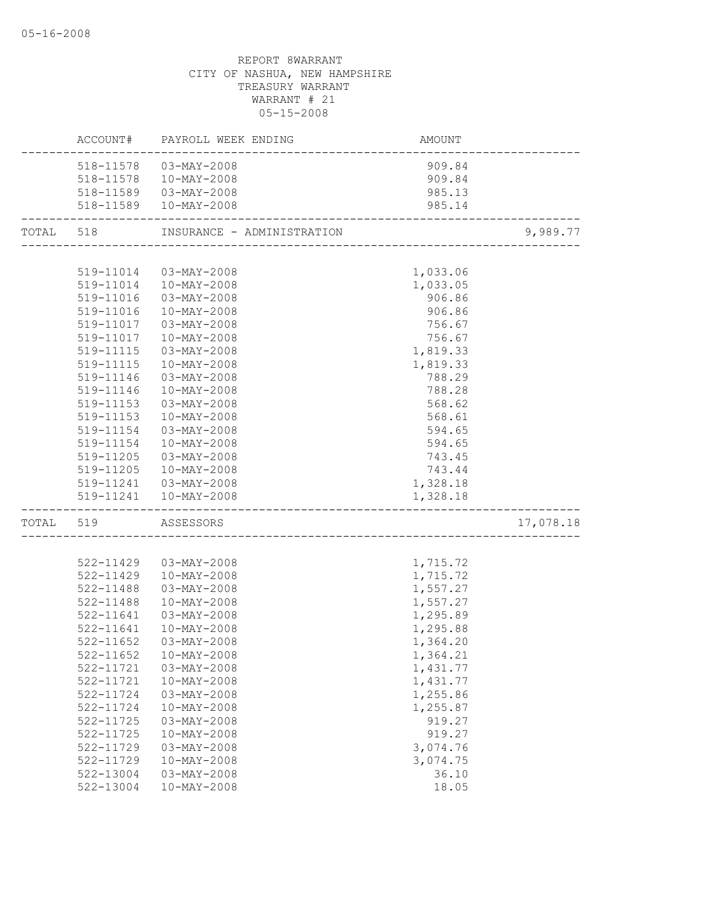|           |                     | ACCOUNT# PAYROLL WEEK ENDING | AMOUNT   |           |
|-----------|---------------------|------------------------------|----------|-----------|
|           |                     | 518-11578  03-MAY-2008       | 909.84   |           |
|           |                     | 518-11578  10-MAY-2008       | 909.84   |           |
|           |                     | 518-11589  03-MAY-2008       | 985.13   |           |
|           |                     | 518-11589  10-MAY-2008       | 985.14   |           |
| TOTAL 518 |                     |                              |          | 9,989.77  |
|           |                     |                              |          |           |
|           |                     | 519-11014  03-MAY-2008       | 1,033.06 |           |
|           |                     | 519-11014  10-MAY-2008       | 1,033.05 |           |
|           | 519-11016           | $03 - MAX - 2008$            | 906.86   |           |
|           | 519-11016           | 10-MAY-2008                  | 906.86   |           |
|           | 519-11017           | 03-MAY-2008                  | 756.67   |           |
|           | 519-11017           | 10-MAY-2008                  | 756.67   |           |
|           | 519-11115           | 03-MAY-2008                  | 1,819.33 |           |
|           | 519-11115           | 10-MAY-2008                  | 1,819.33 |           |
|           | 519-11146           | $03 - MAX - 2008$            | 788.29   |           |
|           | 519-11146           | $10 - MAX - 2008$            | 788.28   |           |
|           | 519-11153           | 03-MAY-2008                  | 568.62   |           |
|           | 519-11153           | $10 - MAX - 2008$            | 568.61   |           |
|           | 519-11154           | 03-MAY-2008                  | 594.65   |           |
|           | 519-11154           | 10-MAY-2008                  | 594.65   |           |
|           | 519-11205           | 03-MAY-2008                  | 743.45   |           |
|           | 519-11205           | 10-MAY-2008                  | 743.44   |           |
|           |                     | 519-11241  03-MAY-2008       | 1,328.18 |           |
|           |                     | 519-11241  10-MAY-2008       | 1,328.18 |           |
|           | TOTAL 519 ASSESSORS |                              |          | 17,078.18 |
|           |                     |                              |          |           |
|           | 522-11429           | 03-MAY-2008                  | 1,715.72 |           |
|           | 522-11429           | 10-MAY-2008                  | 1,715.72 |           |
|           | 522-11488           | 03-MAY-2008                  | 1,557.27 |           |
|           | 522-11488           | 10-MAY-2008                  | 1,557.27 |           |
|           | 522-11641           | 03-MAY-2008                  | 1,295.89 |           |
|           | 522-11641           | 10-MAY-2008                  | 1,295.88 |           |
|           | 522-11652           | 03-MAY-2008                  | 1,364.20 |           |
|           |                     | 522-11652  10-MAY-2008       | 1,364.21 |           |
|           | 522-11721           | $03 - MAY - 2008$            | 1,431.77 |           |
|           | 522-11721           | $10-MAY-2008$                | 1,431.77 |           |
|           | 522-11724           | $03-MAY-2008$                | 1,255.86 |           |
|           | 522-11724           | $10 - MAX - 2008$            | 1,255.87 |           |
|           | 522-11725           | 03-MAY-2008                  | 919.27   |           |
|           | 522-11725           | $10 - MAX - 2008$            | 919.27   |           |
|           | 522-11729           | $03 - MAX - 2008$            | 3,074.76 |           |
|           | 522-11729           | $10-MAY-2008$                | 3,074.75 |           |
|           | 522-13004           | 03-MAY-2008                  | 36.10    |           |
|           | 522-13004           | $10-MAY-2008$                | 18.05    |           |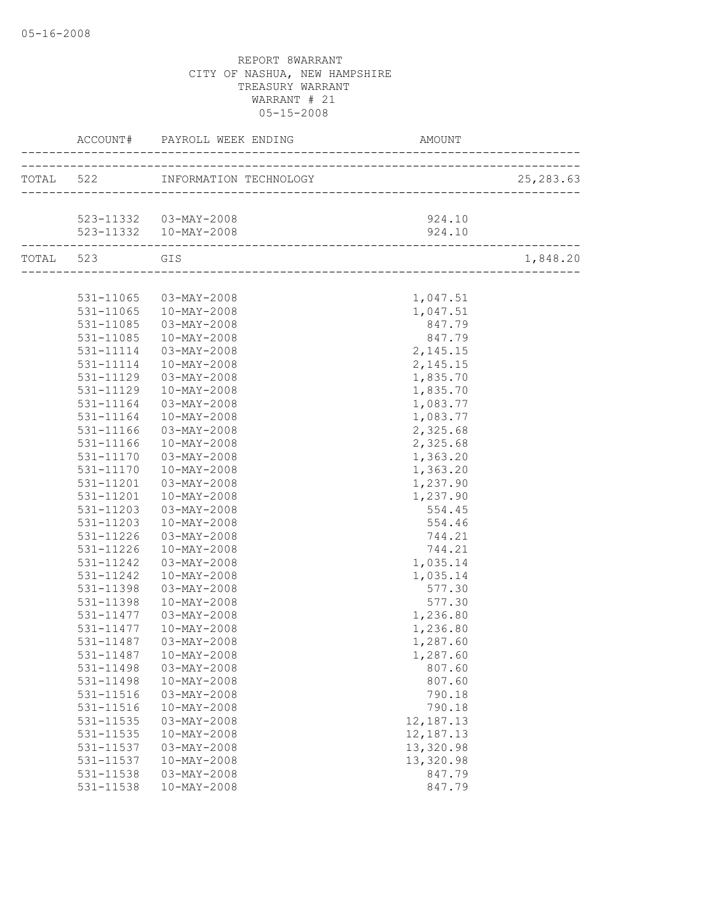|               |                        |           | 25, 283.63 |
|---------------|------------------------|-----------|------------|
|               |                        |           |            |
|               | 523-11332  03-MAY-2008 | 924.10    |            |
|               | 523-11332  10-MAY-2008 | 924.10    |            |
| TOTAL 523 GIS |                        |           | 1,848.20   |
|               |                        |           |            |
|               | 531-11065 03-MAY-2008  | 1,047.51  |            |
|               | 531-11065  10-MAY-2008 | 1,047.51  |            |
| 531-11085     | 03-MAY-2008            | 847.79    |            |
| 531-11085     | 10-MAY-2008            | 847.79    |            |
| 531-11114     | 03-MAY-2008            | 2,145.15  |            |
| 531-11114     | 10-MAY-2008            | 2,145.15  |            |
| 531-11129     | 03-MAY-2008            | 1,835.70  |            |
| 531-11129     | $10 - MAX - 2008$      | 1,835.70  |            |
| 531-11164     | 03-MAY-2008            | 1,083.77  |            |
| 531-11164     | 10-MAY-2008            | 1,083.77  |            |
| 531-11166     | 03-MAY-2008            | 2,325.68  |            |
| 531-11166     | 10-MAY-2008            | 2,325.68  |            |
| 531-11170     | 03-MAY-2008            | 1,363.20  |            |
| 531-11170     | 10-MAY-2008            | 1,363.20  |            |
| 531-11201     | 03-MAY-2008            | 1,237.90  |            |
| 531-11201     | 10-MAY-2008            | 1,237.90  |            |
| 531-11203     | 03-MAY-2008            | 554.45    |            |
| 531-11203     | 10-MAY-2008            | 554.46    |            |
| 531-11226     | 03-MAY-2008            | 744.21    |            |
| 531-11226     | 10-MAY-2008            | 744.21    |            |
| 531-11242     | 03-MAY-2008            | 1,035.14  |            |
| 531-11242     | 10-MAY-2008            | 1,035.14  |            |
| 531-11398     | 03-MAY-2008            | 577.30    |            |
| 531-11398     | 10-MAY-2008            | 577.30    |            |
| 531-11477     | 03-MAY-2008            | 1,236.80  |            |
| 531-11477     | 10-MAY-2008            | 1,236.80  |            |
| 531-11487     | 03-MAY-2008            | 1,287.60  |            |
|               | 531-11487  10-MAY-2008 | 1,287.60  |            |
| 531-11498     | $03-MAY-2008$          | 807.60    |            |
| 531-11498     | $10-MAY-2008$          | 807.60    |            |
| 531-11516     | $03 - MAY - 2008$      | 790.18    |            |
| 531-11516     | $10-MAY-2008$          | 790.18    |            |
| 531-11535     | $03 - MAY - 2008$      | 12,187.13 |            |
| 531-11535     | $10 - MAX - 2008$      | 12,187.13 |            |
| 531-11537     | 03-MAY-2008            | 13,320.98 |            |
| 531-11537     | $10 - MAX - 2008$      | 13,320.98 |            |
| 531-11538     | $03 - MAX - 2008$      | 847.79    |            |
| 531-11538     | $10-MAY-2008$          | 847.79    |            |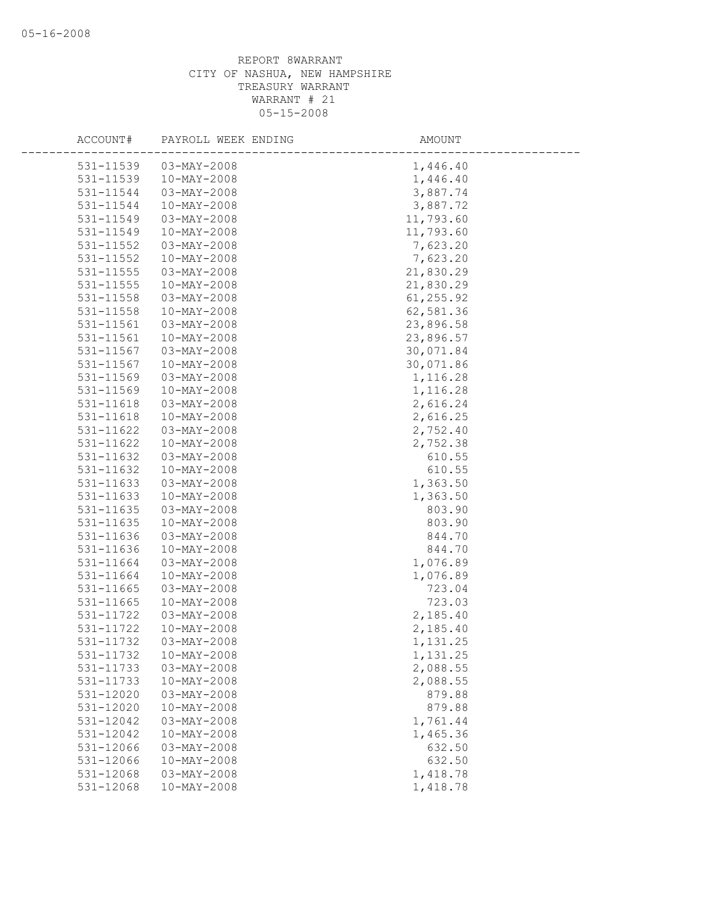| ACCOUNT#  | PAYROLL WEEK ENDING | AMOUNT    |
|-----------|---------------------|-----------|
| 531-11539 | $03 - MAX - 2008$   | 1,446.40  |
| 531-11539 | 10-MAY-2008         | 1,446.40  |
| 531-11544 | 03-MAY-2008         | 3,887.74  |
| 531-11544 | $10-MAY-2008$       | 3,887.72  |
| 531-11549 | $03 - MAY - 2008$   | 11,793.60 |
| 531-11549 | $10-MAY-2008$       | 11,793.60 |
| 531-11552 | $03 - MAY - 2008$   | 7,623.20  |
| 531-11552 | $10-MAY-2008$       | 7,623.20  |
| 531-11555 | $03 - MAX - 2008$   | 21,830.29 |
| 531-11555 | $10-MAY-2008$       | 21,830.29 |
| 531-11558 | 03-MAY-2008         | 61,255.92 |
| 531-11558 | 10-MAY-2008         | 62,581.36 |
| 531-11561 | 03-MAY-2008         | 23,896.58 |
| 531-11561 | $10 - MAX - 2008$   | 23,896.57 |
| 531-11567 | $03 - MAY - 2008$   | 30,071.84 |
| 531-11567 | 10-MAY-2008         | 30,071.86 |
| 531-11569 | $03 - MAX - 2008$   | 1,116.28  |
| 531-11569 | $10 - MAX - 2008$   | 1,116.28  |
| 531-11618 | $03 - MAX - 2008$   | 2,616.24  |
| 531-11618 | 10-MAY-2008         | 2,616.25  |
| 531-11622 | 03-MAY-2008         | 2,752.40  |
| 531-11622 | $10-MAY-2008$       | 2,752.38  |
| 531-11632 | $03 - MAY - 2008$   | 610.55    |
| 531-11632 | $10-MAY-2008$       | 610.55    |
| 531-11633 | 03-MAY-2008         | 1,363.50  |
| 531-11633 | $10-MAY-2008$       | 1,363.50  |
| 531-11635 | $03 - MAX - 2008$   | 803.90    |
| 531-11635 | $10-MAY-2008$       | 803.90    |
| 531-11636 | 03-MAY-2008         | 844.70    |
| 531-11636 | 10-MAY-2008         | 844.70    |
| 531-11664 | 03-MAY-2008         | 1,076.89  |
| 531-11664 | $10-MAY-2008$       | 1,076.89  |
| 531-11665 | $03 - MAY - 2008$   | 723.04    |
| 531-11665 | $10 - MAX - 2008$   | 723.03    |
| 531-11722 | 03-MAY-2008         | 2,185.40  |
| 531-11722 | $10-MAY-2008$       | 2,185.40  |
| 531-11732 | 03-MAY-2008         | 1,131.25  |
| 531-11732 | $10 - MAX - 2008$   | 1,131.25  |
| 531-11733 | $03-MAY-2008$       | 2,088.55  |
| 531-11733 | $10-MAY-2008$       | 2,088.55  |
| 531-12020 | $03-MAY-2008$       | 879.88    |
| 531-12020 | $10-MAY-2008$       | 879.88    |
| 531-12042 | $03-MAY-2008$       | 1,761.44  |
| 531-12042 | $10-MAY-2008$       | 1,465.36  |
| 531-12066 | $03 - MAX - 2008$   | 632.50    |
| 531-12066 | $10 - MAX - 2008$   | 632.50    |
| 531-12068 | 03-MAY-2008         | 1,418.78  |
| 531-12068 | $10 - MAX - 2008$   | 1,418.78  |
|           |                     |           |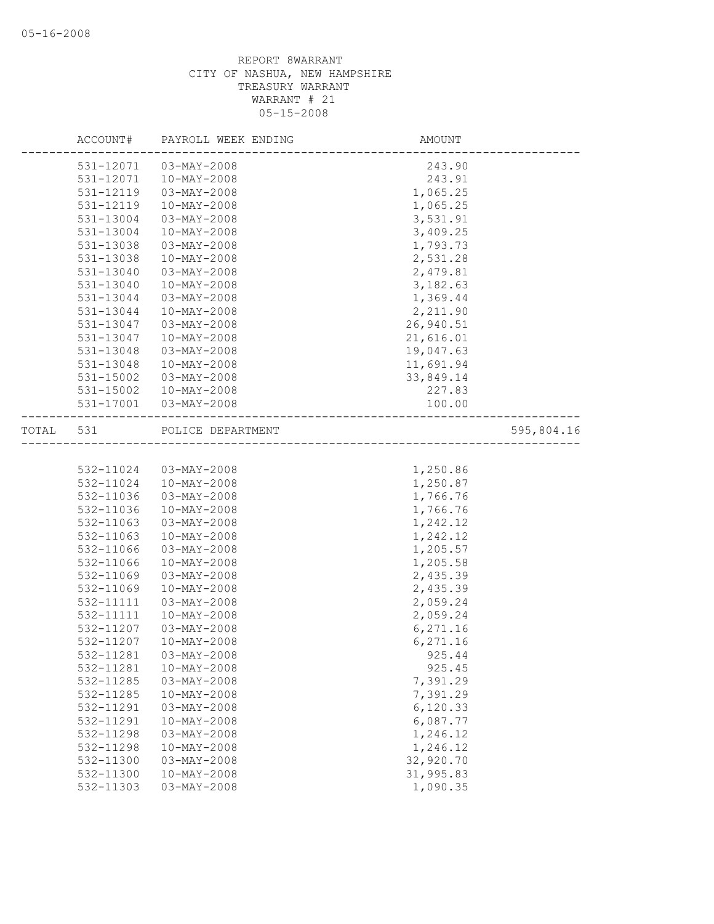|       | ACCOUNT#  | PAYROLL WEEK ENDING | AMOUNT                             |            |
|-------|-----------|---------------------|------------------------------------|------------|
|       | 531-12071 | $03 - MAY - 2008$   | 243.90                             |            |
|       | 531-12071 | $10-MAY-2008$       | 243.91                             |            |
|       | 531-12119 | $03 - MAX - 2008$   | 1,065.25                           |            |
|       | 531-12119 | $10-MAY-2008$       | 1,065.25                           |            |
|       | 531-13004 | 03-MAY-2008         | 3,531.91                           |            |
|       | 531-13004 | 10-MAY-2008         | 3,409.25                           |            |
|       | 531-13038 | 03-MAY-2008         | 1,793.73                           |            |
|       | 531-13038 | $10-MAY-2008$       | 2,531.28                           |            |
|       | 531-13040 | $03 - MAX - 2008$   | 2,479.81                           |            |
|       | 531-13040 | $10-MAY-2008$       | 3,182.63                           |            |
|       | 531-13044 | $03 - MAX - 2008$   | 1,369.44                           |            |
|       | 531-13044 | 10-MAY-2008         | 2,211.90                           |            |
|       | 531-13047 | $03 - MAX - 2008$   | 26,940.51                          |            |
|       | 531-13047 | $10-MAY-2008$       | 21,616.01                          |            |
|       | 531-13048 | 03-MAY-2008         | 19,047.63                          |            |
|       | 531-13048 | 10-MAY-2008         | 11,691.94                          |            |
|       | 531-15002 | 03-MAY-2008         | 33,849.14                          |            |
|       | 531-15002 | $10 - MAX - 2008$   | 227.83                             |            |
|       | 531-17001 | 03-MAY-2008         | 100.00                             |            |
| TOTAL | 531       | POLICE DEPARTMENT   |                                    | 595,804.16 |
|       |           |                     | ---------------------------------- |            |
|       | 532-11024 | 03-MAY-2008         | 1,250.86                           |            |
|       | 532-11024 | $10-MAY-2008$       | 1,250.87                           |            |
|       | 532-11036 | $03 - MAX - 2008$   | 1,766.76                           |            |
|       | 532-11036 | $10-MAY-2008$       | 1,766.76                           |            |
|       | 532-11063 | $03 - MAY - 2008$   | 1,242.12                           |            |
|       | 532-11063 | $10-MAY-2008$       | 1,242.12                           |            |
|       | 532-11066 | 03-MAY-2008         | 1,205.57                           |            |
|       | 532-11066 | $10-MAY-2008$       | 1,205.58                           |            |
|       | 532-11069 | 03-MAY-2008         | 2,435.39                           |            |
|       | 532-11069 | $10-MAY-2008$       | 2,435.39                           |            |
|       | 532-11111 | 03-MAY-2008         | 2,059.24                           |            |
|       | 532-11111 | $10 - MAX - 2008$   | 2,059.24                           |            |
|       | 532-11207 | $03 - MAX - 2008$   | 6,271.16                           |            |
|       | 532-11207 | $10-MAY-2008$       | 6,271.16                           |            |
|       | 532-11281 | 03-MAY-2008         | 925.44                             |            |
|       | 532-11281 | $10 - MAX - 2008$   | 925.45                             |            |
|       | 532-11285 | $03-MAY-2008$       | 7,391.29                           |            |
|       | 532-11285 | $10-MAY-2008$       | 7,391.29                           |            |
|       | 532-11291 | 03-MAY-2008         | 6, 120.33                          |            |
|       | 532-11291 | $10-MAY-2008$       | 6,087.77                           |            |
|       | 532-11298 | 03-MAY-2008         | 1,246.12                           |            |
|       | 532-11298 | $10 - MAX - 2008$   | 1,246.12                           |            |
|       | 532-11300 | $03 - MAX - 2008$   | 32,920.70                          |            |
|       | 532-11300 | $10 - MAX - 2008$   | 31,995.83                          |            |
|       | 532-11303 | $03-MAY-2008$       | 1,090.35                           |            |
|       |           |                     |                                    |            |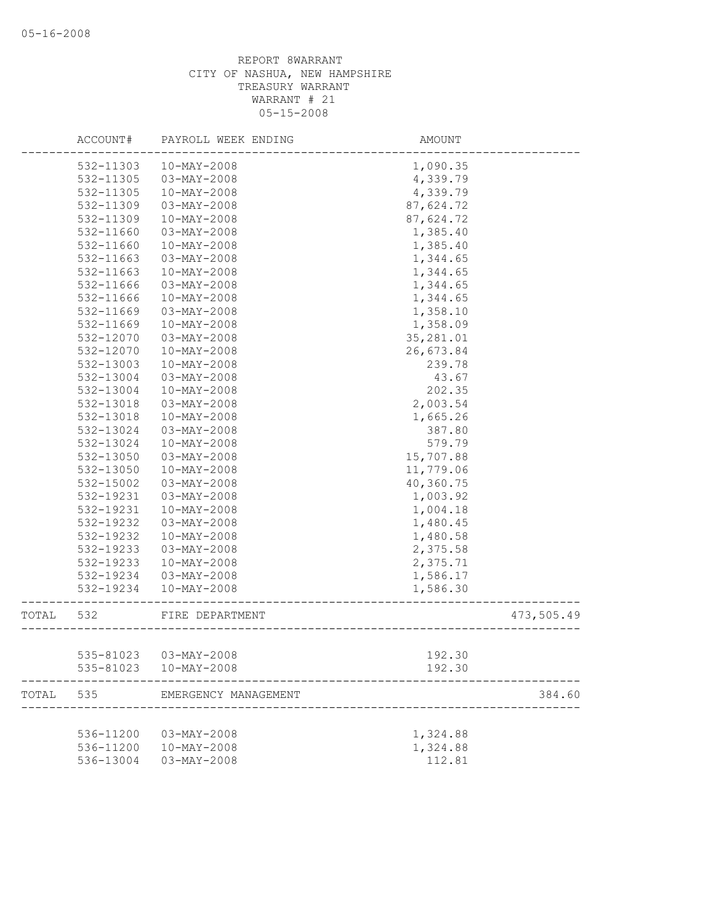|       | ACCOUNT#  | PAYROLL WEEK ENDING   | AMOUNT    |            |
|-------|-----------|-----------------------|-----------|------------|
|       | 532-11303 | $10-MAY-2008$         | 1,090.35  |            |
|       | 532-11305 | 03-MAY-2008           | 4,339.79  |            |
|       | 532-11305 | $10-MAY-2008$         | 4,339.79  |            |
|       | 532-11309 | $03 - MAX - 2008$     | 87,624.72 |            |
|       | 532-11309 | $10-MAY-2008$         | 87,624.72 |            |
|       | 532-11660 | 03-MAY-2008           | 1,385.40  |            |
|       | 532-11660 | 10-MAY-2008           | 1,385.40  |            |
|       | 532-11663 | $03 - MAX - 2008$     | 1,344.65  |            |
|       | 532-11663 | $10-MAY-2008$         | 1,344.65  |            |
|       | 532-11666 | $03 - MAX - 2008$     | 1,344.65  |            |
|       | 532-11666 | $10-MAY-2008$         | 1,344.65  |            |
|       | 532-11669 | 03-MAY-2008           | 1,358.10  |            |
|       | 532-11669 | $10-MAY-2008$         | 1,358.09  |            |
|       | 532-12070 | $03 - MAX - 2008$     | 35,281.01 |            |
|       | 532-12070 | $10-MAY-2008$         | 26,673.84 |            |
|       | 532-13003 | $10-MAY-2008$         | 239.78    |            |
|       | 532-13004 | $03 - MAX - 2008$     | 43.67     |            |
|       | 532-13004 | 10-MAY-2008           | 202.35    |            |
|       | 532-13018 | $03 - MAX - 2008$     | 2,003.54  |            |
|       | 532-13018 | $10-MAY-2008$         | 1,665.26  |            |
|       | 532-13024 | $03 - MAX - 2008$     | 387.80    |            |
|       | 532-13024 | 10-MAY-2008           | 579.79    |            |
|       | 532-13050 | $03 - MAX - 2008$     | 15,707.88 |            |
|       | 532-13050 | $10-MAY-2008$         | 11,779.06 |            |
|       | 532-15002 | 03-MAY-2008           | 40,360.75 |            |
|       | 532-19231 | 03-MAY-2008           | 1,003.92  |            |
|       | 532-19231 | $10-MAY-2008$         | 1,004.18  |            |
|       | 532-19232 | 03-MAY-2008           | 1,480.45  |            |
|       | 532-19232 | $10-MAY-2008$         | 1,480.58  |            |
|       | 532-19233 | 03-MAY-2008           | 2,375.58  |            |
|       | 532-19233 | $10-MAY-2008$         | 2,375.71  |            |
|       | 532-19234 | $03 - MAY - 2008$     | 1,586.17  |            |
|       | 532-19234 | 10-MAY-2008           | 1,586.30  |            |
|       |           |                       |           |            |
| TOTAL | 532       | FIRE DEPARTMENT       |           | 473,505.49 |
|       |           |                       |           |            |
|       |           | 535-81023 03-MAY-2008 | 192.30    |            |
|       | 535-81023 | $10 - MAX - 2008$     | 192.30    |            |
| TOTAL | 535       | EMERGENCY MANAGEMENT  |           | 384.60     |
|       |           |                       |           |            |
|       | 536-11200 | $03 - MAX - 2008$     | 1,324.88  |            |
|       | 536-11200 | $10-MAY-2008$         | 1,324.88  |            |
|       | 536-13004 | $03 - MAX - 2008$     | 112.81    |            |
|       |           |                       |           |            |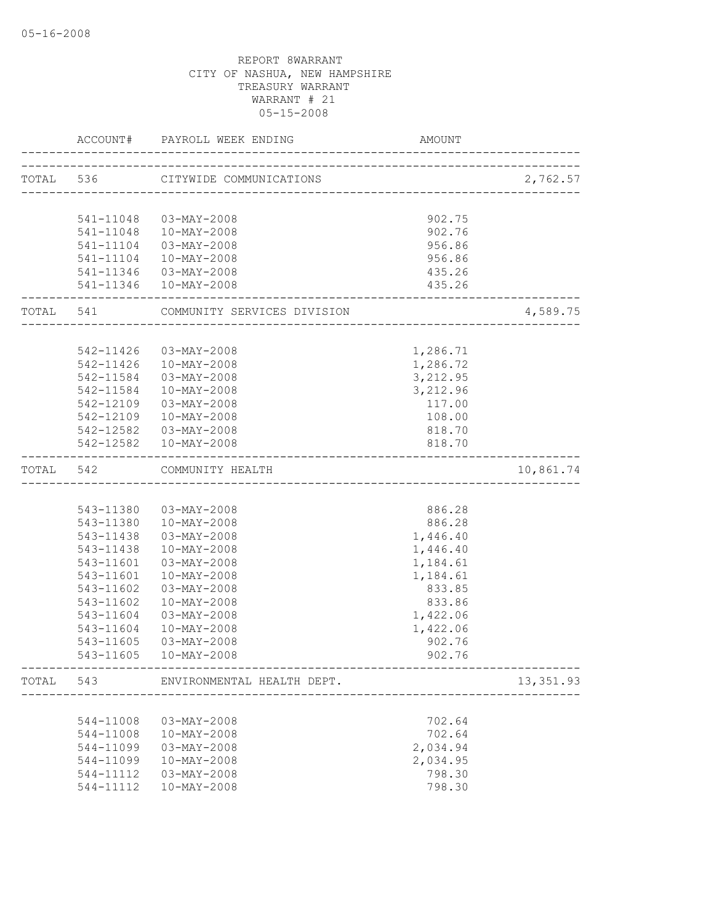|           |                     | ACCOUNT# PAYROLL WEEK ENDING                                | AMOUNT               |            |
|-----------|---------------------|-------------------------------------------------------------|----------------------|------------|
|           |                     | ----------------------<br>TOTAL 536 CITYWIDE COMMUNICATIONS |                      |            |
|           |                     |                                                             |                      | 2,762.57   |
|           | 541-11048           | 03-MAY-2008                                                 | 902.75               |            |
|           |                     | 541-11048  10-MAY-2008                                      | 902.76               |            |
|           | 541-11104           | 03-MAY-2008                                                 | 956.86               |            |
|           |                     | 541-11104  10-MAY-2008                                      | 956.86               |            |
|           |                     | 541-11346 03-MAY-2008                                       | 435.26               |            |
|           |                     | 541-11346  10-MAY-2008                                      | 435.26               |            |
|           | ___________________ | TOTAL 541 COMMUNITY SERVICES DIVISION                       | ____________________ | 4,589.75   |
|           |                     |                                                             |                      |            |
|           | 542-11426           | 03-MAY-2008                                                 | 1,286.71             |            |
|           | 542-11426           | 10-MAY-2008                                                 | 1,286.72             |            |
|           | 542-11584           | 03-MAY-2008                                                 | 3,212.95             |            |
|           | 542-11584           | 10-MAY-2008                                                 | 3,212.96             |            |
|           |                     | 542-12109 03-MAY-2008                                       | 117.00               |            |
|           |                     | 542-12109  10-MAY-2008                                      | 108.00               |            |
|           |                     | 542-12582  03-MAY-2008                                      | 818.70               |            |
|           |                     | 542-12582  10-MAY-2008                                      | 818.70               |            |
| TOTAL 542 |                     | COMMUNITY HEALTH                                            |                      | 10,861.74  |
|           |                     |                                                             |                      |            |
|           |                     | 543-11380 03-MAY-2008                                       | 886.28               |            |
|           |                     | 543-11380  10-MAY-2008                                      | 886.28               |            |
|           |                     | 543-11438 03-MAY-2008                                       | 1,446.40             |            |
|           | 543-11438           | 10-MAY-2008                                                 | 1,446.40             |            |
|           | 543-11601           | 03-MAY-2008                                                 | 1,184.61             |            |
|           | 543-11601           | 10-MAY-2008                                                 | 1,184.61             |            |
|           | 543-11602           | 03-MAY-2008                                                 | 833.85               |            |
|           | 543-11602           | 10-MAY-2008                                                 | 833.86               |            |
|           | 543-11604           | $03 - MAX - 2008$                                           | 1,422.06             |            |
|           | 543-11604           | 10-MAY-2008                                                 | 1,422.06             |            |
|           | 543-11605           | 03-MAY-2008                                                 | 902.76               |            |
|           |                     |                                                             | 902.76               |            |
| TOTAL     | 543                 | ENVIRONMENTAL HEALTH DEPT.<br>__________________________    |                      | 13, 351.93 |
|           |                     |                                                             |                      |            |
|           | 544-11008           | $03 - MAX - 2008$                                           | 702.64               |            |
|           | 544-11008           | $10-MAY-2008$                                               | 702.64               |            |
|           | 544-11099           | $03 - MAX - 2008$                                           | 2,034.94             |            |
|           | 544-11099           | $10-MAY-2008$                                               | 2,034.95             |            |
|           | 544-11112           | 03-MAY-2008                                                 | 798.30               |            |
|           | 544-11112           | $10 - MAX - 2008$                                           | 798.30               |            |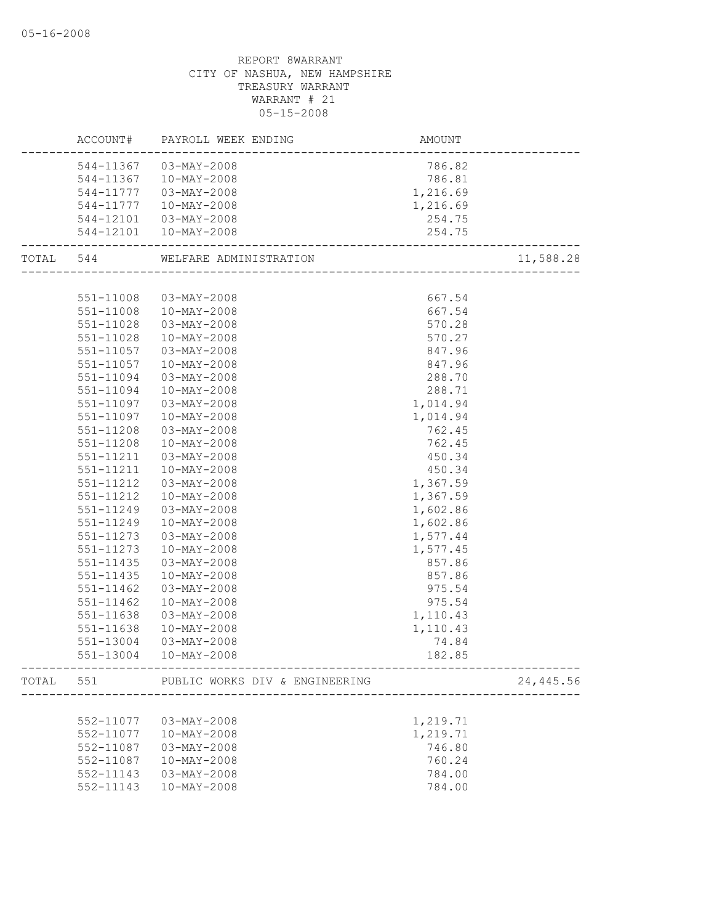|           | ACCOUNT# PAYROLL WEEK ENDING             | AMOUNT                                   |           |
|-----------|------------------------------------------|------------------------------------------|-----------|
|           | 544-11367 03-MAY-2008                    | 786.82                                   |           |
|           | 544-11367  10-MAY-2008                   | 786.81                                   |           |
| 544-11777 | 03-MAY-2008                              | 1,216.69                                 |           |
| 544-11777 | 10-MAY-2008                              | 1,216.69                                 |           |
|           | 544-12101  03-MAY-2008                   | 254.75                                   |           |
|           | 544-12101  10-MAY-2008                   | 254.75<br>______________________________ |           |
| TOTAL 544 | WELFARE ADMINISTRATION                   |                                          | 11,588.28 |
|           |                                          |                                          |           |
|           | 551-11008 03-MAY-2008                    | 667.54                                   |           |
|           | 551-11008  10-MAY-2008                   | 667.54                                   |           |
| 551-11028 | 03-MAY-2008                              | 570.28                                   |           |
| 551-11028 | 10-MAY-2008                              | 570.27                                   |           |
| 551-11057 | 03-MAY-2008                              | 847.96                                   |           |
| 551-11057 | $10 - MAX - 2008$                        | 847.96                                   |           |
| 551-11094 | 03-MAY-2008                              | 288.70                                   |           |
| 551-11094 | $10 - MAX - 2008$                        | 288.71                                   |           |
| 551-11097 | $03 - MAX - 2008$                        | 1,014.94                                 |           |
| 551-11097 | $10 - MAX - 2008$                        | 1,014.94                                 |           |
| 551-11208 | $03 - MAX - 2008$                        | 762.45                                   |           |
| 551-11208 | $10 - MAX - 2008$                        | 762.45                                   |           |
| 551-11211 | 03-MAY-2008                              | 450.34                                   |           |
| 551-11211 | 10-MAY-2008                              | 450.34                                   |           |
| 551-11212 | $03 - MAX - 2008$                        | 1,367.59                                 |           |
| 551-11212 | $10 - MAX - 2008$                        | 1,367.59                                 |           |
| 551-11249 | 03-MAY-2008                              | 1,602.86                                 |           |
| 551-11249 | $10 - MAX - 2008$                        | 1,602.86                                 |           |
| 551-11273 | $03 - MAX - 2008$                        | 1,577.44                                 |           |
| 551-11273 | $10 - MAX - 2008$                        | 1,577.45                                 |           |
| 551-11435 | $03 - MAX - 2008$                        | 857.86                                   |           |
| 551-11435 | $10 - MAX - 2008$                        | 857.86                                   |           |
| 551-11462 | $03 - MAX - 2008$                        | 975.54                                   |           |
| 551-11462 | $10 - MAX - 2008$                        | 975.54                                   |           |
| 551-11638 | $03 - MAX - 2008$                        | 1,110.43                                 |           |
| 551-11638 | 10-MAY-2008                              | 1,110.43                                 |           |
| 551-13004 | 03-MAY-2008                              | 74.84                                    |           |
|           | 551-13004  10-MAY-2008                   | 182.85                                   |           |
|           | TOTAL 551 PUBLIC WORKS DIV & ENGINEERING |                                          | 24,445.56 |
|           |                                          |                                          |           |
| 552-11077 | 03-MAY-2008                              | 1,219.71                                 |           |
| 552-11077 | $10 - MAX - 2008$                        | 1,219.71                                 |           |
| 552-11087 | $03 - MAX - 2008$                        | 746.80                                   |           |
| 552-11087 | $10-MAY-2008$                            | 760.24                                   |           |
| 552-11143 | $03 - MAX - 2008$                        | 784.00                                   |           |
| 552-11143 | 10-MAY-2008                              | 784.00                                   |           |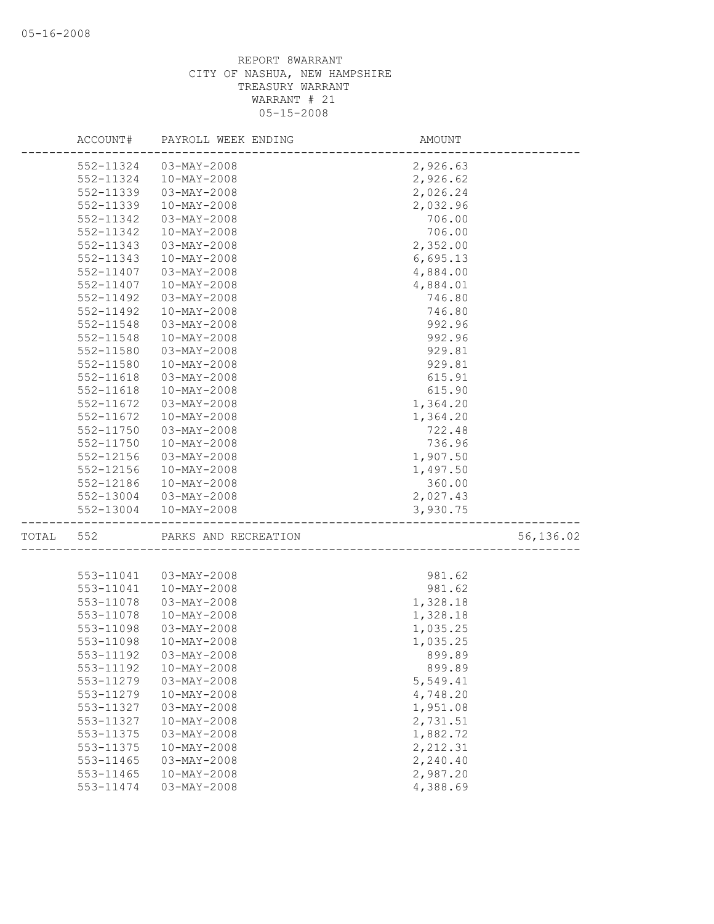|       | ACCOUNT#  | PAYROLL WEEK ENDING  | AMOUNT   |           |
|-------|-----------|----------------------|----------|-----------|
|       | 552-11324 | 03-MAY-2008          | 2,926.63 |           |
|       | 552-11324 | $10-MAY-2008$        | 2,926.62 |           |
|       | 552-11339 | 03-MAY-2008          | 2,026.24 |           |
|       | 552-11339 | $10-MAY-2008$        | 2,032.96 |           |
|       | 552-11342 | 03-MAY-2008          | 706.00   |           |
|       | 552-11342 | $10-MAY-2008$        | 706.00   |           |
|       | 552-11343 | 03-MAY-2008          | 2,352.00 |           |
|       | 552-11343 | $10-MAY-2008$        | 6,695.13 |           |
|       | 552-11407 | 03-MAY-2008          | 4,884.00 |           |
|       | 552-11407 | $10-MAY-2008$        | 4,884.01 |           |
|       | 552-11492 | $03 - MAX - 2008$    | 746.80   |           |
|       | 552-11492 | $10-MAY-2008$        | 746.80   |           |
|       | 552-11548 | 03-MAY-2008          | 992.96   |           |
|       | 552-11548 | $10-MAY-2008$        | 992.96   |           |
|       | 552-11580 | 03-MAY-2008          | 929.81   |           |
|       | 552-11580 | $10-MAY-2008$        | 929.81   |           |
|       | 552-11618 | 03-MAY-2008          | 615.91   |           |
|       | 552-11618 | $10 - MAY - 2008$    | 615.90   |           |
|       | 552-11672 | $03 - MAX - 2008$    | 1,364.20 |           |
|       | 552-11672 | $10-MAY-2008$        | 1,364.20 |           |
|       | 552-11750 | 03-MAY-2008          | 722.48   |           |
|       | 552-11750 | $10-MAY-2008$        | 736.96   |           |
|       | 552-12156 | 03-MAY-2008          | 1,907.50 |           |
|       | 552-12156 | $10 - MAX - 2008$    | 1,497.50 |           |
|       | 552-12186 | 10-MAY-2008          | 360.00   |           |
|       | 552-13004 | 03-MAY-2008          | 2,027.43 |           |
|       | 552-13004 | $10-MAY-2008$        | 3,930.75 |           |
| TOTAL | 552       | PARKS AND RECREATION |          | 56,136.02 |
|       |           |                      |          |           |
|       | 553-11041 | 03-MAY-2008          | 981.62   |           |
|       | 553-11041 | $10 - MAX - 2008$    | 981.62   |           |
|       | 553-11078 | $03 - MAX - 2008$    | 1,328.18 |           |
|       | 553-11078 | $10 - MAX - 2008$    | 1,328.18 |           |
|       | 553-11098 | 03-MAY-2008          | 1,035.25 |           |
|       | 553-11098 | $10 - MAX - 2008$    | 1,035.25 |           |
|       | 553-11192 | $03 - MAY - 2008$    | 899.89   |           |
|       | 553-11192 | $10 - MAX - 2008$    | 899.89   |           |
|       | 553-11279 | $03 - MAY - 2008$    | 5,549.41 |           |
|       | 553-11279 | $10-MAY-2008$        | 4,748.20 |           |
|       | 553-11327 | 03-MAY-2008          | 1,951.08 |           |
|       | 553-11327 | $10-MAY-2008$        | 2,731.51 |           |
|       | 553-11375 | $03 - MAX - 2008$    | 1,882.72 |           |
|       | 553-11375 | $10-MAY-2008$        | 2,212.31 |           |
|       | 553-11465 | $03-MAY-2008$        | 2,240.40 |           |
|       | 553-11465 | $10-MAY-2008$        | 2,987.20 |           |
|       | 553-11474 | $03-MAY-2008$        | 4,388.69 |           |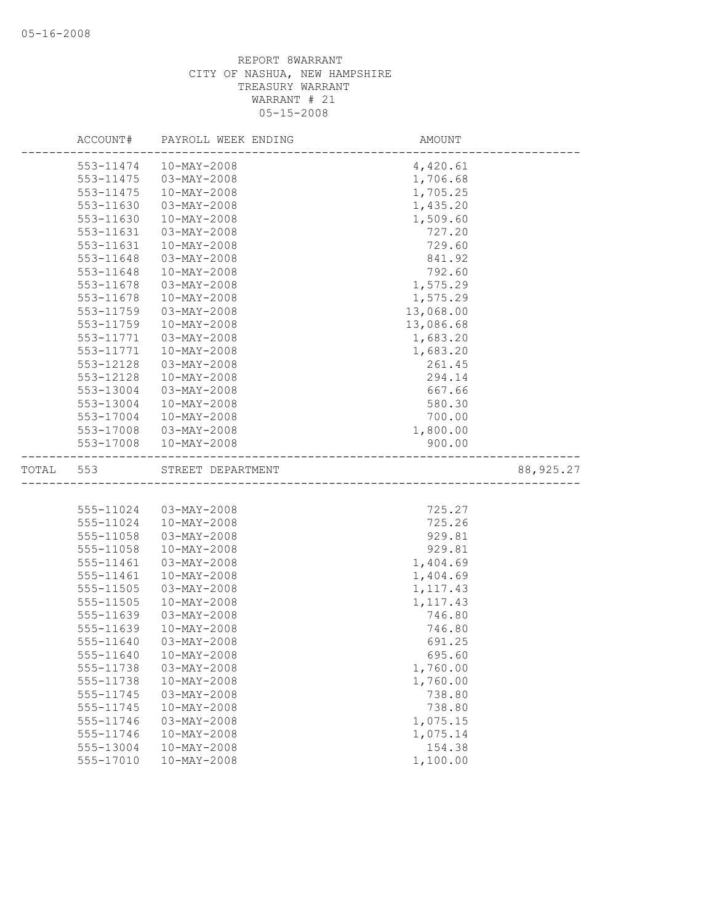|       | ACCOUNT#               | PAYROLL WEEK ENDING                | AMOUNT               |            |
|-------|------------------------|------------------------------------|----------------------|------------|
|       | 553-11474              | $10 - \text{MAY} - 2008$           | 4,420.61             |            |
|       | $553 - 11475$          | $03 - MAX - 2008$                  | 1,706.68             |            |
|       | 553-11475              | 10-MAY-2008                        | 1,705.25             |            |
|       | 553-11630              | $03-MAY-2008$                      | 1,435.20             |            |
|       | 553-11630              | $10-MAY-2008$                      | 1,509.60             |            |
|       | 553-11631              | 03-MAY-2008                        | 727.20               |            |
|       | 553-11631              | $10 - MAX - 2008$                  | 729.60               |            |
|       | 553-11648              | $03 - MAY - 2008$                  | 841.92               |            |
|       | 553-11648              | $10 - MAX - 2008$                  | 792.60               |            |
|       | 553-11678              | $03 - MAX - 2008$                  | 1,575.29             |            |
|       | 553-11678              | $10-MAY-2008$                      | 1,575.29             |            |
|       | 553-11759              | 03-MAY-2008                        | 13,068.00            |            |
|       | 553-11759              | $10 - MAX - 2008$                  | 13,086.68            |            |
|       | 553-11771              | 03-MAY-2008                        | 1,683.20             |            |
|       | 553-11771              | $10-MAY-2008$                      | 1,683.20             |            |
|       | 553-12128              | 03-MAY-2008                        | 261.45               |            |
|       | 553-12128              | $10-MAY-2008$                      | 294.14               |            |
|       | 553-13004              | 03-MAY-2008                        | 667.66               |            |
|       | 553-13004              | $10-MAY-2008$                      | 580.30               |            |
|       | 553-17004              | $10-MAY-2008$                      | 700.00               |            |
|       | 553-17008              | 03-MAY-2008                        | 1,800.00             |            |
|       | 553-17008              | $10-MAY-2008$                      | 900.00               |            |
|       |                        |                                    |                      |            |
| TOTAL | 553                    | STREET DEPARTMENT                  |                      | 88, 925.27 |
|       |                        |                                    |                      |            |
|       |                        |                                    |                      |            |
|       | 555-11024<br>555-11024 | 03-MAY-2008<br>$10 - MAX - 2008$   | 725.27<br>725.26     |            |
|       | 555-11058              | 03-MAY-2008                        | 929.81               |            |
|       | 555-11058              | 10-MAY-2008                        | 929.81               |            |
|       | 555-11461              | $03-MAY-2008$                      | 1,404.69             |            |
|       | 555-11461              | $10-MAY-2008$                      | 1,404.69             |            |
|       | 555-11505              | $03-MAY-2008$                      | 1, 117.43            |            |
|       | 555-11505              | 10-MAY-2008                        |                      |            |
|       |                        |                                    | 1, 117.43            |            |
|       | 555-11639              | $03-MAY-2008$<br>$10-MAY-2008$     | 746.80               |            |
|       | 555-11639<br>555-11640 | $03 - MAX - 2008$                  | 746.80<br>691.25     |            |
|       | 555-11640              | 10-MAY-2008                        |                      |            |
|       | 555-11738              | $03 - MAX - 2008$                  | 695.60               |            |
|       | 555-11738              | $10-MAY-2008$                      | 1,760.00<br>1,760.00 |            |
|       | 555-11745              | $03 - MAY - 2008$                  | 738.80               |            |
|       | 555-11745              | $10-MAY-2008$                      | 738.80               |            |
|       | 555-11746              | $03 - MAX - 2008$                  | 1,075.15             |            |
|       |                        |                                    |                      |            |
|       | 555-11746<br>555-13004 | $10-MAY-2008$<br>$10 - MAX - 2008$ | 1,075.14<br>154.38   |            |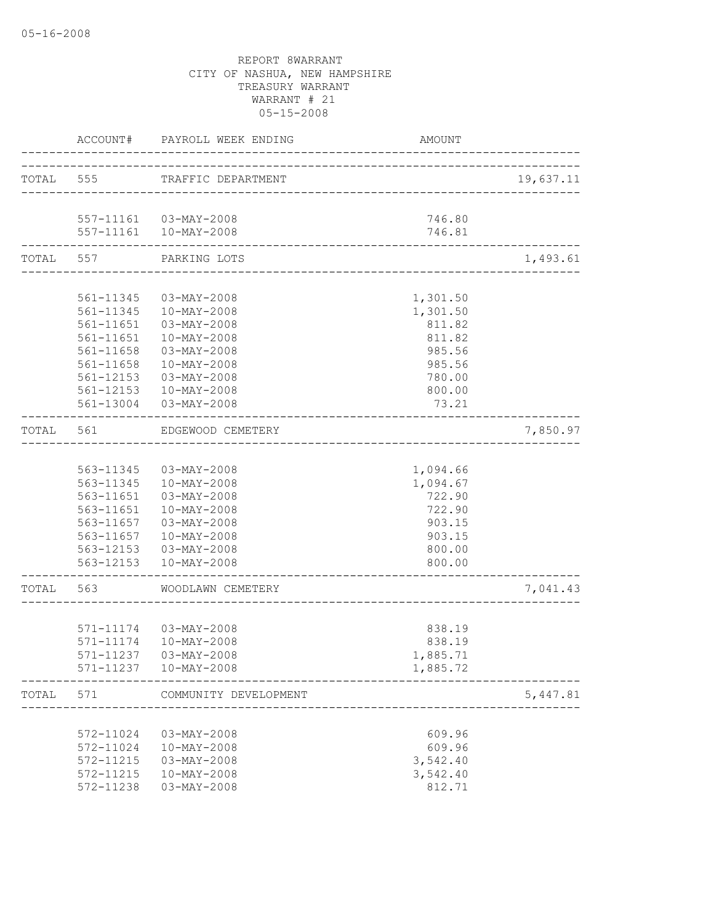|           |           | ACCOUNT# PAYROLL WEEK ENDING | AMOUNT                              |           |
|-----------|-----------|------------------------------|-------------------------------------|-----------|
|           |           | TOTAL 555 TRAFFIC DEPARTMENT | ----------------------------------  | 19,637.11 |
|           |           | 557-11161  03-MAY-2008       | 746.80                              |           |
|           |           | 557-11161  10-MAY-2008       | 746.81<br>_________________________ |           |
|           | TOTAL 557 | PARKING LOTS                 |                                     | 1,493.61  |
|           |           |                              |                                     |           |
|           |           | 561-11345 03-MAY-2008        | 1,301.50                            |           |
|           |           | 561-11345  10-MAY-2008       | 1,301.50                            |           |
|           |           | 561-11651  03-MAY-2008       | 811.82                              |           |
|           | 561-11651 | 10-MAY-2008                  | 811.82                              |           |
|           | 561-11658 | $03 - MAX - 2008$            | 985.56                              |           |
|           | 561-11658 | 10-MAY-2008                  | 985.56                              |           |
|           | 561-12153 | $03 - MAX - 2008$            | 780.00                              |           |
|           | 561-12153 | 10-MAY-2008                  | 800.00                              |           |
|           |           | 561-13004 03-MAY-2008        | 73.21                               |           |
| TOTAL     | 561       | EDGEWOOD CEMETERY            |                                     | 7,850.97  |
|           |           |                              |                                     |           |
|           |           | 563-11345 03-MAY-2008        | 1,094.66                            |           |
|           |           | 563-11345  10-MAY-2008       | 1,094.67                            |           |
|           | 563-11651 | 03-MAY-2008                  | 722.90                              |           |
|           | 563-11651 | 10-MAY-2008                  | 722.90                              |           |
|           |           | 563-11657 03-MAY-2008        | 903.15                              |           |
|           |           | 563-11657  10-MAY-2008       | 903.15                              |           |
|           |           | 563-12153  03-MAY-2008       | 800.00                              |           |
|           |           | 563-12153  10-MAY-2008       | 800.00                              |           |
| TOTAL 563 |           | WOODLAWN CEMETERY            |                                     | 7,041.43  |
|           |           |                              |                                     |           |
|           |           | 571-11174  03-MAY-2008       | 838.19                              |           |
|           |           | 571-11174  10-MAY-2008       | 838.19                              |           |
|           |           | 571-11237 03-MAY-2008        | 1,885.71                            |           |
|           |           | 571-11237  10-MAY-2008       | 1,885.72                            |           |
| TOTAL     | 571       | COMMUNITY DEVELOPMENT        |                                     | 5,447.81  |
|           |           |                              |                                     |           |
|           | 572-11024 | $03 - MAY - 2008$            | 609.96                              |           |
|           | 572-11024 | 10-MAY-2008                  | 609.96                              |           |
|           | 572-11215 | $03 - MAX - 2008$            | 3,542.40                            |           |
|           | 572-11215 | 10-MAY-2008                  | 3,542.40                            |           |
|           | 572-11238 | $03 - MAY - 2008$            | 812.71                              |           |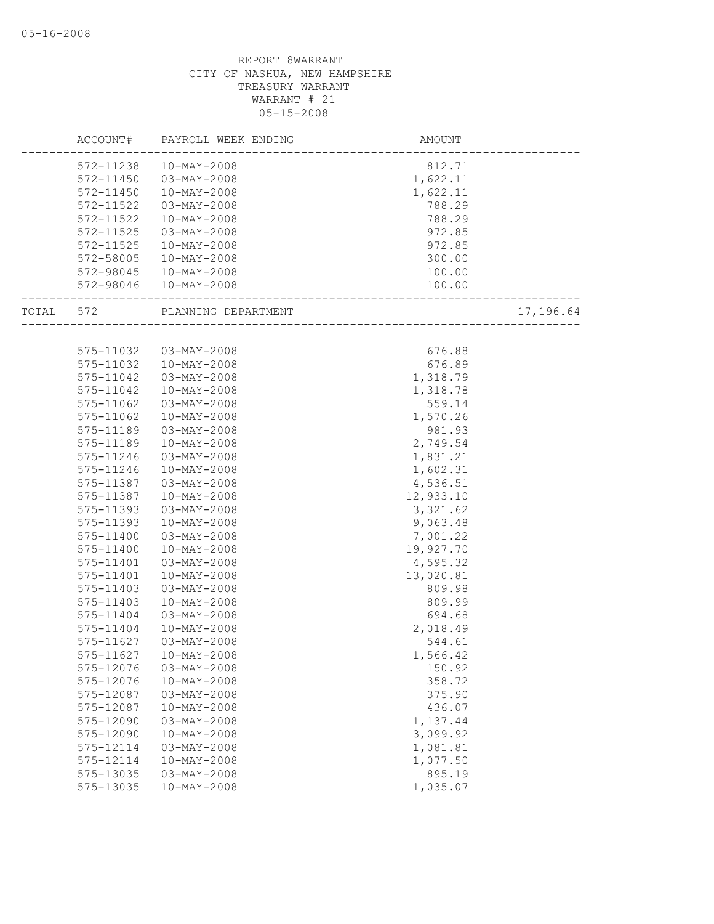|       | ACCOUNT#      | PAYROLL WEEK ENDING | AMOUNT    |           |
|-------|---------------|---------------------|-----------|-----------|
|       | 572-11238     | $10-MAY-2008$       | 812.71    |           |
|       | 572-11450     | $03 - MAX - 2008$   | 1,622.11  |           |
|       | 572-11450     | $10-MAY-2008$       | 1,622.11  |           |
|       | 572-11522     | 03-MAY-2008         | 788.29    |           |
|       | 572-11522     | $10-MAY-2008$       | 788.29    |           |
|       | 572-11525     | $03 - MAY - 2008$   | 972.85    |           |
|       | 572-11525     | 10-MAY-2008         | 972.85    |           |
|       | 572-58005     | $10 - MAX - 2008$   | 300.00    |           |
|       | 572-98045     | 10-MAY-2008         | 100.00    |           |
|       | 572-98046     | 10-MAY-2008         | 100.00    |           |
| TOTAL | 572           | PLANNING DEPARTMENT |           | 17,196.64 |
|       |               |                     |           |           |
|       | 575-11032     | 03-MAY-2008         | 676.88    |           |
|       | 575-11032     | 10-MAY-2008         | 676.89    |           |
|       | 575-11042     | 03-MAY-2008         | 1,318.79  |           |
|       | 575-11042     | $10 - MAX - 2008$   | 1,318.78  |           |
|       | 575-11062     | $03 - MAX - 2008$   | 559.14    |           |
|       | 575-11062     | $10 - MAX - 2008$   | 1,570.26  |           |
|       | 575-11189     | $03 - MAX - 2008$   | 981.93    |           |
|       | 575-11189     | $10-MAY-2008$       | 2,749.54  |           |
|       | 575-11246     | 03-MAY-2008         | 1,831.21  |           |
|       | 575-11246     | $10-MAY-2008$       | 1,602.31  |           |
|       | 575-11387     | $03 - MAY - 2008$   | 4,536.51  |           |
|       | 575-11387     | $10-MAY-2008$       | 12,933.10 |           |
|       | 575-11393     | 03-MAY-2008         | 3,321.62  |           |
|       | 575-11393     | $10-MAY-2008$       | 9,063.48  |           |
|       | $575 - 11400$ | $03 - MAX - 2008$   | 7,001.22  |           |
|       | 575-11400     | $10 - MAX - 2008$   | 19,927.70 |           |
|       | 575-11401     | $03 - MAX - 2008$   | 4,595.32  |           |
|       | 575-11401     | $10-MAY-2008$       | 13,020.81 |           |
|       | 575-11403     | 03-MAY-2008         | 809.98    |           |
|       | 575-11403     | $10 - MAX - 2008$   | 809.99    |           |
|       | 575-11404     | 03-MAY-2008         | 694.68    |           |
|       | 575-11404     | $10-MAY-2008$       | 2,018.49  |           |
|       | 575-11627     | 03-MAY-2008         | 544.61    |           |
|       | 575-11627     | $10-MAY-2008$       | 1,566.42  |           |
|       | 575-12076     | $03 - MAY - 2008$   | 150.92    |           |
|       | 575-12076     | $10-MAY-2008$       | 358.72    |           |
|       | 575-12087     | $03 - MAX - 2008$   | 375.90    |           |
|       | 575-12087     | $10-MAY-2008$       | 436.07    |           |
|       | 575-12090     | $03 - MAX - 2008$   | 1,137.44  |           |
|       | 575-12090     | $10-MAY-2008$       | 3,099.92  |           |
|       | 575-12114     | $03 - MAX - 2008$   | 1,081.81  |           |
|       | 575-12114     | $10-MAY-2008$       | 1,077.50  |           |
|       | 575-13035     | $03 - MAX - 2008$   | 895.19    |           |
|       | 575-13035     | $10-MAY-2008$       | 1,035.07  |           |
|       |               |                     |           |           |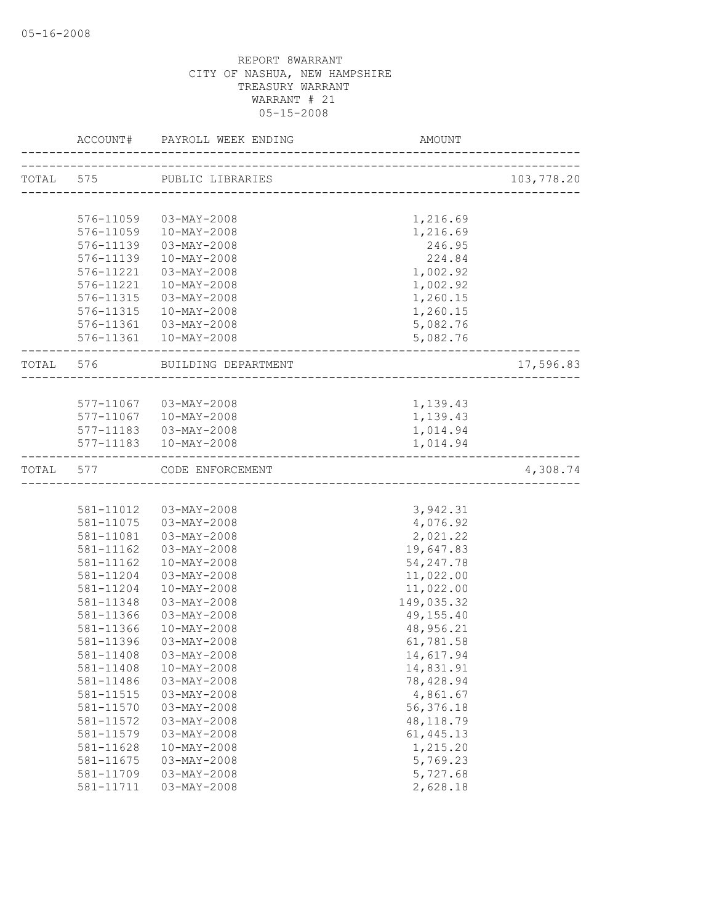|           | ACCOUNT#  | PAYROLL WEEK ENDING        | AMOUNT     |            |
|-----------|-----------|----------------------------|------------|------------|
|           |           | TOTAL 575 PUBLIC LIBRARIES |            | 103,778.20 |
|           |           |                            |            |            |
|           | 576-11059 | 03-MAY-2008                | 1,216.69   |            |
|           | 576-11059 | 10-MAY-2008                | 1,216.69   |            |
|           | 576-11139 | 03-MAY-2008                | 246.95     |            |
|           | 576-11139 | $10-MAY-2008$              | 224.84     |            |
|           | 576-11221 | 03-MAY-2008                | 1,002.92   |            |
|           | 576-11221 | 10-MAY-2008                | 1,002.92   |            |
|           | 576-11315 | 03-MAY-2008                | 1,260.15   |            |
|           | 576-11315 | 10-MAY-2008                | 1,260.15   |            |
|           |           | 576-11361 03-MAY-2008      | 5,082.76   |            |
|           |           | 576-11361  10-MAY-2008     | 5,082.76   |            |
| TOTAL 576 |           | BUILDING DEPARTMENT        |            | 17,596.83  |
|           |           |                            |            |            |
|           |           | 577-11067 03-MAY-2008      | 1,139.43   |            |
|           |           | 577-11067  10-MAY-2008     | 1,139.43   |            |
|           |           | 577-11183  03-MAY-2008     | 1,014.94   |            |
|           |           | 577-11183  10-MAY-2008     | 1,014.94   |            |
| TOTAL     | 577       | CODE ENFORCEMENT           |            | 4,308.74   |
|           |           |                            |            |            |
|           | 581-11012 | 03-MAY-2008                | 3,942.31   |            |
|           | 581-11075 | 03-MAY-2008                | 4,076.92   |            |
|           | 581-11081 | 03-MAY-2008                | 2,021.22   |            |
|           | 581-11162 | 03-MAY-2008                | 19,647.83  |            |
|           | 581-11162 | $10-MAY-2008$              | 54, 247.78 |            |
|           | 581-11204 | 03-MAY-2008                | 11,022.00  |            |
|           | 581-11204 | $10-MAY-2008$              | 11,022.00  |            |
|           | 581-11348 | $03 - MAX - 2008$          | 149,035.32 |            |
|           | 581-11366 | $03 - MAX - 2008$          | 49,155.40  |            |
|           | 581-11366 | $10-MAY-2008$              | 48,956.21  |            |
|           | 581-11396 | 03-MAY-2008                | 61,781.58  |            |
|           | 581-11408 | 03-MAY-2008                | 14,617.94  |            |
|           | 581-11408 | $10-MAY-2008$              | 14,831.91  |            |
|           | 581-11486 | $03 - MAX - 2008$          | 78,428.94  |            |
|           | 581-11515 | $03-MAY-2008$              | 4,861.67   |            |
|           | 581-11570 | $03 - MAY - 2008$          | 56, 376.18 |            |
|           | 581-11572 | $03-MAY-2008$              | 48, 118.79 |            |
|           | 581-11579 | $03 - MAX - 2008$          | 61, 445.13 |            |
|           | 581-11628 | $10 - MAX - 2008$          | 1,215.20   |            |
|           | 581-11675 | $03 - MAX - 2008$          | 5,769.23   |            |
|           | 581-11709 | $03 - MAX - 2008$          | 5,727.68   |            |
|           | 581-11711 | $03 - MAX - 2008$          | 2,628.18   |            |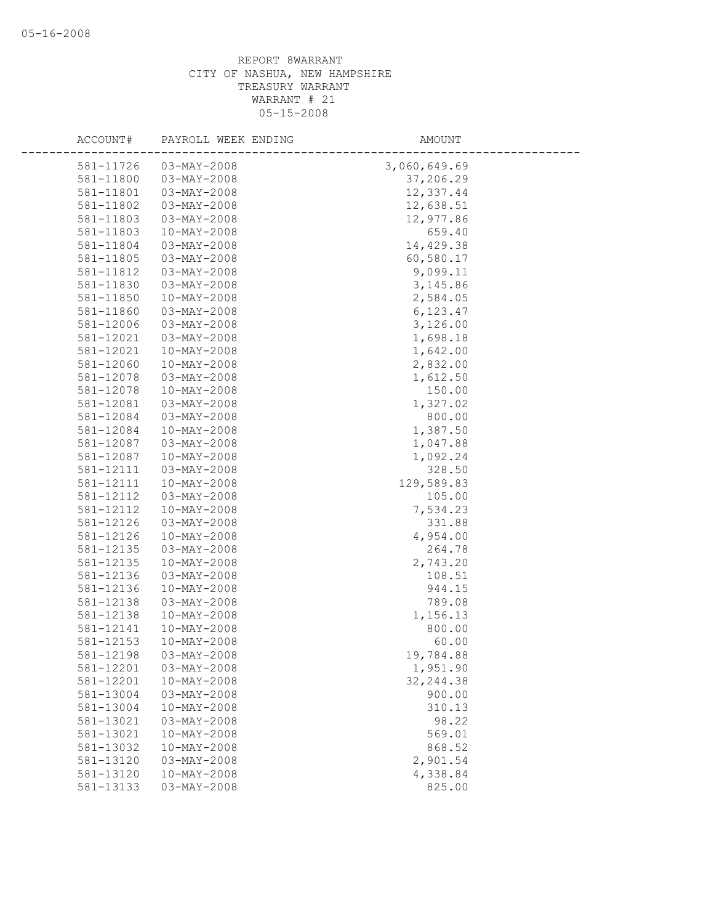| ACCOUNT#  | PAYROLL WEEK ENDING | AMOUNT       |  |
|-----------|---------------------|--------------|--|
| 581-11726 | $03 - MAY - 2008$   | 3,060,649.69 |  |
| 581-11800 | 03-MAY-2008         | 37,206.29    |  |
| 581-11801 | 03-MAY-2008         | 12,337.44    |  |
| 581-11802 | $03 - MAY - 2008$   | 12,638.51    |  |
| 581-11803 | 03-MAY-2008         | 12,977.86    |  |
| 581-11803 | 10-MAY-2008         | 659.40       |  |
| 581-11804 | $03-MAY-2008$       | 14,429.38    |  |
| 581-11805 | $03 - MAX - 2008$   | 60,580.17    |  |
| 581-11812 | $03 - MAY - 2008$   | 9,099.11     |  |
| 581-11830 | $03-MAY-2008$       | 3, 145.86    |  |
| 581-11850 | 10-MAY-2008         | 2,584.05     |  |
| 581-11860 | 03-MAY-2008         | 6,123.47     |  |
| 581-12006 | $03-MAY-2008$       | 3,126.00     |  |
| 581-12021 | $03 - MAX - 2008$   | 1,698.18     |  |
| 581-12021 | $10-MAY-2008$       | 1,642.00     |  |
| 581-12060 | 10-MAY-2008         | 2,832.00     |  |
| 581-12078 | $03 - MAX - 2008$   | 1,612.50     |  |
| 581-12078 | $10 - MAX - 2008$   | 150.00       |  |
| 581-12081 | $03 - MAY - 2008$   | 1,327.02     |  |
| 581-12084 | 03-MAY-2008         | 800.00       |  |
| 581-12084 | 10-MAY-2008         | 1,387.50     |  |
| 581-12087 | $03-MAY-2008$       | 1,047.88     |  |
| 581-12087 | $10 - MAX - 2008$   | 1,092.24     |  |
| 581-12111 | $03-MAY-2008$       | 328.50       |  |
| 581-12111 | 10-MAY-2008         | 129,589.83   |  |
| 581-12112 | 03-MAY-2008         | 105.00       |  |
| 581-12112 | $10-MAY-2008$       | 7,534.23     |  |
| 581-12126 | $03-MAY-2008$       | 331.88       |  |
| 581-12126 | 10-MAY-2008         | 4,954.00     |  |
| 581-12135 | 03-MAY-2008         | 264.78       |  |
| 581-12135 | $10-MAY-2008$       | 2,743.20     |  |
| 581-12136 | 03-MAY-2008         | 108.51       |  |
| 581-12136 | $10-MAY-2008$       | 944.15       |  |
| 581-12138 | 03-MAY-2008         | 789.08       |  |
| 581-12138 | 10-MAY-2008         | 1,156.13     |  |
| 581-12141 | $10-MAY-2008$       | 800.00       |  |
| 581-12153 | 10-MAY-2008         | 60.00        |  |
| 581-12198 | $03 - MAX - 2008$   | 19,784.88    |  |
| 581-12201 | $03-MAY-2008$       | 1,951.90     |  |
| 581-12201 | $10 - MAX - 2008$   | 32, 244.38   |  |
| 581-13004 | $03 - MAX - 2008$   | 900.00       |  |
| 581-13004 | $10 - MAX - 2008$   | 310.13       |  |
| 581-13021 | $03 - MAX - 2008$   | 98.22        |  |
| 581-13021 | $10 - MAX - 2008$   | 569.01       |  |
| 581-13032 | $10-MAY-2008$       | 868.52       |  |
| 581-13120 | $03 - MAX - 2008$   | 2,901.54     |  |
| 581-13120 | $10-MAY-2008$       | 4,338.84     |  |
| 581-13133 | $03 - MAX - 2008$   | 825.00       |  |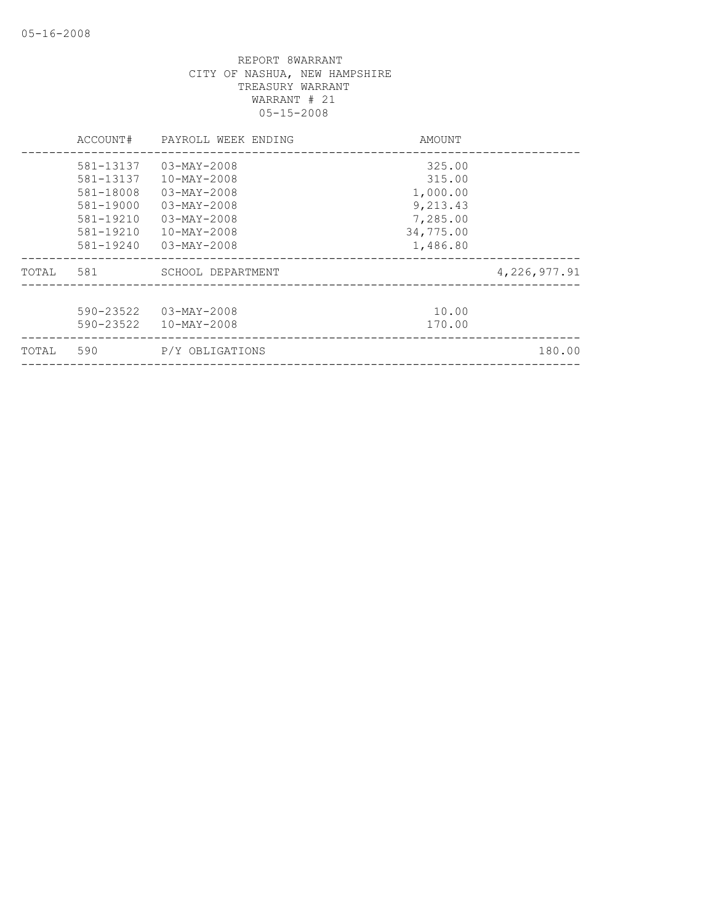|       | ACCOUNT#  | PAYROLL WEEK ENDING      | AMOUNT    |                |
|-------|-----------|--------------------------|-----------|----------------|
|       | 581-13137 | $03 - MAX - 2008$        | 325.00    |                |
|       | 581-13137 | $10 - MAX - 2008$        | 315.00    |                |
|       | 581-18008 | $03 - MAX - 2008$        | 1,000.00  |                |
|       | 581-19000 | $03 - MAX - 2008$        | 9,213.43  |                |
|       | 581-19210 | $03 - MAX - 2008$        | 7,285.00  |                |
|       | 581-19210 | $10 - \text{MAX} - 2008$ | 34,775.00 |                |
|       | 581-19240 | $03 - MAX - 2008$        | 1,486.80  |                |
| TOTAL | 581       | SCHOOL DEPARTMENT        |           | 4, 226, 977.91 |
|       |           |                          |           |                |
|       | 590-23522 | $03 - MAX - 2008$        | 10.00     |                |
|       | 590-23522 | $10 - \text{MAX} - 2008$ | 170.00    |                |
| TOTAL | 590       | P/Y OBLIGATIONS          |           | 180.00         |
|       |           |                          |           |                |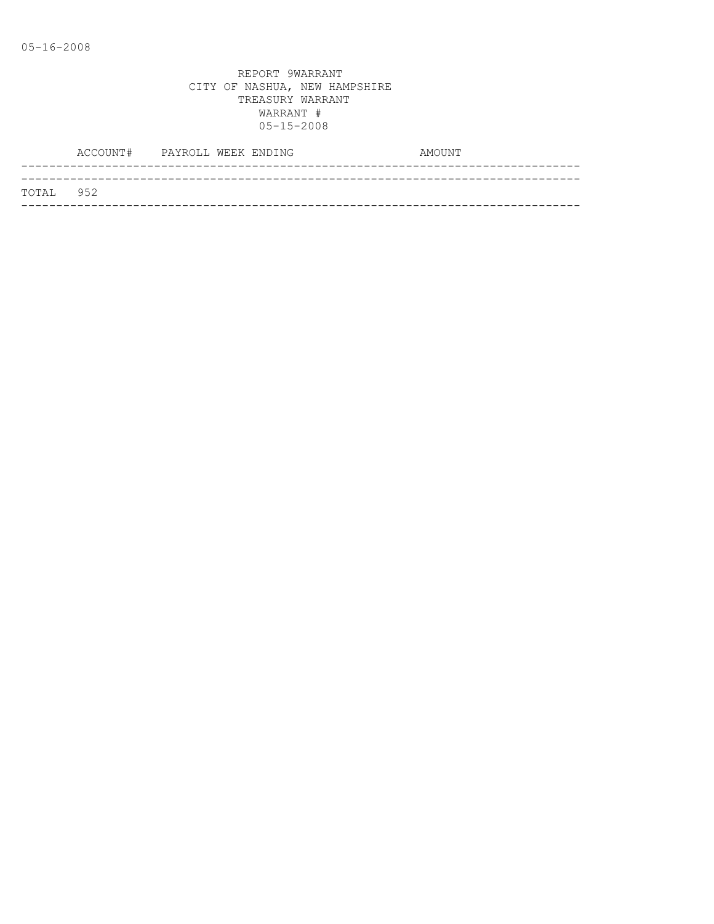|           | ACCOUNT# PAYROLL WEEK ENDING |  | AMOUNT |  |
|-----------|------------------------------|--|--------|--|
|           |                              |  |        |  |
| TOTAL 952 |                              |  |        |  |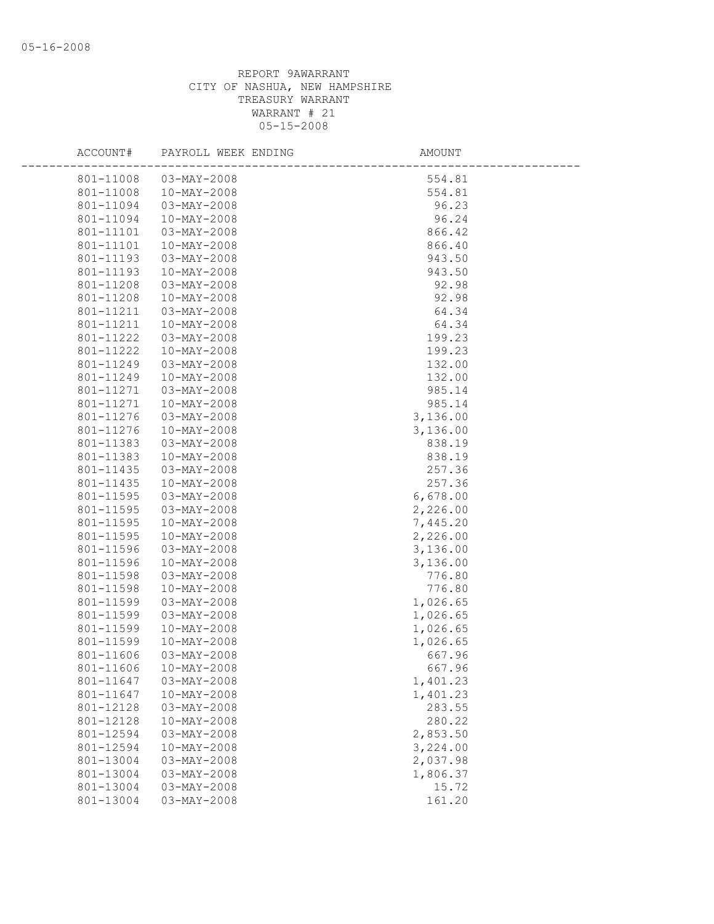| ACCOUNT#               | PAYROLL WEEK ENDING              | AMOUNT           |
|------------------------|----------------------------------|------------------|
| 801-11008              | 03-MAY-2008                      | 554.81           |
| 801-11008              | 10-MAY-2008                      | 554.81           |
| 801-11094              | 03-MAY-2008                      | 96.23            |
| 801-11094              | $10 - MAX - 2008$                | 96.24            |
| 801-11101              | 03-MAY-2008                      | 866.42           |
| 801-11101              | 10-MAY-2008                      | 866.40           |
| 801-11193              | 03-MAY-2008                      | 943.50           |
| 801-11193              | $10 - MAX - 2008$                | 943.50           |
| 801-11208              | 03-MAY-2008                      | 92.98            |
| 801-11208              | $10 - MAX - 2008$                | 92.98            |
| 801-11211              | 03-MAY-2008                      | 64.34            |
| 801-11211              | 10-MAY-2008                      | 64.34            |
| 801-11222              | $03 - MAX - 2008$                | 199.23           |
| 801-11222              | $10 - MAX - 2008$                | 199.23           |
| 801-11249              | 03-MAY-2008                      | 132.00           |
| 801-11249              | 10-MAY-2008                      | 132.00           |
| 801-11271              | 03-MAY-2008                      | 985.14           |
| 801-11271              | 10-MAY-2008                      | 985.14           |
| 801-11276              | $03 - MAX - 2008$                | 3,136.00         |
| 801-11276              | $10 - MAX - 2008$                | 3,136.00         |
| 801-11383              | 03-MAY-2008<br>$10 - MAX - 2008$ | 838.19<br>838.19 |
| 801-11383<br>801-11435 | 03-MAY-2008                      | 257.36           |
| 801-11435              | 10-MAY-2008                      | 257.36           |
| 801-11595              | 03-MAY-2008                      | 6,678.00         |
| 801-11595              | 03-MAY-2008                      | 2,226.00         |
| 801-11595              | $10 - MAX - 2008$                | 7,445.20         |
| 801-11595              | $10 - MAX - 2008$                | 2,226.00         |
| 801-11596              | 03-MAY-2008                      | 3,136.00         |
| 801-11596              | 10-MAY-2008                      | 3,136.00         |
| 801-11598              | $03 - MAX - 2008$                | 776.80           |
| 801-11598              | $10 - MAX - 2008$                | 776.80           |
| 801-11599              | $03 - MAX - 2008$                | 1,026.65         |
| 801-11599              | 03-MAY-2008                      | 1,026.65         |
| 801-11599              | $10-MAY-2008$                    | 1,026.65         |
| 801-11599              | $10-MAY-2008$                    | 1,026.65         |
| 801-11606              | $03 - MAX - 2008$                | 667.96           |
| 801-11606              | 10-MAY-2008                      | 667.96           |
| 801-11647              | $03-MAY-2008$                    | 1,401.23         |
| 801-11647              | $10 - MAX - 2008$                | 1,401.23         |
| 801-12128              | $03-MAY-2008$                    | 283.55           |
| 801-12128              | $10 - MAX - 2008$                | 280.22           |
| 801-12594              | $03 - MAX - 2008$                | 2,853.50         |
| 801-12594              | $10 - MAX - 2008$                | 3,224.00         |
| 801-13004              | $03 - MAX - 2008$                | 2,037.98         |
| 801-13004              | 03-MAY-2008                      | 1,806.37         |
| 801-13004              | $03-MAY-2008$                    | 15.72            |
| 801-13004              | $03 - MAX - 2008$                | 161.20           |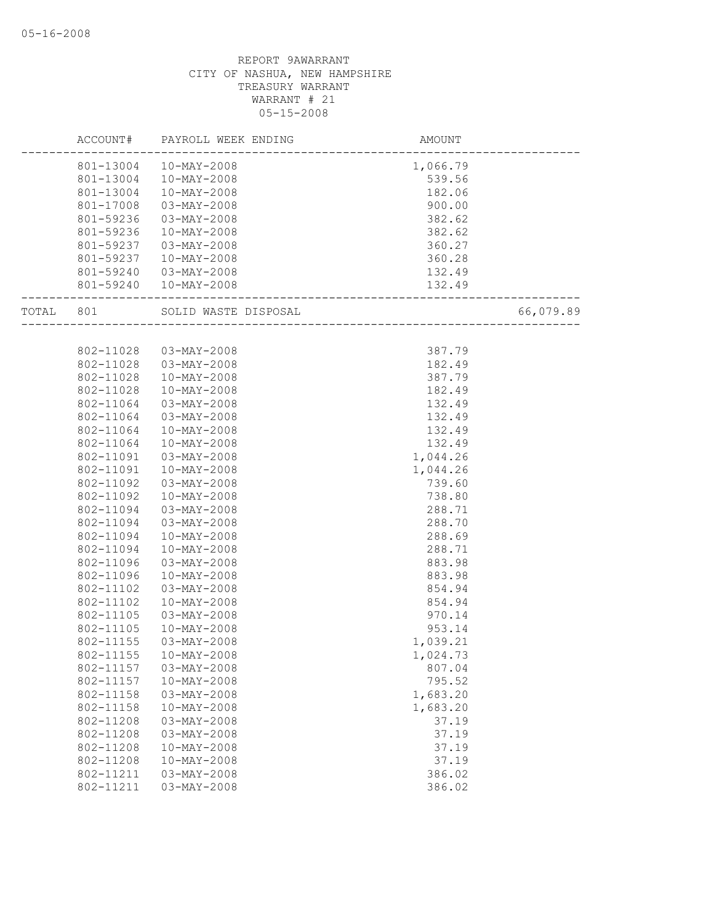|       | ACCOUNT#  | PAYROLL WEEK ENDING      | AMOUNT   |           |
|-------|-----------|--------------------------|----------|-----------|
|       | 801-13004 | $10-MAY-2008$            | 1,066.79 |           |
|       | 801-13004 | 10-MAY-2008              | 539.56   |           |
|       | 801-13004 | 10-MAY-2008              | 182.06   |           |
|       | 801-17008 | $03 - MAX - 2008$        | 900.00   |           |
|       | 801-59236 | 03-MAY-2008              | 382.62   |           |
|       | 801-59236 | 10-MAY-2008              | 382.62   |           |
|       | 801-59237 | 03-MAY-2008              | 360.27   |           |
|       | 801-59237 | $10 - MAX - 2008$        | 360.28   |           |
|       | 801-59240 | 03-MAY-2008              | 132.49   |           |
|       |           | 801-59240  10-MAY-2008   | 132.49   |           |
| TOTAL | 801       | SOLID WASTE DISPOSAL     |          | 66,079.89 |
|       |           |                          |          |           |
|       | 802-11028 | $03 - MAY - 2008$        | 387.79   |           |
|       | 802-11028 | 03-MAY-2008              | 182.49   |           |
|       | 802-11028 | $10 - MAX - 2008$        | 387.79   |           |
|       | 802-11028 | $10-MAY-2008$            | 182.49   |           |
|       | 802-11064 | 03-MAY-2008              | 132.49   |           |
|       | 802-11064 | 03-MAY-2008              | 132.49   |           |
|       | 802-11064 | $10-MAY-2008$            | 132.49   |           |
|       | 802-11064 | $10-MAY-2008$            | 132.49   |           |
|       | 802-11091 | 03-MAY-2008              | 1,044.26 |           |
|       | 802-11091 | 10-MAY-2008              | 1,044.26 |           |
|       | 802-11092 | $03 - MAX - 2008$        | 739.60   |           |
|       | 802-11092 | $10-MAY-2008$            | 738.80   |           |
|       | 802-11094 | 03-MAY-2008              | 288.71   |           |
|       | 802-11094 | $03 - MAX - 2008$        | 288.70   |           |
|       | 802-11094 | $10-MAY-2008$            | 288.69   |           |
|       | 802-11094 | $10-MAY-2008$            | 288.71   |           |
|       | 802-11096 | 03-MAY-2008              | 883.98   |           |
|       | 802-11096 | 10-MAY-2008              | 883.98   |           |
|       | 802-11102 | 03-MAY-2008              | 854.94   |           |
|       | 802-11102 | 10-MAY-2008              | 854.94   |           |
|       | 802-11105 | 03-MAY-2008              | 970.14   |           |
|       | 802-11105 | $10-MAY-2008$            | 953.14   |           |
|       | 802-11155 | 03-MAY-2008              | 1,039.21 |           |
|       | 802-11155 | 10-MAY-2008              | 1,024.73 |           |
|       | 802-11157 | $03-MAY-2008$            | 807.04   |           |
|       | 802-11157 | $10 - MAX - 2008$        | 795.52   |           |
|       | 802-11158 | $03 - MAY - 2008$        | 1,683.20 |           |
|       | 802-11158 | $10 - MAX - 2008$        | 1,683.20 |           |
|       | 802-11208 | $03 - MAY - 2008$        | 37.19    |           |
|       | 802-11208 | $03 - MAY - 2008$        | 37.19    |           |
|       | 802-11208 | $10 - \text{MAX} - 2008$ | 37.19    |           |
|       | 802-11208 | $10 - MAX - 2008$        | 37.19    |           |
|       | 802-11211 | $03 - MAY - 2008$        | 386.02   |           |
|       | 802-11211 | $03 - MAY - 2008$        | 386.02   |           |
|       |           |                          |          |           |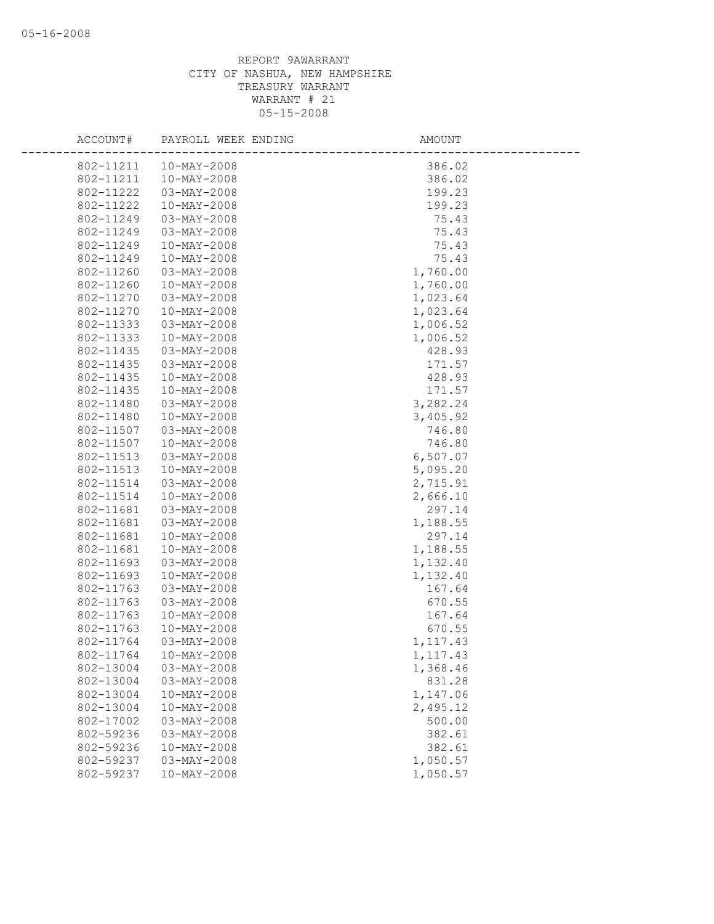| ACCOUNT#  | PAYROLL WEEK ENDING | AMOUNT    |  |
|-----------|---------------------|-----------|--|
| 802-11211 | 10-MAY-2008         | 386.02    |  |
| 802-11211 | 10-MAY-2008         | 386.02    |  |
| 802-11222 | 03-MAY-2008         | 199.23    |  |
| 802-11222 | $10-MAY-2008$       | 199.23    |  |
| 802-11249 | $03 - MAY - 2008$   | 75.43     |  |
| 802-11249 | 03-MAY-2008         | 75.43     |  |
| 802-11249 | 10-MAY-2008         | 75.43     |  |
| 802-11249 | $10-MAY-2008$       | 75.43     |  |
| 802-11260 | $03 - MAX - 2008$   | 1,760.00  |  |
| 802-11260 | $10-MAY-2008$       | 1,760.00  |  |
| 802-11270 | $03 - MAX - 2008$   | 1,023.64  |  |
| 802-11270 | $10-MAY-2008$       | 1,023.64  |  |
| 802-11333 | 03-MAY-2008         | 1,006.52  |  |
| 802-11333 | 10-MAY-2008         | 1,006.52  |  |
| 802-11435 | $03-MAY-2008$       | 428.93    |  |
| 802-11435 | $03 - MAX - 2008$   | 171.57    |  |
| 802-11435 | 10-MAY-2008         | 428.93    |  |
| 802-11435 | 10-MAY-2008         | 171.57    |  |
| 802-11480 | $03 - MAX - 2008$   | 3,282.24  |  |
| 802-11480 | $10-MAY-2008$       | 3,405.92  |  |
| 802-11507 | 03-MAY-2008         | 746.80    |  |
| 802-11507 | 10-MAY-2008         | 746.80    |  |
| 802-11513 | 03-MAY-2008         | 6,507.07  |  |
| 802-11513 | $10-MAY-2008$       | 5,095.20  |  |
| 802-11514 | 03-MAY-2008         | 2,715.91  |  |
| 802-11514 | $10-MAY-2008$       | 2,666.10  |  |
| 802-11681 | $03-MAY-2008$       | 297.14    |  |
| 802-11681 | $03-MAY-2008$       | 1,188.55  |  |
| 802-11681 | $10 - MAX - 2008$   | 297.14    |  |
| 802-11681 | 10-MAY-2008         | 1,188.55  |  |
| 802-11693 | $03 - MAX - 2008$   | 1,132.40  |  |
| 802-11693 | $10-MAY-2008$       | 1,132.40  |  |
| 802-11763 | 03-MAY-2008         | 167.64    |  |
| 802-11763 | 03-MAY-2008         | 670.55    |  |
| 802-11763 | 10-MAY-2008         | 167.64    |  |
| 802-11763 | $10-MAY-2008$       | 670.55    |  |
| 802-11764 | 03-MAY-2008         | 1, 117.43 |  |
| 802-11764 | $10-MAY-2008$       | 1,117.43  |  |
| 802-13004 | $03-MAY-2008$       | 1,368.46  |  |
| 802-13004 | $03 - MAY - 2008$   | 831.28    |  |
| 802-13004 | $10-MAY-2008$       | 1,147.06  |  |
| 802-13004 | $10 - MAX - 2008$   | 2,495.12  |  |
| 802-17002 | $03-MAY-2008$       | 500.00    |  |
| 802-59236 | $03 - MAX - 2008$   | 382.61    |  |
| 802-59236 | $10-MAY-2008$       | 382.61    |  |
| 802-59237 | $03 - MAX - 2008$   | 1,050.57  |  |
| 802-59237 | $10 - MAX - 2008$   | 1,050.57  |  |
|           |                     |           |  |